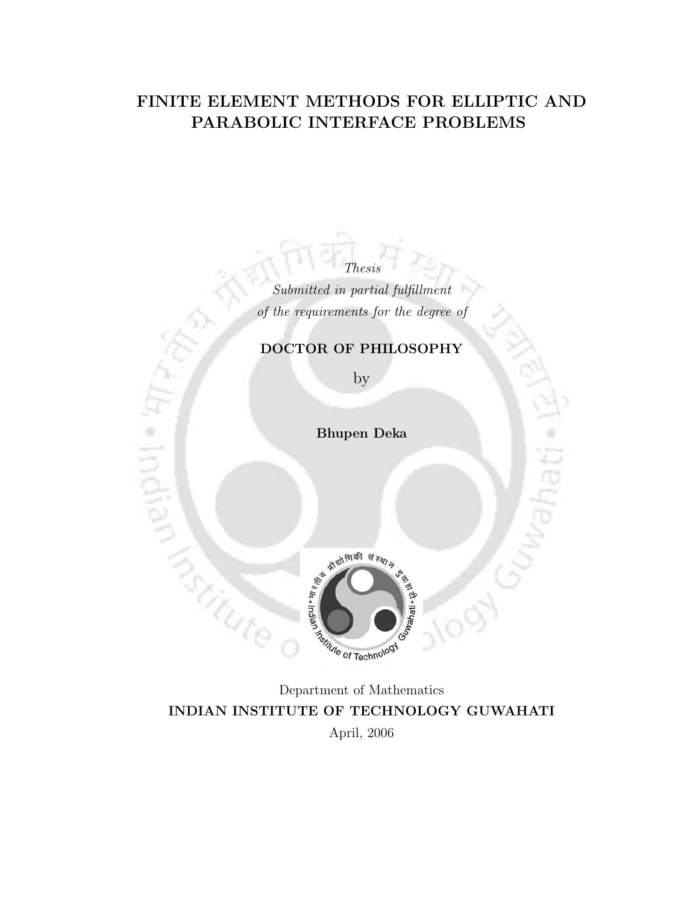#### FINITE ELEMENT METHODS FOR ELLIPTIC AND PARABOLIC INTERFACE PROBLEMS

Submitted in partial fulfillment of the requirements for the degree of

Thesis

#### DOCTOR OF PHILOSOPHY

by

Bhupen Deka

 $\circ$ 

Indian

**Trochute** 



Department of Mathematics INDIAN INSTITUTE OF TECHNOLOGY GUWAHATI April, 2006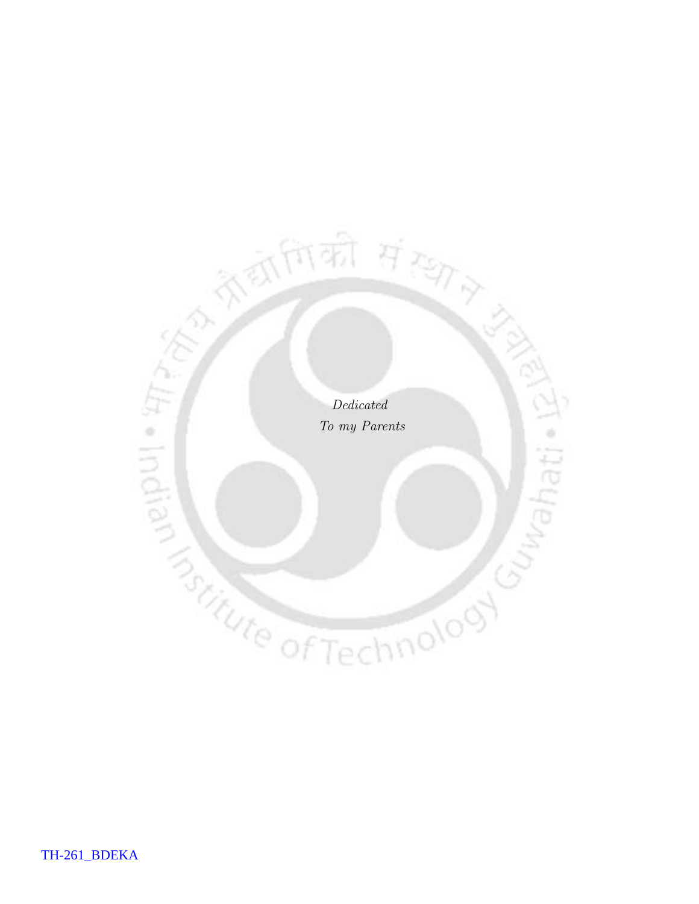Dedicated To my Parents õ

रे छागिकी *संस्था*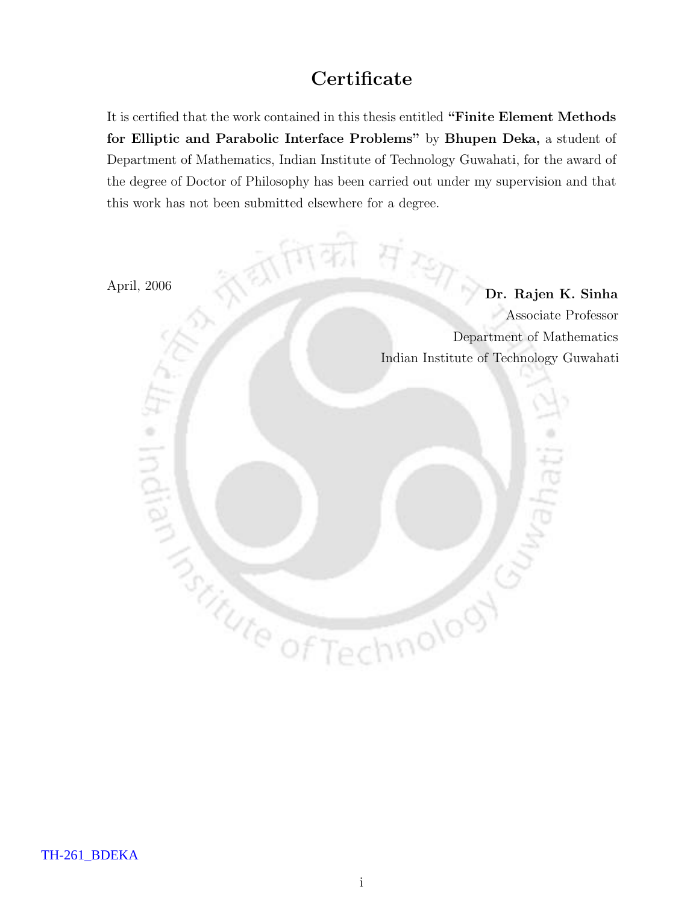## **Certificate**

It is certified that the work contained in this thesis entitled "Finite Element Methods for Elliptic and Parabolic Interface Problems" by Bhupen Deka, a student of Department of Mathematics, Indian Institute of Technology Guwahati, for the award of the degree of Doctor of Philosophy has been carried out under my supervision and that this work has not been submitted elsewhere for a degree.

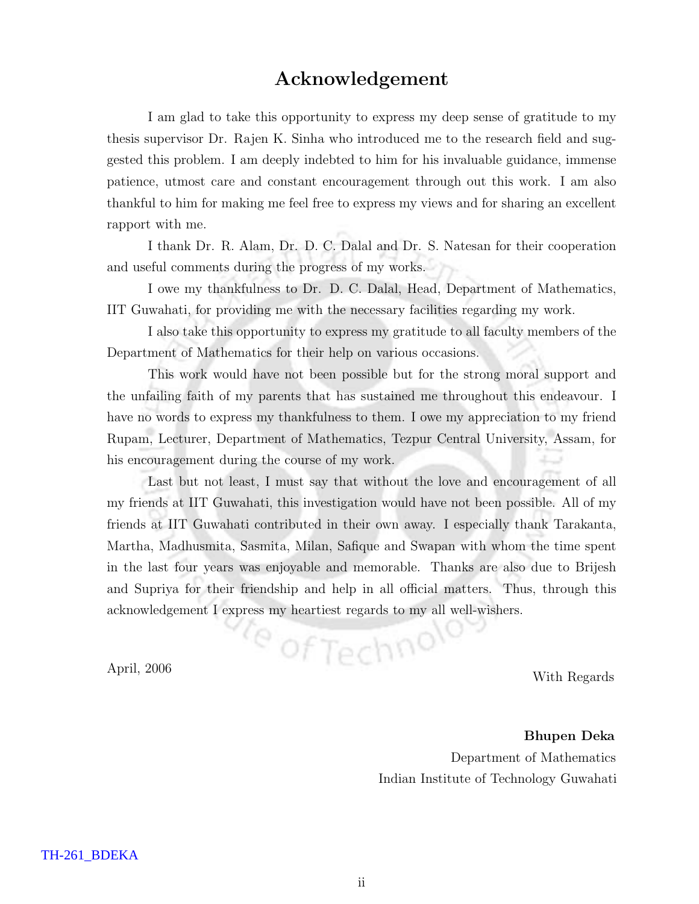#### Acknowledgement

I am glad to take this opportunity to express my deep sense of gratitude to my thesis supervisor Dr. Rajen K. Sinha who introduced me to the research field and suggested this problem. I am deeply indebted to him for his invaluable guidance, immense patience, utmost care and constant encouragement through out this work. I am also thankful to him for making me feel free to express my views and for sharing an excellent rapport with me.

I thank Dr. R. Alam, Dr. D. C. Dalal and Dr. S. Natesan for their cooperation and useful comments during the progress of my works.

I owe my thankfulness to Dr. D. C. Dalal, Head, Department of Mathematics, IIT Guwahati, for providing me with the necessary facilities regarding my work.

I also take this opportunity to express my gratitude to all faculty members of the Department of Mathematics for their help on various occasions.

This work would have not been possible but for the strong moral support and the unfailing faith of my parents that has sustained me throughout this endeavour. I have no words to express my thankfulness to them. I owe my appreciation to my friend Rupam, Lecturer, Department of Mathematics, Tezpur Central University, Assam, for his encouragement during the course of my work.

Last but not least, I must say that without the love and encouragement of all my friends at IIT Guwahati, this investigation would have not been possible. All of my friends at IIT Guwahati contributed in their own away. I especially thank Tarakanta, Martha, Madhusmita, Sasmita, Milan, Safique and Swapan with whom the time spent in the last four years was enjoyable and memorable. Thanks are also due to Brijesh and Supriya for their friendship and help in all official matters. Thus, through this acknowledgement I express my heartiest regards to my all well-wishers.

April, 2006 With Regards

Bhupen Deka Department of Mathematics Indian Institute of Technology Guwahati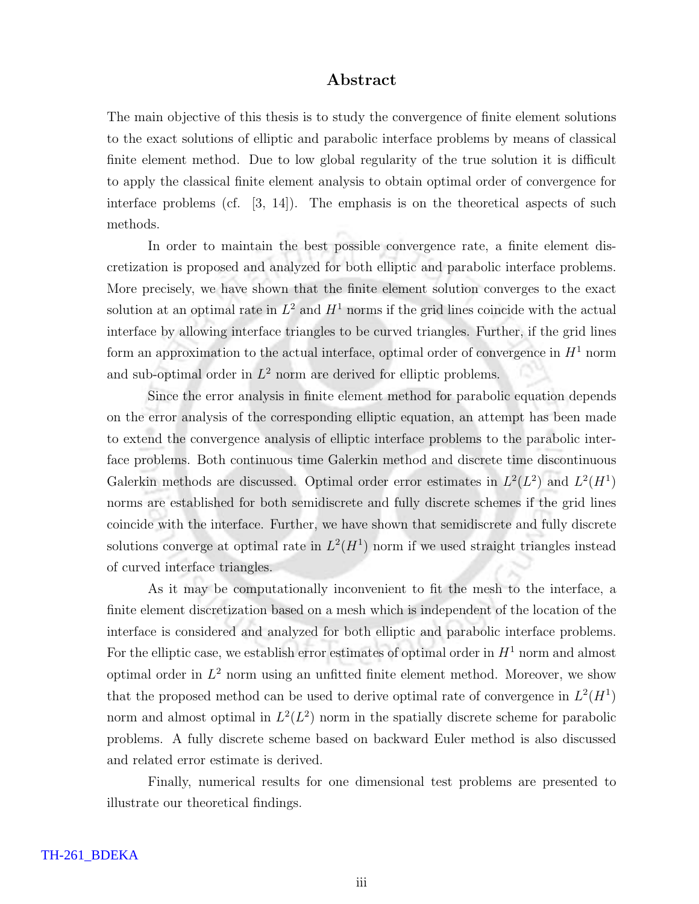#### Abstract

The main objective of this thesis is to study the convergence of finite element solutions to the exact solutions of elliptic and parabolic interface problems by means of classical finite element method. Due to low global regularity of the true solution it is difficult to apply the classical finite element analysis to obtain optimal order of convergence for interface problems (cf. [3, 14]). The emphasis is on the theoretical aspects of such methods.

In order to maintain the best possible convergence rate, a finite element discretization is proposed and analyzed for both elliptic and parabolic interface problems. More precisely, we have shown that the finite element solution converges to the exact solution at an optimal rate in  $L^2$  and  $H^1$  norms if the grid lines coincide with the actual interface by allowing interface triangles to be curved triangles. Further, if the grid lines form an approximation to the actual interface, optimal order of convergence in  $H<sup>1</sup>$  norm and sub-optimal order in  $L^2$  norm are derived for elliptic problems.

Since the error analysis in finite element method for parabolic equation depends on the error analysis of the corresponding elliptic equation, an attempt has been made to extend the convergence analysis of elliptic interface problems to the parabolic interface problems. Both continuous time Galerkin method and discrete time discontinuous Galerkin methods are discussed. Optimal order error estimates in  $L^2(L^2)$  and  $L^2(H^1)$ norms are established for both semidiscrete and fully discrete schemes if the grid lines coincide with the interface. Further, we have shown that semidiscrete and fully discrete solutions converge at optimal rate in  $L^2(H^1)$  norm if we used straight triangles instead of curved interface triangles.

As it may be computationally inconvenient to fit the mesh to the interface, a finite element discretization based on a mesh which is independent of the location of the interface is considered and analyzed for both elliptic and parabolic interface problems. For the elliptic case, we establish error estimates of optimal order in  $H<sup>1</sup>$  norm and almost optimal order in  $L^2$  norm using an unfitted finite element method. Moreover, we show that the proposed method can be used to derive optimal rate of convergence in  $L^2(H^1)$ norm and almost optimal in  $L^2(L^2)$  norm in the spatially discrete scheme for parabolic problems. A fully discrete scheme based on backward Euler method is also discussed and related error estimate is derived.

Finally, numerical results for one dimensional test problems are presented to illustrate our theoretical findings.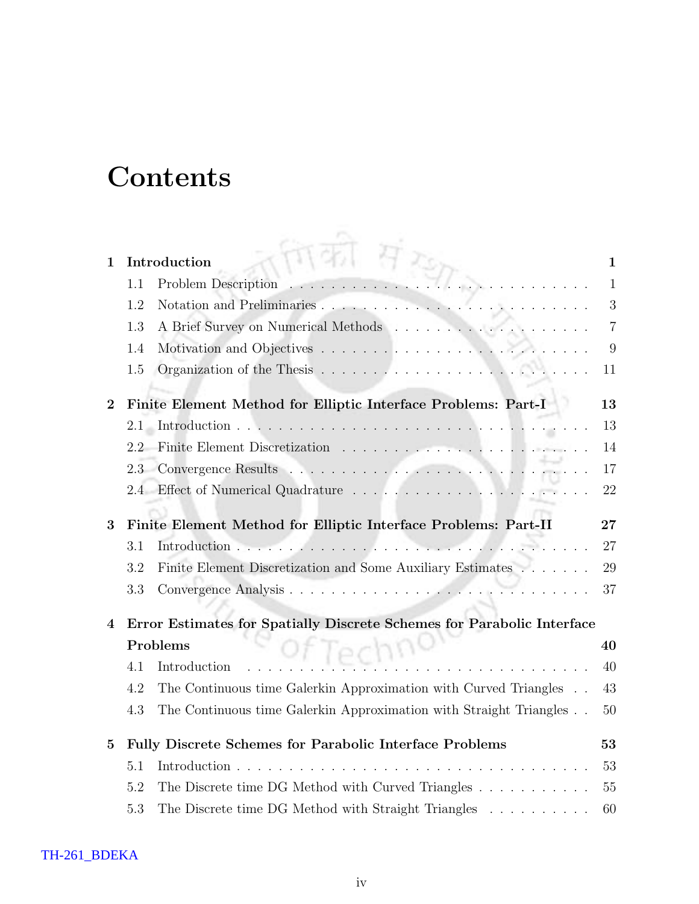# **Contents**

| 1        |     | Introduction                                                           | 1              |
|----------|-----|------------------------------------------------------------------------|----------------|
|          | 1.1 | Problem Description                                                    | 1              |
|          | 1.2 |                                                                        | 3              |
|          | 1.3 |                                                                        | $\overline{7}$ |
|          | 1.4 |                                                                        | 9              |
|          | 1.5 |                                                                        | 11             |
| $\bf{2}$ |     | Finite Element Method for Elliptic Interface Problems: Part-I          | 13             |
|          | 2.1 |                                                                        | 13             |
|          | 2.2 |                                                                        | 14             |
|          | 2.3 |                                                                        | 17             |
|          | 2.4 |                                                                        | 22             |
|          |     |                                                                        |                |
| 3        |     | Finite Element Method for Elliptic Interface Problems: Part-II         | 27             |
|          | 3.1 | Introduction                                                           | 27             |
|          | 3.2 | Finite Element Discretization and Some Auxiliary Estimates             | 29             |
|          | 3.3 |                                                                        | 37             |
| 4        |     | Error Estimates for Spatially Discrete Schemes for Parabolic Interface |                |
|          |     | Problems<br>IPCDI                                                      | 40             |
|          | 4.1 | Introduction                                                           | 40             |
|          | 4.2 | The Continuous time Galerkin Approximation with Curved Triangles       | 43             |
|          | 4.3 | The Continuous time Galerkin Approximation with Straight Triangles     | 50             |
| 5        |     | Fully Discrete Schemes for Parabolic Interface Problems                | 53             |
|          | 5.1 | Introduction<br>$\mathbf{r}$                                           | 53             |
|          | 5.2 | The Discrete time DG Method with Curved Triangles                      | 55             |
|          | 5.3 | The Discrete time DG Method with Straight Triangles                    | 60             |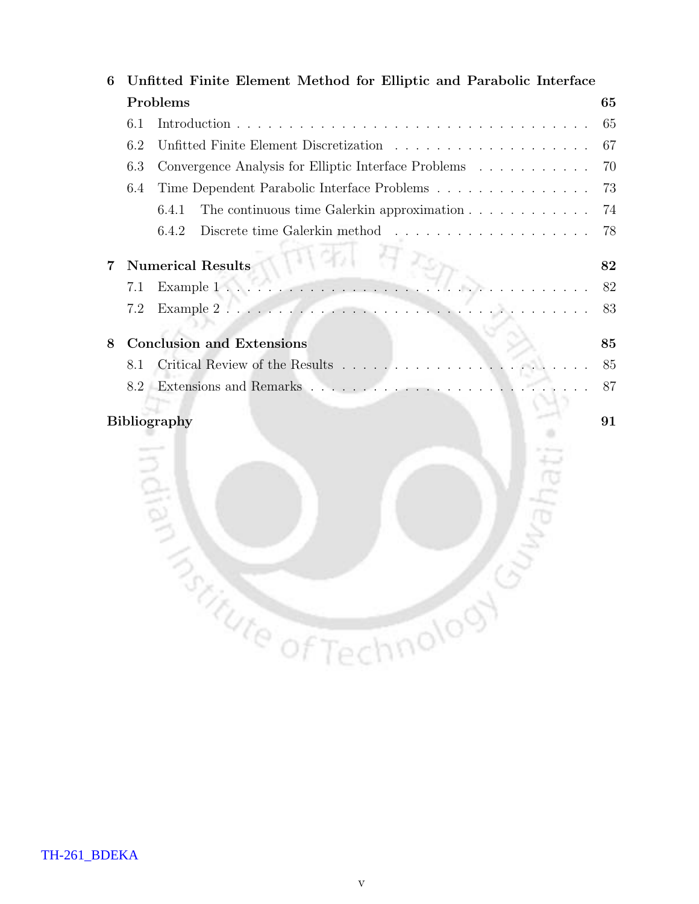| 6                         |                                     | Unfitted Finite Element Method for Elliptic and Parabolic Interface                |    |  |  |  |
|---------------------------|-------------------------------------|------------------------------------------------------------------------------------|----|--|--|--|
|                           |                                     | Problems                                                                           | 65 |  |  |  |
|                           | 6.1                                 |                                                                                    | 65 |  |  |  |
|                           | 6.2                                 |                                                                                    | 67 |  |  |  |
|                           | 6.3                                 | Convergence Analysis for Elliptic Interface Problems                               | 70 |  |  |  |
|                           | 6.4                                 |                                                                                    | 73 |  |  |  |
|                           |                                     | The continuous time Galerkin approximation $\ldots \ldots \ldots \ldots$<br>6.4.1  | 74 |  |  |  |
|                           |                                     | Discrete time Galerkin method $\ldots \ldots \ldots \ldots \ldots \ldots$<br>6.4.2 | 78 |  |  |  |
| 7                         |                                     | <b>Numerical Results</b>                                                           | 82 |  |  |  |
|                           | 7.1                                 | 5.                                                                                 | 82 |  |  |  |
|                           | 7.2                                 |                                                                                    | 83 |  |  |  |
|                           |                                     |                                                                                    |    |  |  |  |
| 8                         |                                     | <b>Conclusion and Extensions</b>                                                   | 85 |  |  |  |
|                           | 8.1                                 | Critical Review of the Results                                                     | 85 |  |  |  |
|                           | 8.2                                 |                                                                                    | 87 |  |  |  |
| <b>Bibliography</b><br>91 |                                     |                                                                                    |    |  |  |  |
|                           |                                     |                                                                                    |    |  |  |  |
|                           |                                     |                                                                                    |    |  |  |  |
|                           |                                     |                                                                                    |    |  |  |  |
|                           |                                     |                                                                                    |    |  |  |  |
|                           |                                     |                                                                                    |    |  |  |  |
|                           |                                     |                                                                                    |    |  |  |  |
|                           |                                     |                                                                                    |    |  |  |  |
|                           |                                     |                                                                                    |    |  |  |  |
|                           |                                     |                                                                                    |    |  |  |  |
|                           |                                     |                                                                                    |    |  |  |  |
|                           | <b><i>Pritute of Technology</i></b> |                                                                                    |    |  |  |  |
|                           |                                     |                                                                                    |    |  |  |  |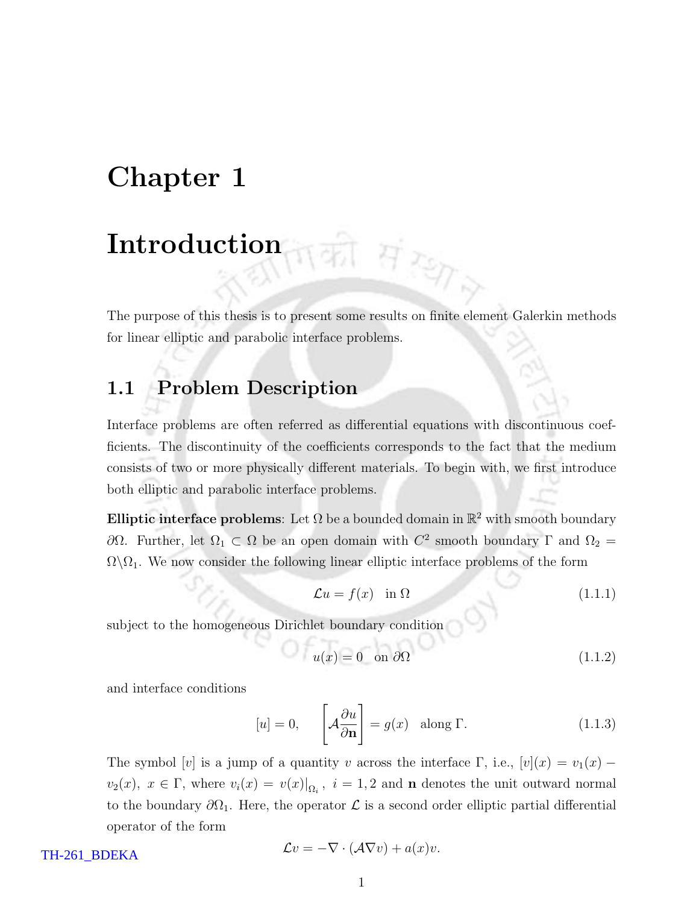## Chapter 1

## Introduction

The purpose of this thesis is to present some results on finite element Galerkin methods for linear elliptic and parabolic interface problems.

T Fizen

#### 1.1 Problem Description

Interface problems are often referred as differential equations with discontinuous coefficients. The discontinuity of the coefficients corresponds to the fact that the medium consists of two or more physically different materials. To begin with, we first introduce both elliptic and parabolic interface problems.

**Elliptic interface problems**: Let  $\Omega$  be a bounded domain in  $\mathbb{R}^2$  with smooth boundary  $\partial Ω$ . Further, let  $Ω_1 ⊂ Ω$  be an open domain with  $C^2$  smooth boundary Γ and  $Ω_2 =$  $\Omega \backslash \Omega_1$ . We now consider the following linear elliptic interface problems of the form

$$
\mathcal{L}u = f(x) \quad \text{in } \Omega \tag{1.1.1}
$$

subject to the homogeneous Dirichlet boundary condition

$$
u(x) = 0 \quad \text{on } \partial\Omega \tag{1.1.2}
$$

and interface conditions

$$
[u] = 0, \qquad \left[ \mathcal{A} \frac{\partial u}{\partial \mathbf{n}} \right] = g(x) \quad \text{along } \Gamma. \tag{1.1.3}
$$

The symbol [v] is a jump of a quantity v across the interface  $\Gamma$ , i.e.,  $[v](x) = v_1(x)$  $v_2(x)$ ,  $x \in \Gamma$ , where  $v_i(x) = v(x)|_{\Omega_i}$ ,  $i = 1, 2$  and **n** denotes the unit outward normal to the boundary  $\partial\Omega_1$ . Here, the operator  $\mathcal L$  is a second order elliptic partial differential operator of the form

TH-261\_BDEKA

$$
\mathcal{L}v = -\nabla \cdot (\mathcal{A}\nabla v) + a(x)v.
$$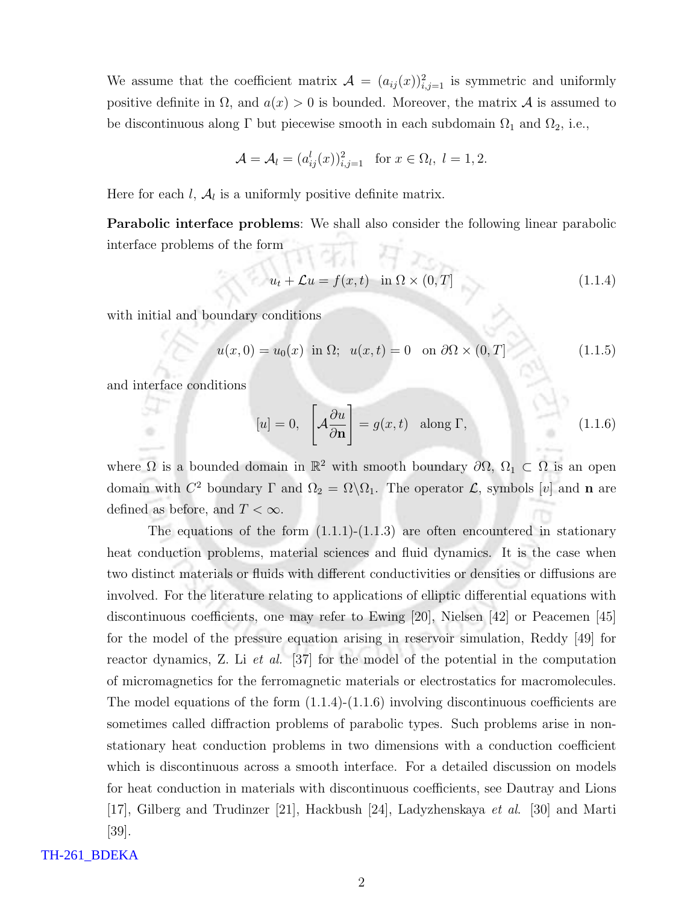We assume that the coefficient matrix  $\mathcal{A} = (a_{ij}(x))_{i,j=1}^2$  is symmetric and uniformly positive definite in  $\Omega$ , and  $a(x) > 0$  is bounded. Moreover, the matrix A is assumed to be discontinuous along  $\Gamma$  but piecewise smooth in each subdomain  $\Omega_1$  and  $\Omega_2$ , i.e.,

$$
\mathcal{A} = \mathcal{A}_l = (a_{ij}^l(x))_{i,j=1}^2 \quad \text{for } x \in \Omega_l, \ l = 1, 2.
$$

Here for each  $l, \mathcal{A}_l$  is a uniformly positive definite matrix.

Parabolic interface problems: We shall also consider the following linear parabolic interface problems of the form A ren

$$
u_t + \mathcal{L}u = f(x, t) \quad \text{in } \Omega \times (0, T] \tag{1.1.4}
$$

with initial and boundary conditions

$$
u(x,0) = u_0(x) \text{ in } \Omega; \quad u(x,t) = 0 \quad \text{on } \partial\Omega \times (0,T] \tag{1.1.5}
$$

and interface conditions

$$
[u] = 0, \quad \left[ \mathcal{A} \frac{\partial u}{\partial \mathbf{n}} \right] = g(x, t) \quad \text{along } \Gamma,
$$
\n(1.1.6)

where  $\Omega$  is a bounded domain in  $\mathbb{R}^2$  with smooth boundary  $\partial\Omega$ ,  $\Omega_1 \subset \Omega$  is an open domain with  $C^2$  boundary  $\Gamma$  and  $\Omega_2 = \Omega \backslash \Omega_1$ . The operator  $\mathcal{L}$ , symbols [v] and **n** are defined as before, and  $T < \infty$ .

The equations of the form  $(1.1.1)-(1.1.3)$  are often encountered in stationary heat conduction problems, material sciences and fluid dynamics. It is the case when two distinct materials or fluids with different conductivities or densities or diffusions are involved. For the literature relating to applications of elliptic differential equations with discontinuous coefficients, one may refer to Ewing [20], Nielsen [42] or Peacemen [45] for the model of the pressure equation arising in reservoir simulation, Reddy [49] for reactor dynamics, Z. Li *et al.* [37] for the model of the potential in the computation of micromagnetics for the ferromagnetic materials or electrostatics for macromolecules. The model equations of the form  $(1.1.4)-(1.1.6)$  involving discontinuous coefficients are sometimes called diffraction problems of parabolic types. Such problems arise in nonstationary heat conduction problems in two dimensions with a conduction coefficient which is discontinuous across a smooth interface. For a detailed discussion on models for heat conduction in materials with discontinuous coefficients, see Dautray and Lions [17], Gilberg and Trudinzer [21], Hackbush [24], Ladyzhenskaya et al. [30] and Marti [39].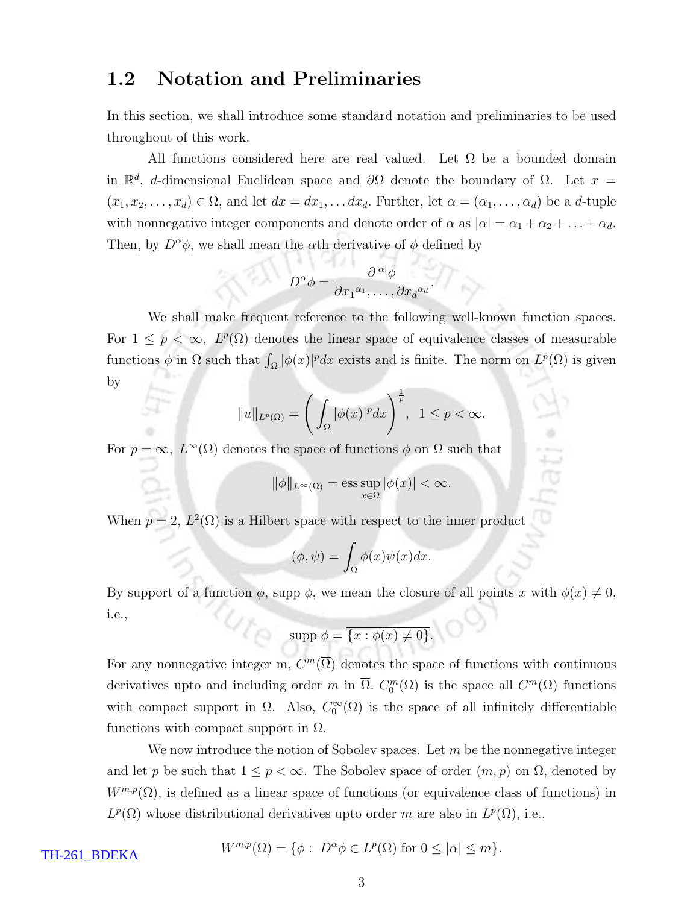#### 1.2 Notation and Preliminaries

In this section, we shall introduce some standard notation and preliminaries to be used throughout of this work.

All functions considered here are real valued. Let  $\Omega$  be a bounded domain in  $\mathbb{R}^d$ , d-dimensional Euclidean space and  $\partial\Omega$  denote the boundary of  $\Omega$ . Let  $x =$  $(x_1, x_2,..., x_d) \in \Omega$ , and let  $dx = dx_1,... dx_d$ . Further, let  $\alpha = (\alpha_1,..., \alpha_d)$  be a d-tuple with nonnegative integer components and denote order of  $\alpha$  as  $|\alpha| = \alpha_1 + \alpha_2 + \ldots + \alpha_d$ . Then, by  $D^{\alpha}\phi$ , we shall mean the  $\alpha$ th derivative of  $\phi$  defined by

$$
D^{\alpha}\phi = \frac{\partial^{|\alpha|}\phi}{\partial x_1^{\alpha_1}, \dots, \partial x_d^{\alpha_d}}.
$$

We shall make frequent reference to the following well-known function spaces. For  $1 \leq p < \infty$ ,  $L^p(\Omega)$  denotes the linear space of equivalence classes of measurable functions  $\phi$  in  $\Omega$  such that  $\int_{\Omega} |\phi(x)|^p dx$  exists and is finite. The norm on  $L^p(\Omega)$  is given by

$$
||u||_{L^{p}(\Omega)} = \left(\int_{\Omega} |\phi(x)|^{p} dx\right)^{\frac{1}{p}}, \quad 1 \le p < \infty.
$$

For  $p = \infty$ ,  $L^{\infty}(\Omega)$  denotes the space of functions  $\phi$  on  $\Omega$  such that

$$
\|\phi\|_{L^\infty(\Omega)} = \operatorname*{ess\,sup}_{x\in\Omega}|\phi(x)| < \infty.
$$

When  $p = 2$ ,  $L^2(\Omega)$  is a Hilbert space with respect to the inner product

$$
(\phi, \psi) = \int_{\Omega} \phi(x)\psi(x)dx.
$$

By support of a function  $\phi$ , supp  $\phi$ , we mean the closure of all points x with  $\phi(x) \neq 0$ ,  $4t_{\odot}$ i.e.,

$$
supp \phi = \overline{\{x : \phi(x) \neq 0\}}.
$$

For any nonnegative integer m,  $C^m(\overline{\Omega})$  denotes the space of functions with continuous derivatives upto and including order m in  $\overline{\Omega}$ .  $C_0^m(\Omega)$  is the space all  $C^m(\Omega)$  functions with compact support in  $\Omega$ . Also,  $C_0^{\infty}(\Omega)$  is the space of all infinitely differentiable functions with compact support in  $\Omega$ .

We now introduce the notion of Sobolev spaces. Let  $m$  be the nonnegative integer and let p be such that  $1 \leq p < \infty$ . The Sobolev space of order  $(m, p)$  on  $\Omega$ , denoted by  $W^{m,p}(\Omega)$ , is defined as a linear space of functions (or equivalence class of functions) in  $L^p(\Omega)$  whose distributional derivatives upto order m are also in  $L^p(\Omega)$ , i.e.,

$$
W^{m,p}(\Omega) = \{ \phi : \ D^{\alpha} \phi \in L^p(\Omega) \text{ for } 0 \leq |\alpha| \leq m \}.
$$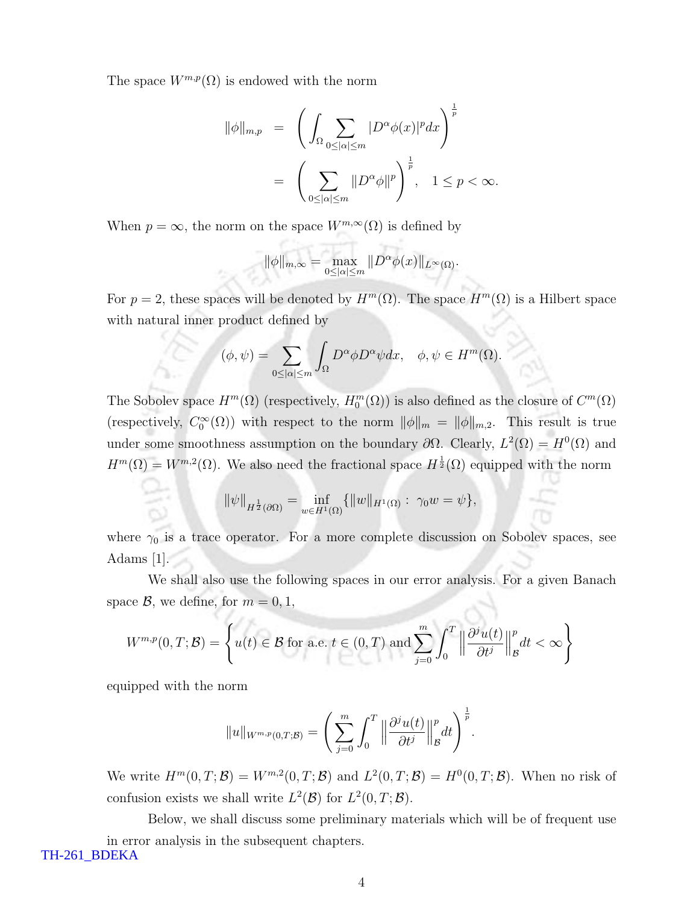The space  $W^{m,p}(\Omega)$  is endowed with the norm

$$
\|\phi\|_{m,p} = \left(\int_{\Omega} \sum_{0 \leq |\alpha| \leq m} |D^{\alpha}\phi(x)|^p dx\right)^{\frac{1}{p}}\n= \left(\sum_{0 \leq |\alpha| \leq m} \|D^{\alpha}\phi\|^p\right)^{\frac{1}{p}}, \quad 1 \leq p < \infty.
$$

When  $p = \infty$ , the norm on the space  $W^{m,\infty}(\Omega)$  is defined by

$$
\|\phi\|_{m,\infty} = \max_{0 \leq |\alpha| \leq m} \|D^{\alpha}\phi(x)\|_{L^{\infty}(\Omega)}.
$$

For  $p = 2$ , these spaces will be denoted by  $H^m(\Omega)$ . The space  $H^m(\Omega)$  is a Hilbert space with natural inner product defined by

$$
(\phi, \psi) = \sum_{0 \leq |\alpha| \leq m} \int_{\Omega} D^{\alpha} \phi D^{\alpha} \psi dx, \quad \phi, \psi \in H^m(\Omega).
$$

The Sobolev space  $H^m(\Omega)$  (respectively,  $H_0^m(\Omega)$ ) is also defined as the closure of  $C^m(\Omega)$ (respectively,  $C_0^{\infty}(\Omega)$ ) with respect to the norm  $\|\phi\|_m = \|\phi\|_{m,2}$ . This result is true under some smoothness assumption on the boundary  $\partial\Omega$ . Clearly,  $L^2(\Omega) = H^0(\Omega)$  and  $H^m(\Omega) = W^{m,2}(\Omega)$ . We also need the fractional space  $H^{\frac{1}{2}}(\Omega)$  equipped with the norm

$$
\|\psi\|_{H^{\frac{1}{2}}(\partial\Omega)} = \inf_{w \in H^1(\Omega)} \{ \|w\|_{H^1(\Omega)} : \gamma_0 w = \psi \},
$$

where  $\gamma_0$  is a trace operator. For a more complete discussion on Sobolev spaces, see Adams [1].

We shall also use the following spaces in our error analysis. For a given Banach space  $\mathcal{B}$ , we define, for  $m = 0, 1$ ,

$$
W^{m,p}(0,T;\mathcal{B}) = \left\{ u(t) \in \mathcal{B} \text{ for a.e. } t \in (0,T) \text{ and } \sum_{j=0}^{m} \int_{0}^{T} \left\| \frac{\partial^{j} u(t)}{\partial t^{j}} \right\|_{\mathcal{B}}^{p} dt < \infty \right\}
$$

equipped with the norm

$$
||u||_{W^{m,p}(0,T;\mathcal{B})} = \left(\sum_{j=0}^m \int_0^T \left\|\frac{\partial^j u(t)}{\partial t^j}\right\|_{\mathcal{B}}^p dt\right)^{\frac{1}{p}}.
$$

We write  $H^m(0,T;\mathcal{B})=W^{m,2}(0,T;\mathcal{B})$  and  $L^2(0,T;\mathcal{B})=H^0(0,T;\mathcal{B})$ . When no risk of confusion exists we shall write  $L^2(\mathcal{B})$  for  $L^2(0,T;\mathcal{B})$ .

Below, we shall discuss some preliminary materials which will be of frequent use in error analysis in the subsequent chapters. TH-261\_BDEKA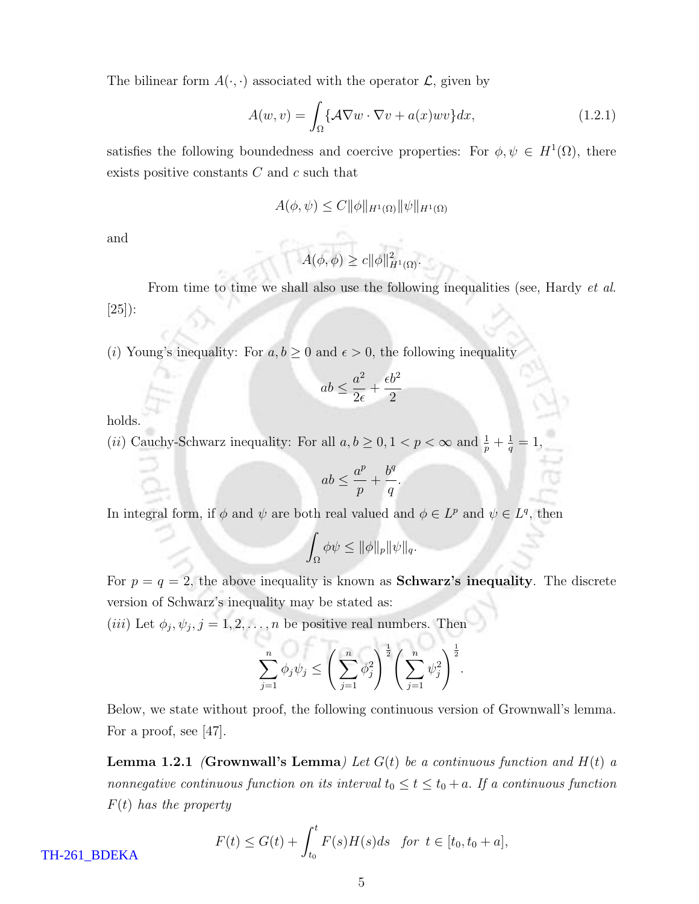The bilinear form  $A(\cdot, \cdot)$  associated with the operator  $\mathcal{L}$ , given by

$$
A(w,v) = \int_{\Omega} \{A\nabla w \cdot \nabla v + a(x)wv\} dx, \qquad (1.2.1)
$$

satisfies the following boundedness and coercive properties: For  $\phi, \psi \in H^1(\Omega)$ , there exists positive constants  $C$  and  $c$  such that

$$
A(\phi, \psi) \le C \|\phi\|_{H^1(\Omega)} \|\psi\|_{H^1(\Omega)}
$$

and

$$
A(\phi,\phi) \geq c \|\phi\|_{H^1(\Omega)}^2.
$$

From time to time we shall also use the following inequalities (see, Hardy *et al.*) [25]):

(*i*) Young's inequality: For  $a, b \ge 0$  and  $\epsilon > 0$ , the following inequality

$$
ab \le \frac{a^2}{2\epsilon} + \frac{\epsilon b^2}{2}
$$

holds.

(*ii*) Cauchy-Schwarz inequality: For all  $a, b \geq 0, 1 < p < \infty$  and  $\frac{1}{p} + \frac{1}{q} = 1$ ,

$$
ab \le \frac{a^p}{p} + \frac{b^q}{q}
$$

.

In integral form, if  $\phi$  and  $\psi$  are both real valued and  $\phi \in L^p$  and  $\psi \in L^q$ , then

$$
\int_{\Omega} \phi \psi \leq \|\phi\|_{p} \|\psi\|_{q}.
$$

For  $p = q = 2$ , the above inequality is known as **Schwarz's inequality**. The discrete version of Schwarz's inequality may be stated as:

(*iii*) Let  $\phi_j, \psi_j, j = 1, 2, \ldots, n$  be positive real numbers. Then

$$
\sum_{j=1}^{n} \phi_j \psi_j \le \left(\sum_{j=1}^{n} \phi_j^2\right)^{\frac{1}{2}} \left(\sum_{j=1}^{n} \psi_j^2\right)^{\frac{1}{2}}.
$$

Below, we state without proof, the following continuous version of Grownwall's lemma. For a proof, see [47].

**Lemma 1.2.1 (Grownwall's Lemma)** Let  $G(t)$  be a continuous function and  $H(t)$  a nonnegative continuous function on its interval  $t_0 \le t \le t_0 + a$ . If a continuous function  $F(t)$  has the property

$$
F(t) \le G(t) + \int_{t_0}^t F(s)H(s)ds \text{ for } t \in [t_0, t_0 + a],
$$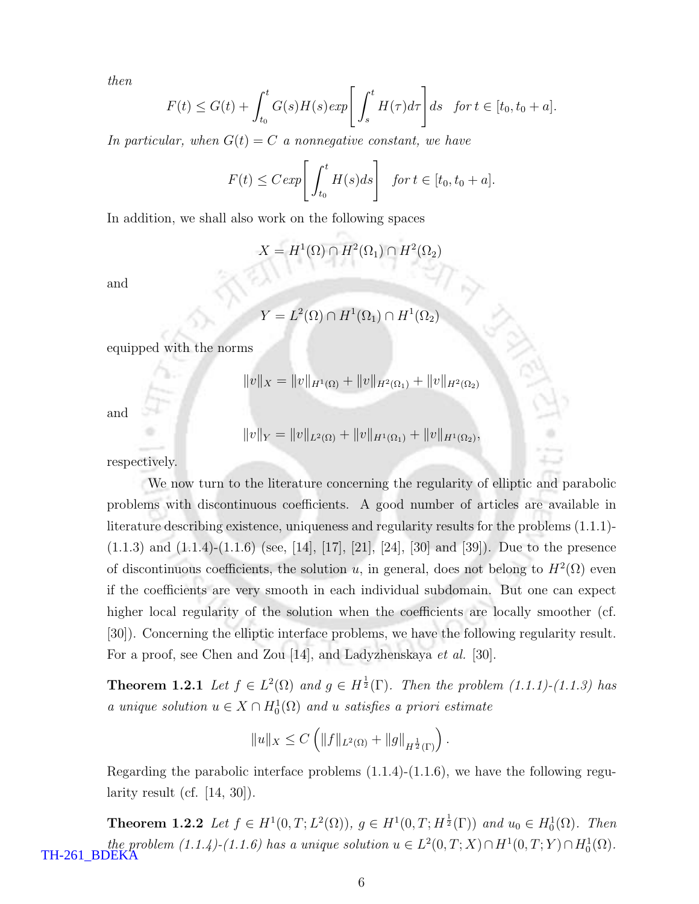then

$$
F(t) \le G(t) + \int_{t_0}^t G(s)H(s)exp\left[\int_s^t H(\tau)d\tau\right]ds \text{ for } t \in [t_0, t_0 + a].
$$

In particular, when  $G(t) = C$  a nonnegative constant, we have

$$
F(t) \leq C \exp \left[ \int_{t_0}^t H(s) ds \right] \text{ for } t \in [t_0, t_0 + a].
$$

In addition, we shall also work on the following spaces

$$
X = H^1(\Omega) \cap H^2(\Omega_1) \cap H^2(\Omega_2)
$$

and

$$
Y = L^2(\Omega) \cap H^1(\Omega_1) \cap H^1(\Omega_2)
$$

equipped with the norms

$$
||v||_X = ||v||_{H^1(\Omega)} + ||v||_{H^2(\Omega_1)} + ||v||_{H^2(\Omega_2)}
$$

and

$$
||v||_Y = ||v||_{L^2(\Omega)} + ||v||_{H^1(\Omega_1)} + ||v||_{H^1(\Omega_2)},
$$

respectively.

We now turn to the literature concerning the regularity of elliptic and parabolic problems with discontinuous coefficients. A good number of articles are available in literature describing existence, uniqueness and regularity results for the problems (1.1.1)-  $(1.1.3)$  and  $(1.1.4)-(1.1.6)$  (see, [14], [17], [21], [24], [30] and [39]). Due to the presence of discontinuous coefficients, the solution u, in general, does not belong to  $H^2(\Omega)$  even if the coefficients are very smooth in each individual subdomain. But one can expect higher local regularity of the solution when the coefficients are locally smoother (cf. [30]). Concerning the elliptic interface problems, we have the following regularity result. For a proof, see Chen and Zou [14], and Ladyzhenskaya *et al.* [30].

**Theorem 1.2.1** Let  $f \in L^2(\Omega)$  and  $g \in H^{\frac{1}{2}}(\Gamma)$ . Then the problem (1.1.1)-(1.1.3) has a unique solution  $u \in X \cap H_0^1(\Omega)$  and u satisfies a priori estimate

$$
||u||_X \leq C \left( ||f||_{L^2(\Omega)} + ||g||_{H^{\frac{1}{2}}(\Gamma)} \right).
$$

Regarding the parabolic interface problems  $(1.1.4)-(1.1.6)$ , we have the following regularity result (cf.  $[14, 30]$ ).

**Theorem 1.2.2** Let  $f \in H^1(0,T; L^2(\Omega))$ ,  $g \in H^1(0,T; H^{\frac{1}{2}}(\Gamma))$  and  $u_0 \in H_0^1(\Omega)$ . Then the problem  $(1.1.4)$ - $(1.1.6)$  has a unique solution  $u \in L^2(0,T;X) \cap H^1(0,T;Y) \cap H_0^1(\Omega)$ . TH-261\_BDEKA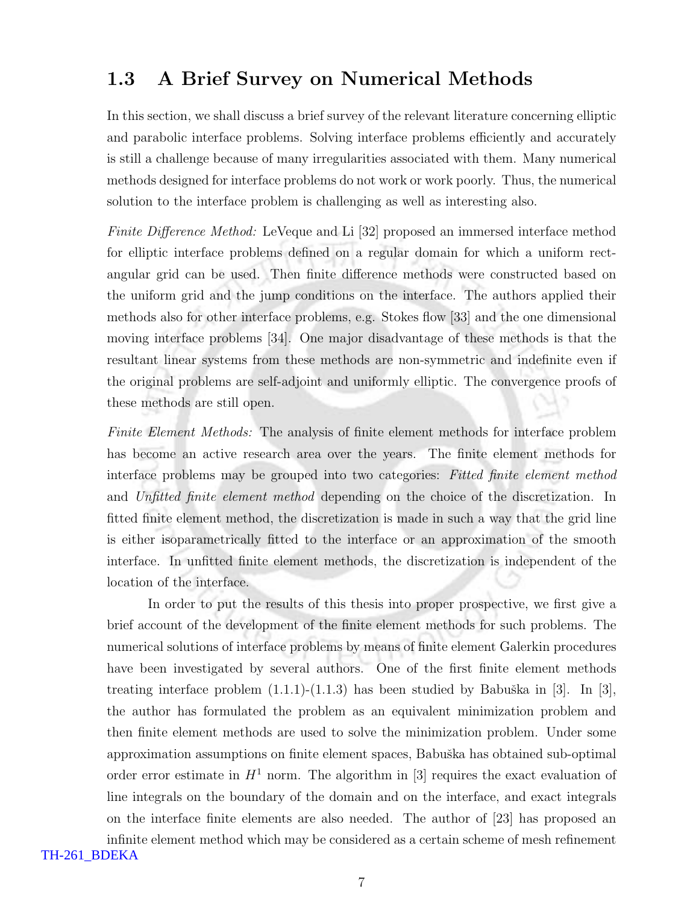### 1.3 A Brief Survey on Numerical Methods

In this section, we shall discuss a brief survey of the relevant literature concerning elliptic and parabolic interface problems. Solving interface problems efficiently and accurately is still a challenge because of many irregularities associated with them. Many numerical methods designed for interface problems do not work or work poorly. Thus, the numerical solution to the interface problem is challenging as well as interesting also.

Finite Difference Method: LeVeque and Li [32] proposed an immersed interface method for elliptic interface problems defined on a regular domain for which a uniform rectangular grid can be used. Then finite difference methods were constructed based on the uniform grid and the jump conditions on the interface. The authors applied their methods also for other interface problems, e.g. Stokes flow [33] and the one dimensional moving interface problems [34]. One major disadvantage of these methods is that the resultant linear systems from these methods are non-symmetric and indefinite even if the original problems are self-adjoint and uniformly elliptic. The convergence proofs of these methods are still open.

Finite Element Methods: The analysis of finite element methods for interface problem has become an active research area over the years. The finite element methods for interface problems may be grouped into two categories: Fitted finite element method and Unfitted finite element method depending on the choice of the discretization. In fitted finite element method, the discretization is made in such a way that the grid line is either isoparametrically fitted to the interface or an approximation of the smooth interface. In unfitted finite element methods, the discretization is independent of the location of the interface.

In order to put the results of this thesis into proper prospective, we first give a brief account of the development of the finite element methods for such problems. The numerical solutions of interface problems by means of finite element Galerkin procedures have been investigated by several authors. One of the first finite element methods treating interface problem  $(1.1.1)-(1.1.3)$  has been studied by Babuška in [3]. In [3], the author has formulated the problem as an equivalent minimization problem and then finite element methods are used to solve the minimization problem. Under some approximation assumptions on finite element spaces, Babuška has obtained sub-optimal order error estimate in  $H^1$  norm. The algorithm in [3] requires the exact evaluation of line integrals on the boundary of the domain and on the interface, and exact integrals on the interface finite elements are also needed. The author of [23] has proposed an infinite element method which may be considered as a certain scheme of mesh refinement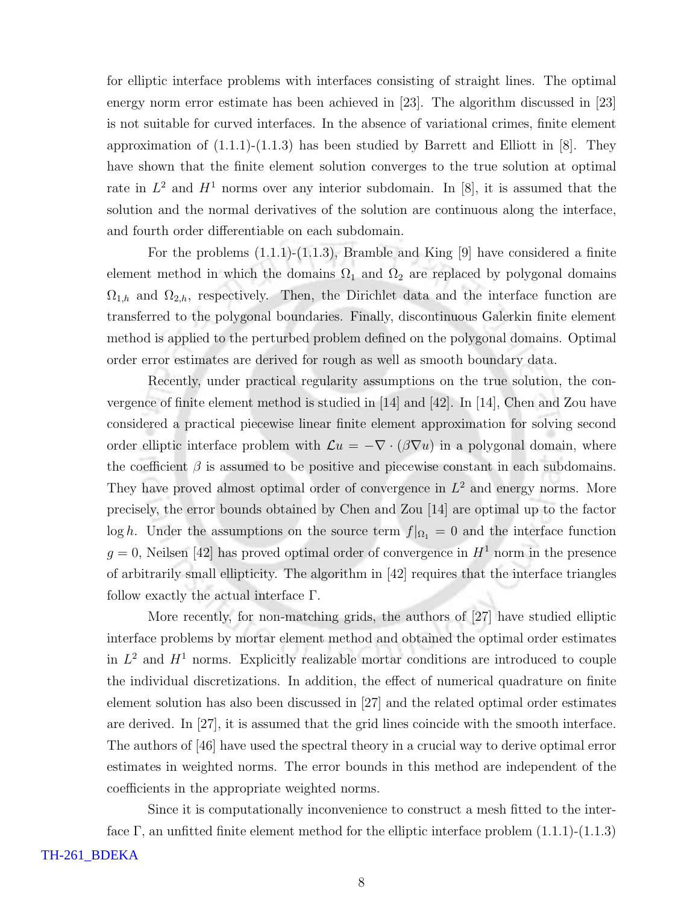for elliptic interface problems with interfaces consisting of straight lines. The optimal energy norm error estimate has been achieved in [23]. The algorithm discussed in [23] is not suitable for curved interfaces. In the absence of variational crimes, finite element approximation of  $(1.1.1)-(1.1.3)$  has been studied by Barrett and Elliott in [8]. They have shown that the finite element solution converges to the true solution at optimal rate in  $L^2$  and  $H^1$  norms over any interior subdomain. In [8], it is assumed that the solution and the normal derivatives of the solution are continuous along the interface, and fourth order differentiable on each subdomain.

For the problems (1.1.1)-(1.1.3), Bramble and King [9] have considered a finite element method in which the domains  $\Omega_1$  and  $\Omega_2$  are replaced by polygonal domains  $\Omega_{1,h}$  and  $\Omega_{2,h}$ , respectively. Then, the Dirichlet data and the interface function are transferred to the polygonal boundaries. Finally, discontinuous Galerkin finite element method is applied to the perturbed problem defined on the polygonal domains. Optimal order error estimates are derived for rough as well as smooth boundary data.

Recently, under practical regularity assumptions on the true solution, the convergence of finite element method is studied in [14] and [42]. In [14], Chen and Zou have considered a practical piecewise linear finite element approximation for solving second order elliptic interface problem with  $\mathcal{L}u = -\nabla \cdot (\beta \nabla u)$  in a polygonal domain, where the coefficient  $\beta$  is assumed to be positive and piecewise constant in each subdomains. They have proved almost optimal order of convergence in  $L^2$  and energy norms. More precisely, the error bounds obtained by Chen and Zou [14] are optimal up to the factor log h. Under the assumptions on the source term  $f|_{\Omega_1} = 0$  and the interface function  $g = 0$ , Neilsen [42] has proved optimal order of convergence in  $H<sup>1</sup>$  norm in the presence of arbitrarily small ellipticity. The algorithm in [42] requires that the interface triangles follow exactly the actual interface Γ.

More recently, for non-matching grids, the authors of [27] have studied elliptic interface problems by mortar element method and obtained the optimal order estimates in  $L^2$  and  $H^1$  norms. Explicitly realizable mortar conditions are introduced to couple the individual discretizations. In addition, the effect of numerical quadrature on finite element solution has also been discussed in [27] and the related optimal order estimates are derived. In [27], it is assumed that the grid lines coincide with the smooth interface. The authors of [46] have used the spectral theory in a crucial way to derive optimal error estimates in weighted norms. The error bounds in this method are independent of the coefficients in the appropriate weighted norms.

Since it is computationally inconvenience to construct a mesh fitted to the interface  $\Gamma$ , an unfitted finite element method for the elliptic interface problem  $(1.1.1)-(1.1.3)$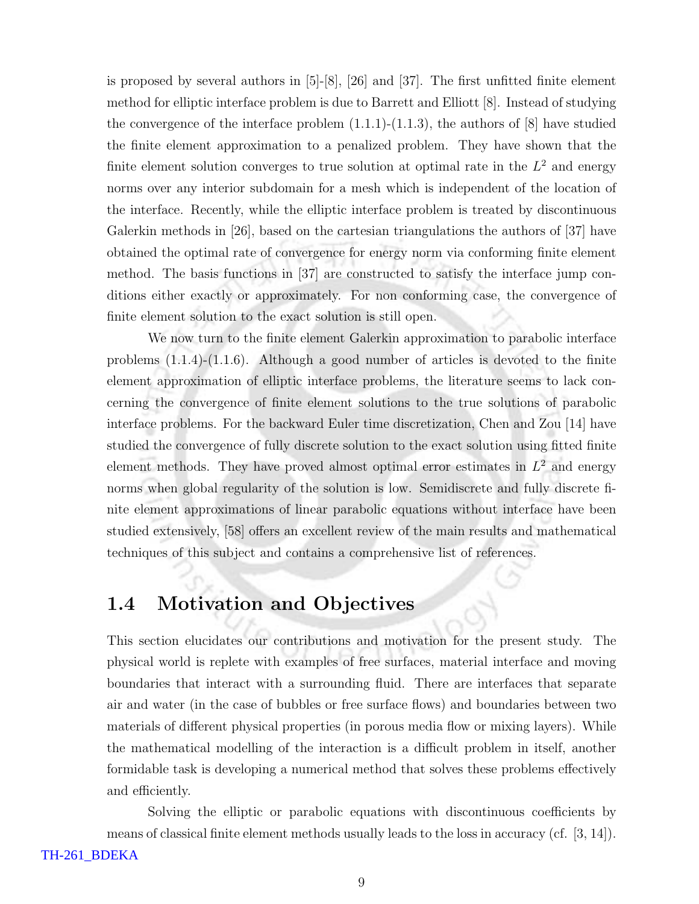is proposed by several authors in [5]-[8], [26] and [37]. The first unfitted finite element method for elliptic interface problem is due to Barrett and Elliott [8]. Instead of studying the convergence of the interface problem  $(1.1.1)-(1.1.3)$ , the authors of  $[8]$  have studied the finite element approximation to a penalized problem. They have shown that the finite element solution converges to true solution at optimal rate in the  $L^2$  and energy norms over any interior subdomain for a mesh which is independent of the location of the interface. Recently, while the elliptic interface problem is treated by discontinuous Galerkin methods in [26], based on the cartesian triangulations the authors of [37] have obtained the optimal rate of convergence for energy norm via conforming finite element method. The basis functions in [37] are constructed to satisfy the interface jump conditions either exactly or approximately. For non conforming case, the convergence of finite element solution to the exact solution is still open.

We now turn to the finite element Galerkin approximation to parabolic interface problems  $(1.1.4)-(1.1.6)$ . Although a good number of articles is devoted to the finite element approximation of elliptic interface problems, the literature seems to lack concerning the convergence of finite element solutions to the true solutions of parabolic interface problems. For the backward Euler time discretization, Chen and Zou [14] have studied the convergence of fully discrete solution to the exact solution using fitted finite element methods. They have proved almost optimal error estimates in  $L^2$  and energy norms when global regularity of the solution is low. Semidiscrete and fully discrete finite element approximations of linear parabolic equations without interface have been studied extensively, [58] offers an excellent review of the main results and mathematical techniques of this subject and contains a comprehensive list of references.

### 1.4 Motivation and Objectives

This section elucidates our contributions and motivation for the present study. The physical world is replete with examples of free surfaces, material interface and moving boundaries that interact with a surrounding fluid. There are interfaces that separate air and water (in the case of bubbles or free surface flows) and boundaries between two materials of different physical properties (in porous media flow or mixing layers). While the mathematical modelling of the interaction is a difficult problem in itself, another formidable task is developing a numerical method that solves these problems effectively and efficiently.

Solving the elliptic or parabolic equations with discontinuous coefficients by means of classical finite element methods usually leads to the loss in accuracy (cf. [3, 14]).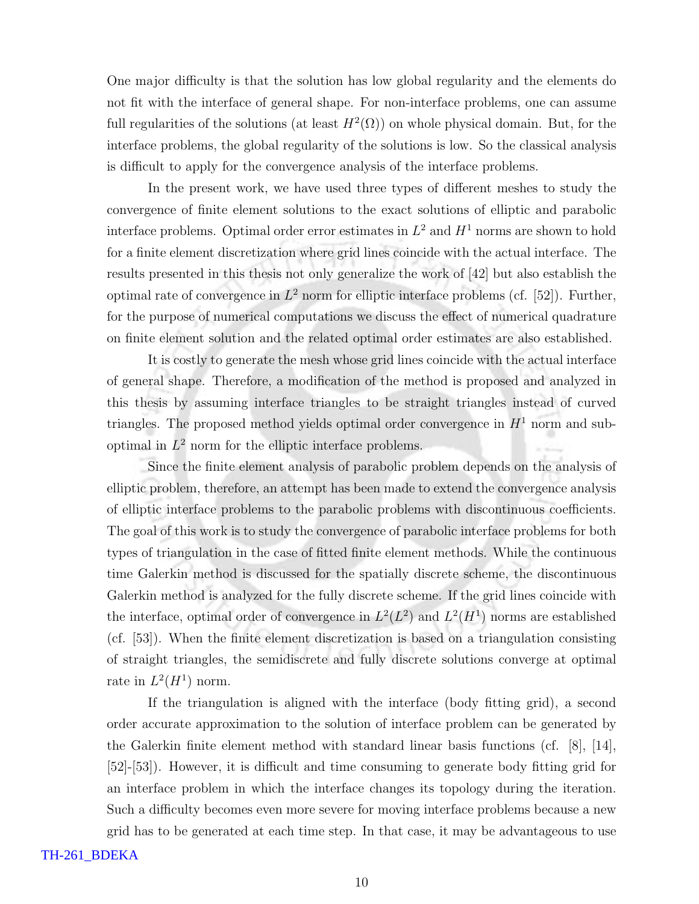One major difficulty is that the solution has low global regularity and the elements do not fit with the interface of general shape. For non-interface problems, one can assume full regularities of the solutions (at least  $H^2(\Omega)$ ) on whole physical domain. But, for the interface problems, the global regularity of the solutions is low. So the classical analysis is difficult to apply for the convergence analysis of the interface problems.

In the present work, we have used three types of different meshes to study the convergence of finite element solutions to the exact solutions of elliptic and parabolic interface problems. Optimal order error estimates in  $L^2$  and  $H^1$  norms are shown to hold for a finite element discretization where grid lines coincide with the actual interface. The results presented in this thesis not only generalize the work of [42] but also establish the optimal rate of convergence in  $L^2$  norm for elliptic interface problems (cf. [52]). Further, for the purpose of numerical computations we discuss the effect of numerical quadrature on finite element solution and the related optimal order estimates are also established.

It is costly to generate the mesh whose grid lines coincide with the actual interface of general shape. Therefore, a modification of the method is proposed and analyzed in this thesis by assuming interface triangles to be straight triangles instead of curved triangles. The proposed method yields optimal order convergence in  $H<sup>1</sup>$  norm and suboptimal in  $L^2$  norm for the elliptic interface problems.

Since the finite element analysis of parabolic problem depends on the analysis of elliptic problem, therefore, an attempt has been made to extend the convergence analysis of elliptic interface problems to the parabolic problems with discontinuous coefficients. The goal of this work is to study the convergence of parabolic interface problems for both types of triangulation in the case of fitted finite element methods. While the continuous time Galerkin method is discussed for the spatially discrete scheme, the discontinuous Galerkin method is analyzed for the fully discrete scheme. If the grid lines coincide with the interface, optimal order of convergence in  $L^2(L^2)$  and  $L^2(H^1)$  norms are established (cf. [53]). When the finite element discretization is based on a triangulation consisting of straight triangles, the semidiscrete and fully discrete solutions converge at optimal rate in  $L^2(H^1)$  norm.

If the triangulation is aligned with the interface (body fitting grid), a second order accurate approximation to the solution of interface problem can be generated by the Galerkin finite element method with standard linear basis functions (cf. [8], [14], [52]-[53]). However, it is difficult and time consuming to generate body fitting grid for an interface problem in which the interface changes its topology during the iteration. Such a difficulty becomes even more severe for moving interface problems because a new grid has to be generated at each time step. In that case, it may be advantageous to use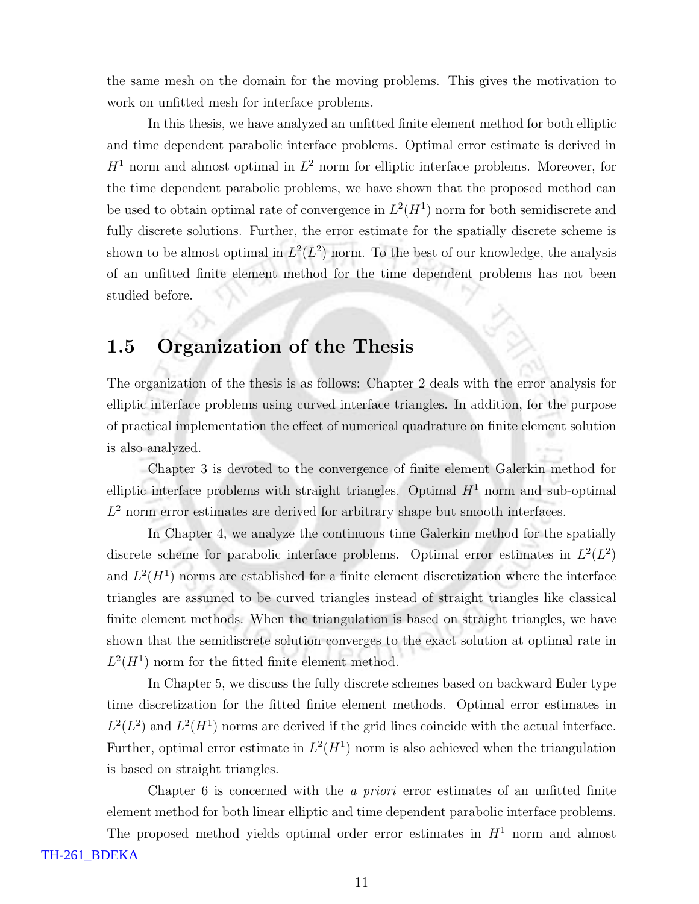the same mesh on the domain for the moving problems. This gives the motivation to work on unfitted mesh for interface problems.

In this thesis, we have analyzed an unfitted finite element method for both elliptic and time dependent parabolic interface problems. Optimal error estimate is derived in  $H<sup>1</sup>$  norm and almost optimal in  $L<sup>2</sup>$  norm for elliptic interface problems. Moreover, for the time dependent parabolic problems, we have shown that the proposed method can be used to obtain optimal rate of convergence in  $L^2(H^1)$  norm for both semidiscrete and fully discrete solutions. Further, the error estimate for the spatially discrete scheme is shown to be almost optimal in  $L^2(L^2)$  norm. To the best of our knowledge, the analysis of an unfitted finite element method for the time dependent problems has not been studied before.

#### 1.5 Organization of the Thesis

The organization of the thesis is as follows: Chapter 2 deals with the error analysis for elliptic interface problems using curved interface triangles. In addition, for the purpose of practical implementation the effect of numerical quadrature on finite element solution is also analyzed.

Chapter 3 is devoted to the convergence of finite element Galerkin method for elliptic interface problems with straight triangles. Optimal  $H<sup>1</sup>$  norm and sub-optimal  $L<sup>2</sup>$  norm error estimates are derived for arbitrary shape but smooth interfaces.

In Chapter 4, we analyze the continuous time Galerkin method for the spatially discrete scheme for parabolic interface problems. Optimal error estimates in  $L^2(L^2)$ and  $L^2(H^1)$  norms are established for a finite element discretization where the interface triangles are assumed to be curved triangles instead of straight triangles like classical finite element methods. When the triangulation is based on straight triangles, we have shown that the semidiscrete solution converges to the exact solution at optimal rate in  $L^2(H^1)$  norm for the fitted finite element method.

In Chapter 5, we discuss the fully discrete schemes based on backward Euler type time discretization for the fitted finite element methods. Optimal error estimates in  $L^2(L^2)$  and  $L^2(H^1)$  norms are derived if the grid lines coincide with the actual interface. Further, optimal error estimate in  $L^2(H^1)$  norm is also achieved when the triangulation is based on straight triangles.

Chapter 6 is concerned with the a priori error estimates of an unfitted finite element method for both linear elliptic and time dependent parabolic interface problems.

The proposed method yields optimal order error estimates in  $H<sup>1</sup>$  norm and almost TH-261\_BDEKA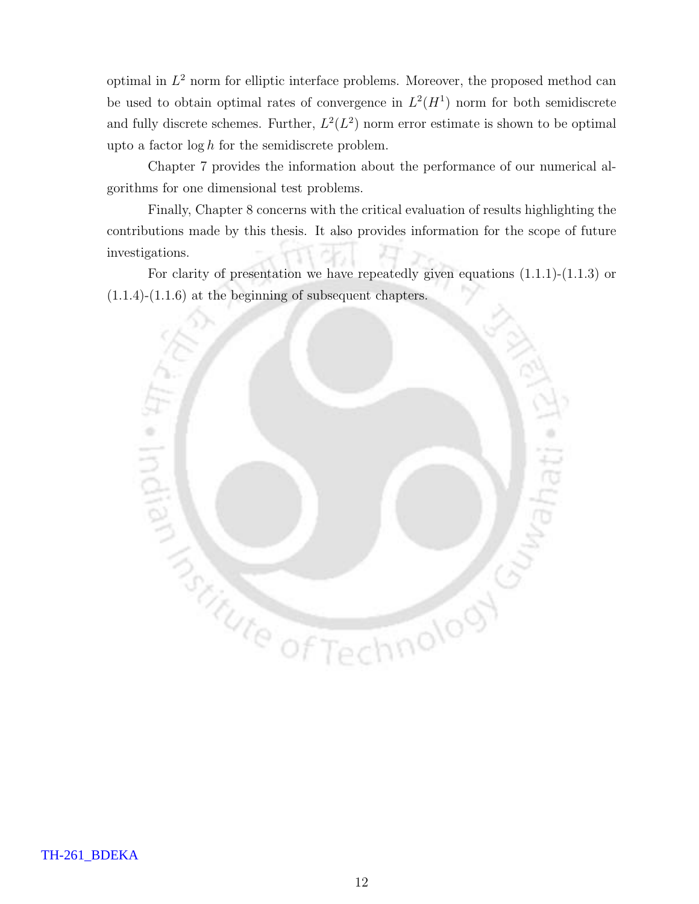optimal in  $L^2$  norm for elliptic interface problems. Moreover, the proposed method can be used to obtain optimal rates of convergence in  $L^2(H^1)$  norm for both semidiscrete and fully discrete schemes. Further,  $L^2(L^2)$  norm error estimate is shown to be optimal upto a factor  $\log h$  for the semidiscrete problem.

Chapter 7 provides the information about the performance of our numerical algorithms for one dimensional test problems.

Finally, Chapter 8 concerns with the critical evaluation of results highlighting the contributions made by this thesis. It also provides information for the scope of future investigations.

For clarity of presentation we have repeatedly given equations (1.1.1)-(1.1.3) or (1.1.4)-(1.1.6) at the beginning of subsequent chapters.

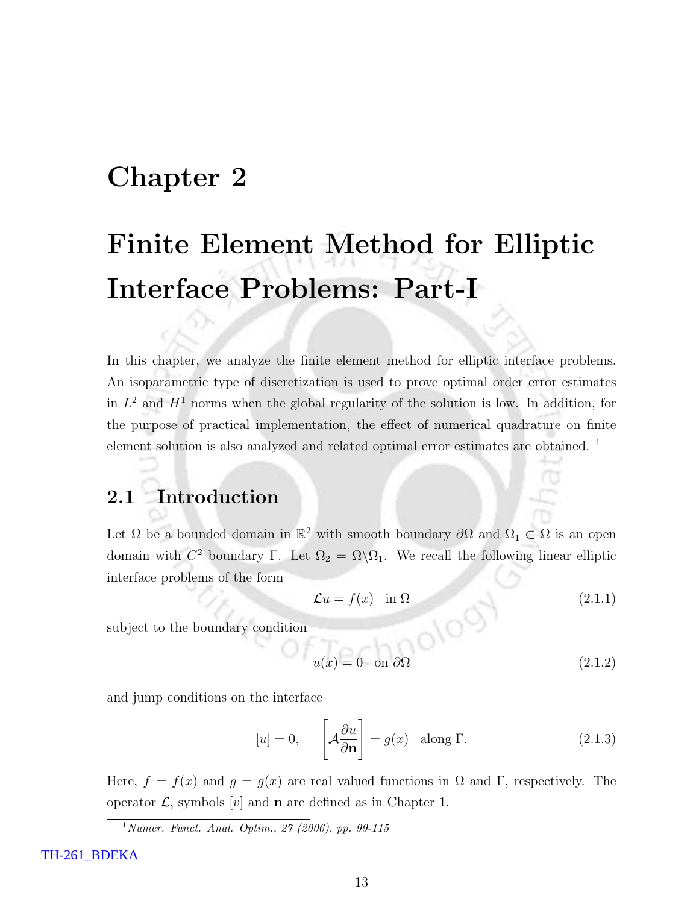## Chapter 2

# Finite Element Method for Elliptic Interface Problems: Part-I

In this chapter, we analyze the finite element method for elliptic interface problems. An isoparametric type of discretization is used to prove optimal order error estimates in  $L^2$  and  $H^1$  norms when the global regularity of the solution is low. In addition, for the purpose of practical implementation, the effect of numerical quadrature on finite element solution is also analyzed and related optimal error estimates are obtained. <sup>1</sup>

### 2.1 Introduction

Let  $\Omega$  be a bounded domain in  $\mathbb{R}^2$  with smooth boundary  $\partial\Omega$  and  $\Omega_1 \subset \Omega$  is an open domain with  $C^2$  boundary Γ. Let  $\Omega_2 = \Omega \backslash \Omega_1$ . We recall the following linear elliptic interface problems of the form

$$
\mathcal{L}u = f(x) \quad \text{in } \Omega \tag{2.1.1}
$$

subject to the boundary condition

$$
u(x) \equiv 0 \quad \text{on } \partial\Omega
$$
 (2.1.2)

and jump conditions on the interface

$$
[u] = 0, \qquad \left[ \mathcal{A} \frac{\partial u}{\partial \mathbf{n}} \right] = g(x) \quad \text{along } \Gamma. \tag{2.1.3}
$$

Here,  $f = f(x)$  and  $g = g(x)$  are real valued functions in  $\Omega$  and  $\Gamma$ , respectively. The operator  $\mathcal{L}$ , symbols [v] and **n** are defined as in Chapter 1.

 $1$  Numer. Funct. Anal. Optim., 27 (2006), pp. 99-115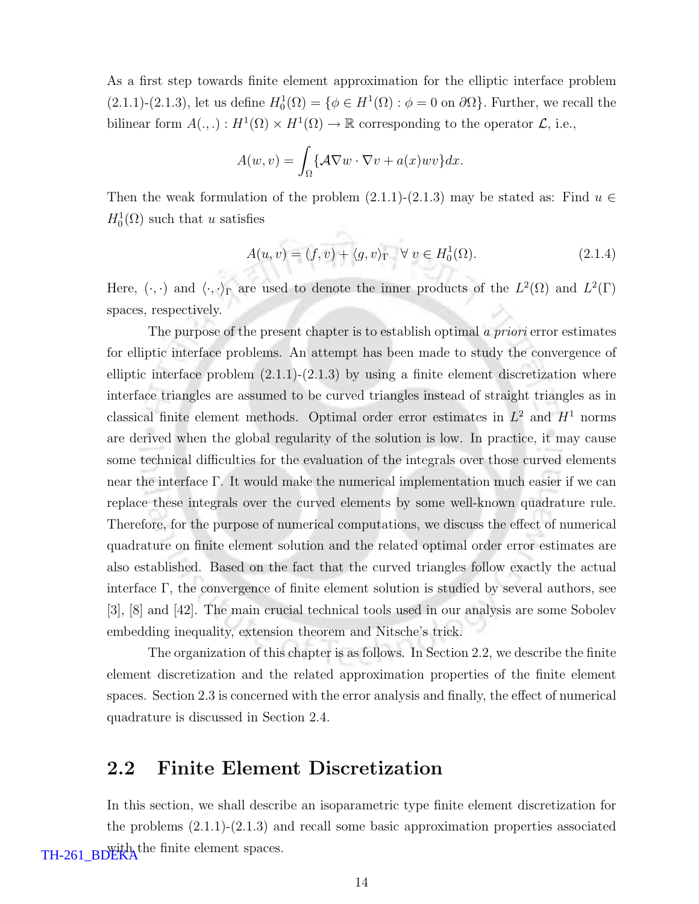As a first step towards finite element approximation for the elliptic interface problem  $(2.1.1)-(2.1.3)$ , let us define  $H_0^1(\Omega) = \{ \phi \in H^1(\Omega) : \phi = 0 \text{ on } \partial \Omega \}$ . Further, we recall the bilinear form  $A(.,.) : H^1(\Omega) \times H^1(\Omega) \to \mathbb{R}$  corresponding to the operator  $\mathcal{L}$ , i.e.,

$$
A(w, v) = \int_{\Omega} \{A\nabla w \cdot \nabla v + a(x)wv\} dx.
$$

n.

Then the weak formulation of the problem  $(2.1.1)-(2.1.3)$  may be stated as: Find  $u \in$  $H_0^1(\Omega)$  such that u satisfies

$$
A(u, v) = (f, v) + \langle g, v \rangle_{\Gamma} \quad \forall \ v \in H_0^1(\Omega). \tag{2.1.4}
$$

Here,  $(\cdot, \cdot)$  and  $\langle \cdot, \cdot \rangle_{\Gamma}$  are used to denote the inner products of the  $L^2(\Omega)$  and  $L^2(\Gamma)$ spaces, respectively.

The purpose of the present chapter is to establish optimal a *priori* error estimates for elliptic interface problems. An attempt has been made to study the convergence of elliptic interface problem  $(2.1.1)-(2.1.3)$  by using a finite element discretization where interface triangles are assumed to be curved triangles instead of straight triangles as in classical finite element methods. Optimal order error estimates in  $L^2$  and  $H^1$  norms are derived when the global regularity of the solution is low. In practice, it may cause some technical difficulties for the evaluation of the integrals over those curved elements near the interface Γ. It would make the numerical implementation much easier if we can replace these integrals over the curved elements by some well-known quadrature rule. Therefore, for the purpose of numerical computations, we discuss the effect of numerical quadrature on finite element solution and the related optimal order error estimates are also established. Based on the fact that the curved triangles follow exactly the actual interface Γ, the convergence of finite element solution is studied by several authors, see [3], [8] and [42]. The main crucial technical tools used in our analysis are some Sobolev embedding inequality, extension theorem and Nitsche's trick.

The organization of this chapter is as follows. In Section 2.2, we describe the finite element discretization and the related approximation properties of the finite element spaces. Section 2.3 is concerned with the error analysis and finally, the effect of numerical quadrature is discussed in Section 2.4.

#### 2.2 Finite Element Discretization

In this section, we shall describe an isoparametric type finite element discretization for the problems (2.1.1)-(2.1.3) and recall some basic approximation properties associated TH-261\_BDEKA<sup>the finite element spaces.</sup>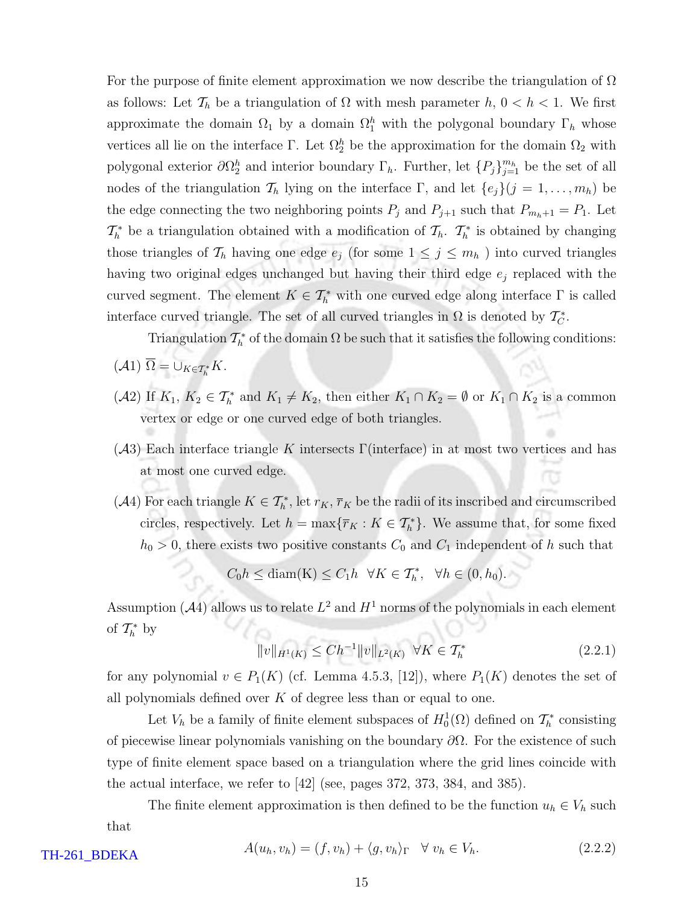For the purpose of finite element approximation we now describe the triangulation of  $\Omega$ as follows: Let  $\mathcal{T}_h$  be a triangulation of  $\Omega$  with mesh parameter  $h, 0 < h < 1$ . We first approximate the domain  $\Omega_1$  by a domain  $\Omega_1^h$  with the polygonal boundary  $\Gamma_h$  whose vertices all lie on the interface  $\Gamma$ . Let  $\Omega_2^h$  be the approximation for the domain  $\Omega_2$  with polygonal exterior  $\partial\Omega_2^h$  and interior boundary  $\Gamma_h$ . Further, let  $\{P_j\}_{j=1}^{m_h}$  be the set of all nodes of the triangulation  $\mathcal{T}_h$  lying on the interface  $\Gamma$ , and let  $\{e_j\}(j = 1, \ldots, m_h)$  be the edge connecting the two neighboring points  $P_j$  and  $P_{j+1}$  such that  $P_{m_h+1} = P_1$ . Let  $\mathcal{T}_{h}^{*}$  be a triangulation obtained with a modification of  $\mathcal{T}_{h}$ .  $\mathcal{T}_{h}^{*}$  is obtained by changing those triangles of  $\mathcal{T}_h$  having one edge  $e_j$  (for some  $1 \leq j \leq m_h$ ) into curved triangles having two original edges unchanged but having their third edge  $e_j$  replaced with the curved segment. The element  $K \in \mathcal{T}_{h}^{*}$  with one curved edge along interface  $\Gamma$  is called interface curved triangle. The set of all curved triangles in  $\Omega$  is denoted by  $\mathcal{T}_{\mathcal{C}}^*$ .

Triangulation  $\mathcal{T}_h^*$  of the domain  $\Omega$  be such that it satisfies the following conditions:

- $(A1) \Omega = \bigcup_{K \in \mathcal{T}_h^*} K.$
- (A2) If  $K_1, K_2 \in \mathcal{T}_h^*$  and  $K_1 \neq K_2$ , then either  $K_1 \cap K_2 = \emptyset$  or  $K_1 \cap K_2$  is a common vertex or edge or one curved edge of both triangles.
- $(A3)$  Each interface triangle K intersects Γ(interface) in at most two vertices and has at most one curved edge.
- (A4) For each triangle  $K \in \mathcal{T}_{h}^{*}$ , let  $r_K$ ,  $\overline{r}_K$  be the radii of its inscribed and circumscribed circles, respectively. Let  $h = \max{\lbrace \overline{r}_K : K \in \mathcal{T}_h^* \rbrace}$ . We assume that, for some fixed  $h_0 > 0$ , there exists two positive constants  $C_0$  and  $C_1$  independent of h such that

$$
C_0h \le \text{diam}(K) \le C_1h \quad \forall K \in \mathcal{T}_h^*, \quad \forall h \in (0, h_0).
$$

Assumption (A4) allows us to relate  $L^2$  and  $H^1$  norms of the polynomials in each element of  $\mathcal{T}_h^*$  by

$$
||v||_{H^{1}(K)} \leq Ch^{-1}||v||_{L^{2}(K)} \quad \forall K \in \mathcal{T}_{h}^{*}
$$
\n(2.2.1)

for any polynomial  $v \in P_1(K)$  (cf. Lemma 4.5.3, [12]), where  $P_1(K)$  denotes the set of all polynomials defined over  $K$  of degree less than or equal to one.

Let  $V_h$  be a family of finite element subspaces of  $H_0^1(\Omega)$  defined on  $\mathcal{T}_h^*$  consisting of piecewise linear polynomials vanishing on the boundary  $\partial\Omega$ . For the existence of such type of finite element space based on a triangulation where the grid lines coincide with the actual interface, we refer to [42] (see, pages 372, 373, 384, and 385).

The finite element approximation is then defined to be the function  $u_h \in V_h$  such that

$$
A(u_h, v_h) = (f, v_h) + \langle g, v_h \rangle_{\Gamma} \quad \forall \ v_h \in V_h. \tag{2.2.2}
$$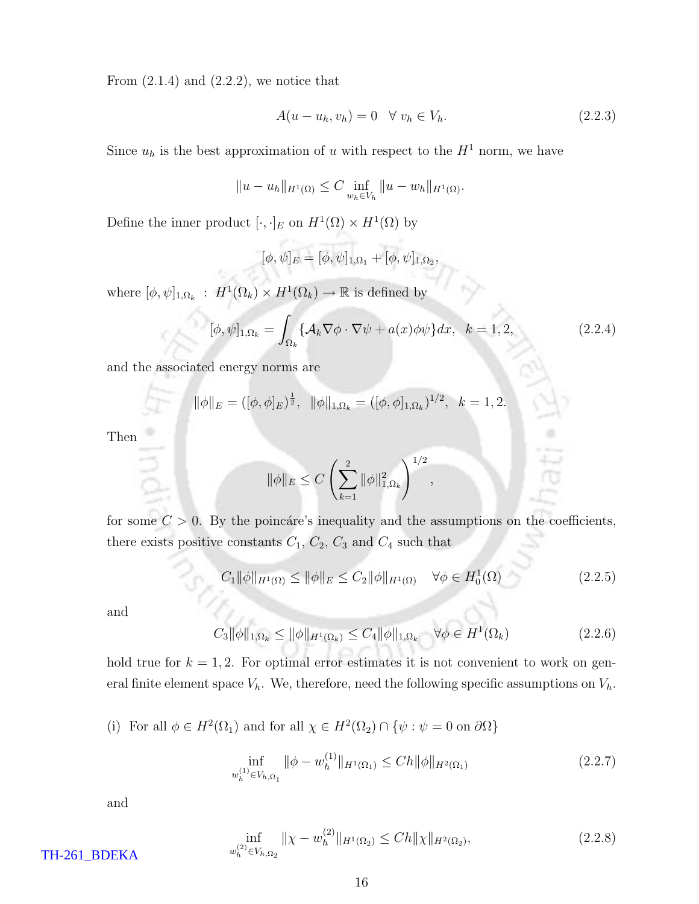From  $(2.1.4)$  and  $(2.2.2)$ , we notice that

$$
A(u - u_h, v_h) = 0 \quad \forall \ v_h \in V_h. \tag{2.2.3}
$$

Since  $u_h$  is the best approximation of u with respect to the  $H^1$  norm, we have

$$
||u - u_h||_{H^1(\Omega)} \leq C \inf_{w_h \in V_h} ||u - w_h||_{H^1(\Omega)}.
$$

Define the inner product  $[\cdot, \cdot]_E$  on  $H^1(\Omega) \times H^1(\Omega)$  by

$$
[\phi,\psi]_E = [\phi,\psi]_{1,\Omega_1} + [\phi,\psi]_{1,\Omega_2},
$$

where  $[\phi, \psi]_{1,\Omega_k}$ :  $H^1(\Omega_k) \times H^1(\Omega_k) \to \mathbb{R}$  is defined by

$$
[\phi,\psi]_{1,\Omega_k} = \int_{\Omega_k} \{ \mathcal{A}_k \nabla \phi \cdot \nabla \psi + a(x) \phi \psi \} dx, \quad k = 1, 2,
$$
 (2.2.4)

and the associated energy norms are

$$
\|\phi\|_{E} = ([\phi, \phi]_{E})^{\frac{1}{2}}, \ \|\phi\|_{1, \Omega_{k}} = ([\phi, \phi]_{1, \Omega_{k}})^{1/2}, \ \ k = 1, 2.
$$

Then

$$
\|\phi\|_{E} \le C \left(\sum_{k=1}^{2} \|\phi\|_{1,\Omega_k}^2\right)^{1/2}
$$

for some  $C > 0$ . By the poincare's inequality and the assumptions on the coefficients, there exists positive constants  $C_1$ ,  $C_2$ ,  $C_3$  and  $C_4$  such that

$$
C_1 \|\phi\|_{H^1(\Omega)} \le \|\phi\|_E \le C_2 \|\phi\|_{H^1(\Omega)} \quad \forall \phi \in H_0^1(\Omega)
$$
\n(2.2.5)

,

and

 $C_3 \|\phi\|_{1,\Omega_k} \le \|\phi\|_{H^1(\Omega_k)} \le C_4 \|\phi\|_{1,\Omega_k} \quad \forall \phi \in H^1$  $(2.2.6)$ 

hold true for  $k = 1, 2$ . For optimal error estimates it is not convenient to work on general finite element space  $V_h$ . We, therefore, need the following specific assumptions on  $V_h$ .

(i) For all  $\phi \in H^2(\Omega_1)$  and for all  $\chi \in H^2(\Omega_2) \cap \{\psi : \psi = 0 \text{ on } \partial\Omega\}$ 

$$
\inf_{w_h^{(1)} \in V_{h,\Omega_1}} \|\phi - w_h^{(1)}\|_{H^1(\Omega_1)} \le Ch \|\phi\|_{H^2(\Omega_1)}\tag{2.2.7}
$$

and

$$
\inf_{w_h^{(2)} \in V_{h,\Omega_2}} \|\chi - w_h^{(2)}\|_{H^1(\Omega_2)} \le Ch \|\chi\|_{H^2(\Omega_2)},\tag{2.2.8}
$$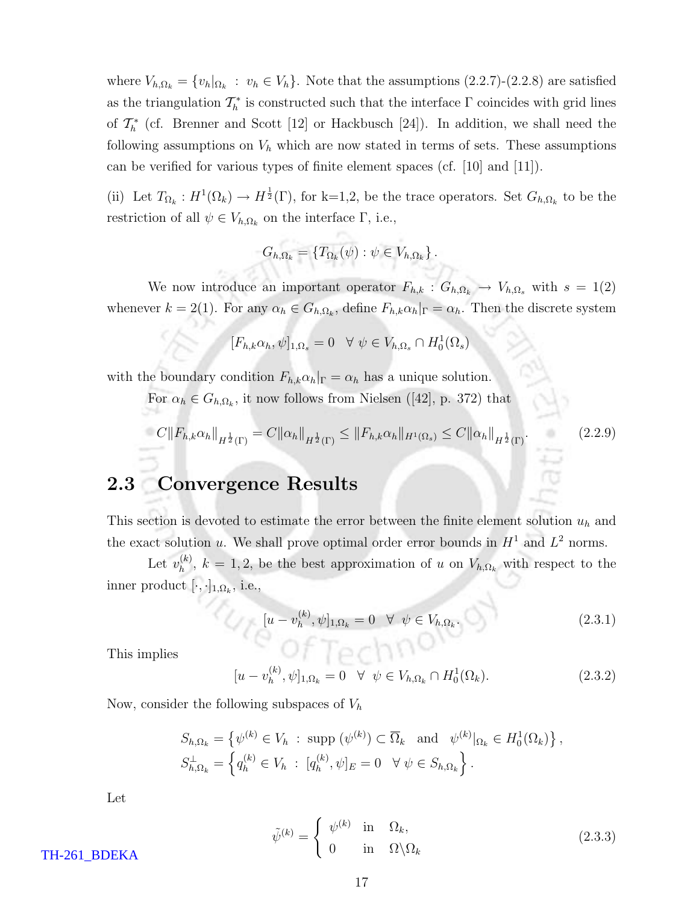where  $V_{h,\Omega_k} = \{v_h|_{\Omega_k} : v_h \in V_h\}$ . Note that the assumptions  $(2.2.7)-(2.2.8)$  are satisfied as the triangulation  $\mathcal{T}_h^*$  is constructed such that the interface  $\Gamma$  coincides with grid lines of  $\mathcal{T}_{h}^{*}$  (cf. Brenner and Scott [12] or Hackbusch [24]). In addition, we shall need the following assumptions on  $V<sub>h</sub>$  which are now stated in terms of sets. These assumptions can be verified for various types of finite element spaces (cf.  $[10]$  and  $[11]$ ).

(ii) Let  $T_{\Omega_k}: H^1(\Omega_k) \to H^{\frac{1}{2}}(\Gamma)$ , for k=1,2, be the trace operators. Set  $G_{h,\Omega_k}$  to be the restriction of all  $\psi \in V_{h,\Omega_k}$  on the interface  $\Gamma$ , i.e.,

$$
G_{h,\Omega_k} = \{T_{\Omega_k}(\psi) : \psi \in V_{h,\Omega_k}\}.
$$

We now introduce an important operator  $F_{h,k}$  :  $G_{h,\Omega_k} \to V_{h,\Omega_s}$  with  $s = 1(2)$ whenever  $k = 2(1)$ . For any  $\alpha_h \in G_{h,\Omega_k}$ , define  $F_{h,k}\alpha_h|_{\Gamma} = \alpha_h$ . Then the discrete system

$$
[F_{h,k}\alpha_h,\psi]_{1,\Omega_s}=0 \quad \forall \ \psi\in V_{h,\Omega_s}\cap H_0^1(\Omega_s)
$$

with the boundary condition  $F_{h,k} \alpha_h|_{\Gamma} = \alpha_h$  has a unique solution.

For  $\alpha_h \in G_{h,\Omega_k}$ , it now follows from Nielsen ([42], p. 372) that

$$
C||F_{h,k}\alpha_h||_{H^{\frac{1}{2}}(\Gamma)} = C||\alpha_h||_{H^{\frac{1}{2}}(\Gamma)} \le ||F_{h,k}\alpha_h||_{H^1(\Omega_s)} \le C||\alpha_h||_{H^{\frac{1}{2}}(\Gamma)}.
$$
\n(2.2.9)

### 2.3 Convergence Results

This section is devoted to estimate the error between the finite element solution  $u<sub>h</sub>$  and the exact solution u. We shall prove optimal order error bounds in  $H<sup>1</sup>$  and  $L<sup>2</sup>$  norms.

Let  $v_h^{(k)}$  $h_h^{(k)}$ ,  $k = 1, 2$ , be the best approximation of u on  $V_{h,\Omega_k}$  with respect to the inner product  $[\cdot, \cdot]_{1,\Omega_k}$ , i.e.,

$$
[u - v_h^{(k)}, \psi]_{1, \Omega_k} = 0 \quad \forall \ \psi \in V_{h, \Omega_k}.
$$
 (2.3.1)

This implies

$$
[u - v_h^{(k)}, \psi]_{1, \Omega_k} = 0 \quad \forall \ \psi \in V_{h, \Omega_k} \cap H_0^1(\Omega_k). \tag{2.3.2}
$$

Now, consider the following subspaces of  $V_h$ 

$$
S_{h,\Omega_k} = \left\{ \psi^{(k)} \in V_h : \text{ supp } (\psi^{(k)}) \subset \overline{\Omega}_k \text{ and } \psi^{(k)}|_{\Omega_k} \in H_0^1(\Omega_k) \right\},
$$
  

$$
S_{h,\Omega_k}^{\perp} = \left\{ q_h^{(k)} \in V_h : [q_h^{(k)}, \psi]_E = 0 \quad \forall \psi \in S_{h,\Omega_k} \right\}.
$$

Let

$$
\tilde{\psi}^{(k)} = \begin{cases} \psi^{(k)} & \text{in} \quad \Omega_k, \\ 0 & \text{in} \quad \Omega \backslash \Omega_k \end{cases} \tag{2.3.3}
$$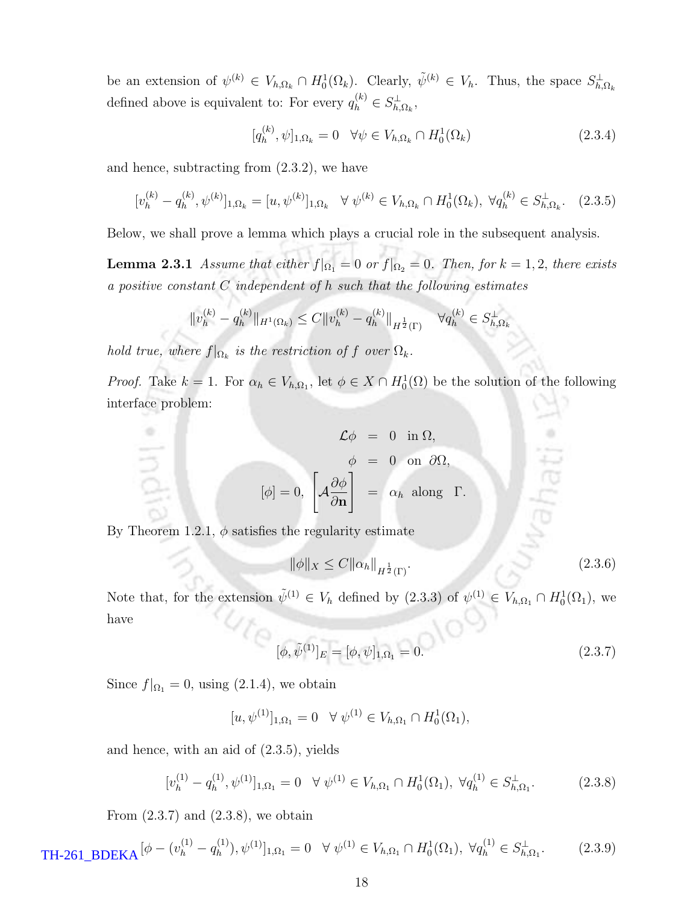be an extension of  $\psi^{(k)} \in V_{h,\Omega_k} \cap H_0^1(\Omega_k)$ . Clearly,  $\tilde{\psi}^{(k)} \in V_h$ . Thus, the space  $S_{h,\Omega_k}^{\perp}$ defined above is equivalent to: For every  $q_h^{(k)} \in S_{h,\Omega_k}^{\perp}$ ,

$$
[q_h^{(k)}, \psi]_{1,\Omega_k} = 0 \quad \forall \psi \in V_{h,\Omega_k} \cap H_0^1(\Omega_k)
$$
 (2.3.4)

and hence, subtracting from (2.3.2), we have

$$
[v_h^{(k)} - q_h^{(k)}, \psi^{(k)}]_{1,\Omega_k} = [u, \psi^{(k)}]_{1,\Omega_k} \quad \forall \ \psi^{(k)} \in V_{h,\Omega_k} \cap H_0^1(\Omega_k), \ \forall q_h^{(k)} \in S_{h,\Omega_k}^{\perp}.\tag{2.3.5}
$$

Below, we shall prove a lemma which plays a crucial role in the subsequent analysis.

**Lemma 2.3.1** Assume that either  $f|_{\Omega_1} = 0$  or  $f|_{\Omega_2} = 0$ . Then, for  $k = 1, 2$ , there exists a positive constant C independent of h such that the following estimates

$$
||v_h^{(k)} - q_h^{(k)}||_{H^1(\Omega_k)} \le C ||v_h^{(k)} - q_h^{(k)}||_{H^{\frac{1}{2}}(\Gamma)} \quad \forall q_h^{(k)} \in S_{h,\Omega_k}^{\perp}
$$

hold true, where  $f|_{\Omega_k}$  is the restriction of f over  $\Omega_k$ .

*Proof.* Take  $k = 1$ . For  $\alpha_h \in V_{h,\Omega_1}$ , let  $\phi \in X \cap H_0^1(\Omega)$  be the solution of the following interface problem:

$$
\mathcal{L}\phi = 0 \text{ in } \Omega,
$$

$$
\phi = 0 \text{ on } \partial\Omega,
$$

$$
[\phi] = 0, \left[ \mathcal{A} \frac{\partial \phi}{\partial \mathbf{n}} \right] = \alpha_h \text{ along } \Gamma.
$$

By Theorem 1.2.1,  $\phi$  satisfies the regularity estimate

$$
\|\phi\|_{X} \le C \|\alpha_h\|_{H^{\frac{1}{2}}(\Gamma)}.
$$
\n(2.3.6)

Note that, for the extension  $\tilde{\psi}^{(1)} \in V_h$  defined by  $(2.3.3)$  of  $\psi^{(1)} \in V_{h,\Omega_1} \cap H_0^1(\Omega_1)$ , we have

$$
[\phi, \tilde{\psi}^{(1)}]_E = [\phi, \psi]_{1,\Omega_1} = 0.
$$
\n(2.3.7)

Since  $f|_{\Omega_1} = 0$ , using (2.1.4), we obtain

$$
[u, \psi^{(1)}]_{1,\Omega_1} = 0 \quad \forall \ \psi^{(1)} \in V_{h,\Omega_1} \cap H_0^1(\Omega_1),
$$

and hence, with an aid of (2.3.5), yields

$$
[v_h^{(1)} - q_h^{(1)}, \psi^{(1)}]_{1,\Omega_1} = 0 \quad \forall \ \psi^{(1)} \in V_{h,\Omega_1} \cap H_0^1(\Omega_1), \ \forall q_h^{(1)} \in S_{h,\Omega_1}^{\perp}.\tag{2.3.8}
$$

From  $(2.3.7)$  and  $(2.3.8)$ , we obtain

$$
\mathbf{TH}\text{-}261\_\mathbf{BDEKA}[\phi - (v_h^{(1)} - q_h^{(1)}), \psi^{(1)}]_{1,\Omega_1} = 0 \quad \forall \ \psi^{(1)} \in V_{h,\Omega_1} \cap H_0^1(\Omega_1), \ \forall q_h^{(1)} \in S_{h,\Omega_1}^{\perp}.\tag{2.3.9}
$$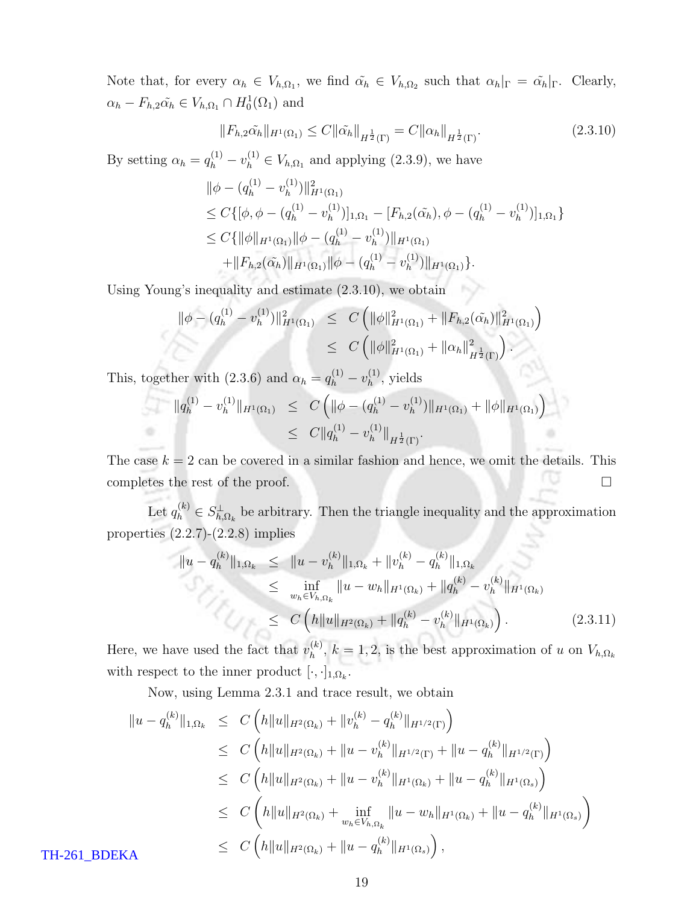Note that, for every  $\alpha_h \in V_{h,\Omega_1}$ , we find  $\tilde{\alpha_h} \in V_{h,\Omega_2}$  such that  $\alpha_h|_{\Gamma} = \tilde{\alpha_h}|_{\Gamma}$ . Clearly,  $\alpha_h - F_{h,2}\tilde{\alpha_h} \in V_{h,\Omega_1} \cap H_0^1(\Omega_1)$  and

$$
||F_{h,2}\tilde{\alpha_h}||_{H^1(\Omega_1)} \le C||\tilde{\alpha_h}||_{H^{\frac{1}{2}}(\Gamma)} = C||\alpha_h||_{H^{\frac{1}{2}}(\Gamma)}.
$$
\n(2.3.10)

By setting  $\alpha_h = q_h^{(1)} - v_h^{(1)} \in V_{h,\Omega_1}$  and applying (2.3.9), we have

$$
\|\phi - (q_h^{(1)} - v_h^{(1)})\|_{H^1(\Omega_1)}^2
$$
  
\n
$$
\leq C \{ [\phi, \phi - (q_h^{(1)} - v_h^{(1)})]_{1,\Omega_1} - [F_{h,2}(\tilde{\alpha_h}), \phi - (q_h^{(1)} - v_h^{(1)})]_{1,\Omega_1} \}
$$
  
\n
$$
\leq C \{ \|\phi\|_{H^1(\Omega_1)} \|\phi - (q_h^{(1)} - v_h^{(1)})\|_{H^1(\Omega_1)} + \|F_{h,2}(\tilde{\alpha_h})\|_{H^1(\Omega_1)} \|\phi - (q_h^{(1)} - v_h^{(1)})\|_{H^1(\Omega_1)} \}.
$$

Using Young's inequality and estimate (2.3.10), we obtain

$$
\|\phi - (q_h^{(1)} - v_h^{(1)})\|_{H^1(\Omega_1)}^2 \leq C \left( \|\phi\|_{H^1(\Omega_1)}^2 + \|F_{h,2}(\tilde{\alpha_h})\|_{H^1(\Omega_1)}^2 \right)
$$
  

$$
\leq C \left( \|\phi\|_{H^1(\Omega_1)}^2 + \|\alpha_h\|_{H^{\frac{1}{2}}(\Gamma)}^2 \right).
$$

This, together with  $(2.3.6)$  and  $\alpha_h = q_h^{(1)} - v_h^{(1)}$  $h^{(1)}$ , yields

$$
\|q_h^{(1)} - v_h^{(1)}\|_{H^1(\Omega_1)} \leq C \left( \|\phi - (q_h^{(1)} - v_h^{(1)})\|_{H^1(\Omega_1)} + \|\phi\|_{H^1(\Omega_1)} \right)
$$
  

$$
\leq C \|q_h^{(1)} - v_h^{(1)}\|_{H^{\frac{1}{2}}(\Gamma)}.
$$

The case  $k = 2$  can be covered in a similar fashion and hence, we omit the details. This completes the rest of the proof.  $\Box$ 

Let  $q_h^{(k)} \in S_{h,\Omega_k}^{\perp}$  be arbitrary. Then the triangle inequality and the approximation properties  $(2.2.7)-(2.2.8)$  implies

$$
\|u - q_h^{(k)}\|_{1, \Omega_k} \le \|u - v_h^{(k)}\|_{1, \Omega_k} + \|v_h^{(k)} - q_h^{(k)}\|_{1, \Omega_k}
$$
  
\n
$$
\le \inf_{w_h \in V_{h, \Omega_k}} \|u - w_h\|_{H^1(\Omega_k)} + \|q_h^{(k)} - v_h^{(k)}\|_{H^1(\Omega_k)}
$$
  
\n
$$
\le C \left( h \|u\|_{H^2(\Omega_k)} + \|q_h^{(k)} - v_h^{(k)}\|_{H^1(\Omega_k)} \right).
$$
 (2.3.11)

Here, we have used the fact that  $v_h^{(k)}$  $h_h^{(k)}$ ,  $k = 1, 2$ , is the best approximation of u on  $V_{h,\Omega_k}$ with respect to the inner product  $[\cdot, \cdot]_{1,\Omega_k}$ .

Now, using Lemma 2.3.1 and trace result, we obtain

$$
\|u - q_h^{(k)}\|_{1,\Omega_k} \leq C \left( h \|u\|_{H^2(\Omega_k)} + \|v_h^{(k)} - q_h^{(k)}\|_{H^{1/2}(\Gamma)} \right)
$$
  
\n
$$
\leq C \left( h \|u\|_{H^2(\Omega_k)} + \|u - v_h^{(k)}\|_{H^{1/2}(\Gamma)} + \|u - q_h^{(k)}\|_{H^{1/2}(\Gamma)} \right)
$$
  
\n
$$
\leq C \left( h \|u\|_{H^2(\Omega_k)} + \|u - v_h^{(k)}\|_{H^1(\Omega_k)} + \|u - q_h^{(k)}\|_{H^1(\Omega_s)} \right)
$$
  
\n
$$
\leq C \left( h \|u\|_{H^2(\Omega_k)} + \inf_{w_h \in V_{h,\Omega_k}} \|u - w_h\|_{H^1(\Omega_k)} + \|u - q_h^{(k)}\|_{H^1(\Omega_s)} \right)
$$
  
\n
$$
\leq C \left( h \|u\|_{H^2(\Omega_k)} + \|u - q_h^{(k)}\|_{H^1(\Omega_s)} \right),
$$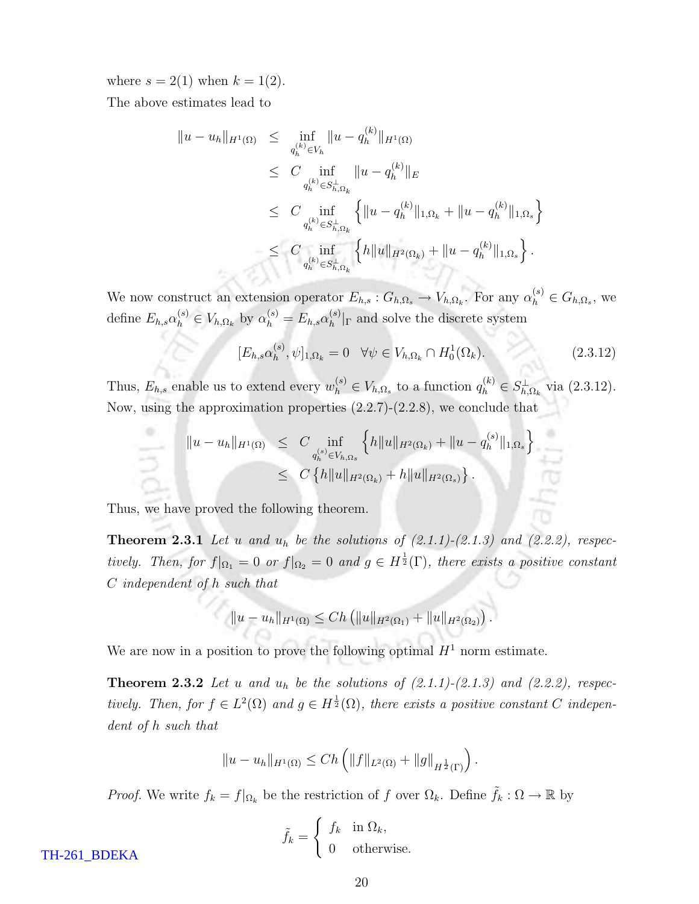where  $s = 2(1)$  when  $k = 1(2)$ .

The above estimates lead to

$$
\|u - u_h\|_{H^1(\Omega)} \leq \inf_{q_h^{(k)} \in V_h} \|u - q_h^{(k)}\|_{H^1(\Omega)}
$$
  
\n
$$
\leq C \inf_{q_h^{(k)} \in S_{h,\Omega_k}^{\perp}} \|u - q_h^{(k)}\|_E
$$
  
\n
$$
\leq C \inf_{q_h^{(k)} \in S_{h,\Omega_k}^{\perp}} \left\{ \|u - q_h^{(k)}\|_{1,\Omega_k} + \|u - q_h^{(k)}\|_{1,\Omega_s} \right\}
$$
  
\n
$$
\leq C \inf_{q_h^{(k)} \in S_{h,\Omega_k}^{\perp}} \left\{ h \|u\|_{H^2(\Omega_k)} + \|u - q_h^{(k)}\|_{1,\Omega_s} \right\}.
$$

We now construct an extension operator  $E_{h,s}: G_{h,\Omega_s} \to V_{h,\Omega_k}$ . For any  $\alpha_h^{(s)} \in G_{h,\Omega_s}$ , we define  $E_{h,s} \alpha_h^{(s)} \in V_{h,\Omega_k}$  by  $\alpha_h^{(s)} = E_{h,s} \alpha_h^{(s)}$  $\binom{S}{h}$  and solve the discrete system

$$
[E_{h,s}\alpha_h^{(s)}, \psi]_{1,\Omega_k} = 0 \quad \forall \psi \in V_{h,\Omega_k} \cap H_0^1(\Omega_k). \tag{2.3.12}
$$

Thus,  $E_{h,s}$  enable us to extend every  $w_h^{(s)} \in V_{h,\Omega_s}$  to a function  $q_h^{(k)} \in S_{h,\Omega_k}^{\perp}$  via  $(2.3.12)$ . Now, using the approximation properties (2.2.7)-(2.2.8), we conclude that

$$
\|u - u_h\|_{H^1(\Omega)} \leq C \inf_{q_h^{(s)} \in V_{h,\Omega_s}} \left\{ h \|u\|_{H^2(\Omega_k)} + \|u - q_h^{(s)}\|_{1,\Omega_s} \right\}
$$
  

$$
\leq C \left\{ h \|u\|_{H^2(\Omega_k)} + h \|u\|_{H^2(\Omega_s)} \right\}.
$$

Thus, we have proved the following theorem.

**Theorem 2.3.1** Let u and  $u_h$  be the solutions of  $(2.1.1)-(2.1.3)$  and  $(2.2.2)$ , respectively. Then, for  $f|_{\Omega_1} = 0$  or  $f|_{\Omega_2} = 0$  and  $g \in H^{\frac{1}{2}}(\Gamma)$ , there exists a positive constant C independent of h such that

 $||u - u_h||_{H^1(\Omega)} \leq Ch \left( ||u||_{H^2(\Omega_1)} + ||u||_{H^2(\Omega_2)} \right).$ 

We are now in a position to prove the following optimal  $H<sup>1</sup>$  norm estimate.

**Theorem 2.3.2** Let u and  $u_h$  be the solutions of  $(2.1.1)-(2.1.3)$  and  $(2.2.2)$ , respectively. Then, for  $f \in L^2(\Omega)$  and  $g \in H^{\frac{1}{2}}(\Omega)$ , there exists a positive constant C independent of h such that

$$
||u - u_h||_{H^1(\Omega)} \le Ch \left( ||f||_{L^2(\Omega)} + ||g||_{H^{\frac{1}{2}}(\Gamma)} \right).
$$

*Proof.* We write  $f_k = f|_{\Omega_k}$  be the restriction of f over  $\Omega_k$ . Define  $\tilde{f}_k : \Omega \to \mathbb{R}$  by

$$
\tilde{f}_k = \begin{cases} f_k & \text{in } \Omega_k, \\ 0 & \text{otherwise.} \end{cases}
$$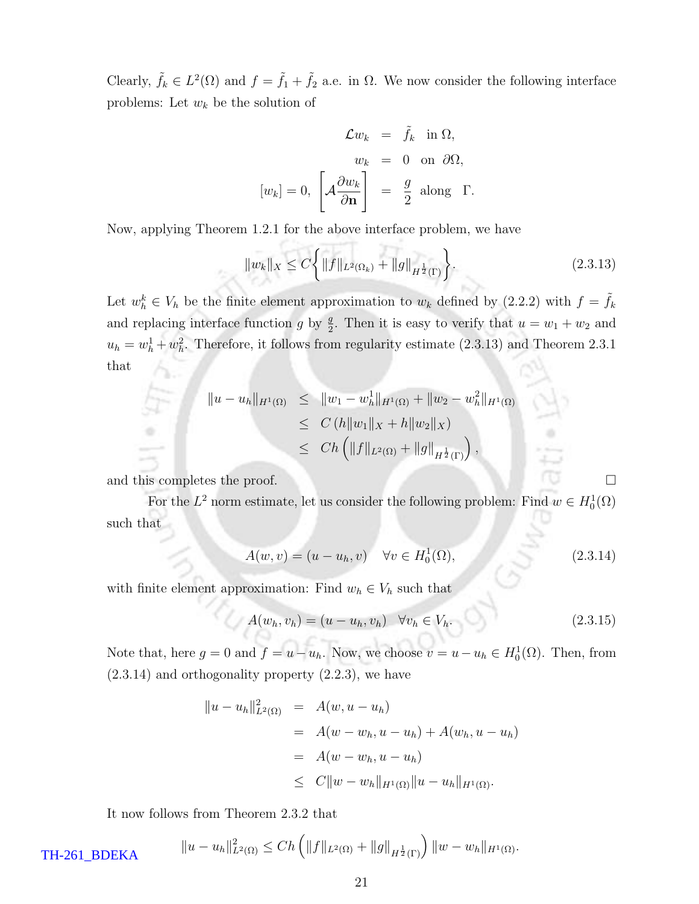Clearly,  $\tilde{f}_k \in L^2(\Omega)$  and  $f = \tilde{f}_1 + \tilde{f}_2$  a.e. in  $\Omega$ . We now consider the following interface problems: Let  $w_k$  be the solution of

$$
\mathcal{L}w_k = \tilde{f}_k \text{ in } \Omega,
$$
  
\n
$$
w_k = 0 \text{ on } \partial\Omega,
$$
  
\n
$$
[w_k] = 0, \left[\mathcal{A}\frac{\partial w_k}{\partial \mathbf{n}}\right] = \frac{g}{2} \text{ along } \Gamma.
$$

Now, applying Theorem 1.2.1 for the above interface problem, we have

$$
||w_k||_X \le C \bigg\{ ||f||_{L^2(\Omega_k)} + ||g||_{H^{\frac{1}{2}}(\Gamma)} \bigg\}.
$$
\n(2.3.13)

Let  $w_h^k \in V_h$  be the finite element approximation to  $w_k$  defined by (2.2.2) with  $f = \tilde{f}_k$ and replacing interface function g by  $\frac{g}{2}$ . Then it is easy to verify that  $u = w_1 + w_2$  and  $u_h = w_h^1 + w_h^2$ . Therefore, it follows from regularity estimate (2.3.13) and Theorem 2.3.1 that

$$
\|u - u_h\|_{H^1(\Omega)} \le \|w_1 - w_h^1\|_{H^1(\Omega)} + \|w_2 - w_h^2\|_{H^1(\Omega)}
$$
  
\n
$$
\le C (h \|w_1\|_X + h \|w_2\|_X)
$$
  
\n
$$
\le Ch \left( \|f\|_{L^2(\Omega)} + \|g\|_{H^{\frac{1}{2}}(\Gamma)} \right),
$$

and this completes the proof.

For the  $L^2$  norm estimate, let us consider the following problem: Find  $w \in H_0^1(\Omega)$ such that

$$
A(w, v) = (u - u_h, v) \quad \forall v \in H_0^1(\Omega), \tag{2.3.14}
$$

with finite element approximation: Find  $w_h \in V_h$  such that

$$
A(w_h, v_h) = (u - u_h, v_h) \quad \forall v_h \in V_h.
$$
\n(2.3.15)

Note that, here  $g = 0$  and  $f = u - u_h$ . Now, we choose  $v = u - u_h \in H_0^1(\Omega)$ . Then, from (2.3.14) and orthogonality property (2.2.3), we have

$$
||u - u_h||_{L^2(\Omega)}^2 = A(w, u - u_h)
$$
  
=  $A(w - w_h, u - u_h) + A(w_h, u - u_h)$   
=  $A(w - w_h, u - u_h)$   
 $\leq C||w - w_h||_{H^1(\Omega)}||u - u_h||_{H^1(\Omega)}.$ 

It now follows from Theorem 2.3.2 that

 $TH-261$ <sub>B</sub>

$$
\text{DEKA} \qquad \qquad \|u - u_h\|_{L^2(\Omega)}^2 \le Ch\left(\|f\|_{L^2(\Omega)} + \|g\|_{H^{\frac{1}{2}}(\Gamma)}\right) \|w - w_h\|_{H^1(\Omega)}.
$$

21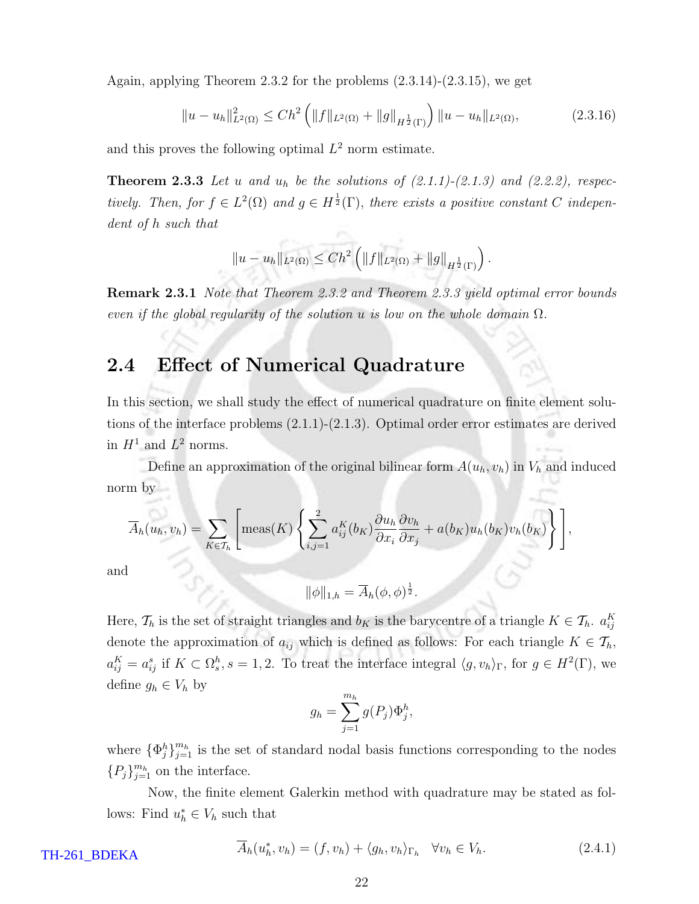Again, applying Theorem 2.3.2 for the problems (2.3.14)-(2.3.15), we get

$$
||u - u_h||_{L^2(\Omega)}^2 \le Ch^2 \left( ||f||_{L^2(\Omega)} + ||g||_{H^{\frac{1}{2}}(\Gamma)} \right) ||u - u_h||_{L^2(\Omega)},
$$
\n(2.3.16)

and this proves the following optimal  $L^2$  norm estimate.

**Theorem 2.3.3** Let u and  $u_h$  be the solutions of  $(2.1.1)-(2.1.3)$  and  $(2.2.2)$ , respectively. Then, for  $f \in L^2(\Omega)$  and  $g \in H^{\frac{1}{2}}(\Gamma)$ , there exists a positive constant C independent of h such that

$$
||u - u_h||_{L^2(\Omega)} \leq Ch^2 \left( ||f||_{L^2(\Omega)} + ||g||_{H^{\frac{1}{2}}(\Gamma)} \right).
$$

**Remark 2.3.1** Note that Theorem 2.3.2 and Theorem 2.3.3 yield optimal error bounds even if the global regularity of the solution u is low on the whole domain  $\Omega$ .

#### 2.4 Effect of Numerical Quadrature

In this section, we shall study the effect of numerical quadrature on finite element solutions of the interface problems (2.1.1)-(2.1.3). Optimal order error estimates are derived in  $H^1$  and  $L^2$  norms.

Define an approximation of the original bilinear form  $A(u_h, v_h)$  in  $V_h$  and induced norm by

$$
\overline{A}_h(u_h, v_h) = \sum_{K \in \mathcal{T}_h} \left[ \text{meas}(K) \left\{ \sum_{i,j=1}^2 a_{ij}^K(b_K) \frac{\partial u_h}{\partial x_i} \frac{\partial v_h}{\partial x_j} + a(b_K) u_h(b_K) v_h(b_K) \right\} \right],
$$

and

$$
\|\phi\|_{1,h} = \overline{A}_h(\phi,\phi)^{\frac{1}{2}}.
$$

Here,  $\mathcal{T}_h$  is the set of straight triangles and  $b_K$  is the barycentre of a triangle  $K \in \mathcal{T}_h$ .  $a_{ij}^K$ denote the approximation of  $a_{ij}$  which is defined as follows: For each triangle  $K \in \mathcal{T}_h$ ,  $a_{ij}^K = a_{ij}^s$  if  $K \subset \Omega_s^h$ ,  $s = 1, 2$ . To treat the interface integral  $\langle g, v_h \rangle_{\Gamma}$ , for  $g \in H^2(\Gamma)$ , we define  $g_h \in V_h$  by

$$
g_h = \sum_{j=1}^{m_h} g(P_j) \Phi_j^h,
$$

where  $\{\Phi_j^h\}_{j=1}^{m_h}$  is the set of standard nodal basis functions corresponding to the nodes  ${P_j}_{j=1}^{m_h}$  on the interface.

Now, the finite element Galerkin method with quadrature may be stated as follows: Find  $u_h^* \in V_h$  such that

$$
\overline{A}_h(u_h^*, v_h) = (f, v_h) + \langle g_h, v_h \rangle_{\Gamma_h} \quad \forall v_h \in V_h.
$$
\n(2.4.1)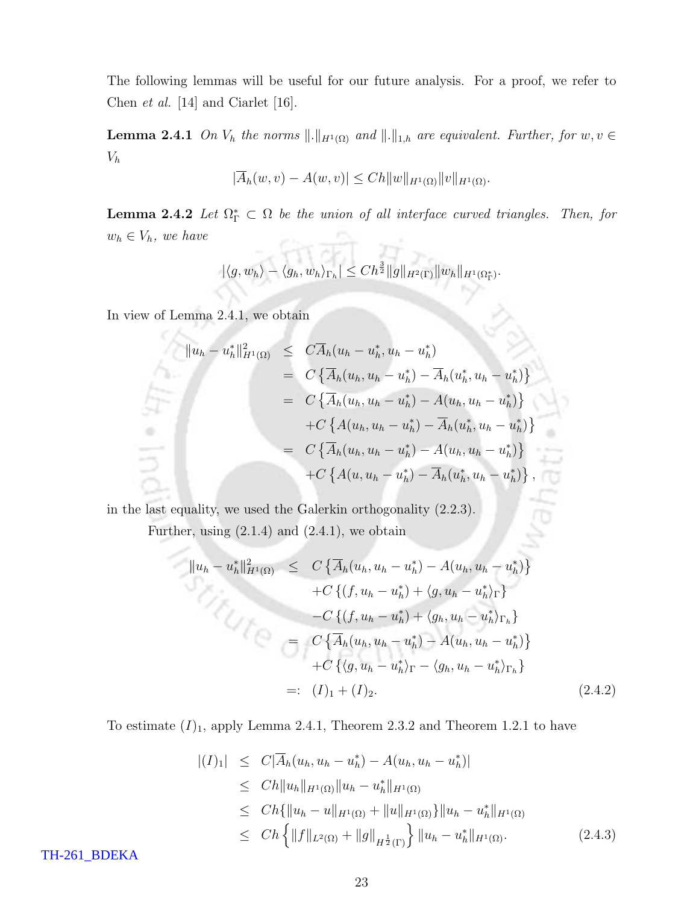The following lemmas will be useful for our future analysis. For a proof, we refer to Chen et al. [14] and Ciarlet [16].

**Lemma 2.4.1** On  $V_h$  the norms  $\Vert \cdot \Vert_{H^1(\Omega)}$  and  $\Vert \cdot \Vert_{1,h}$  are equivalent. Further, for  $w, v \in$  $V_h$ 

$$
|\overline{A}_h(w,v) - A(w,v)| \le Ch \|w\|_{H^1(\Omega)} \|v\|_{H^1(\Omega)}.
$$

**Lemma 2.4.2** Let  $\Omega_{\Gamma}^* \subset \Omega$  be the union of all interface curved triangles. Then, for  $w_h \in V_h$ , we have - ਜਿਸੀ ਸੰ-

$$
|\langle g, w_h\rangle - \langle g_h, w_h\rangle_{\Gamma_h}| \leq Ch^{\frac{3}{2}} \|g\|_{H^2(\Gamma)} \|w_h\|_{H^1(\Omega^*_\Gamma)}.
$$

In view of Lemma 2.4.1, we obtain

$$
||u_h - u_h^*||_{H^1(\Omega)}^2 \leq C\overline{A}_h(u_h - u_h^*, u_h - u_h^*)
$$
  
\n
$$
= C\left\{\overline{A}_h(u_h, u_h - u_h^*) - \overline{A}_h(u_h^*, u_h - u_h^*)\right\}
$$
  
\n
$$
= C\left\{\overline{A}_h(u_h, u_h - u_h^*) - A(u_h, u_h - u_h^*)\right\}
$$
  
\n
$$
+ C\left\{A(u_h, u_h - u_h^*) - \overline{A}_h(u_h^*, u_h - u_h^*)\right\}
$$
  
\n
$$
= C\left\{\overline{A}_h(u_h, u_h - u_h^*) - A(u_h, u_h - u_h^*)\right\}
$$
  
\n
$$
+ C\left\{A(u, u_h - u_h^*) - \overline{A}_h(u_h^*, u_h - u_h^*)\right\},
$$

in the last equality, we used the Galerkin orthogonality (2.2.3).

Further, using  $(2.1.4)$  and  $(2.4.1)$ , we obtain

$$
||u_h - u_h^*||_{H^1(\Omega)}^2 \leq C \left\{ \overline{A}_h(u_h, u_h - u_h^*) - A(u_h, u_h - u_h^*) \right\} + C \left\{ (f, u_h - u_h^*) + \langle g, u_h - u_h^* \rangle_{\Gamma} \right\} - C \left\{ (f, u_h - u_h^*) + \langle g_h, u_h - u_h^* \rangle_{\Gamma_h} \right\} = C \left\{ \overline{A}_h(u_h, u_h - u_h^*) - A(u_h, u_h - u_h^*) \right\} + C \left\{ \langle g, u_h - u_h^* \rangle_{\Gamma} - \langle g_h, u_h - u_h^* \rangle_{\Gamma_h} \right\} =: (I)_1 + (I)_2.
$$
 (2.4.2)

To estimate  $(I)_1$ , apply Lemma 2.4.1, Theorem 2.3.2 and Theorem 1.2.1 to have

$$
\begin{aligned} |(I)_1| &\leq C|\overline{A}_h(u_h, u_h - u_h^*) - A(u_h, u_h - u_h^*)| \\ &\leq C h \|u_h\|_{H^1(\Omega)} \|u_h - u_h^*\|_{H^1(\Omega)} \\ &\leq C h \{ \|u_h - u\|_{H^1(\Omega)} + \|u\|_{H^1(\Omega)} \} \|u_h - u_h^*\|_{H^1(\Omega)} \\ &\leq C h \left\{ \|f\|_{L^2(\Omega)} + \|g\|_{H^{\frac{1}{2}}(\Gamma)} \right\} \|u_h - u_h^*\|_{H^1(\Omega)}. \end{aligned} \tag{2.4.3}
$$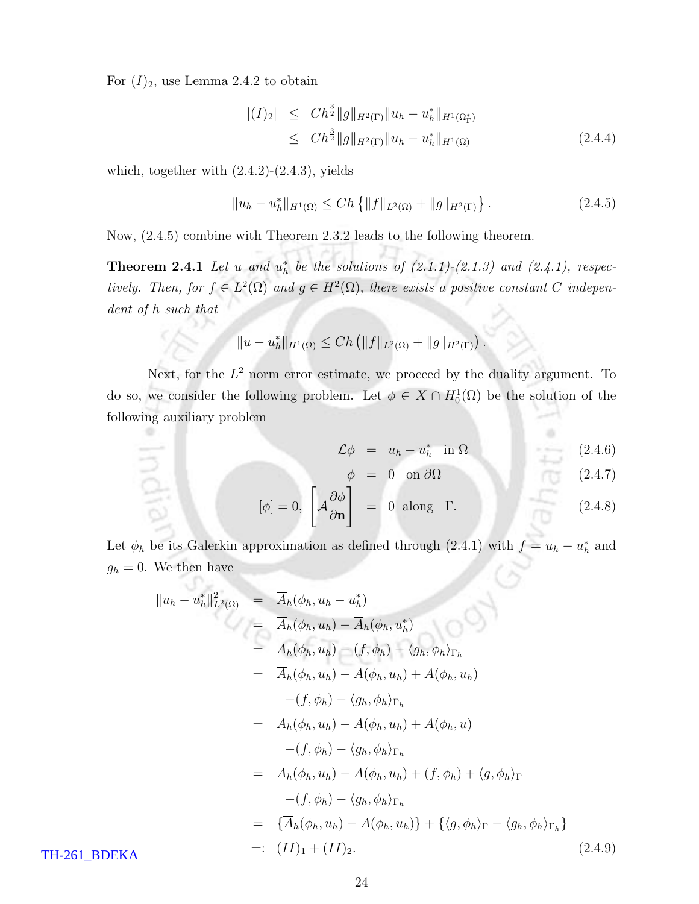For  $(I)_2$ , use Lemma 2.4.2 to obtain

$$
\begin{array}{rcl} |(I)_2| & \leq & Ch^{\frac{3}{2}} \|g\|_{H^2(\Gamma)} \|u_h - u_h^*\|_{H^1(\Omega_\Gamma^*)} \\ & \leq & Ch^{\frac{3}{2}} \|g\|_{H^2(\Gamma)} \|u_h - u_h^*\|_{H^1(\Omega)} \end{array} \tag{2.4.4}
$$

which, together with  $(2.4.2)-(2.4.3)$ , yields

$$
||u_h - u_h^*||_{H^1(\Omega)} \le Ch \left\{ ||f||_{L^2(\Omega)} + ||g||_{H^2(\Gamma)} \right\}.
$$
 (2.4.5)

Now, (2.4.5) combine with Theorem 2.3.2 leads to the following theorem.

**Theorem 2.4.1** Let u and  $u_h^*$  be the solutions of  $(2.1.1)-(2.1.3)$  and  $(2.4.1)$ , respectively. Then, for  $f \in L^2(\Omega)$  and  $g \in H^2(\Omega)$ , there exists a positive constant C independent of h such that

$$
||u - uh*||H1(\Omega) \le Ch (||f||L2(\Omega) + ||g||H2(\Gamma)).
$$

Next, for the  $L^2$  norm error estimate, we proceed by the duality argument. To do so, we consider the following problem. Let  $\phi \in X \cap H_0^1(\Omega)$  be the solution of the following auxiliary problem

$$
\mathcal{L}\phi = u_h - u_h^* \quad \text{in } \Omega \tag{2.4.6}
$$

$$
\phi = 0 \quad \text{on } \partial\Omega \tag{2.4.7}
$$

$$
[\phi] = 0, \left[ \mathcal{A} \frac{\partial \phi}{\partial \mathbf{n}} \right] = 0 \text{ along } \Gamma. \tag{2.4.8}
$$

Let  $\phi_h$  be its Galerkin approximation as defined through (2.4.1) with  $f = u_h - u_h^*$  and  $g_h = 0$ . We then have

$$
||u_{h} - u_{h}^{*}||_{L^{2}(\Omega)}^{2} = \overline{A}_{h}(\phi_{h}, u_{h} - u_{h}^{*})
$$
  
\n
$$
= \overline{A}_{h}(\phi_{h}, u_{h}) - \overline{A}_{h}(\phi_{h}, u_{h}^{*})
$$
  
\n
$$
= \overline{A}_{h}(\phi_{h}, u_{h}) - (f, \phi_{h}) - \langle g_{h}, \phi_{h} \rangle_{\Gamma_{h}}
$$
  
\n
$$
= \overline{A}_{h}(\phi_{h}, u_{h}) - A(\phi_{h}, u_{h}) + A(\phi_{h}, u_{h})
$$
  
\n
$$
- (f, \phi_{h}) - \langle g_{h}, \phi_{h} \rangle_{\Gamma_{h}}
$$
  
\n
$$
= \overline{A}_{h}(\phi_{h}, u_{h}) - A(\phi_{h}, u_{h}) + A(\phi_{h}, u)
$$
  
\n
$$
- (f, \phi_{h}) - \langle g_{h}, \phi_{h} \rangle_{\Gamma_{h}}
$$
  
\n
$$
= \overline{A}_{h}(\phi_{h}, u_{h}) - A(\phi_{h}, u_{h}) + (f, \phi_{h}) + \langle g, \phi_{h} \rangle_{\Gamma}
$$
  
\n
$$
- (f, \phi_{h}) - \langle g_{h}, \phi_{h} \rangle_{\Gamma_{h}}
$$
  
\n
$$
= \{\overline{A}_{h}(\phi_{h}, u_{h}) - A(\phi_{h}, u_{h})\} + \{\langle g, \phi_{h} \rangle_{\Gamma} - \langle g_{h}, \phi_{h} \rangle_{\Gamma_{h}}\}
$$
  
\n
$$
= \{\overline{A}_{h}(\phi_{h}, u_{h}) - A(\phi_{h}, u_{h})\} + \{\langle g, \phi_{h} \rangle_{\Gamma} - \langle g_{h}, \phi_{h} \rangle_{\Gamma_{h}}\}
$$
  
\n
$$
= \{\overline{I}_{h}(\phi_{h}, u_{h}) - \langle g_{h}, u_{h} \rangle\} + \{\langle g, \phi_{h} \rangle_{\Gamma} - \langle g_{h}, \phi_{h} \rangle_{\Gamma_{h}}\}
$$
  
\n
$$
= \{\overline{I}_{h}(\phi_{h}, u_{h}) - \langle g_{h}, u_{h} \rangle\} + \{\langle g, \phi_{h} \rangle_{\Gamma_{h}}
$$

TH-261\_BDEKA

India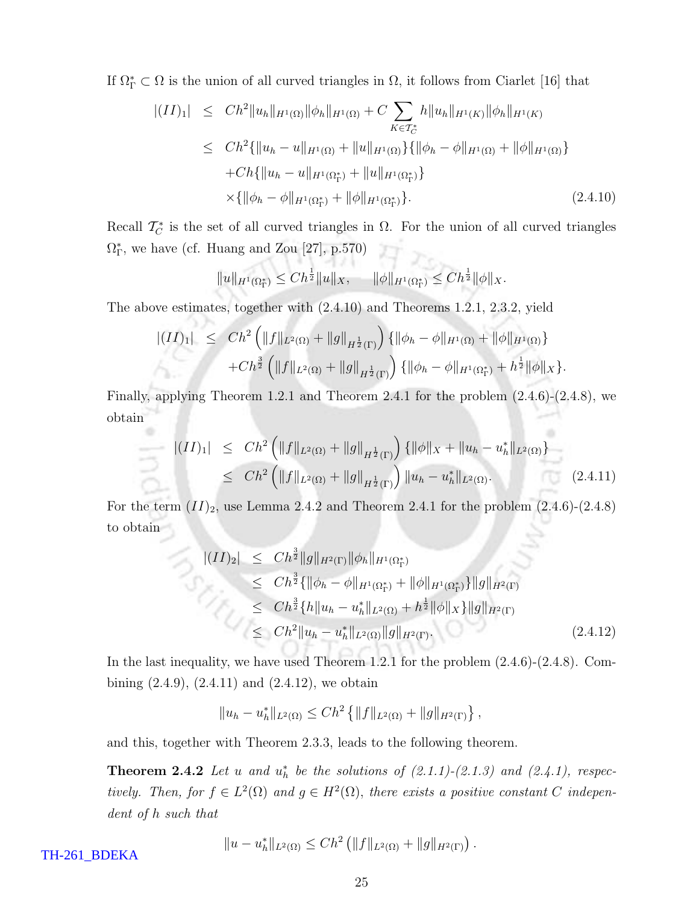If  $\Omega_{\Gamma}^* \subset \Omega$  is the union of all curved triangles in  $\Omega$ , it follows from Ciarlet [16] that

$$
|(II)_1| \leq Ch^2 \|u_h\|_{H^1(\Omega)} \|\phi_h\|_{H^1(\Omega)} + C \sum_{K \in \mathcal{T}_C^*} h \|u_h\|_{H^1(K)} \|\phi_h\|_{H^1(K)}
$$
  
\n
$$
\leq Ch^2 \{ \|u_h - u\|_{H^1(\Omega)} + \|u\|_{H^1(\Omega)} \} \{ \|\phi_h - \phi\|_{H^1(\Omega)} + \|\phi\|_{H^1(\Omega)} \}
$$
  
\n
$$
+ Ch \{ \|u_h - u\|_{H^1(\Omega_\Gamma^*)} + \|u\|_{H^1(\Omega_\Gamma^*)} \}
$$
  
\n
$$
\times \{ \|\phi_h - \phi\|_{H^1(\Omega_\Gamma^*)} + \|\phi\|_{H^1(\Omega_\Gamma^*)} \}.
$$
\n(2.4.10)

Recall  $\mathcal{T}_C^*$  is the set of all curved triangles in  $\Omega$ . For the union of all curved triangles  $\Omega_{\Gamma}^{*}$ , we have (cf. Huang and Zou [27], p.570) 有大。

$$
||u||_{H^1(\Omega^*_{\Gamma})} \le Ch^{\frac{1}{2}}||u||_X, \quad ||\phi||_{H^1(\Omega^*_{\Gamma})} \le Ch^{\frac{1}{2}}||\phi||_X.
$$

The above estimates, together with (2.4.10) and Theorems 1.2.1, 2.3.2, yield

00 Pr. - 2007

$$
\begin{array}{lll} |(II)_1| & \leq & Ch^2 \left( \|f\|_{L^2(\Omega)} + \|g\|_{H^{\frac{1}{2}}(\Gamma)} \right) \{ \|\phi_h - \phi\|_{H^1(\Omega)} + \|\phi\|_{H^1(\Omega)} \} \\ & \quad + Ch^{\frac{3}{2}} \left( \|f\|_{L^2(\Omega)} + \|g\|_{H^{\frac{1}{2}}(\Gamma)} \right) \{ \|\phi_h - \phi\|_{H^1(\Omega_1^*)} + h^{\frac{1}{2}} \|\phi\|_X \} .\end{array}
$$

Finally, applying Theorem 1.2.1 and Theorem 2.4.1 for the problem (2.4.6)-(2.4.8), we obtain

$$
\begin{array}{rcl} \|(II)_1| & \leq & Ch^2 \left( \|f\|_{L^2(\Omega)} + \|g\|_{H^{\frac{1}{2}}(\Gamma)} \right) \{ \|\phi\|_X + \|u_h - u_h^*\|_{L^2(\Omega)} \} \\ & \leq & Ch^2 \left( \|f\|_{L^2(\Omega)} + \|g\|_{H^{\frac{1}{2}}(\Gamma)} \right) \|u_h - u_h^*\|_{L^2(\Omega)}. \end{array} \tag{2.4.11}
$$

For the term  $(II)_2$ , use Lemma 2.4.2 and Theorem 2.4.1 for the problem  $(2.4.6)-(2.4.8)$ to obtain

$$
\begin{split}\n\left| (II)_2 \right| &\leq C h^{\frac{3}{2}} \|g\|_{H^2(\Gamma)} \|\phi_h\|_{H^1(\Omega_\Gamma^*)} \\
&\leq C h^{\frac{3}{2}} \{ \|\phi_h - \phi\|_{H^1(\Omega_\Gamma^*)} + \|\phi\|_{H^1(\Omega_\Gamma^*)} \} \|g\|_{H^2(\Gamma)} \\
&\leq C h^{\frac{3}{2}} \{ h \|u_h - u_h^* \|_{L^2(\Omega)} + h^{\frac{1}{2}} \|\phi\|_{X} \} \|g\|_{H^2(\Gamma)} \\
&\leq C h^2 \|u_h - u_h^* \|_{L^2(\Omega)} \|g\|_{H^2(\Gamma)}.\n\end{split} \tag{2.4.12}
$$

In the last inequality, we have used Theorem 1.2.1 for the problem (2.4.6)-(2.4.8). Combining  $(2.4.9)$ ,  $(2.4.11)$  and  $(2.4.12)$ , we obtain

$$
||u_h - u_h^*||_{L^2(\Omega)} \leq Ch^2 \left\{ ||f||_{L^2(\Omega)} + ||g||_{H^2(\Gamma)} \right\},\,
$$

and this, together with Theorem 2.3.3, leads to the following theorem.

**Theorem 2.4.2** Let u and  $u_h^*$  be the solutions of  $(2.1.1)-(2.1.3)$  and  $(2.4.1)$ , respectively. Then, for  $f \in L^2(\Omega)$  and  $g \in H^2(\Omega)$ , there exists a positive constant C independent of h such that

$$
||u - uh*||L2(\Omega) \leq Ch2 (||f||L2(\Omega) + ||g||H2(\Gamma)).
$$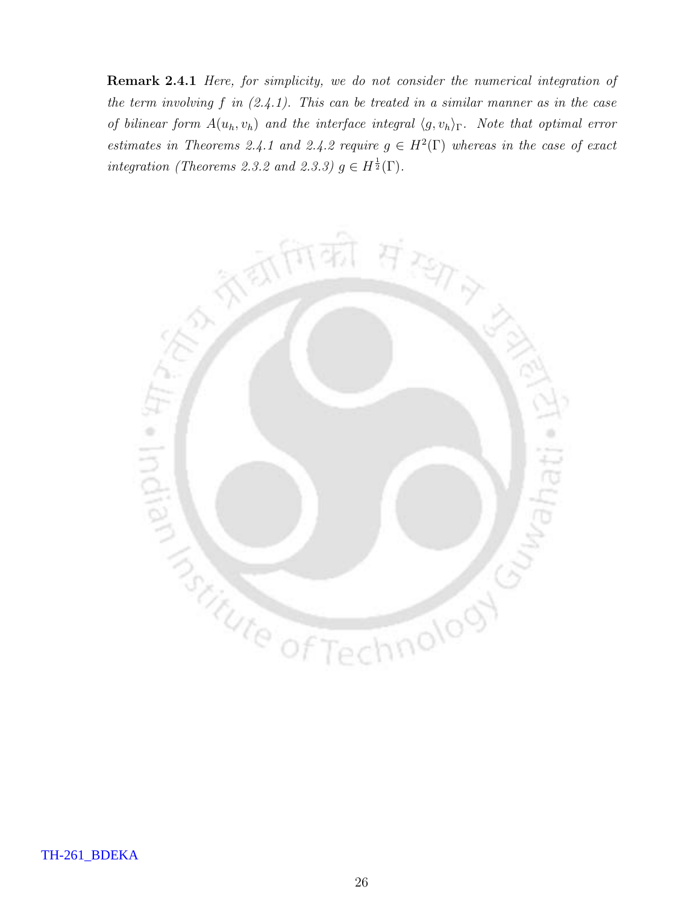Remark 2.4.1 Here, for simplicity, we do not consider the numerical integration of the term involving  $f$  in  $(2.4.1)$ . This can be treated in a similar manner as in the case of bilinear form  $A(u_h,v_h)$  and the interface integral  $\langle g,v_h\rangle_{\Gamma}$ . Note that optimal error estimates in Theorems 2.4.1 and 2.4.2 require  $g \in H^2(\Gamma)$  whereas in the case of exact integration (Theorems 2.3.2 and 2.3.3)  $g \in H^{\frac{1}{2}}(\Gamma)$ .

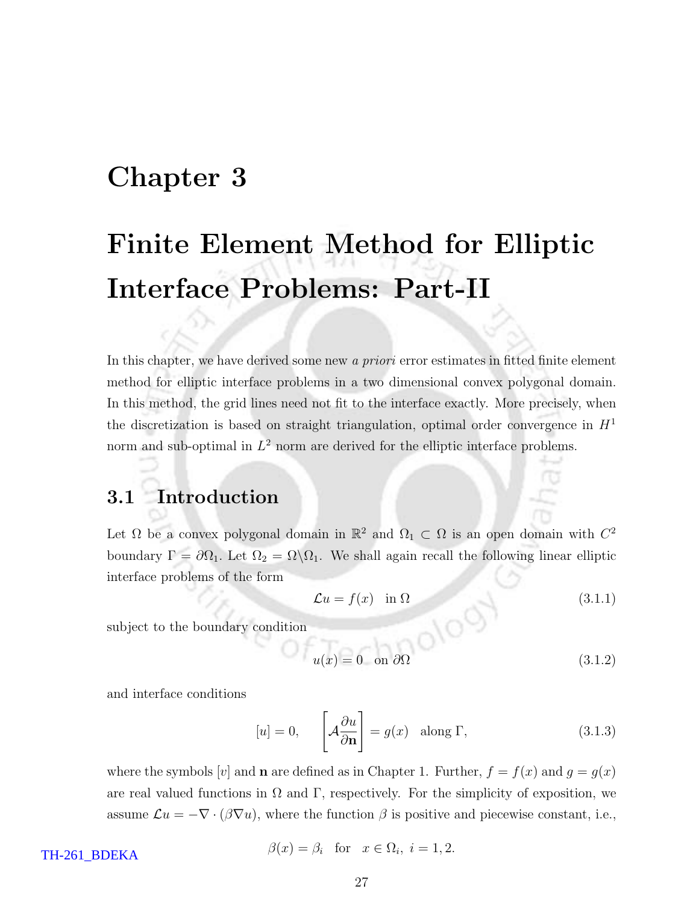## Chapter 3

# Finite Element Method for Elliptic Interface Problems: Part-II

In this chapter, we have derived some new a priori error estimates in fitted finite element method for elliptic interface problems in a two dimensional convex polygonal domain. In this method, the grid lines need not fit to the interface exactly. More precisely, when the discretization is based on straight triangulation, optimal order convergence in  $H<sup>1</sup>$ norm and sub-optimal in  $L^2$  norm are derived for the elliptic interface problems.

#### 3.1 Introduction

Let  $\Omega$  be a convex polygonal domain in  $\mathbb{R}^2$  and  $\Omega_1 \subset \Omega$  is an open domain with  $C^2$ boundary  $\Gamma = \partial \Omega_1$ . Let  $\Omega_2 = \Omega \backslash \Omega_1$ . We shall again recall the following linear elliptic interface problems of the form

$$
\mathcal{L}u = f(x) \quad \text{in } \Omega \tag{3.1.1}
$$

subject to the boundary condition

$$
u(x) = 0 \quad \text{on } \partial\Omega \tag{3.1.2}
$$

and interface conditions

$$
[u] = 0, \qquad \left[ \mathcal{A} \frac{\partial u}{\partial \mathbf{n}} \right] = g(x) \quad \text{along } \Gamma,
$$
 (3.1.3)

where the symbols [v] and **n** are defined as in Chapter 1. Further,  $f = f(x)$  and  $g = g(x)$ are real valued functions in  $\Omega$  and  $\Gamma$ , respectively. For the simplicity of exposition, we assume  $\mathcal{L}u = -\nabla \cdot (\beta \nabla u)$ , where the function  $\beta$  is positive and piecewise constant, i.e.,

TH-261\_BDEKA

$$
\beta(x) = \beta_i \quad \text{for} \quad x \in \Omega_i, \ i = 1, 2.
$$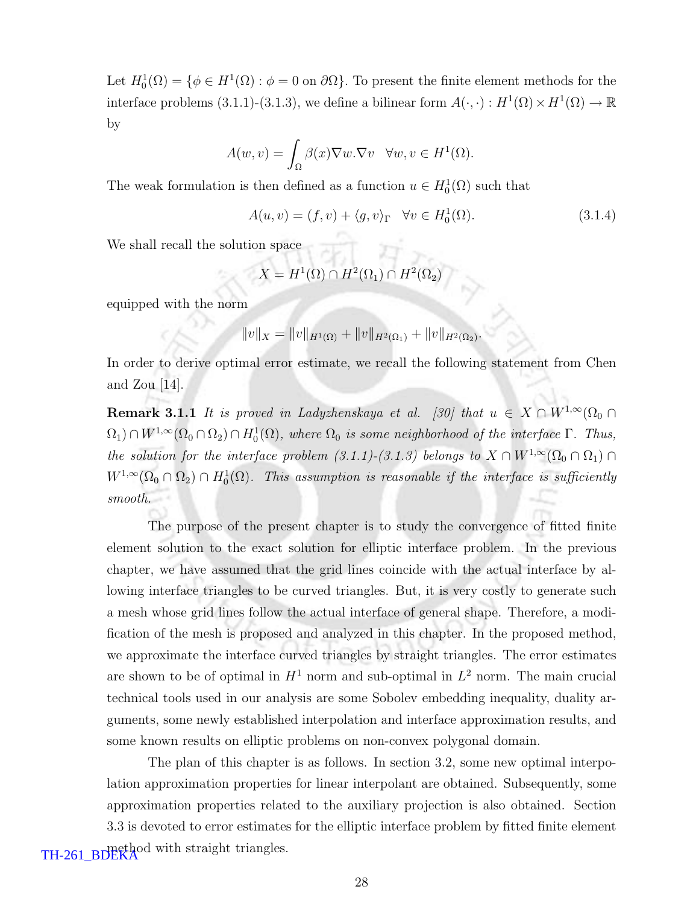Let  $H_0^1(\Omega) = \{ \phi \in H^1(\Omega) : \phi = 0 \text{ on } \partial \Omega \}$ . To present the finite element methods for the interface problems (3.1.1)-(3.1.3), we define a bilinear form  $A(\cdot, \cdot) : H^1(\Omega) \times H^1(\Omega) \to \mathbb{R}$ by

$$
A(w, v) = \int_{\Omega} \beta(x) \nabla w. \nabla v \quad \forall w, v \in H^{1}(\Omega).
$$

The weak formulation is then defined as a function  $u \in H_0^1(\Omega)$  such that

$$
A(u, v) = (f, v) + \langle g, v \rangle_{\Gamma} \quad \forall v \in H_0^1(\Omega).
$$
\n(3.1.4)

We shall recall the solution space

$$
X = H^1(\Omega) \cap H^2(\Omega_1) \cap H^2(\Omega_2)
$$

equipped with the norm

$$
||v||_X = ||v||_{H^1(\Omega)} + ||v||_{H^2(\Omega_1)} + ||v||_{H^2(\Omega_2)}.
$$

In order to derive optimal error estimate, we recall the following statement from Chen and Zou [14].

Remark 3.1.1 It is proved in Ladyzhenskaya et al. [30] that  $u \in X \cap W^{1,\infty}(\Omega_0 \cap$  $(\Omega_1) \cap W^{1,\infty}(\Omega_0 \cap \Omega_2) \cap H_0^1(\Omega)$ , where  $\Omega_0$  is some neighborhood of the interface  $\Gamma$ . Thus, the solution for the interface problem (3.1.1)-(3.1.3) belongs to  $X \cap W^{1,\infty}(\Omega_0 \cap \Omega_1) \cap$  $W^{1,\infty}(\Omega_0 \cap \Omega_2) \cap H_0^1(\Omega)$ . This assumption is reasonable if the interface is sufficiently smooth.

The purpose of the present chapter is to study the convergence of fitted finite element solution to the exact solution for elliptic interface problem. In the previous chapter, we have assumed that the grid lines coincide with the actual interface by allowing interface triangles to be curved triangles. But, it is very costly to generate such a mesh whose grid lines follow the actual interface of general shape. Therefore, a modification of the mesh is proposed and analyzed in this chapter. In the proposed method, we approximate the interface curved triangles by straight triangles. The error estimates are shown to be of optimal in  $H^1$  norm and sub-optimal in  $L^2$  norm. The main crucial technical tools used in our analysis are some Sobolev embedding inequality, duality arguments, some newly established interpolation and interface approximation results, and some known results on elliptic problems on non-convex polygonal domain.

The plan of this chapter is as follows. In section 3.2, some new optimal interpolation approximation properties for linear interpolant are obtained. Subsequently, some approximation properties related to the auxiliary projection is also obtained. Section 3.3 is devoted to error estimates for the elliptic interface problem by fitted finite element TH-261\_BDEKA<sup>od</sup> with straight triangles.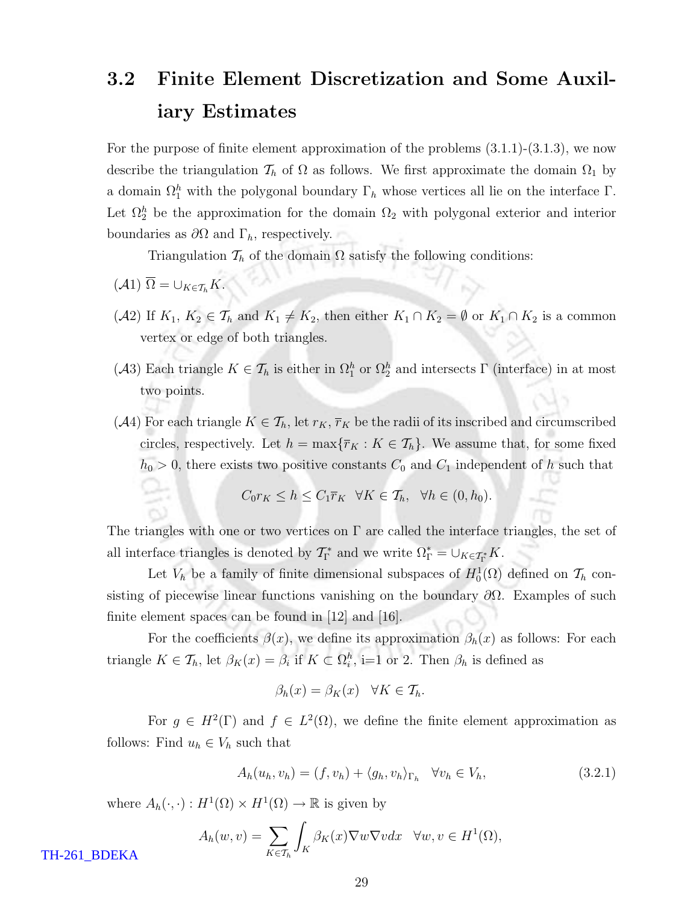## 3.2 Finite Element Discretization and Some Auxiliary Estimates

For the purpose of finite element approximation of the problems  $(3.1.1)-(3.1.3)$ , we now describe the triangulation  $\mathcal{T}_h$  of  $\Omega$  as follows. We first approximate the domain  $\Omega_1$  by a domain  $\Omega_1^h$  with the polygonal boundary  $\Gamma_h$  whose vertices all lie on the interface  $\Gamma$ . Let  $\Omega_2^h$  be the approximation for the domain  $\Omega_2$  with polygonal exterior and interior boundaries as  $\partial\Omega$  and  $\Gamma_h$ , respectively.

Triangulation  $\mathcal{T}_h$  of the domain  $\Omega$  satisfy the following conditions:

$$
(\mathcal{A}1)\ \overline{\Omega}=\cup_{K\in\mathcal{T}_h}K.
$$

- (A2) If  $K_1, K_2 \in \mathcal{T}_h$  and  $K_1 \neq K_2$ , then either  $K_1 \cap K_2 = \emptyset$  or  $K_1 \cap K_2$  is a common vertex or edge of both triangles.
- (A3) Each triangle  $K \in \mathcal{T}_h$  is either in  $\Omega_1^h$  or  $\Omega_2^h$  and intersects  $\Gamma$  (interface) in at most two points.
- (A4) For each triangle  $K \in \mathcal{T}_h$ , let  $r_K$ ,  $\overline{r}_K$  be the radii of its inscribed and circumscribed circles, respectively. Let  $h = \max{\lbrace \overline{r}_K : K \in \mathcal{T}_h \rbrace}$ . We assume that, for some fixed  $h_0 > 0$ , there exists two positive constants  $C_0$  and  $C_1$  independent of h such that

$$
C_0 r_K \le h \le C_1 \overline{r}_K \quad \forall K \in \mathcal{T}_h, \quad \forall h \in (0, h_0).
$$

The triangles with one or two vertices on  $\Gamma$  are called the interface triangles, the set of all interface triangles is denoted by  $\mathcal{T}_{\Gamma}^*$  and we write  $\Omega_{\Gamma}^* = \cup_{K \in \mathcal{T}_{\Gamma}^*} K$ .

Let  $V_h$  be a family of finite dimensional subspaces of  $H_0^1(\Omega)$  defined on  $\mathcal{T}_h$  consisting of piecewise linear functions vanishing on the boundary  $\partial\Omega$ . Examples of such finite element spaces can be found in [12] and [16].

For the coefficients  $\beta(x)$ , we define its approximation  $\beta_h(x)$  as follows: For each triangle  $K \in \mathcal{T}_h$ , let  $\beta_K(x) = \beta_i$  if  $K \subset \Omega_i^h$ , i=1 or 2. Then  $\beta_h$  is defined as

$$
\beta_h(x) = \beta_K(x) \quad \forall K \in \mathcal{T}_h.
$$

For  $g \in H^2(\Gamma)$  and  $f \in L^2(\Omega)$ , we define the finite element approximation as follows: Find  $u_h \in V_h$  such that

$$
A_h(u_h, v_h) = (f, v_h) + \langle g_h, v_h \rangle_{\Gamma_h} \quad \forall v_h \in V_h,
$$
\n(3.2.1)

where  $A_h(\cdot, \cdot) : H^1(\Omega) \times H^1(\Omega) \to \mathbb{R}$  is given by

$$
A_h(w,v) = \sum_{K \in \mathcal{T}_h} \int_K \beta_K(x) \nabla w \nabla v dx \quad \forall w, v \in H^1(\Omega),
$$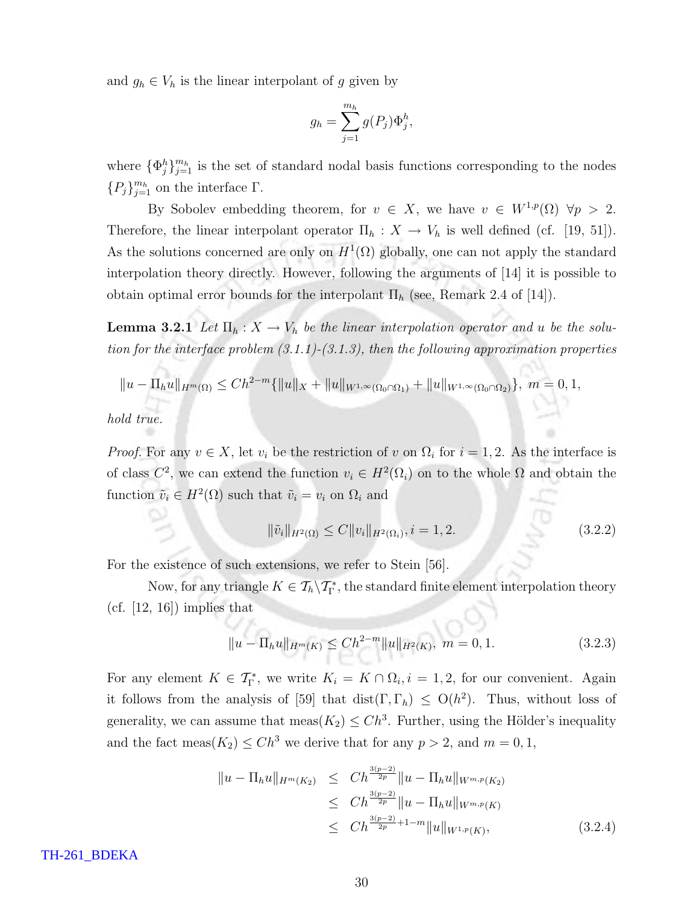and  $g_h \in V_h$  is the linear interpolant of g given by

$$
g_h = \sum_{j=1}^{m_h} g(P_j) \Phi_j^h,
$$

where  $\{\Phi_j^h\}_{j=1}^{m_h}$  is the set of standard nodal basis functions corresponding to the nodes  ${P_j}_{j=1}^{m_h}$  on the interface  $\Gamma$ .

By Sobolev embedding theorem, for  $v \in X$ , we have  $v \in W^{1,p}(\Omega)$   $\forall p > 2$ . Therefore, the linear interpolant operator  $\Pi_h : X \to V_h$  is well defined (cf. [19, 51]). As the solutions concerned are only on  $H^1(\Omega)$  globally, one can not apply the standard interpolation theory directly. However, following the arguments of [14] it is possible to obtain optimal error bounds for the interpolant  $\Pi_h$  (see, Remark 2.4 of [14]).

**Lemma 3.2.1** Let  $\Pi_h: X \to V_h$  be the linear interpolation operator and u be the solution for the interface problem  $(3.1.1)-(3.1.3)$ , then the following approximation properties

$$
||u - \Pi_h u||_{H^m(\Omega)} \le Ch^{2-m}\{||u||_X + ||u||_{W^{1,\infty}(\Omega_0 \cap \Omega_1)} + ||u||_{W^{1,\infty}(\Omega_0 \cap \Omega_2)}\}, \ m = 0, 1,
$$

hold true.

*Proof.* For any  $v \in X$ , let  $v_i$  be the restriction of v on  $\Omega_i$  for  $i = 1, 2$ . As the interface is of class  $C^2$ , we can extend the function  $v_i \in H^2(\Omega_i)$  on to the whole  $\Omega$  and obtain the function  $\tilde{v}_i \in H^2(\Omega)$  such that  $\tilde{v}_i = v_i$  on  $\Omega_i$  and

$$
\|\tilde{v}_i\|_{H^2(\Omega)} \le C \|v_i\|_{H^2(\Omega_i)}, i = 1, 2. \tag{3.2.2}
$$

m

For the existence of such extensions, we refer to Stein [56].

Now, for any triangle  $K \in \mathcal{T}_h \backslash \mathcal{T}_{\Gamma}^*$ , the standard finite element interpolation theory  $(cf. [12, 16])$  implies that

$$
||u - \Pi_h u||_{H^m(K)} \le Ch^{2-m} ||u||_{H^2(K)}, \ m = 0, 1.
$$
 (3.2.3)

For any element  $K \in \mathcal{T}_{\Gamma}^*$ , we write  $K_i = K \cap \Omega_i, i = 1, 2$ , for our convenient. Again it follows from the analysis of [59] that dist( $\Gamma, \Gamma_h$ )  $\leq O(h^2)$ . Thus, without loss of generality, we can assume that  $\text{meas}(K_2) \leq Ch^3$ . Further, using the Hölder's inequality and the fact meas( $K_2$ )  $\leq Ch^3$  we derive that for any  $p > 2$ , and  $m = 0, 1$ ,

$$
||u - \Pi_h u||_{H^m(K_2)} \le Ch^{\frac{3(p-2)}{2p}} ||u - \Pi_h u||_{W^{m,p}(K_2)}
$$
  
\n
$$
\le Ch^{\frac{3(p-2)}{2p}} ||u - \Pi_h u||_{W^{m,p}(K)}
$$
  
\n
$$
\le Ch^{\frac{3(p-2)}{2p} + 1 - m} ||u||_{W^{1,p}(K)},
$$
\n(3.2.4)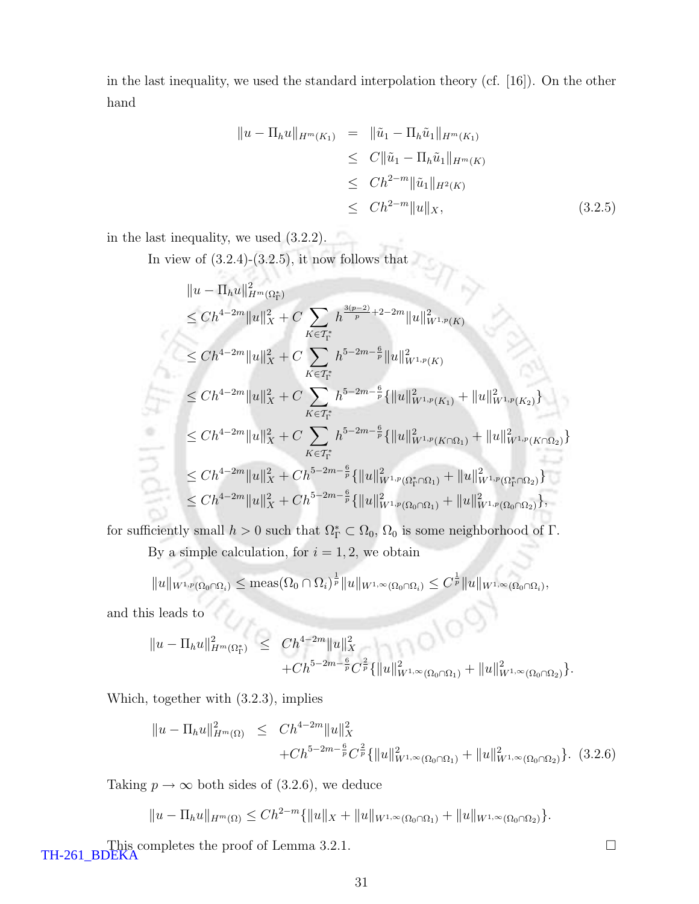in the last inequality, we used the standard interpolation theory (cf. [16]). On the other hand

$$
||u - \Pi_h u||_{H^m(K_1)} = ||\tilde{u}_1 - \Pi_h \tilde{u}_1||_{H^m(K_1)}
$$
  
\n
$$
\leq C ||\tilde{u}_1 - \Pi_h \tilde{u}_1||_{H^m(K)}
$$
  
\n
$$
\leq Ch^{2-m} ||\tilde{u}_1||_{H^2(K)}
$$
  
\n
$$
\leq Ch^{2-m} ||u||_X, \qquad (3.2.5)
$$

in the last inequality, we used (3.2.2).

In view of  $(3.2.4)-(3.2.5)$ , it now follows that

$$
||u - \Pi_h u||_{H^m(\Omega^*_{\Gamma})}^2
$$
  
\n
$$
\le Ch^{4-2m} ||u||_X^2 + C \sum_{K \in \mathcal{T}^*_{\Gamma}} h^{\frac{3(p-2)}{p}+2-2m} ||u||_{W^{1,p}(K)}^2
$$
  
\n
$$
\le Ch^{4-2m} ||u||_X^2 + C \sum_{K \in \mathcal{T}^*_{\Gamma}} h^{5-2m-\frac{6}{p}} ||u||_{W^{1,p}(K)}^2
$$
  
\n
$$
\le Ch^{4-2m} ||u||_X^2 + C \sum_{K \in \mathcal{T}^*_{\Gamma}} h^{5-2m-\frac{6}{p}} \{ ||u||_{W^{1,p}(K_1)}^2 + ||u||_{W^{1,p}(K_2)}^2 \}
$$
  
\n
$$
\le Ch^{4-2m} ||u||_X^2 + C \sum_{K \in \mathcal{T}^*_{\Gamma}} h^{5-2m-\frac{6}{p}} \{ ||u||_{W^{1,p}(K \cap \Omega_1)}^2 + ||u||_{W^{1,p}(K \cap \Omega_2)}^2 \}
$$
  
\n
$$
\le Ch^{4-2m} ||u||_X^2 + Ch^{5-2m-\frac{6}{p}} \{ ||u||_{W^{1,p}(\Omega^*_{\Gamma} \cap \Omega_1)}^2 + ||u||_{W^{1,p}(\Omega^*_{\Gamma} \cap \Omega_2)}^2 \}
$$
  
\n
$$
\le Ch^{4-2m} ||u||_X^2 + Ch^{5-2m-\frac{6}{p}} \{ ||u||_{W^{1,p}(\Omega_0 \cap \Omega_1)}^2 + ||u||_{W^{1,p}(\Omega_0 \cap \Omega_2)}^2 \},
$$

for sufficiently small  $h > 0$  such that  $\Omega_{\Gamma}^* \subset \Omega_0$ ,  $\Omega_0$  is some neighborhood of  $\Gamma$ .

By a simple calculation, for  $i = 1, 2$ , we obtain

 $||u||_{W^{1,p}(\Omega_0 \cap \Omega_i)} \leq \text{meas}(\Omega_0 \cap \Omega_i)^{\frac{1}{p}} ||u||_{W^{1,\infty}(\Omega_0 \cap \Omega_i)} \leq C^{\frac{1}{p}} ||u||_{W^{1,\infty}(\Omega_0 \cap \Omega_i)},$ 

and this leads to

$$
||u - \Pi_h u||_{H^m(\Omega^*_\Gamma)}^2 \leq C h^{4-2m} ||u||_X^2 + C h^{5-2m-\frac{6}{p}} C^{\frac{2}{p}} \{ ||u||_{W^{1,\infty}(\Omega_0 \cap \Omega_1)}^2 + ||u||_{W^{1,\infty}(\Omega_0 \cap \Omega_2)}^2 \}.
$$

Which, together with (3.2.3), implies

$$
||u - \Pi_h u||_{H^m(\Omega)}^2 \leq C h^{4-2m} ||u||_X^2 + C h^{5-2m-\frac{6}{p}} C^{\frac{2}{p}} \{ ||u||_{W^{1,\infty}(\Omega_0 \cap \Omega_1)}^2 + ||u||_{W^{1,\infty}(\Omega_0 \cap \Omega_2)}^2 \}.
$$
 (3.2.6)

Taking  $p \to \infty$  both sides of (3.2.6), we deduce

$$
||u - \Pi_h u||_{H^m(\Omega)} \leq Ch^{2-m}\{||u||_X + ||u||_{W^{1,\infty}(\Omega_0 \cap \Omega_1)} + ||u||_{W^{1,\infty}(\Omega_0 \cap \Omega_2)}\}.
$$

This completes the proof of Lemma 3.2.1. TH-261\_BDEKA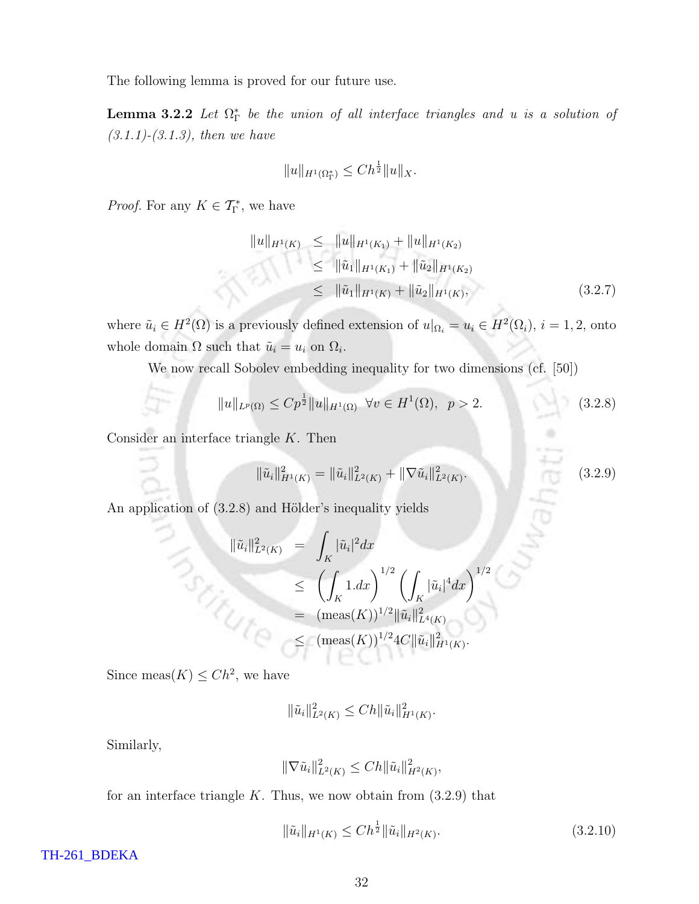The following lemma is proved for our future use.

**Lemma 3.2.2** Let  $\Omega_{\Gamma}^{*}$  be the union of all interface triangles and u is a solution of  $(3.1.1)$ - $(3.1.3)$ , then we have

$$
||u||_{H^1(\Omega^*_\Gamma)} \le Ch^{\frac{1}{2}} ||u||_X.
$$

*Proof.* For any  $K \in \mathcal{T}_{\Gamma}^{*}$ , we have

$$
||u||_{H^1(K)} \leq ||u||_{H^1(K_1)} + ||u||_{H^1(K_2)}
$$
  
\n
$$
\leq ||\tilde{u}_1||_{H^1(K_1)} + ||\tilde{u}_2||_{H^1(K_2)}
$$
  
\n
$$
\leq ||\tilde{u}_1||_{H^1(K)} + ||\tilde{u}_2||_{H^1(K)},
$$
\n(3.2.7)

where  $\tilde{u}_i \in H^2(\Omega)$  is a previously defined extension of  $u|_{\Omega_i} = u_i \in H^2(\Omega_i)$ ,  $i = 1, 2$ , onto whole domain  $\Omega$  such that  $\tilde{u}_i = u_i$  on  $\Omega_i$ .

We now recall Sobolev embedding inequality for two dimensions (cf. [50])

$$
||u||_{L^{p}(\Omega)} \leq C p^{\frac{1}{2}} ||u||_{H^{1}(\Omega)} \quad \forall v \in H^{1}(\Omega), \quad p > 2.
$$
\n(3.2.8)

Consider an interface triangle  $K$ . Then

$$
\|\tilde{u}_i\|_{H^1(K)}^2 = \|\tilde{u}_i\|_{L^2(K)}^2 + \|\nabla \tilde{u}_i\|_{L^2(K)}^2.
$$
\n(3.2.9)

An application of  $(3.2.8)$  and Hölder's inequality yields

$$
\|\tilde{u}_{i}\|_{L^{2}(K)}^{2} = \int_{K} |\tilde{u}_{i}|^{2} dx
$$
  
\n
$$
\leq \left(\int_{K} 1. dx\right)^{1/2} \left(\int_{K} |\tilde{u}_{i}|^{4} dx\right)^{1/2}
$$
  
\n
$$
= (\text{meas}(K))^{1/2} \|\tilde{u}_{i}\|_{L^{4}(K)}^{2}
$$
  
\n
$$
\leq (\text{meas}(K))^{1/2} 4C \|\tilde{u}_{i}\|_{H^{1}(K)}^{2}.
$$

Since meas $(K) \leq Ch^2$ , we have

$$
\|\tilde{u}_i\|_{L^2(K)}^2 \le Ch \|\tilde{u}_i\|_{H^1(K)}^2.
$$

Similarly,

$$
\|\nabla \tilde{u}_i\|_{L^2(K)}^2 \le Ch \|\tilde{u}_i\|_{H^2(K)}^2,
$$

for an interface triangle  $K$ . Thus, we now obtain from  $(3.2.9)$  that

$$
\|\tilde{u}_i\|_{H^1(K)} \le Ch^{\frac{1}{2}} \|\tilde{u}_i\|_{H^2(K)}.
$$
\n(3.2.10)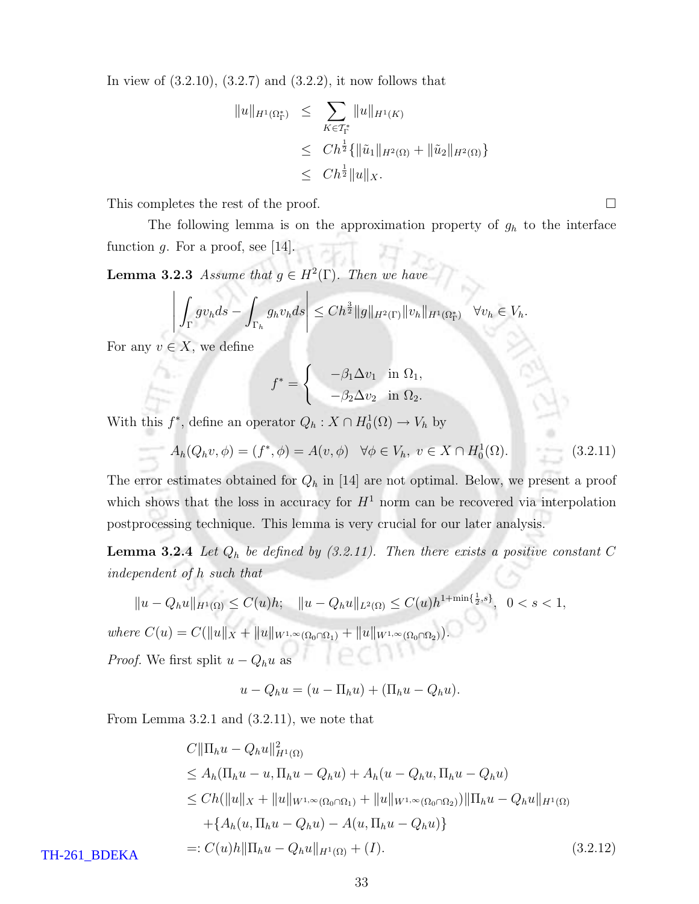In view of  $(3.2.10), (3.2.7)$  and  $(3.2.2),$  it now follows that

$$
\|u\|_{H^1(\Omega^*_\Gamma)} \leq \sum_{K \in \mathcal{T}^*_\Gamma} \|u\|_{H^1(K)}
$$
  

$$
\leq C h^{\frac{1}{2}} \{ \|\tilde{u}_1\|_{H^2(\Omega)} + \|\tilde{u}_2\|_{H^2(\Omega)} \}
$$
  

$$
\leq C h^{\frac{1}{2}} \|u\|_X.
$$

This completes the rest of the proof.  $\Box$ 

The following lemma is on the approximation property of  $g_h$  to the interface function g. For a proof, see  $[14]$ .

**Lemma 3.2.3** Assume that  $g \in H^2(\Gamma)$ . Then we have

$$
\left| \int_{\Gamma} g v_h ds - \int_{\Gamma_h} g_h v_h ds \right| \leq C h^{\frac{3}{2}} \|g\|_{H^2(\Gamma)} \|v_h\|_{H^1(\Omega^*_\Gamma)} \quad \forall v_h \in V_h.
$$

For any  $v \in X$ , we define

$$
f^* = \begin{cases} -\beta_1 \Delta v_1 & \text{in } \Omega_1, \\ -\beta_2 \Delta v_2 & \text{in } \Omega_2. \end{cases}
$$

With this  $f^*$ , define an operator  $Q_h: X \cap H_0^1(\Omega) \to V_h$  by

$$
A_h(Q_h v, \phi) = (f^*, \phi) = A(v, \phi) \quad \forall \phi \in V_h, \ v \in X \cap H_0^1(\Omega).
$$
 (3.2.11)

The error estimates obtained for  $Q_h$  in [14] are not optimal. Below, we present a proof which shows that the loss in accuracy for  $H<sup>1</sup>$  norm can be recovered via interpolation postprocessing technique. This lemma is very crucial for our later analysis.

**Lemma 3.2.4** Let  $Q_h$  be defined by (3.2.11). Then there exists a positive constant C independent of h such that

$$
||u - Q_h u||_{H^1(\Omega)} \le C(u)h; \quad ||u - Q_h u||_{L^2(\Omega)} \le C(u)h^{1 + \min\{\frac{1}{2}, s\}}, \quad 0 < s < 1,
$$

where  $C(u) = C(||u||_X + ||u||_{W^{1,\infty}(\Omega_0 \cap \Omega_1)} + ||u||_{W^{1,\infty}(\Omega_0 \cap \Omega_2)}).$ *Proof.* We first split  $u - Q_h u$  as

$$
u - Q_h u = (u - \Pi_h u) + (\Pi_h u - Q_h u).
$$

From Lemma 3.2.1 and (3.2.11), we note that

$$
C||\Pi_h u - Q_h u||_{H^1(\Omega)}^2
$$
  
\n
$$
\leq A_h(\Pi_h u - u, \Pi_h u - Q_h u) + A_h(u - Q_h u, \Pi_h u - Q_h u)
$$
  
\n
$$
\leq Ch(||u||_X + ||u||_{W^{1,\infty}(\Omega_0 \cap \Omega_1)} + ||u||_{W^{1,\infty}(\Omega_0 \cap \Omega_2)}) ||\Pi_h u - Q_h u||_{H^1(\Omega)}
$$
  
\n
$$
+ \{A_h(u, \Pi_h u - Q_h u) - A(u, \Pi_h u - Q_h u)\}
$$
  
\n
$$
=: C(u)h||\Pi_h u - Q_h u||_{H^1(\Omega)} + (I).
$$
\n(3.2.12)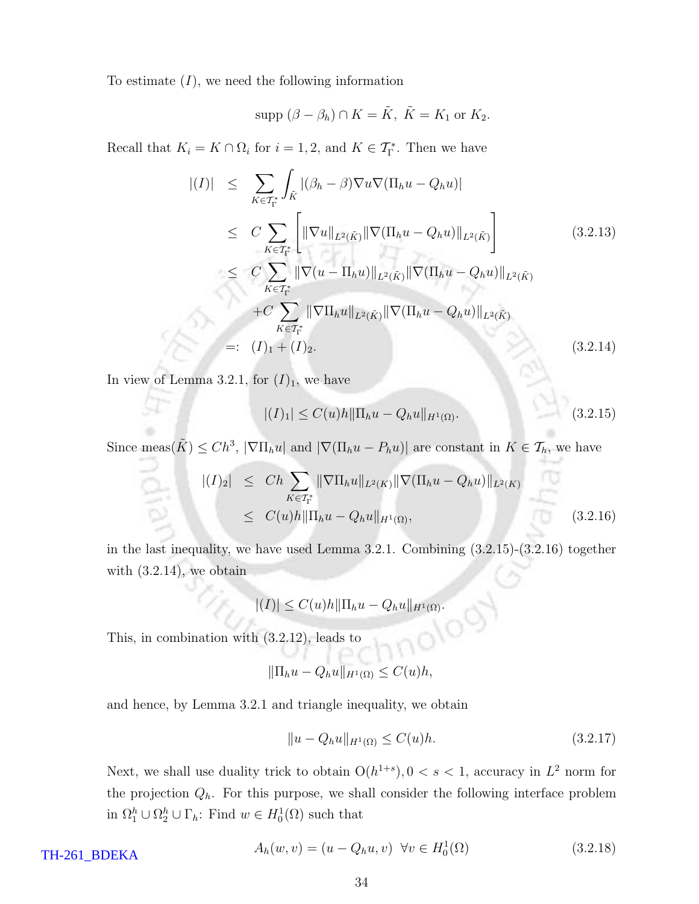To estimate  $(I)$ , we need the following information

$$
supp (\beta - \beta_h) \cap K = \tilde{K}, \ \tilde{K} = K_1 \text{ or } K_2.
$$

Recall that  $K_i = K \cap \Omega_i$  for  $i = 1, 2$ , and  $K \in \mathcal{T}_{\Gamma}^*$ . Then we have

$$
|(I)| \leq \sum_{K \in \mathcal{T}_{\Gamma}^{*}} \int_{\tilde{K}} |(\beta_{h} - \beta) \nabla u \nabla (\Pi_{h} u - Q_{h} u)|
$$
  
\n
$$
\leq C \sum_{K \in \mathcal{T}_{\Gamma}^{*}} \left[ \|\nabla u\|_{L^{2}(\tilde{K})} \|\nabla (\Pi_{h} u - Q_{h} u)\|_{L^{2}(\tilde{K})} \right]
$$
(3.2.13)  
\n
$$
\leq C \sum_{K \in \mathcal{T}_{\Gamma}^{*}} \|\nabla (u - \Pi_{h} u)\|_{L^{2}(\tilde{K})} \|\nabla (\Pi_{h} u - Q_{h} u)\|_{L^{2}(\tilde{K})}
$$
  
\n
$$
+ C \sum_{K \in \mathcal{T}_{\Gamma}^{*}} \|\nabla \Pi_{h} u\|_{L^{2}(\tilde{K})} \|\nabla (\Pi_{h} u - Q_{h} u)\|_{L^{2}(\tilde{K})}
$$
  
\n
$$
=: (I)_{1} + (I)_{2}.
$$
(3.2.14)

In view of Lemma 3.2.1, for  $(I)_1$ , we have

$$
|(I)_{1}| \leq C(u)h \|\Pi_{h}u - Q_{h}u\|_{H^{1}(\Omega)}.
$$
\n(3.2.15)

Since meas $(\tilde{K}) \leq Ch^3$ ,  $|\nabla\Pi_h u|$  and  $|\nabla(\Pi_h u - P_h u)|$  are constant in  $K \in \mathcal{T}_h$ , we have

$$
|(I)_2| \le Ch \sum_{K \in \mathcal{T}_{\Gamma}^*} \|\nabla \Pi_h u\|_{L^2(K)} \|\nabla (\Pi_h u - Q_h u)\|_{L^2(K)}
$$
  
 
$$
\le C(u)h \|\Pi_h u - Q_h u\|_{H^1(\Omega)}, \tag{3.2.16}
$$

in the last inequality, we have used Lemma 3.2.1. Combining (3.2.15)-(3.2.16) together with (3.2.14), we obtain

$$
|(I)| \leq C(u)h \|\Pi_h u - Q_h u\|_{H^1(\Omega)}.
$$

This, in combination with (3.2.12), leads to

$$
\|\Pi_h u - Q_h u\|_{H^1(\Omega)} \le C(u)h,
$$

and hence, by Lemma 3.2.1 and triangle inequality, we obtain

$$
||u - Q_h u||_{H^1(\Omega)} \le C(u)h. \tag{3.2.17}
$$

Next, we shall use duality trick to obtain  $O(h^{1+s})$ ,  $0 < s < 1$ , accuracy in  $L^2$  norm for the projection  $Q_h$ . For this purpose, we shall consider the following interface problem in  $\Omega_1^h \cup \Omega_2^h \cup \Gamma_h$ : Find  $w \in H_0^1(\Omega)$  such that

$$
A_h(w, v) = (u - Q_h u, v) \quad \forall v \in H_0^1(\Omega)
$$
\n(3.2.18)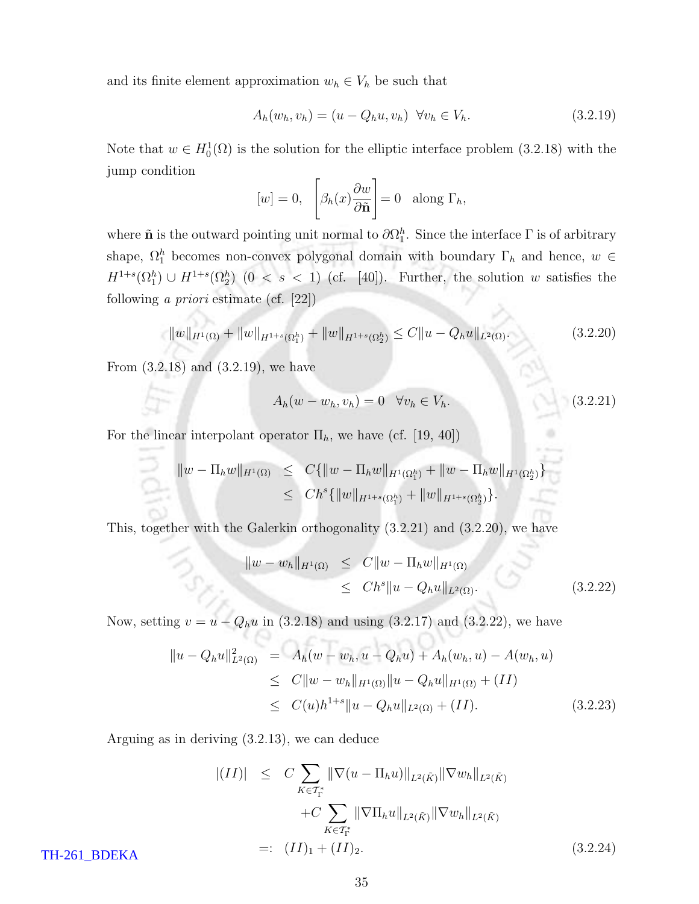and its finite element approximation  $w_h \in V_h$  be such that

$$
A_h(w_h, v_h) = (u - Q_h u, v_h) \quad \forall v_h \in V_h.
$$
\n(3.2.19)

Note that  $w \in H_0^1(\Omega)$  is the solution for the elliptic interface problem (3.2.18) with the jump condition

$$
[w] = 0, \quad \left[\beta_h(x)\frac{\partial w}{\partial \tilde{\mathbf{n}}}\right] = 0 \quad \text{along } \Gamma_h,
$$

where  $\tilde{\mathbf{n}}$  is the outward pointing unit normal to  $\partial \Omega_1^h$ . Since the interface  $\Gamma$  is of arbitrary shape,  $\Omega_1^h$  becomes non-convex polygonal domain with boundary  $\Gamma_h$  and hence,  $w \in$  $H^{1+s}(\Omega_1^h) \cup H^{1+s}(\Omega_2^h)$   $(0 \lt s \lt 1)$  (cf. [40]). Further, the solution w satisfies the following a priori estimate (cf. [22])

$$
||w||_{H^{1}(\Omega)} + ||w||_{H^{1+s}(\Omega_1^h)} + ||w||_{H^{1+s}(\Omega_2^h)} \leq C||u - Q_hu||_{L^2(\Omega)}.
$$
\n(3.2.20)

From (3.2.18) and (3.2.19), we have

$$
A_h(w - w_h, v_h) = 0 \quad \forall v_h \in V_h. \tag{3.2.21}
$$

For the linear interpolant operator  $\Pi_h$ , we have (cf. [19, 40])

$$
\|w - \Pi_h w\|_{H^1(\Omega)} \leq C\{\|w - \Pi_h w\|_{H^1(\Omega_1^h)} + \|w - \Pi_h w\|_{H^1(\Omega_2^h)}\}
$$
  

$$
\leq C h^s \{\|w\|_{H^{1+s}(\Omega_1^h)} + \|w\|_{H^{1+s}(\Omega_2^h)}\}.
$$

This, together with the Galerkin orthogonality (3.2.21) and (3.2.20), we have

$$
||w - w_h||_{H^1(\Omega)} \leq C||w - \Pi_h w||_{H^1(\Omega)}
$$
  
 
$$
\leq C h^s ||u - Q_h u||_{L^2(\Omega)}.
$$
 (3.2.22)

Now, setting  $v = u - Q_h u$  in (3.2.18) and using (3.2.17) and (3.2.22), we have

$$
\|u - Q_h u\|_{L^2(\Omega)}^2 = A_h(w - w_h, u - Q_h u) + A_h(w_h, u) - A(w_h, u)
$$
  
\n
$$
\leq C \|w - w_h\|_{H^1(\Omega)} \|u - Q_h u\|_{H^1(\Omega)} + (II)
$$
  
\n
$$
\leq C(u)h^{1+s} \|u - Q_h u\|_{L^2(\Omega)} + (II). \qquad (3.2.23)
$$

Arguing as in deriving (3.2.13), we can deduce

$$
|(II)| \leq C \sum_{K \in \mathcal{T}_{\Gamma}^{*}} \|\nabla(u - \Pi_{h}u)\|_{L^{2}(\tilde{K})} \|\nabla w_{h}\|_{L^{2}(\tilde{K})} + C \sum_{K \in \mathcal{T}_{\Gamma}^{*}} \|\nabla \Pi_{h}u\|_{L^{2}(\tilde{K})} \|\nabla w_{h}\|_{L^{2}(\tilde{K})} =: (II)_{1} + (II)_{2}.
$$
 (3.2.24)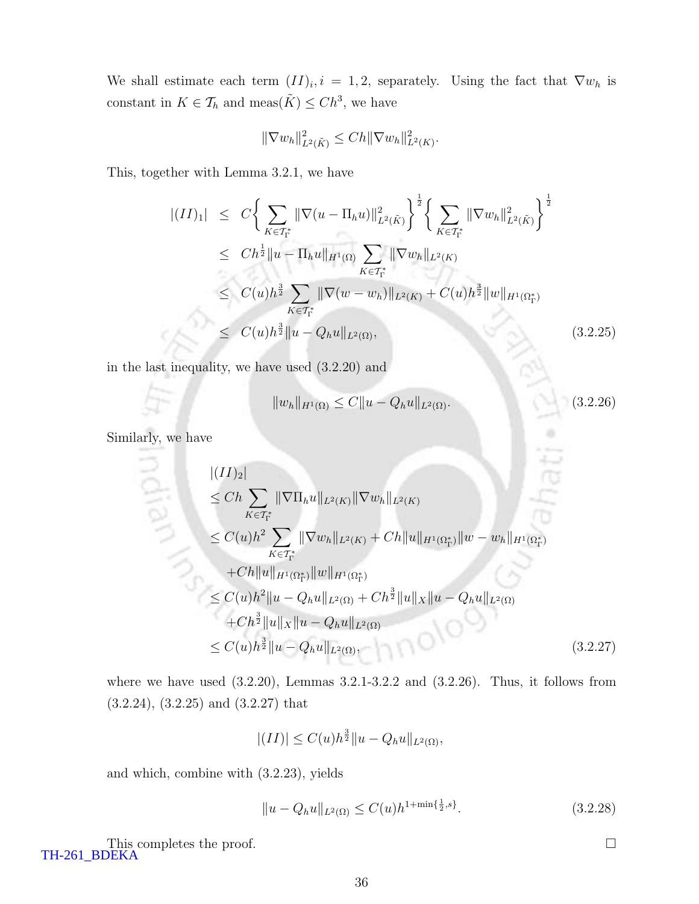We shall estimate each term  $(II)_i, i = 1, 2$ , separately. Using the fact that  $\nabla w_h$  is constant in  $K \in \mathcal{T}_h$  and meas $(\tilde{K}) \leq C h^3$ , we have

$$
\|\nabla w_h\|_{L^2(\tilde{K})}^2 \le Ch \|\nabla w_h\|_{L^2(K)}^2.
$$

This, together with Lemma 3.2.1, we have

$$
\begin{split}\n\left| (II)_1 \right| &\leq C \bigg\{ \sum_{K \in \mathcal{T}_{\Gamma}^*} \|\nabla(u - \Pi_h u)\|_{L^2(\tilde{K})}^2 \bigg\}^{\frac{1}{2}} \bigg\{ \sum_{K \in \mathcal{T}_{\Gamma}^*} \|\nabla w_h\|_{L^2(\tilde{K})}^2 \bigg\}^{\frac{1}{2}} \\
&\leq Ch^{\frac{1}{2}} \|u - \Pi_h u\|_{H^1(\Omega)} \sum_{K \in \mathcal{T}_{\Gamma}^*} \|\nabla w_h\|_{L^2(K)} \\
&\leq C(u) h^{\frac{3}{2}} \sum_{K \in \mathcal{T}_{\Gamma}^*} \|\nabla(w - w_h)\|_{L^2(K)} + C(u) h^{\frac{3}{2}} \|w\|_{H^1(\Omega_{\Gamma}^*)} \\
&\leq C(u) h^{\frac{3}{2}} \|u - Q_h u\|_{L^2(\Omega)},\n\end{split} \tag{3.2.25}
$$

in the last inequality, we have used (3.2.20) and

$$
||w_h||_{H^1(\Omega)} \le C||u - Q_h u||_{L^2(\Omega)}.
$$
\n(3.2.26)

Similarly, we have

$$
\begin{split}\n& |(II)_2| \\
&\le Ch \sum_{K \in \mathcal{T}_{\Gamma}^*} \|\nabla \Pi_h u\|_{L^2(K)} \|\nabla w_h\|_{L^2(K)} \\
&\le C(u) h^2 \sum_{K \in \mathcal{T}_{\Gamma}^*} \|\nabla w_h\|_{L^2(K)} + Ch \|u\|_{H^1(\Omega_{\Gamma}^*)} \|w - w_h\|_{H^1(\Omega_{\Gamma}^*)} \\
&\quad + Ch \|u\|_{H^1(\Omega_{\Gamma}^*)} \|w\|_{H^1(\Omega_{\Gamma}^*)} \\
&\le C(u) h^2 \|u - Q_h u\|_{L^2(\Omega)} + Ch^{\frac{3}{2}} \|u\|_{X} \|u - Q_h u\|_{L^2(\Omega)} \\
&\quad + Ch^{\frac{3}{2}} \|u\|_{X} \|u - Q_h u\|_{L^2(\Omega)} \\
&\le C(u) h^{\frac{3}{2}} \|u - Q_h u\|_{L^2(\Omega)},\n\end{split} \tag{3.2.27}
$$

where we have used  $(3.2.20)$ , Lemmas  $3.2.1$ -3.2.2 and  $(3.2.26)$ . Thus, it follows from (3.2.24), (3.2.25) and (3.2.27) that

$$
|(II)| \leq C(u)h^{\frac{3}{2}}||u - Q_hu||_{L^2(\Omega)},
$$

and which, combine with (3.2.23), yields

$$
||u - Q_h u||_{L^2(\Omega)} \le C(u)h^{1 + \min\{\frac{1}{2}, s\}}.\t(3.2.28)
$$

This completes the proof.  $\Box$ TH-261\_BDEKA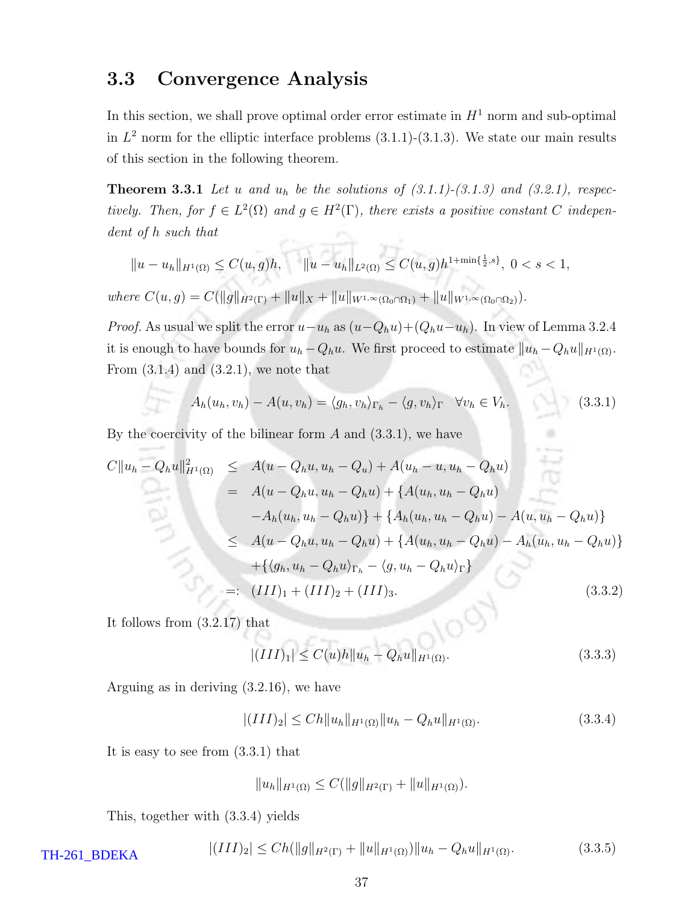### 3.3 Convergence Analysis

In this section, we shall prove optimal order error estimate in  $H<sup>1</sup>$  norm and sub-optimal in  $L^2$  norm for the elliptic interface problems  $(3.1.1)-(3.1.3)$ . We state our main results of this section in the following theorem.

**Theorem 3.3.1** Let u and  $u_h$  be the solutions of  $(3.1.1)-(3.1.3)$  and  $(3.2.1)$ , respectively. Then, for  $f \in L^2(\Omega)$  and  $g \in H^2(\Gamma)$ , there exists a positive constant C independent of h such that 

$$
||u - u_h||_{H^1(\Omega)} \le C(u, g)h, \quad ||u - u_h||_{L^2(\Omega)} \le C(u, g)h^{1 + \min\{\frac{1}{2}, s\}}, \ 0 < s < 1,
$$

where  $C(u,g) = C(||g||_{H^2(\Gamma)} + ||u||_X + ||u||_{W^{1,\infty}(\Omega_0 \cap \Omega_1)} + ||u||_{W^{1,\infty}(\Omega_0 \cap \Omega_2)}).$ 

*Proof.* As usual we split the error  $u-u_h$  as  $(u-Q_hu)+(Q_hu-u_h)$ . In view of Lemma 3.2.4 it is enough to have bounds for  $u_h - Q_hu$ . We first proceed to estimate  $||u_h - Q_hu||_{H^1(\Omega)}$ . From  $(3.1.4)$  and  $(3.2.1)$ , we note that

$$
A_h(u_h, v_h) - A(u, v_h) = \langle g_h, v_h \rangle_{\Gamma_h} - \langle g, v_h \rangle_{\Gamma} \quad \forall v_h \in V_h.
$$
\n(3.3.1)

By the coercivity of the bilinear form  $A$  and  $(3.3.1)$ , we have

$$
C||u_h - Q_hu||_{H^1(\Omega)}^2 \leq A(u - Q_hu, u_h - Q_u) + A(u_h - u, u_h - Q_hu)
$$
  
=  $A(u - Q_hu, u_h - Q_hu) + \{A(u_h, u_h - Q_hu) - A(u, u_h - Q_hu) - A_h(u_h, u_h - Q_hu)\}$   
 $-A_h(u_h, u_h - Q_hu) + \{A_h(u_h, u_h - Q_hu) - A_h(u_h, u_h - Q_hu)\}$   
 $\leq A(u - Q_hu, u_h - Q_hu) + \{A(u_h, u_h - Q_hu) - A_h(u_h, u_h - Q_hu)\}$   
 $+ \{\langle g_h, u_h - Q_hu \rangle_{\Gamma_h} - \langle g, u_h - Q_hu \rangle_{\Gamma}\}$   
=:  $(III)_1 + (III)_2 + (III)_3.$  (3.3.2)

It follows from  $(3.2.17)$  that

$$
|(III)_1| \le C(u)h||u_h - Q_h u||_{H^1(\Omega)}.
$$
\n(3.3.3)

 $\sim 10^{9}$ 

Arguing as in deriving (3.2.16), we have

$$
|(III)_2| \leq Ch \|u_h\|_{H^1(\Omega)} \|u_h - Q_h u\|_{H^1(\Omega)}.
$$
\n(3.3.4)

It is easy to see from (3.3.1) that

$$
||u_h||_{H^1(\Omega)} \leq C(||g||_{H^2(\Gamma)} + ||u||_{H^1(\Omega)}).
$$

This, together with (3.3.4) yields

$$
|(III)_2| \le Ch(||g||_{H^2(\Gamma)} + ||u||_{H^1(\Omega)})||u_h - Q_h u||_{H^1(\Omega)}.
$$
\n(3.3.5)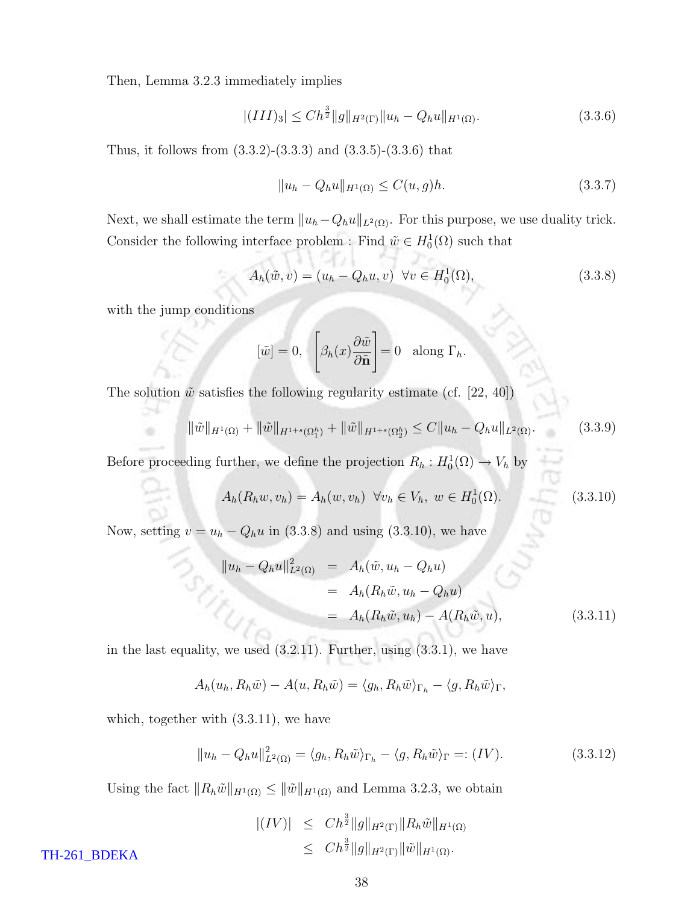Then, Lemma 3.2.3 immediately implies

$$
|(III)_3| \leq Ch^{\frac{3}{2}} \|g\|_{H^2(\Gamma)} \|u_h - Q_h u\|_{H^1(\Omega)}.
$$
\n(3.3.6)

Thus, it follows from  $(3.3.2)$ - $(3.3.3)$  and  $(3.3.5)$ - $(3.3.6)$  that

$$
||u_h - Q_h u||_{H^1(\Omega)} \le C(u, g)h. \tag{3.3.7}
$$

Next, we shall estimate the term  $||u_h-Q_hu||_{L^2(\Omega)}$ . For this purpose, we use duality trick. Consider the following interface problem : Find  $\tilde{w} \in H_0^1(\Omega)$  such that

$$
A_h(\tilde{w}, v) = (u_h - Q_h u, v) \ \forall v \in H_0^1(\Omega), \tag{3.3.8}
$$

with the jump conditions

÷

$$
[\tilde{w}] = 0, \quad \left[\beta_h(x) \frac{\partial \tilde{w}}{\partial \tilde{\mathbf{n}}}\right] = 0 \quad \text{along } \Gamma_h.
$$

The solution  $\tilde{w}$  satisfies the following regularity estimate (cf. [22, 40])

$$
\|\tilde{w}\|_{H^1(\Omega)} + \|\tilde{w}\|_{H^{1+s}(\Omega_1^h)} + \|\tilde{w}\|_{H^{1+s}(\Omega_2^h)} \le C \|u_h - Q_h u\|_{L^2(\Omega)}.
$$
\n(3.3.9)

Before proceeding further, we define the projection  $R_h: H_0^1(\Omega) \to V_h$  by

$$
A_h(R_h w, v_h) = A_h(w, v_h) \quad \forall v_h \in V_h, \ w \in H_0^1(\Omega). \tag{3.3.10}
$$

Now, setting  $v = u_h - Q_h u$  in (3.3.8) and using (3.3.10), we have

$$
\|u_h - Q_h u\|_{L^2(\Omega)}^2 = A_h(\tilde{w}, u_h - Q_h u) \n= A_h(R_h \tilde{w}, u_h - Q_h u) \n= A_h(R_h \tilde{w}, u_h) - A(R_h \tilde{w}, u),
$$
\n(3.3.11)

in the last equality, we used  $(3.2.11)$ . Further, using  $(3.3.1)$ , we have

$$
A_h(u_h, R_h\tilde{w}) - A(u, R_h\tilde{w}) = \langle g_h, R_h\tilde{w} \rangle_{\Gamma_h} - \langle g, R_h\tilde{w} \rangle_{\Gamma},
$$

which, together with (3.3.11), we have

$$
||u_h - Q_h u||_{L^2(\Omega)}^2 = \langle g_h, R_h \tilde{w} \rangle_{\Gamma_h} - \langle g, R_h \tilde{w} \rangle_{\Gamma} =: (IV).
$$
 (3.3.12)

Using the fact  $||R_h\tilde{w}||_{H^1(\Omega)} \le ||\tilde{w}||_{H^1(\Omega)}$  and Lemma 3.2.3, we obtain

$$
\begin{array}{rcl} |(IV)| & \leq & Ch^{\frac{3}{2}} \|g\|_{H^2(\Gamma)} \|R_h \tilde{w}\|_{H^1(\Omega)} \\ & \leq & Ch^{\frac{3}{2}} \|g\|_{H^2(\Gamma)} \|\tilde{w}\|_{H^1(\Omega)} .\end{array}
$$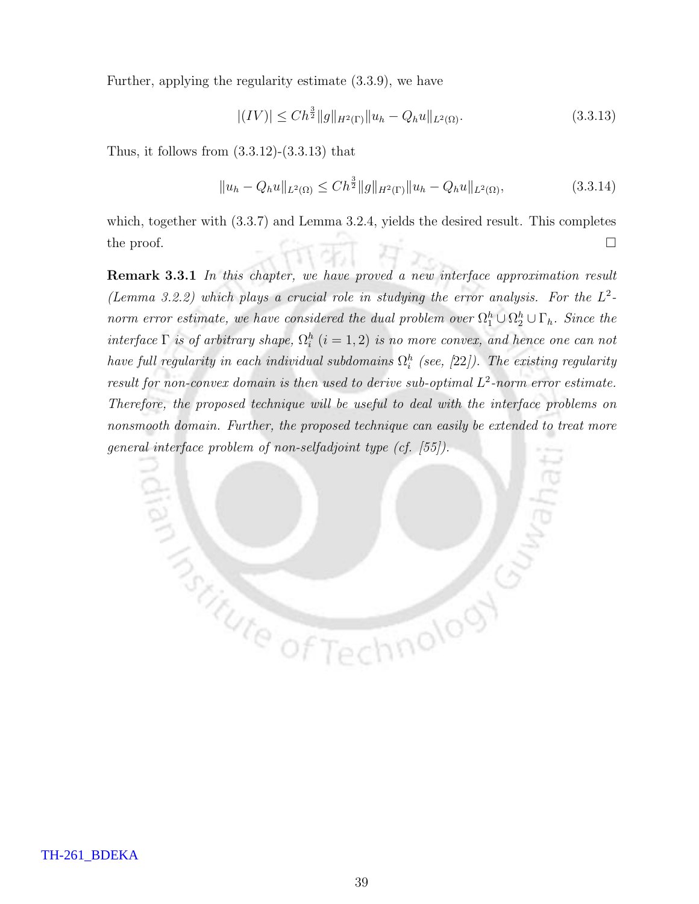Further, applying the regularity estimate (3.3.9), we have

$$
|(IV)| \leq Ch^{\frac{3}{2}}||g||_{H^{2}(\Gamma)}||u_{h} - Q_{h}u||_{L^{2}(\Omega)}.
$$
\n(3.3.13)

Thus, it follows from  $(3.3.12)-(3.3.13)$  that

**MANUTE OFT** 

$$
||u_h - Q_h u||_{L^2(\Omega)} \le Ch^{\frac{3}{2}} ||g||_{H^2(\Gamma)} ||u_h - Q_h u||_{L^2(\Omega)},
$$
\n(3.3.14)

hnolooy

which, together with  $(3.3.7)$  and Lemma 3.2.4, yields the desired result. This completes the proof.  $\Box$ 

Remark 3.3.1 In this chapter, we have proved a new interface approximation result (Lemma 3.2.2) which plays a crucial role in studying the error analysis. For the  $L^2$ norm error estimate, we have considered the dual problem over  $\Omega_1^h \cup \Omega_2^h \cup \Gamma_h$ . Since the interface  $\Gamma$  is of arbitrary shape,  $\Omega_i^h$   $(i = 1, 2)$  is no more convex, and hence one can not have full regularity in each individual subdomains  $\Omega^h_i$  (see, [22]). The existing regularity result for non-convex domain is then used to derive sub-optimal  $L^2$ -norm error estimate. Therefore, the proposed technique will be useful to deal with the interface problems on nonsmooth domain. Further, the proposed technique can easily be extended to treat more general interface problem of non-selfadjoint type (cf. [55]).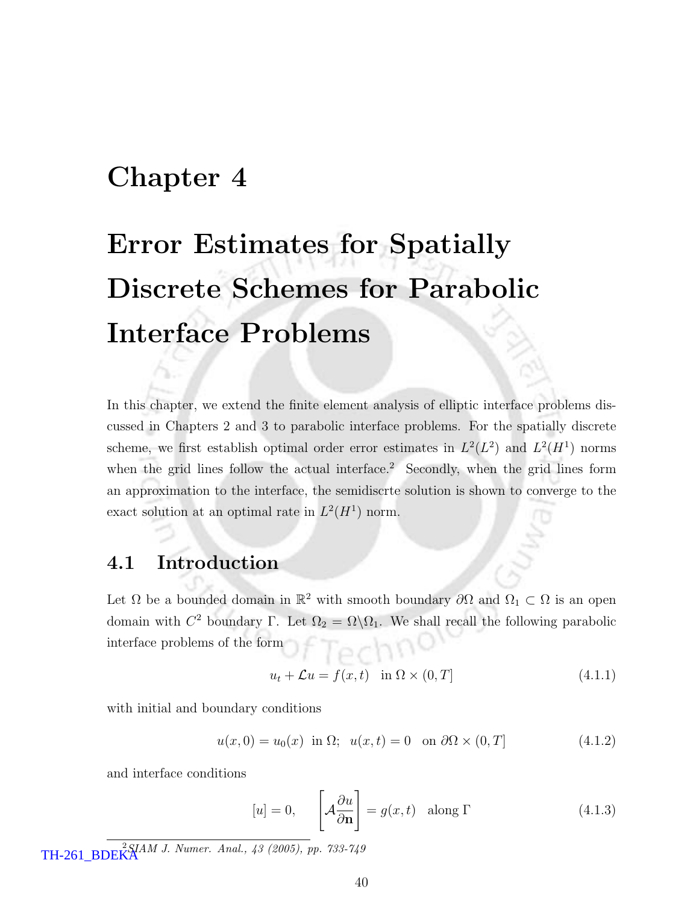# Chapter 4

# Error Estimates for Spatially Discrete Schemes for Parabolic Interface Problems

In this chapter, we extend the finite element analysis of elliptic interface problems discussed in Chapters 2 and 3 to parabolic interface problems. For the spatially discrete scheme, we first establish optimal order error estimates in  $L^2(L^2)$  and  $L^2(H^1)$  norms when the grid lines follow the actual interface.<sup>2</sup> Secondly, when the grid lines form an approximation to the interface, the semidiscrte solution is shown to converge to the exact solution at an optimal rate in  $L^2(H^1)$  norm.

### 4.1 Introduction

Let  $\Omega$  be a bounded domain in  $\mathbb{R}^2$  with smooth boundary  $\partial\Omega$  and  $\Omega_1 \subset \Omega$  is an open domain with  $C^2$  boundary Γ. Let  $\Omega_2 = \Omega \backslash \Omega_1$ . We shall recall the following parabolic interface problems of the form

$$
u_t + \mathcal{L}u = f(x, t) \quad \text{in } \Omega \times (0, T] \tag{4.1.1}
$$

with initial and boundary conditions

$$
u(x,0) = u_0(x) \text{ in } \Omega; \quad u(x,t) = 0 \quad \text{on } \partial\Omega \times (0,T] \tag{4.1.2}
$$

and interface conditions

$$
[u] = 0, \qquad \left[ \mathcal{A} \frac{\partial u}{\partial \mathbf{n}} \right] = g(x, t) \quad \text{along } \Gamma \tag{4.1.3}
$$

 $TH-261\_BDEK^{2SIAM \, J. \; Numer. \; Anal., \; 43 \; (2005), \; pp. \; 733-749$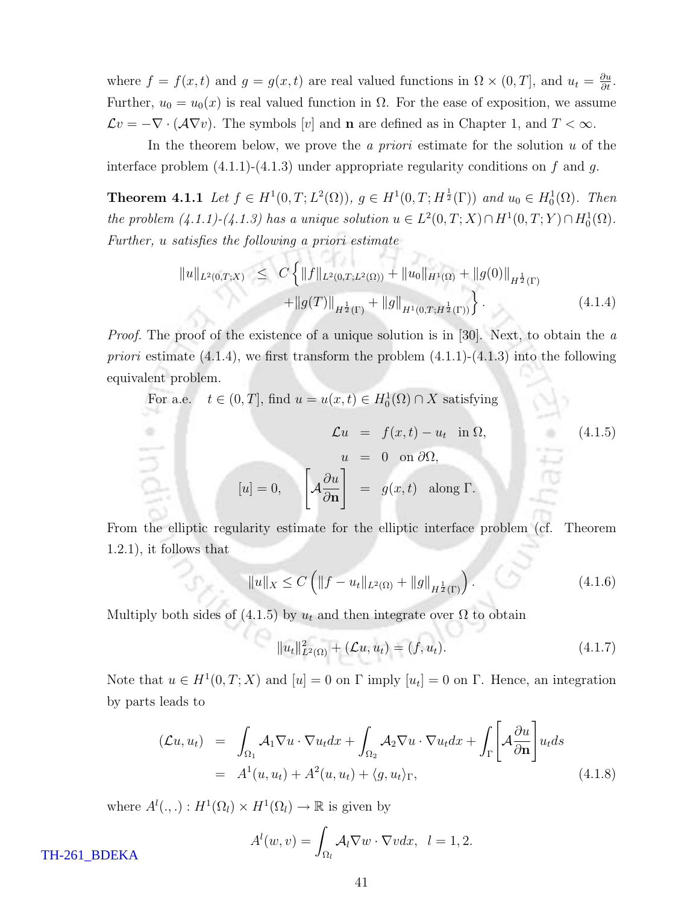where  $f = f(x, t)$  and  $g = g(x, t)$  are real valued functions in  $\Omega \times (0, T]$ , and  $u_t = \frac{\partial u}{\partial t}$ . Further,  $u_0 = u_0(x)$  is real valued function in  $\Omega$ . For the ease of exposition, we assume  $\mathcal{L}v = -\nabla \cdot (\mathcal{A}\nabla v)$ . The symbols [v] and **n** are defined as in Chapter 1, and  $T < \infty$ .

In the theorem below, we prove the *a priori* estimate for the solution  $u$  of the interface problem  $(4.1.1)-(4.1.3)$  under appropriate regularity conditions on f and g.

**Theorem 4.1.1** Let  $f \in H^1(0,T; L^2(\Omega))$ ,  $g \in H^1(0,T; H^{\frac{1}{2}}(\Gamma))$  and  $u_0 \in H_0^1(\Omega)$ . Then the problem  $(4.1.1)-(4.1.3)$  has a unique solution  $u \in L^2(0,T;X) \cap H^1(0,T;Y) \cap H_0^1(\Omega)$ . Further, u satisfies the following a priori estimate

$$
||u||_{L^{2}(0,T;X)} \leq C \left\{ ||f||_{L^{2}(0,T;L^{2}(\Omega))} + ||u_{0}||_{H^{1}(\Omega)} + ||g(0)||_{H^{\frac{1}{2}}(\Gamma)} + ||g(T)||_{H^{\frac{1}{2}}(\Gamma)} + ||g||_{H^{1}(0,T;H^{\frac{1}{2}}(\Gamma))} \right\}.
$$
\n(4.1.4)

Proof. The proof of the existence of a unique solution is in [30]. Next, to obtain the a *priori* estimate  $(4.1.4)$ , we first transform the problem  $(4.1.1)-(4.1.3)$  into the following equivalent problem.

For a.e. 
$$
t \in (0, T]
$$
, find  $u = u(x, t) \in H_0^1(\Omega) \cap X$  satisfying  
\n
$$
\mathcal{L}u = f(x, t) - u_t \text{ in } \Omega,
$$
\n
$$
u = 0 \text{ on } \partial\Omega,
$$
\n
$$
[u] = 0, \quad \left[\mathcal{A}\frac{\partial u}{\partial \mathbf{n}}\right] = g(x, t) \text{ along } \Gamma.
$$
\n(4.1.5)

From the elliptic regularity estimate for the elliptic interface problem (cf. Theorem 1.2.1), it follows that

$$
||u||_X \le C \left( ||f - u_t||_{L^2(\Omega)} + ||g||_{H^{\frac{1}{2}}(\Gamma)} \right). \tag{4.1.6}
$$

Multiply both sides of (4.1.5) by  $u_t$  and then integrate over  $\Omega$  to obtain

$$
||u_t||_{L^2(\Omega)}^2 + (\mathcal{L}u, u_t) = (f, u_t).
$$
 (4.1.7)

Note that  $u \in H^1(0,T;X)$  and  $[u] = 0$  on  $\Gamma$  imply  $[u_t] = 0$  on  $\Gamma$ . Hence, an integration by parts leads to

$$
(\mathcal{L}u, u_t) = \int_{\Omega_1} \mathcal{A}_1 \nabla u \cdot \nabla u_t dx + \int_{\Omega_2} \mathcal{A}_2 \nabla u \cdot \nabla u_t dx + \int_{\Gamma} \left[ \mathcal{A} \frac{\partial u}{\partial \mathbf{n}} \right] u_t ds
$$
  
=  $A^1(u, u_t) + A^2(u, u_t) + \langle g, u_t \rangle_{\Gamma},$  (4.1.8)

where  $A^l(.,.): H^1(\Omega_l) \times H^1(\Omega_l) \to \mathbb{R}$  is given by

$$
A^{l}(w,v) = \int_{\Omega_{l}} A_{l} \nabla w \cdot \nabla v dx, \ \ l = 1, 2.
$$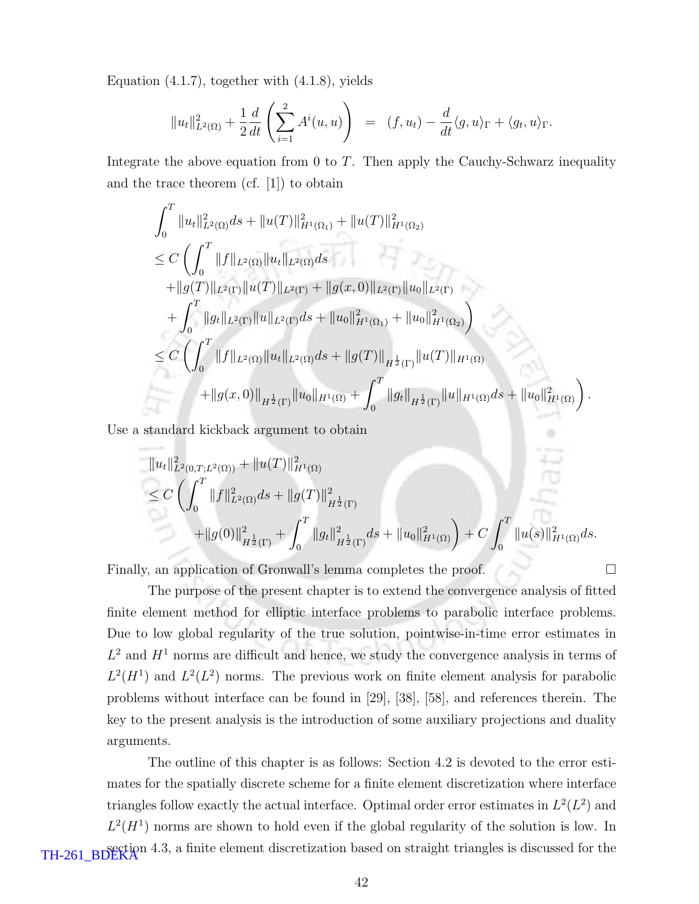Equation (4.1.7), together with (4.1.8), yields

$$
||u_t||_{L^2(\Omega)}^2 + \frac{1}{2}\frac{d}{dt}\left(\sum_{i=1}^2 A^i(u,u)\right) = (f, u_t) - \frac{d}{dt}\langle g, u\rangle_{\Gamma} + \langle g_t, u\rangle_{\Gamma}.
$$

Integrate the above equation from 0 to  $T$ . Then apply the Cauchy-Schwarz inequality and the trace theorem (cf. [1]) to obtain

$$
\int_{0}^{T} \|u_{t}\|_{L^{2}(\Omega)}^{2} ds + \|u(T)\|_{H^{1}(\Omega_{1})}^{2} + \|u(T)\|_{H^{1}(\Omega_{2})}^{2}
$$
\n
$$
\leq C \left( \int_{0}^{T} \|f\|_{L^{2}(\Omega)} \|u_{t}\|_{L^{2}(\Omega)} ds + \|g(T)\|_{L^{2}(\Gamma)} \|u(T)\|_{L^{2}(\Gamma)} + \|g(x,0)\|_{L^{2}(\Gamma)} \|u_{0}\|_{L^{2}(\Gamma)} + \int_{0}^{T} \|g_{t}\|_{L^{2}(\Gamma)} \|u\|_{L^{2}(\Gamma)} ds + \|u_{0}\|_{H^{1}(\Omega_{1})}^{2} + \|u_{0}\|_{H^{1}(\Omega_{2})}^{2} \right)
$$
\n
$$
\leq C \left( \int_{0}^{T} \|f\|_{L^{2}(\Omega)} \|u_{t}\|_{L^{2}(\Omega)} ds + \|g(T)\|_{H^{\frac{1}{2}}(\Gamma)} \|u(T)\|_{H^{1}(\Omega)} + \|g(x,0)\|_{H^{\frac{1}{2}}(\Gamma)} \|u_{0}\|_{H^{1}(\Omega)} ds + \|u_{0}\|_{H^{1}(\Omega)}^{2} \right).
$$

Use a standard kickback argument to obtain

$$
||u_t||_{L^2(0,T;L^2(\Omega))}^2 + ||u(T)||_{H^1(\Omega)}^2
$$
  
\n
$$
\leq C \left( \int_0^T ||f||_{L^2(\Omega)}^2 ds + ||g(T)||_{H^{\frac{1}{2}}(\Gamma)}^2 + ||g(0)||_{H^{\frac{1}{2}}(\Gamma)}^2 + \int_0^T ||g_t||_{H^{\frac{1}{2}}(\Gamma)}^2 ds + ||u_0||_{H^1(\Omega)}^2 \right) + C \int_0^T ||u(s)||_{H^1(\Omega)}^2 ds.
$$

Finally, an application of Gronwall's lemma completes the proof.  $\hfill \Box$ 

The purpose of the present chapter is to extend the convergence analysis of fitted finite element method for elliptic interface problems to parabolic interface problems. Due to low global regularity of the true solution, pointwise-in-time error estimates in  $L^2$  and  $H^1$  norms are difficult and hence, we study the convergence analysis in terms of  $L^2(H^1)$  and  $L^2(L^2)$  norms. The previous work on finite element analysis for parabolic problems without interface can be found in [29], [38], [58], and references therein. The key to the present analysis is the introduction of some auxiliary projections and duality arguments.

The outline of this chapter is as follows: Section 4.2 is devoted to the error estimates for the spatially discrete scheme for a finite element discretization where interface triangles follow exactly the actual interface. Optimal order error estimates in  $L^2(L^2)$  and  $L^2(H^1)$  norms are shown to hold even if the global regularity of the solution is low. In TH-261\_BDEKA<sup>n 4.3</sup>, a finite element discretization based on straight triangles is discussed for the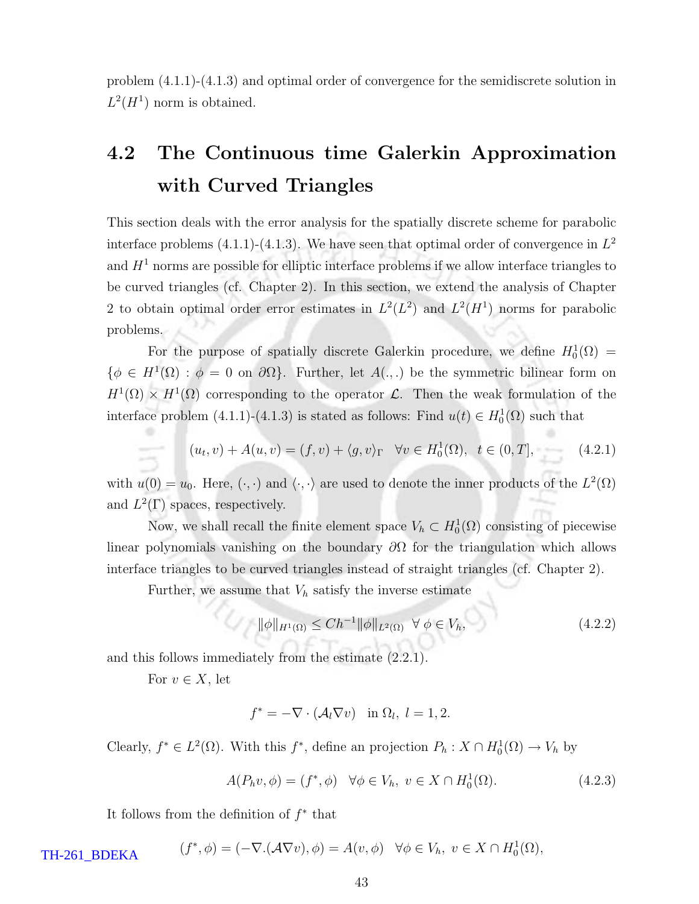problem (4.1.1)-(4.1.3) and optimal order of convergence for the semidiscrete solution in  $L^2(H^1)$  norm is obtained.

# 4.2 The Continuous time Galerkin Approximation with Curved Triangles

This section deals with the error analysis for the spatially discrete scheme for parabolic interface problems  $(4.1.1)-(4.1.3)$ . We have seen that optimal order of convergence in  $L^2$ and  $H<sup>1</sup>$  norms are possible for elliptic interface problems if we allow interface triangles to be curved triangles (cf. Chapter 2). In this section, we extend the analysis of Chapter 2 to obtain optimal order error estimates in  $L^2(L^2)$  and  $L^2(H^1)$  norms for parabolic problems.

For the purpose of spatially discrete Galerkin procedure, we define  $H_0^1(\Omega) =$  $\{\phi \in H^1(\Omega) : \phi = 0 \text{ on } \partial\Omega\}.$  Further, let  $A(.,.)$  be the symmetric bilinear form on  $H^1(\Omega) \times H^1(\Omega)$  corresponding to the operator L. Then the weak formulation of the interface problem  $(4.1.1)-(4.1.3)$  is stated as follows: Find  $u(t) \in H_0^1(\Omega)$  such that

$$
(u_t, v) + A(u, v) = (f, v) + \langle g, v \rangle_{\Gamma} \quad \forall v \in H_0^1(\Omega), \ t \in (0, T], \tag{4.2.1}
$$

with  $u(0) = u_0$ . Here,  $(\cdot, \cdot)$  and  $\langle \cdot, \cdot \rangle$  are used to denote the inner products of the  $L^2(\Omega)$ and  $L^2(\Gamma)$  spaces, respectively.

Now, we shall recall the finite element space  $V_h \subset H_0^1(\Omega)$  consisting of piecewise linear polynomials vanishing on the boundary  $\partial\Omega$  for the triangulation which allows interface triangles to be curved triangles instead of straight triangles (cf. Chapter 2).

Further, we assume that  $V_h$  satisfy the inverse estimate

$$
\|\phi\|_{H^1(\Omega)} \le Ch^{-1} \|\phi\|_{L^2(\Omega)} \ \ \forall \ \phi \in V_h,\tag{4.2.2}
$$

and this follows immediately from the estimate (2.2.1).

For  $v \in X$ , let

$$
f^* = -\nabla \cdot (\mathcal{A}_l \nabla v) \quad \text{in } \Omega_l, \ l = 1, 2.
$$

Clearly,  $f^* \in L^2(\Omega)$ . With this  $f^*$ , define an projection  $P_h: X \cap H_0^1(\Omega) \to V_h$  by

$$
A(P_h v, \phi) = (f^*, \phi) \quad \forall \phi \in V_h, \ v \in X \cap H_0^1(\Omega). \tag{4.2.3}
$$

It follows from the definition of  $f^*$  that

 $(f^*, \phi) = (-\nabla \cdot (\mathcal{A} \nabla v), \phi) = A(v, \phi) \quad \forall \phi \in V_h, \ v \in X \cap H_0^1(\Omega),$ TH-261\_BDEKA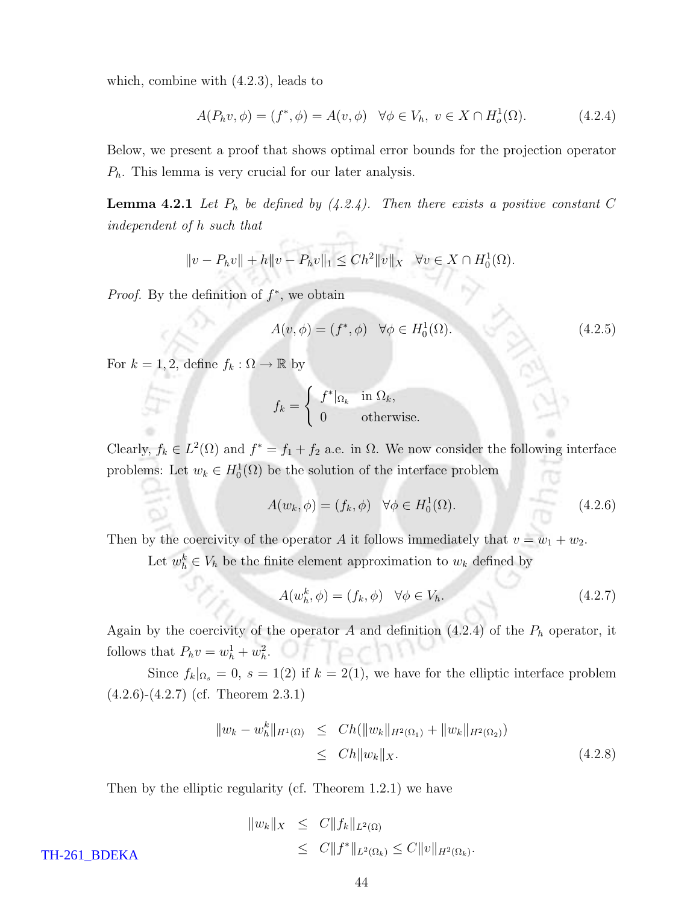which, combine with (4.2.3), leads to

$$
A(P_h v, \phi) = (f^*, \phi) = A(v, \phi) \quad \forall \phi \in V_h, \ v \in X \cap H^1_o(\Omega). \tag{4.2.4}
$$

Below, we present a proof that shows optimal error bounds for the projection operator  $P_h$ . This lemma is very crucial for our later analysis.

**Lemma 4.2.1** Let  $P_h$  be defined by (4.2.4). Then there exists a positive constant C independent of h such that

$$
||v - P_h v|| + h||v - P_h v||_1 \leq Ch^2 ||v||_X \quad \forall v \in X \cap H_0^1(\Omega).
$$

*Proof.* By the definition of  $f^*$ , we obtain

$$
A(v, \phi) = (f^*, \phi) \quad \forall \phi \in H_0^1(\Omega). \tag{4.2.5}
$$

For  $k = 1, 2$ , define  $f_k : \Omega \to \mathbb{R}$  by

$$
f_k = \begin{cases} f^*|_{\Omega_k} & \text{in } \Omega_k, \\ 0 & \text{otherwise.} \end{cases}
$$

Clearly,  $f_k \in L^2(\Omega)$  and  $f^* = f_1 + f_2$  a.e. in  $\Omega$ . We now consider the following interface problems: Let  $w_k \in H_0^1(\Omega)$  be the solution of the interface problem

$$
A(w_k, \phi) = (f_k, \phi) \quad \forall \phi \in H_0^1(\Omega). \tag{4.2.6}
$$

Then by the coercivity of the operator A it follows immediately that  $v = w_1 + w_2$ .

Let  $w_h^k \in V_h$  be the finite element approximation to  $w_k$  defined by

$$
A(w_h^k, \phi) = (f_k, \phi) \quad \forall \phi \in V_h. \tag{4.2.7}
$$

Again by the coercivity of the operator  $A$  and definition  $(4.2.4)$  of the  $P_h$  operator, it follows that  $P_h v = w_h^1 + w_h^2$ .

Since  $f_k|_{\Omega_s} = 0$ ,  $s = 1(2)$  if  $k = 2(1)$ , we have for the elliptic interface problem (4.2.6)-(4.2.7) (cf. Theorem 2.3.1)

$$
\|w_k - w_h^k\|_{H^1(\Omega)} \le Ch(\|w_k\|_{H^2(\Omega_1)} + \|w_k\|_{H^2(\Omega_2)})
$$
  
\n
$$
\le Ch\|w_k\|_X.
$$
\n(4.2.8)

Then by the elliptic regularity (cf. Theorem 1.2.1) we have

$$
||w_k||_X \leq C||f_k||_{L^2(\Omega)}\leq C||f^*||_{L^2(\Omega_k)} \leq C||v||_{H^2(\Omega_k)}.
$$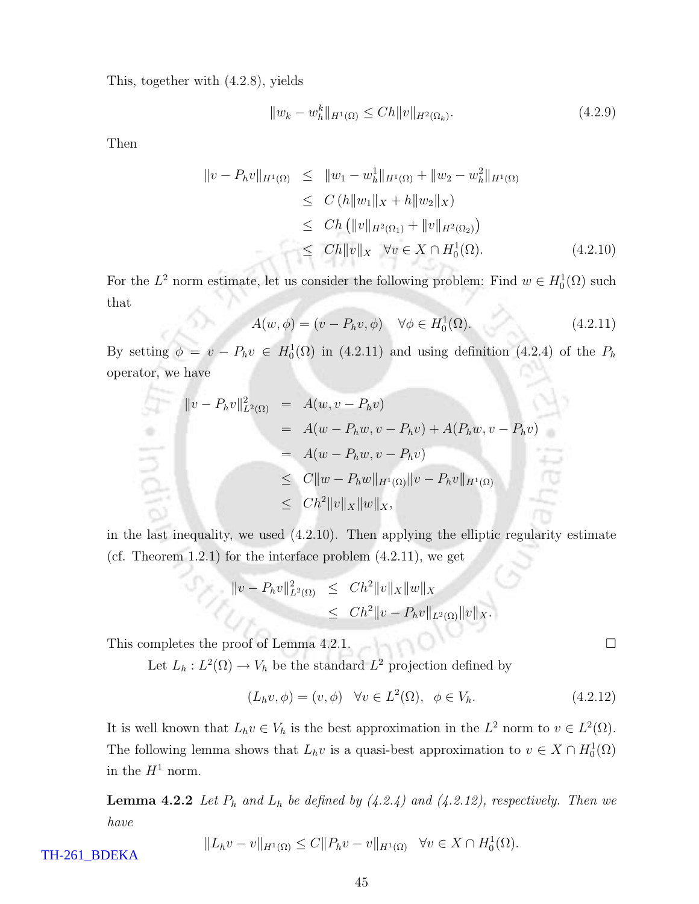This, together with (4.2.8), yields

$$
||w_k - w_h^k||_{H^1(\Omega)} \le Ch ||v||_{H^2(\Omega_k)}.
$$
\n(4.2.9)

Then

$$
\|v - P_h v\|_{H^1(\Omega)} \le \|w_1 - w_h^1\|_{H^1(\Omega)} + \|w_2 - w_h^2\|_{H^1(\Omega)}
$$
  
\n
$$
\le C (h \|w_1\|_X + h \|w_2\|_X)
$$
  
\n
$$
\le Ch (\|v\|_{H^2(\Omega_1)} + \|v\|_{H^2(\Omega_2)})
$$
  
\n
$$
\le Ch \|v\|_X \quad \forall v \in X \cap H_0^1(\Omega). \tag{4.2.10}
$$

For the  $L^2$  norm estimate, let us consider the following problem: Find  $w \in H_0^1(\Omega)$  such that ×

$$
A(w, \phi) = (v - P_h v, \phi) \quad \forall \phi \in H_0^1(\Omega). \tag{4.2.11}
$$

By setting  $\phi = v - P_h v \in H_0^1(\Omega)$  in (4.2.11) and using definition (4.2.4) of the  $P_h$ operator, we have

$$
\|v - P_h v\|_{L^2(\Omega)}^2 = A(w, v - P_h v)
$$
  
=  $A(w - P_h w, v - P_h v) + A(P_h w, v - P_h v)$   
=  $A(w - P_h w, v - P_h v)$   
 $\leq C \|w - P_h w\|_{H^1(\Omega)} \|v - P_h v\|_{H^1(\Omega)}$   
 $\leq C h^2 \|v\|_X \|w\|_X,$ 

in the last inequality, we used (4.2.10). Then applying the elliptic regularity estimate (cf. Theorem 1.2.1) for the interface problem (4.2.11), we get

$$
\|v - P_h v\|_{L^2(\Omega)}^2 \le Ch^2 \|v\|_X \|w\|_X
$$
  

$$
\le Ch^2 \|v - P_h v\|_{L^2(\Omega)} \|v\|_X.
$$

This completes the proof of Lemma 4.2.1.  $\Box$ 

Let  $L_h: L^2(\Omega) \to V_h$  be the standard  $L^2$  projection defined by

$$
(L_h v, \phi) = (v, \phi) \quad \forall v \in L^2(\Omega), \quad \phi \in V_h.
$$
\n
$$
(4.2.12)
$$

It is well known that  $L_h v \in V_h$  is the best approximation in the  $L^2$  norm to  $v \in L^2(\Omega)$ . The following lemma shows that  $L_h v$  is a quasi-best approximation to  $v \in X \cap H_0^1(\Omega)$ in the  $H^1$  norm.

**Lemma 4.2.2** Let  $P_h$  and  $L_h$  be defined by (4.2.4) and (4.2.12), respectively. Then we have

$$
||L_h v - v||_{H^1(\Omega)} \le C ||P_h v - v||_{H^1(\Omega)} \quad \forall v \in X \cap H_0^1(\Omega).
$$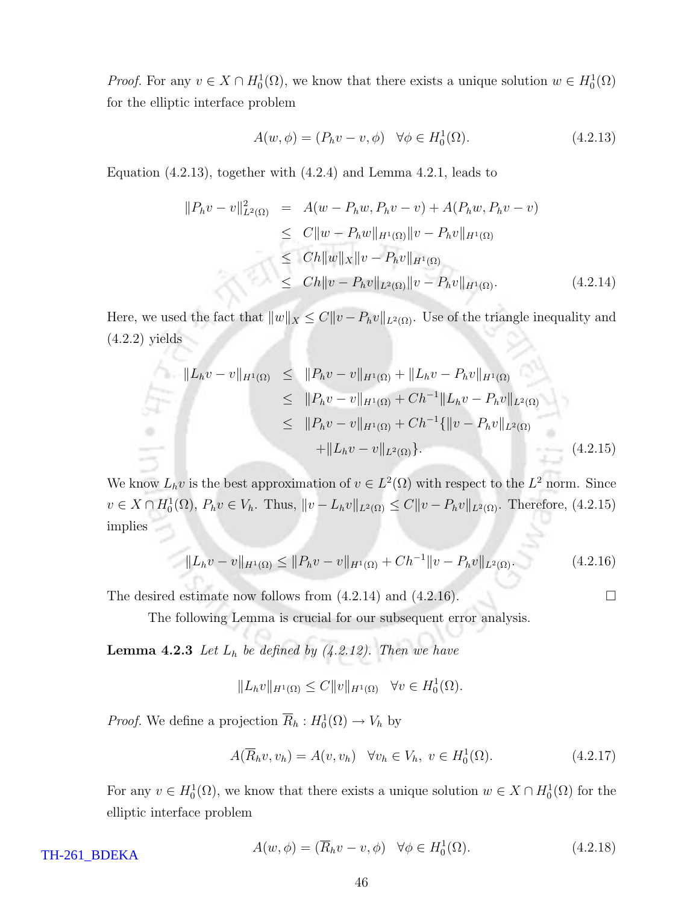*Proof.* For any  $v \in X \cap H_0^1(\Omega)$ , we know that there exists a unique solution  $w \in H_0^1(\Omega)$ for the elliptic interface problem

$$
A(w, \phi) = (P_h v - v, \phi) \quad \forall \phi \in H_0^1(\Omega). \tag{4.2.13}
$$

Equation (4.2.13), together with (4.2.4) and Lemma 4.2.1, leads to

$$
||P_h v - v||_{L^2(\Omega)}^2 = A(w - P_h w, P_h v - v) + A(P_h w, P_h v - v)
$$
  
\n
$$
\leq C||w - P_h w||_{H^1(\Omega)} ||v - P_h v||_{H^1(\Omega)}
$$
  
\n
$$
\leq Ch||w||_X ||v - P_h v||_{H^1(\Omega)}
$$
  
\n
$$
\leq Ch||v - P_h v||_{L^2(\Omega)} ||v - P_h v||_{H^1(\Omega)}.
$$
\n(4.2.14)

Here, we used the fact that  $||w||_X \leq C||v - P_hv||_{L^2(\Omega)}$ . Use of the triangle inequality and (4.2.2) yields

$$
||L_h v - v||_{H^1(\Omega)} \le ||P_h v - v||_{H^1(\Omega)} + ||L_h v - P_h v||_{H^1(\Omega)}
$$
  
\n
$$
\le ||P_h v - v||_{H^1(\Omega)} + Ch^{-1}||L_h v - P_h v||_{L^2(\Omega)}
$$
  
\n
$$
\le ||P_h v - v||_{H^1(\Omega)} + Ch^{-1}\{||v - P_h v||_{L^2(\Omega)}
$$
  
\n
$$
+||L_h v - v||_{L^2(\Omega)}\}.
$$
\n(4.2.15)

We know  $L_h v$  is the best approximation of  $v \in L^2(\Omega)$  with respect to the  $L^2$  norm. Since  $v \in X \cap H_0^1(\Omega)$ ,  $P_h v \in V_h$ . Thus,  $||v - L_h v||_{L^2(\Omega)} \leq C ||v - P_h v||_{L^2(\Omega)}$ . Therefore, (4.2.15) implies

$$
||L_h v - v||_{H^1(\Omega)} \le ||P_h v - v||_{H^1(\Omega)} + Ch^{-1}||v - P_h v||_{L^2(\Omega)}.
$$
\n(4.2.16)

The desired estimate now follows from  $(4.2.14)$  and  $(4.2.16)$ .

The following Lemma is crucial for our subsequent error analysis.

**Lemma 4.2.3** Let  $L_h$  be defined by (4.2.12). Then we have

$$
||L_h v||_{H^1(\Omega)} \leq C ||v||_{H^1(\Omega)} \quad \forall v \in H_0^1(\Omega).
$$

*Proof.* We define a projection  $\overline{R}_h : H_0^1(\Omega) \to V_h$  by

$$
A(\overline{R}_h v, v_h) = A(v, v_h) \quad \forall v_h \in V_h, \ v \in H_0^1(\Omega). \tag{4.2.17}
$$

For any  $v \in H_0^1(\Omega)$ , we know that there exists a unique solution  $w \in X \cap H_0^1(\Omega)$  for the elliptic interface problem

$$
A(w, \phi) = (\overline{R}_h v - v, \phi) \quad \forall \phi \in H_0^1(\Omega). \tag{4.2.18}
$$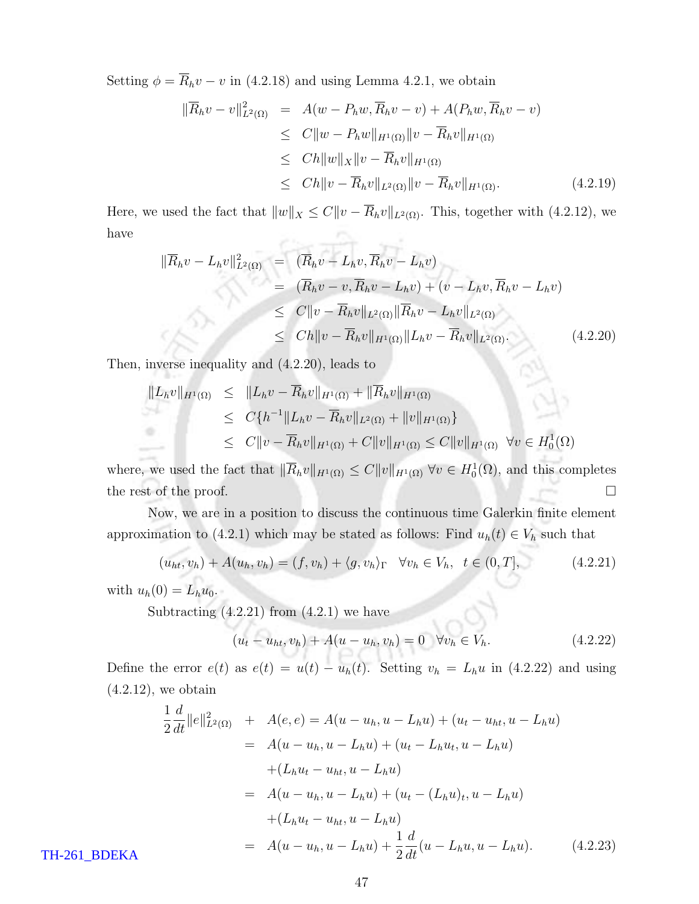Setting  $\phi = \overline{R}_h v - v$  in (4.2.18) and using Lemma 4.2.1, we obtain

$$
\|\overline{R}_h v - v\|_{L^2(\Omega)}^2 = A(w - P_h w, \overline{R}_h v - v) + A(P_h w, \overline{R}_h v - v)
$$
  
\n
$$
\leq C \|w - P_h w\|_{H^1(\Omega)} \|v - \overline{R}_h v\|_{H^1(\Omega)}
$$
  
\n
$$
\leq C h \|w\|_X \|v - \overline{R}_h v\|_{H^1(\Omega)}
$$
  
\n
$$
\leq C h \|v - \overline{R}_h v\|_{L^2(\Omega)} \|v - \overline{R}_h v\|_{H^1(\Omega)}.
$$
\n(4.2.19)

Here, we used the fact that  $||w||_X \leq C||v - \overline{R}_h v||_{L^2(\Omega)}$ . This, together with (4.2.12), we  $\overline{p}$  . The same have

$$
\|\overline{R}_h v - L_h v\|_{L^2(\Omega)}^2 = \left(\overline{R}_h v - L_h v, \overline{R}_h v - L_h v\right)
$$
  
\n
$$
= \left(\overline{R}_h v - v, \overline{R}_h v - L_h v\right) + \left(v - L_h v, \overline{R}_h v - L_h v\right)
$$
  
\n
$$
\leq C \|v - \overline{R}_h v\|_{L^2(\Omega)} \|\overline{R}_h v - L_h v\|_{L^2(\Omega)}
$$
  
\n
$$
\leq Ch \|v - \overline{R}_h v\|_{H^1(\Omega)} \|L_h v - \overline{R}_h v\|_{L^2(\Omega)}. \tag{4.2.20}
$$

Then, inverse inequality and (4.2.20), leads to

$$
||L_h v||_{H^1(\Omega)} \le ||L_h v - \overline{R}_h v||_{H^1(\Omega)} + ||\overline{R}_h v||_{H^1(\Omega)}
$$
  
\n
$$
\le C\{h^{-1}||L_h v - \overline{R}_h v||_{L^2(\Omega)} + ||v||_{H^1(\Omega)}\}
$$
  
\n
$$
\le C||v - \overline{R}_h v||_{H^1(\Omega)} + C||v||_{H^1(\Omega)} \le C||v||_{H^1(\Omega)} \quad \forall v \in H_0^1(\Omega)
$$

where, we used the fact that  $\|\overline{R}_h v\|_{H^1(\Omega)} \leq C \|v\|_{H^1(\Omega)} \,\forall v \in H_0^1(\Omega)$ , and this completes the rest of the proof.  $\Box$ 

Now, we are in a position to discuss the continuous time Galerkin finite element approximation to (4.2.1) which may be stated as follows: Find  $u_h(t) \in V_h$  such that

$$
(u_{ht}, v_h) + A(u_h, v_h) = (f, v_h) + \langle g, v_h \rangle_{\Gamma} \quad \forall v_h \in V_h, \ \ t \in (0, T], \tag{4.2.21}
$$

with  $u_h(0) = L_h u_0$ .

Subtracting  $(4.2.21)$  from  $(4.2.1)$  we have

$$
(u_t - u_{ht}, v_h) + A(u - u_h, v_h) = 0 \quad \forall v_h \in V_h.
$$
\n(4.2.22)

Define the error  $e(t)$  as  $e(t) = u(t) - u_h(t)$ . Setting  $v_h = L_h u$  in (4.2.22) and using  $(4.2.12)$ , we obtain

$$
\frac{1}{2}\frac{d}{dt}\|e\|_{L^{2}(\Omega)}^{2} + A(e,e) = A(u - u_{h}, u - L_{h}u) + (u_{t} - u_{ht}, u - L_{h}u)
$$
\n
$$
= A(u - u_{h}, u - L_{h}u) + (u_{t} - L_{h}u_{t}, u - L_{h}u)
$$
\n
$$
+ (L_{h}u_{t} - u_{ht}, u - L_{h}u)
$$
\n
$$
= A(u - u_{h}, u - L_{h}u) + (u_{t} - (L_{h}u)_{t}, u - L_{h}u)
$$
\n
$$
+ (L_{h}u_{t} - u_{ht}, u - L_{h}u)
$$
\n
$$
= A(u - u_{h}, u - L_{h}u) + \frac{1}{2}\frac{d}{dt}(u - L_{h}u, u - L_{h}u). \qquad (4.2.23)
$$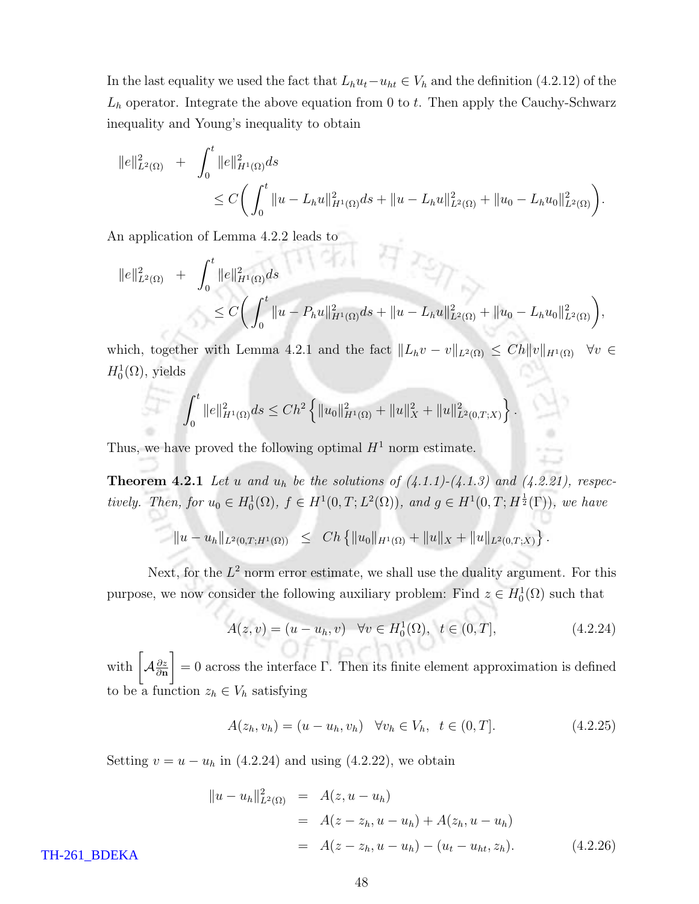In the last equality we used the fact that  $L_h u_t - u_{ht} \in V_h$  and the definition (4.2.12) of the  $L_h$  operator. Integrate the above equation from 0 to t. Then apply the Cauchy-Schwarz inequality and Young's inequality to obtain

$$
||e||_{L^{2}(\Omega)}^{2} + \int_{0}^{t} ||e||_{H^{1}(\Omega)}^{2} ds
$$
  
 
$$
\leq C \bigg(\int_{0}^{t} ||u - L_{h}u||_{H^{1}(\Omega)}^{2} ds + ||u - L_{h}u||_{L^{2}(\Omega)}^{2} + ||u_{0} - L_{h}u_{0}||_{L^{2}(\Omega)}^{2}\bigg).
$$

An application of Lemma 4.2.2 leads to

$$
||e||_{L^{2}(\Omega)}^{2} + \int_{0}^{t} ||e||_{H^{1}(\Omega)}^{2} ds
$$
  
\n
$$
\leq C \bigg(\int_{0}^{t} ||u - P_{h}u||_{H^{1}(\Omega)}^{2} ds + ||u - L_{h}u||_{L^{2}(\Omega)}^{2} + ||u_{0} - L_{h}u_{0}||_{L^{2}(\Omega)}^{2}\bigg),
$$

which, together with Lemma 4.2.1 and the fact  $||L_hv - v||_{L^2(\Omega)} \leq Ch||v||_{H^1(\Omega)} \quad \forall v \in$  $H_0^1(\Omega)$ , yields

$$
\int_0^t \|e\|_{H^1(\Omega)}^2 ds \leq Ch^2 \left\{ \|u_0\|_{H^1(\Omega)}^2 + \|u\|_X^2 + \|u\|_{L^2(0,T;X)}^2 \right\}.
$$

Thus, we have proved the following optimal  $H^1$  norm estimate.

**Theorem 4.2.1** Let u and  $u_h$  be the solutions of  $(4.1.1)-(4.1.3)$  and  $(4.2.21)$ , respectively. Then, for  $u_0 \in H_0^1(\Omega)$ ,  $f \in H^1(0,T; L^2(\Omega))$ , and  $g \in H^1(0,T; H^{\frac{1}{2}}(\Gamma))$ , we have

$$
||u - u_h||_{L^2(0,T;H^1(\Omega))} \leq Ch \{ ||u_0||_{H^1(\Omega)} + ||u||_X + ||u||_{L^2(0,T;X)} \}.
$$

Next, for the  $L^2$  norm error estimate, we shall use the duality argument. For this purpose, we now consider the following auxiliary problem: Find  $z \in H_0^1(\Omega)$  such that

$$
A(z, v) = (u - u_h, v) \quad \forall v \in H_0^1(\Omega), \ t \in (0, T], \tag{4.2.24}
$$

with  $\int_{\mathcal{A}_{\partial \mathbf{n}}} \frac{\partial z}{\partial \mathbf{n}}$ 1  $= 0$  across the interface Γ. Then its finite element approximation is defined to be a function  $z_h \in V_h$  satisfying

$$
A(z_h, v_h) = (u - u_h, v_h) \quad \forall v_h \in V_h, \quad t \in (0, T]. \tag{4.2.25}
$$

Setting  $v = u - u_h$  in (4.2.24) and using (4.2.22), we obtain

$$
\|u - u_h\|_{L^2(\Omega)}^2 = A(z, u - u_h)
$$
  
=  $A(z - z_h, u - u_h) + A(z_h, u - u_h)$   
=  $A(z - z_h, u - u_h) - (u_t - u_{ht}, z_h).$  (4.2.26)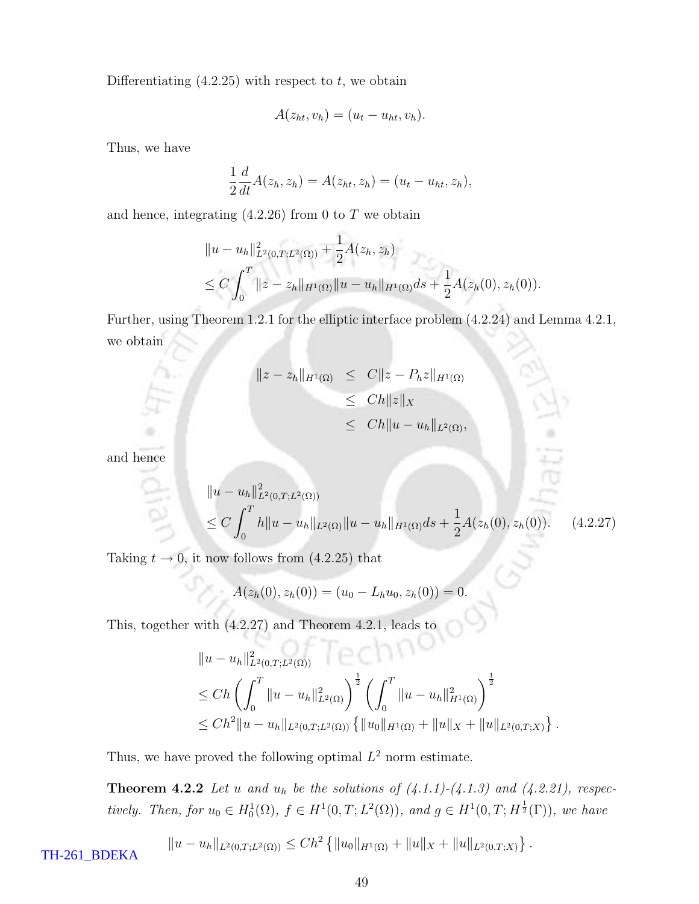Differentiating  $(4.2.25)$  with respect to t, we obtain

$$
A(z_{ht}, v_h) = (u_t - u_{ht}, v_h).
$$

Thus, we have

$$
\frac{1}{2}\frac{d}{dt}A(z_h,z_h)=A(z_{ht},z_h)=(u_t-u_{ht},z_h),
$$

and hence, integrating  $(4.2.26)$  from 0 to T we obtain

$$
||u - u_h||_{L^2(0,T;L^2(\Omega))}^2 + \frac{1}{2}A(z_h, z_h)
$$
  
\n
$$
\leq C \int_0^T ||z - z_h||_{H^1(\Omega)} ||u - u_h||_{H^1(\Omega)} ds + \frac{1}{2}A(z_h(0), z_h(0)).
$$

Further, using Theorem 1.2.1 for the elliptic interface problem (4.2.24) and Lemma 4.2.1, we obtain

$$
||z - z_h||_{H^1(\Omega)} \leq C||z - P_hz||_{H^1(\Omega)}
$$
  
\n
$$
\leq Ch||z||_X
$$
  
\n
$$
\leq Ch||u - u_h||_{L^2(\Omega)},
$$

and hence

$$
||u - u_h||_{L^2(0,T;L^2(\Omega))}^2
$$
  
\n
$$
\leq C \int_0^T h||u - u_h||_{L^2(\Omega)}||u - u_h||_{H^1(\Omega)} ds + \frac{1}{2}A(z_h(0), z_h(0)). \quad (4.2.27)
$$

Taking  $t \to 0$ , it now follows from  $(4.2.25)$  that

$$
A(z_h(0), z_h(0)) = (u_0 - L_h u_0, z_h(0)) = 0.
$$

This, together with (4.2.27) and Theorem 4.2.1, leads to

$$
||u - u_h||_{L^2(0,T;L^2(\Omega))}^2
$$
  
\n
$$
\leq Ch \left( \int_0^T ||u - u_h||_{L^2(\Omega)}^2 \right)^{\frac{1}{2}} \left( \int_0^T ||u - u_h||_{H^1(\Omega)}^2 \right)^{\frac{1}{2}}
$$
  
\n
$$
\leq Ch^2 ||u - u_h||_{L^2(0,T;L^2(\Omega))} \left\{ ||u_0||_{H^1(\Omega)} + ||u||_X + ||u||_{L^2(0,T;X)} \right\}.
$$

Thus, we have proved the following optimal  $L^2$  norm estimate.

**Theorem 4.2.2** Let u and  $u_h$  be the solutions of  $(4.1.1)-(4.1.3)$  and  $(4.2.21)$ , respectively. Then, for  $u_0 \in H_0^1(\Omega)$ ,  $f \in H^1(0,T; L^2(\Omega))$ , and  $g \in H^1(0,T; H^{\frac{1}{2}}(\Gamma))$ , we have

$$
||u - u_h||_{L^2(0,T;L^2(\Omega))} \le Ch^2 \left\{ ||u_0||_{H^1(\Omega)} + ||u||_X + ||u||_{L^2(0,T;X)} \right\}.
$$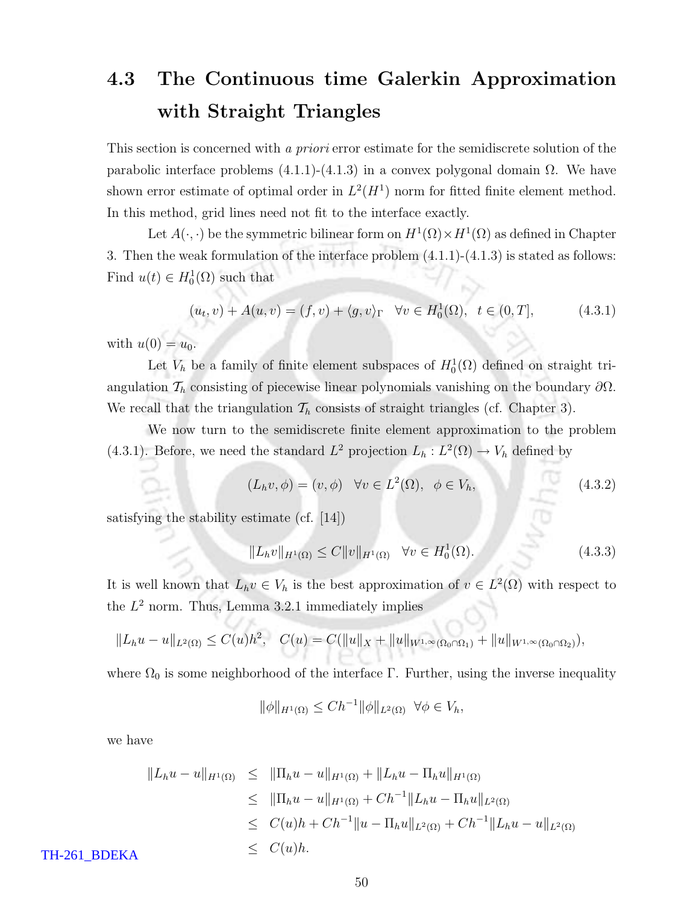### 4.3 The Continuous time Galerkin Approximation with Straight Triangles

This section is concerned with a priori error estimate for the semidiscrete solution of the parabolic interface problems (4.1.1)-(4.1.3) in a convex polygonal domain Ω. We have shown error estimate of optimal order in  $L^2(H^1)$  norm for fitted finite element method. In this method, grid lines need not fit to the interface exactly.

Let  $A(\cdot, \cdot)$  be the symmetric bilinear form on  $H^1(\Omega) \times H^1(\Omega)$  as defined in Chapter 3. Then the weak formulation of the interface problem (4.1.1)-(4.1.3) is stated as follows: Find  $u(t) \in H_0^1(\Omega)$  such that

$$
(u_t, v) + A(u, v) = (f, v) + \langle g, v \rangle_{\Gamma} \quad \forall v \in H_0^1(\Omega), \ t \in (0, T], \tag{4.3.1}
$$

with  $u(0) = u_0$ .

Let  $V_h$  be a family of finite element subspaces of  $H_0^1(\Omega)$  defined on straight triangulation  $\mathcal{T}_h$  consisting of piecewise linear polynomials vanishing on the boundary  $\partial\Omega$ . We recall that the triangulation  $\mathcal{T}_h$  consists of straight triangles (cf. Chapter 3).

We now turn to the semidiscrete finite element approximation to the problem (4.3.1). Before, we need the standard  $L^2$  projection  $L_h: L^2(\Omega) \to V_h$  defined by

$$
(L_h v, \phi) = (v, \phi) \quad \forall v \in L^2(\Omega), \quad \phi \in V_h,
$$
\n
$$
(4.3.2)
$$

satisfying the stability estimate (cf. [14])

$$
||L_h v||_{H^1(\Omega)} \le C ||v||_{H^1(\Omega)} \quad \forall v \in H_0^1(\Omega). \tag{4.3.3}
$$

It is well known that  $L_h v \in V_h$  is the best approximation of  $v \in L^2(\Omega)$  with respect to the  $L^2$  norm. Thus, Lemma 3.2.1 immediately implies

$$
||L_hu - u||_{L^2(\Omega)} \leq C(u)h^2, \quad C(u) = C(||u||_X + ||u||_{W^{1,\infty}(\Omega_0 \cap \Omega_1)} + ||u||_{W^{1,\infty}(\Omega_0 \cap \Omega_2)}),
$$

where  $\Omega_0$  is some neighborhood of the interface Γ. Further, using the inverse inequality

$$
\|\phi\|_{H^1(\Omega)} \le Ch^{-1} \|\phi\|_{L^2(\Omega)} \ \ \forall \phi \in V_h,
$$

we have

$$
||L_h u - u||_{H^1(\Omega)} \le ||\Pi_h u - u||_{H^1(\Omega)} + ||L_h u - \Pi_h u||_{H^1(\Omega)}
$$
  
\n
$$
\le ||\Pi_h u - u||_{H^1(\Omega)} + Ch^{-1}||L_h u - \Pi_h u||_{L^2(\Omega)}
$$
  
\n
$$
\le C(u)h + Ch^{-1}||u - \Pi_h u||_{L^2(\Omega)} + Ch^{-1}||L_h u - u||_{L^2(\Omega)}
$$
  
\n
$$
\le C(u)h.
$$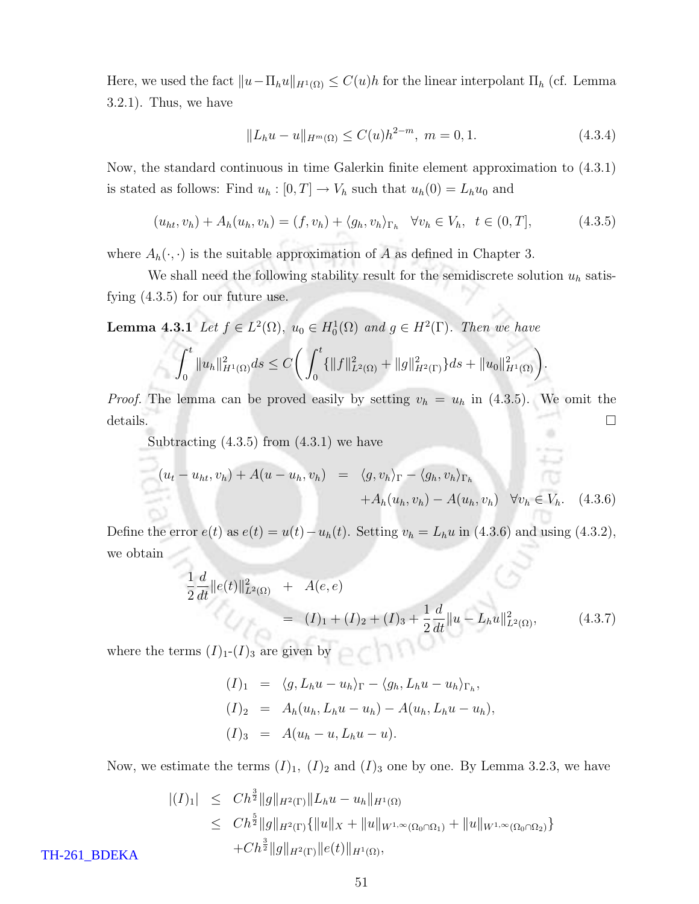Here, we used the fact  $||u-\Pi_hu||_{H^1(\Omega)} \leq C(u)h$  for the linear interpolant  $\Pi_h$  (cf. Lemma 3.2.1). Thus, we have

$$
||L_h u - u||_{H^m(\Omega)} \le C(u)h^{2-m}, \ m = 0, 1. \tag{4.3.4}
$$

Now, the standard continuous in time Galerkin finite element approximation to (4.3.1) is stated as follows: Find  $u_h : [0, T] \to V_h$  such that  $u_h(0) = L_h u_0$  and

$$
(u_{ht}, v_h) + A_h(u_h, v_h) = (f, v_h) + \langle g_h, v_h \rangle_{\Gamma_h} \quad \forall v_h \in V_h, \quad t \in (0, T], \tag{4.3.5}
$$

where  $A_h(\cdot, \cdot)$  is the suitable approximation of A as defined in Chapter 3.

We shall need the following stability result for the semidiscrete solution  $u<sub>h</sub>$  satisfying (4.3.5) for our future use.

**Lemma 4.3.1** Let  $f \in L^2(\Omega)$ ,  $u_0 \in H_0^1(\Omega)$  and  $g \in H^2(\Gamma)$ . Then we have

$$
\int_0^t \|u_h\|_{H^1(\Omega)}^2 ds \leq C \bigg( \int_0^t \{ \|f\|_{L^2(\Omega)}^2 + \|g\|_{H^2(\Gamma)}^2 \} ds + \|u_0\|_{H^1(\Omega)}^2 \bigg).
$$

*Proof.* The lemma can be proved easily by setting  $v_h = u_h$  in (4.3.5). We omit the  $\Box$  details.  $\Box$ 

Subtracting  $(4.3.5)$  from  $(4.3.1)$  we have

$$
(u_t - u_{ht}, v_h) + A(u - u_h, v_h) = \langle g, v_h \rangle_{\Gamma} - \langle g_h, v_h \rangle_{\Gamma_h}
$$
  
+  $A_h(u_h, v_h) - A(u_h, v_h) \quad \forall v_h \in V_h.$  (4.3.6)

Define the error  $e(t)$  as  $e(t) = u(t) - u_h(t)$ . Setting  $v_h = L_h u$  in (4.3.6) and using (4.3.2), we obtain

$$
\frac{1}{2}\frac{d}{dt}\|e(t)\|_{L^{2}(\Omega)}^{2} + A(e,e)
$$
\n
$$
= (I)_{1} + (I)_{2} + (I)_{3} + \frac{1}{2}\frac{d}{dt}\|u - L_{h}u\|_{L^{2}(\Omega)}^{2},
$$
\n(4.3.7)

where the terms  $(I)<sub>1</sub>(I)<sub>3</sub>$  are given by

$$
(I)_1 = \langle g, L_h u - u_h \rangle_{\Gamma} - \langle g_h, L_h u - u_h \rangle_{\Gamma_h},
$$
  
\n
$$
(I)_2 = A_h(u_h, L_h u - u_h) - A(u_h, L_h u - u_h),
$$
  
\n
$$
(I)_3 = A(u_h - u, L_h u - u).
$$

Now, we estimate the terms  $(I)_1$ ,  $(I)_2$  and  $(I)_3$  one by one. By Lemma 3.2.3, we have

$$
\begin{array}{rcl} |(I)_1| & \leq & Ch^{\frac{3}{2}} \|g\|_{H^2(\Gamma)} \|L_h u - u_h\|_{H^1(\Omega)} \\ & \leq & Ch^{\frac{5}{2}} \|g\|_{H^2(\Gamma)} \{ \|u\|_X + \|u\|_{W^{1,\infty}(\Omega_0 \cap \Omega_1)} + \|u\|_{W^{1,\infty}(\Omega_0 \cap \Omega_2)} \} \\ & & \quad + Ch^{\frac{3}{2}} \|g\|_{H^2(\Gamma)} \|e(t)\|_{H^1(\Omega)}, \end{array}
$$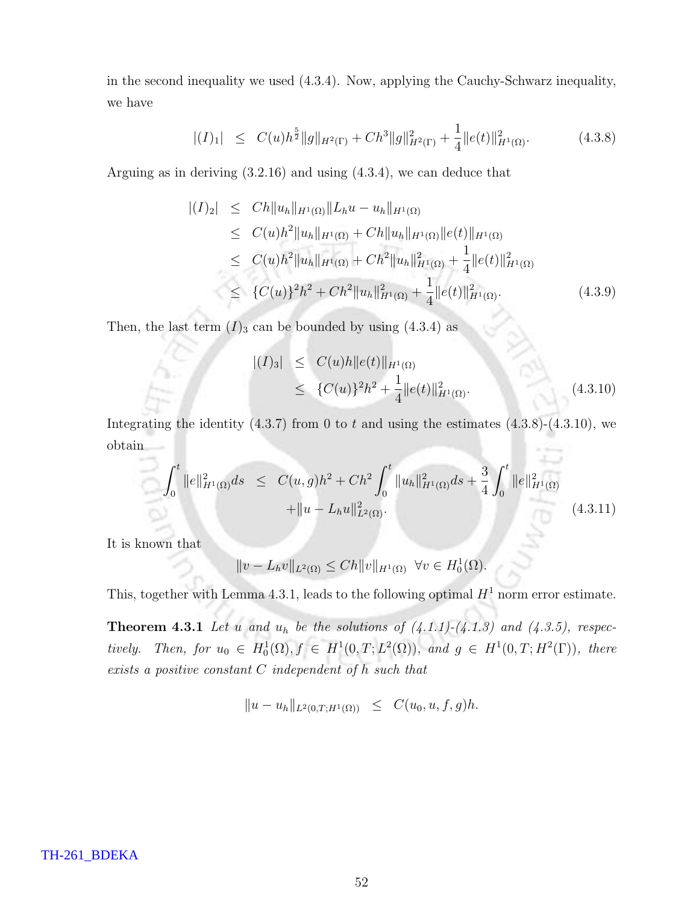in the second inequality we used (4.3.4). Now, applying the Cauchy-Schwarz inequality, we have

$$
|(I)_1| \leq C(u)h^{\frac{5}{2}}\|g\|_{H^2(\Gamma)} + Ch^3\|g\|_{H^2(\Gamma)}^2 + \frac{1}{4}\|e(t)\|_{H^1(\Omega)}^2. \tag{4.3.8}
$$

Arguing as in deriving (3.2.16) and using (4.3.4), we can deduce that

$$
\begin{aligned} |(I)_2| &\leq C h \|u_h\|_{H^1(\Omega)} \|L_h u - u_h\|_{H^1(\Omega)} \\ &\leq C(u) h^2 \|u_h\|_{H^1(\Omega)} + C h \|u_h\|_{H^1(\Omega)} \|e(t)\|_{H^1(\Omega)} \\ &\leq C(u) h^2 \|u_h\|_{H^1(\Omega)} + C h^2 \|u_h\|_{H^1(\Omega)}^2 + \frac{1}{4} \|e(t)\|_{H^1(\Omega)}^2 \\ &\leq \{C(u)\}^2 h^2 + C h^2 \|u_h\|_{H^1(\Omega)}^2 + \frac{1}{4} \|e(t)\|_{H^1(\Omega)}^2. \end{aligned} \tag{4.3.9}
$$

Then, the last term  $(I)_3$  can be bounded by using  $(4.3.4)$  as

$$
\begin{aligned} |(I)_3| &\leq C(u)h \|e(t)\|_{H^1(\Omega)} \\ &\leq \{C(u)\}^2 h^2 + \frac{1}{4} \|e(t)\|_{H^1(\Omega)}^2. \end{aligned} \tag{4.3.10}
$$

Integrating the identity  $(4.3.7)$  from 0 to t and using the estimates  $(4.3.8)-(4.3.10)$ , we obtain

$$
\int_0^t \|e\|_{H^1(\Omega)}^2 ds \leq C(u, g)h^2 + Ch^2 \int_0^t \|u_h\|_{H^1(\Omega)}^2 ds + \frac{3}{4} \int_0^t \|e\|_{H^1(\Omega)}^2 + \|u - L_h u\|_{L^2(\Omega)}^2.
$$
\n(4.3.11)

It is known that

$$
||v - L_h v||_{L^2(\Omega)} \le Ch ||v||_{H^1(\Omega)} \ \forall v \in H_0^1(\Omega).
$$

This, together with Lemma 4.3.1, leads to the following optimal  $H^1$  norm error estimate.

**Theorem 4.3.1** Let u and  $u_h$  be the solutions of  $(4.1.1)-(4.1.3)$  and  $(4.3.5)$ , respectively. Then, for  $u_0 \in H_0^1(\Omega)$ ,  $f \in H^1(0,T; L^2(\Omega))$ , and  $g \in H^1(0,T; H^2(\Gamma))$ , there exists a positive constant C independent of h such that

$$
||u - u_h||_{L^2(0,T;H^1(\Omega))} \leq C(u_0, u, f, g)h.
$$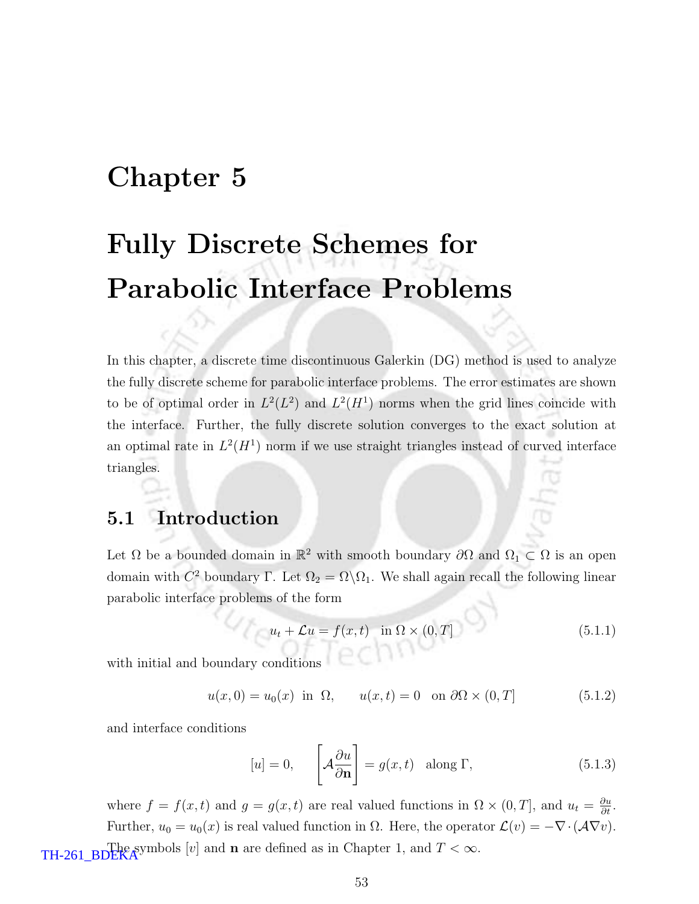# Chapter 5

# Fully Discrete Schemes for Parabolic Interface Problems

In this chapter, a discrete time discontinuous Galerkin (DG) method is used to analyze the fully discrete scheme for parabolic interface problems. The error estimates are shown to be of optimal order in  $L^2(L^2)$  and  $L^2(H^1)$  norms when the grid lines coincide with the interface. Further, the fully discrete solution converges to the exact solution at an optimal rate in  $L^2(H^1)$  norm if we use straight triangles instead of curved interface triangles.

### 5.1 Introduction

Let  $\Omega$  be a bounded domain in  $\mathbb{R}^2$  with smooth boundary  $\partial\Omega$  and  $\Omega_1 \subset \Omega$  is an open domain with  $C^2$  boundary Γ. Let  $\Omega_2 = \Omega \backslash \Omega_1$ . We shall again recall the following linear parabolic interface problems of the form

$$
u_t + \mathcal{L}u = f(x, t) \quad \text{in } \Omega \times (0, T] \tag{5.1.1}
$$

with initial and boundary conditions

$$
u(x,0) = u_0(x) \text{ in } \Omega, \qquad u(x,t) = 0 \quad \text{on } \partial\Omega \times (0,T] \tag{5.1.2}
$$

and interface conditions

$$
[u] = 0, \qquad \left[ \mathcal{A} \frac{\partial u}{\partial \mathbf{n}} \right] = g(x, t) \quad \text{along } \Gamma,
$$
\n
$$
(5.1.3)
$$

where  $f = f(x, t)$  and  $g = g(x, t)$  are real valued functions in  $\Omega \times (0, T]$ , and  $u_t = \frac{\partial u}{\partial t}$ . Further,  $u_0 = u_0(x)$  is real valued function in  $\Omega$ . Here, the operator  $\mathcal{L}(v) = -\nabla \cdot (\mathcal{A} \nabla v)$ . TH-261\_BDEKA<sup>y</sup> symbols [v] and **n** are defined as in Chapter 1, and  $T < \infty$ .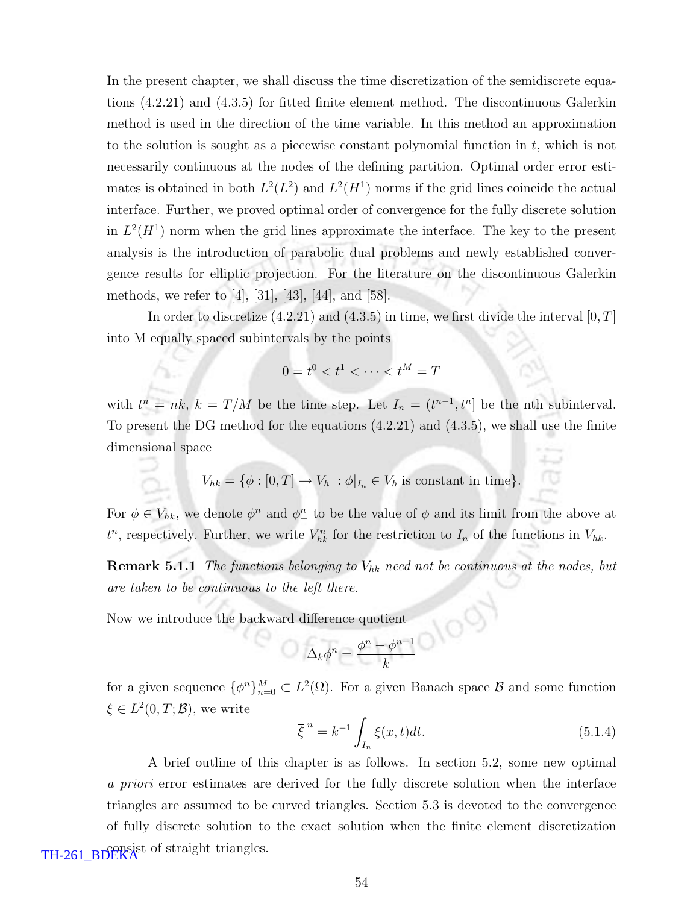In the present chapter, we shall discuss the time discretization of the semidiscrete equations (4.2.21) and (4.3.5) for fitted finite element method. The discontinuous Galerkin method is used in the direction of the time variable. In this method an approximation to the solution is sought as a piecewise constant polynomial function in  $t$ , which is not necessarily continuous at the nodes of the defining partition. Optimal order error estimates is obtained in both  $L^2(L^2)$  and  $L^2(H^1)$  norms if the grid lines coincide the actual interface. Further, we proved optimal order of convergence for the fully discrete solution in  $L^2(H^1)$  norm when the grid lines approximate the interface. The key to the present analysis is the introduction of parabolic dual problems and newly established convergence results for elliptic projection. For the literature on the discontinuous Galerkin methods, we refer to [4], [31], [43], [44], and [58].

In order to discretize  $(4.2.21)$  and  $(4.3.5)$  in time, we first divide the interval  $[0, T]$ into M equally spaced subintervals by the points

$$
0 = t^0 < t^1 < \dots < t^M = T
$$

with  $t^n = nk$ ,  $k = T/M$  be the time step. Let  $I_n = (t^{n-1}, t^n]$  be the nth subinterval. To present the DG method for the equations (4.2.21) and (4.3.5), we shall use the finite dimensional space

$$
V_{hk} = \{ \phi : [0, T] \to V_h : \phi|_{I_n} \in V_h \text{ is constant in time} \}.
$$

For  $\phi \in V_{hk}$ , we denote  $\phi^n$  and  $\phi^n_{+}$  to be the value of  $\phi$  and its limit from the above at  $t^n$ , respectively. Further, we write  $V_{hk}^n$  for the restriction to  $I_n$  of the functions in  $V_{hk}$ .

**Remark 5.1.1** The functions belonging to  $V_{hk}$  need not be continuous at the nodes, but are taken to be continuous to the left there.

Now we introduce the backward difference quotient

$$
\Delta_k \phi^n = \frac{\phi^n - \phi^{n-1}}{k}
$$

for a given sequence  $\{\phi^n\}_{n=0}^M \subset L^2(\Omega)$ . For a given Banach space  $\mathcal B$  and some function  $\xi \in L^2(0,T;\mathcal{B})$ , we write

$$
\overline{\xi}^{n} = k^{-1} \int_{I_n} \xi(x, t) dt.
$$
\n(5.1.4)

A brief outline of this chapter is as follows. In section 5.2, some new optimal a priori error estimates are derived for the fully discrete solution when the interface triangles are assumed to be curved triangles. Section 5.3 is devoted to the convergence of fully discrete solution to the exact solution when the finite element discretization TH-261\_BDEKA<sup>t</sup> of straight triangles.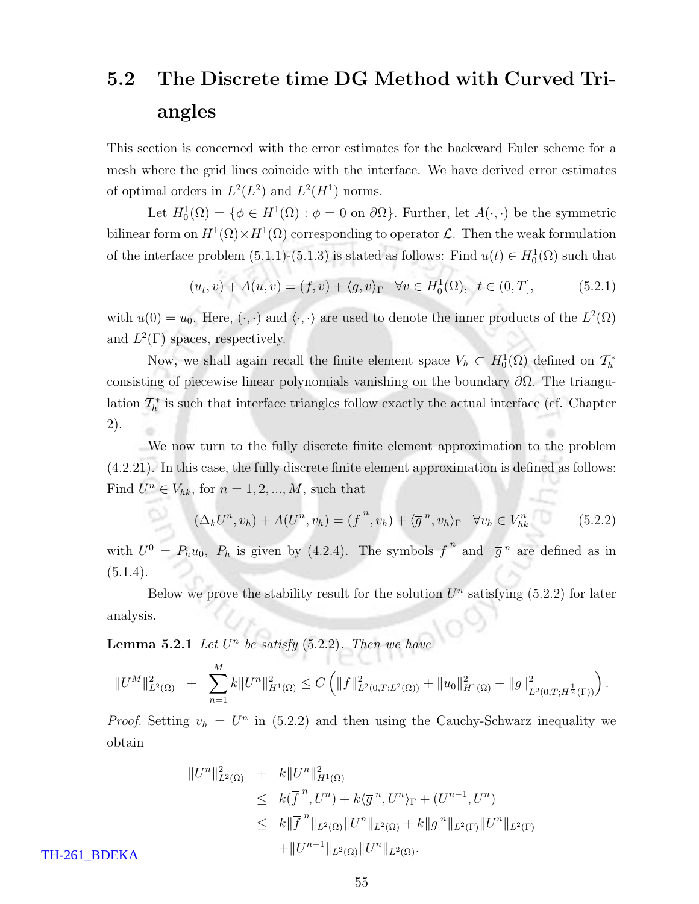# 5.2 The Discrete time DG Method with Curved Triangles

This section is concerned with the error estimates for the backward Euler scheme for a mesh where the grid lines coincide with the interface. We have derived error estimates of optimal orders in  $L^2(L^2)$  and  $L^2(H^1)$  norms.

Let  $H_0^1(\Omega) = \{ \phi \in H^1(\Omega) : \phi = 0 \text{ on } \partial\Omega \}$ . Further, let  $A(\cdot, \cdot)$  be the symmetric bilinear form on  $H^1(\Omega) \times H^1(\Omega)$  corresponding to operator  $\mathcal L$ . Then the weak formulation of the interface problem  $(5.1.1)-(5.1.3)$  is stated as follows: Find  $u(t) \in H_0^1(\Omega)$  such that

$$
(u_t, v) + A(u, v) = (f, v) + \langle g, v \rangle_{\Gamma} \quad \forall v \in H_0^1(\Omega), \ t \in (0, T], \tag{5.2.1}
$$

with  $u(0) = u_0$ . Here,  $(\cdot, \cdot)$  and  $\langle \cdot, \cdot \rangle$  are used to denote the inner products of the  $L^2(\Omega)$ and  $L^2(\Gamma)$  spaces, respectively.

Now, we shall again recall the finite element space  $V_h \subset H_0^1(\Omega)$  defined on  $\mathcal{T}_h^*$ consisting of piecewise linear polynomials vanishing on the boundary  $\partial\Omega$ . The triangulation  $\mathcal{T}_h^*$  is such that interface triangles follow exactly the actual interface (cf. Chapter 2).

We now turn to the fully discrete finite element approximation to the problem (4.2.21). In this case, the fully discrete finite element approximation is defined as follows: Find  $U^n \in V_{hk}$ , for  $n = 1, 2, ..., M$ , such that

$$
(\Delta_k U^n, v_h) + A(U^n, v_h) = (\overline{f}^n, v_h) + \langle \overline{g}^n, v_h \rangle_{\Gamma} \quad \forall v_h \in V_h^n \tag{5.2.2}
$$

with  $U^0 = P_h u_0$ ,  $P_h$  is given by (4.2.4). The symbols  $\overline{f}^n$  and  $\overline{g}^n$  are defined as in  $(5.1.4).$ 

Below we prove the stability result for the solution  $U<sup>n</sup>$  satisfying (5.2.2) for later analysis.

**Lemma 5.2.1** Let  $U^n$  be satisfy (5.2.2). Then we have

$$
||U^M||^2_{L^2(\Omega)} + \sum_{n=1}^M k||U^n||^2_{H^1(\Omega)} \leq C \left( ||f||^2_{L^2(0,T;L^2(\Omega))} + ||u_0||^2_{H^1(\Omega)} + ||g||^2_{L^2(0,T;H^{\frac{1}{2}}(\Gamma))} \right).
$$

*Proof.* Setting  $v_h = U^n$  in (5.2.2) and then using the Cauchy-Schwarz inequality we obtain

$$
||U^n||_{L^2(\Omega)}^2 + k||U^n||_{H^1(\Omega)}^2
$$
  
\n
$$
\leq k(\overline{f}^n, U^n) + k\langle \overline{g}^n, U^n \rangle_{\Gamma} + (U^{n-1}, U^n)
$$
  
\n
$$
\leq k||\overline{f}^n||_{L^2(\Omega)}||U^n||_{L^2(\Omega)} + k||\overline{g}^n||_{L^2(\Gamma)}||U^n||_{L^2(\Gamma)}
$$
  
\n
$$
+||U^{n-1}||_{L^2(\Omega)}||U^n||_{L^2(\Omega)}.
$$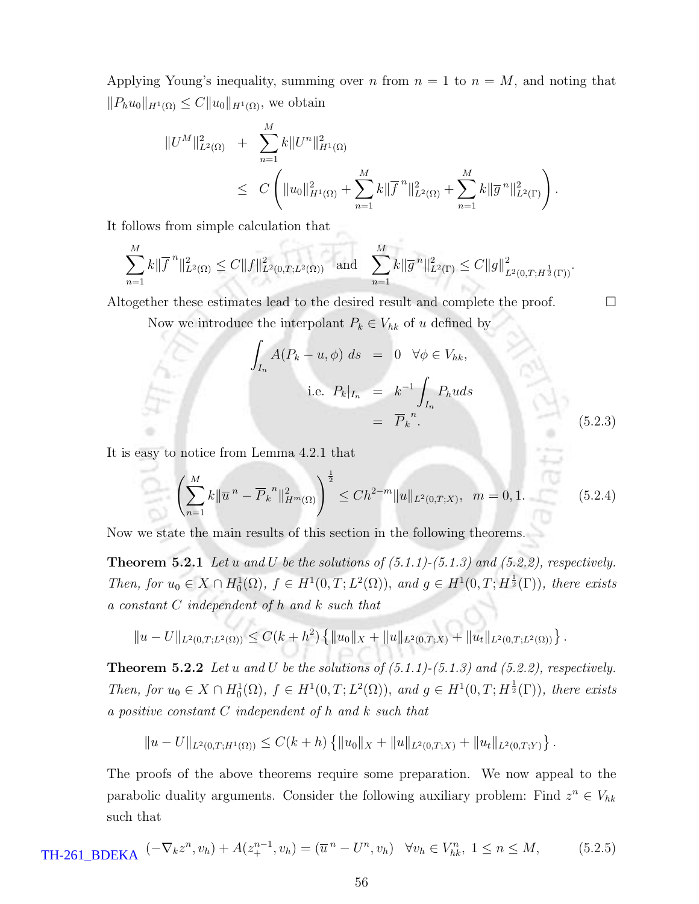Applying Young's inequality, summing over n from  $n = 1$  to  $n = M$ , and noting that  $||P_h u_0||_{H^1(\Omega)} \leq C||u_0||_{H^1(\Omega)}$ , we obtain

$$
||U^M||_{L^2(\Omega)}^2 + \sum_{n=1}^M k||U^n||_{H^1(\Omega)}^2
$$
  
 
$$
\leq C \left(||u_0||_{H^1(\Omega)}^2 + \sum_{n=1}^M k||\overline{f}^n||_{L^2(\Omega)}^2 + \sum_{n=1}^M k||\overline{g}^n||_{L^2(\Gamma)}^2\right).
$$

It follows from simple calculation that

$$
\sum_{n=1}^M k \|\overline{f}^n\|_{L^2(\Omega)}^2 \le C \|f\|_{L^2(0,T;L^2(\Omega))}^2 \quad \text{and} \quad \sum_{n=1}^M k \|\overline{g}^n\|_{L^2(\Gamma)}^2 \le C \|g\|_{L^2(0,T;H^{\frac{1}{2}}(\Gamma))}^2.
$$

Altogether these estimates lead to the desired result and complete the proof.  $\Box$ 

Now we introduce the interpolant  $P_k \in V_{hk}$  of u defined by

$$
\int_{I_n} A(P_k - u, \phi) ds = 0 \quad \forall \phi \in V_{hk},
$$
  
i.e.  $P_k|_{I_n} = k^{-1} \int_{I_n} P_h u ds$   

$$
= \overline{P}_k^{\ n}.
$$
 (5.2.3)

It is easy to notice from Lemma 4.2.1 that

$$
\left(\sum_{n=1}^{M} k \|\overline{u}^{n} - \overline{P}_{k}^{n}\|_{H^{m}(\Omega)}^{2}\right)^{\frac{1}{2}} \le Ch^{2-m} \|u\|_{L^{2}(0,T;X)}, \quad m = 0, 1.
$$
\n(5.2.4)

Now we state the main results of this section in the following theorems.

**Theorem 5.2.1** Let u and U be the solutions of  $(5.1.1)-(5.1.3)$  and  $(5.2.2)$ , respectively. Then, for  $u_0 \in X \cap H_0^1(\Omega)$ ,  $f \in H^1(0,T; L^2(\Omega))$ , and  $g \in H^1(0,T; H^{\frac{1}{2}}(\Gamma))$ , there exists a constant C independent of h and k such that

$$
||u - U||_{L^{2}(0,T;L^{2}(\Omega))} \leq C(k+h^{2}) \left\{ ||u_{0}||_{X} + ||u||_{L^{2}(0,T;X)} + ||u_{t}||_{L^{2}(0,T;L^{2}(\Omega))} \right\}.
$$

**Theorem 5.2.2** Let u and U be the solutions of  $(5.1.1)-(5.1.3)$  and  $(5.2.2)$ , respectively. Then, for  $u_0 \in X \cap H_0^1(\Omega)$ ,  $f \in H^1(0,T; L^2(\Omega))$ , and  $g \in H^1(0,T; H^{\frac{1}{2}}(\Gamma))$ , there exists a positive constant C independent of h and k such that

$$
||u - U||_{L^{2}(0,T;H^{1}(\Omega))} \leq C(k+h) \left\{ ||u_{0}||_{X} + ||u||_{L^{2}(0,T;X)} + ||u_{t}||_{L^{2}(0,T;Y)} \right\}.
$$

The proofs of the above theorems require some preparation. We now appeal to the parabolic duality arguments. Consider the following auxiliary problem: Find  $z^n \in V_{hk}$ such that

$$
\text{TH-261\_BDEKA} \quad (-\nabla_k z^n, v_h) + A(z_+^{n-1}, v_h) = (\overline{u}^n - U^n, v_h) \quad \forall v_h \in V_h^n, \ 1 \le n \le M, \tag{5.2.5}
$$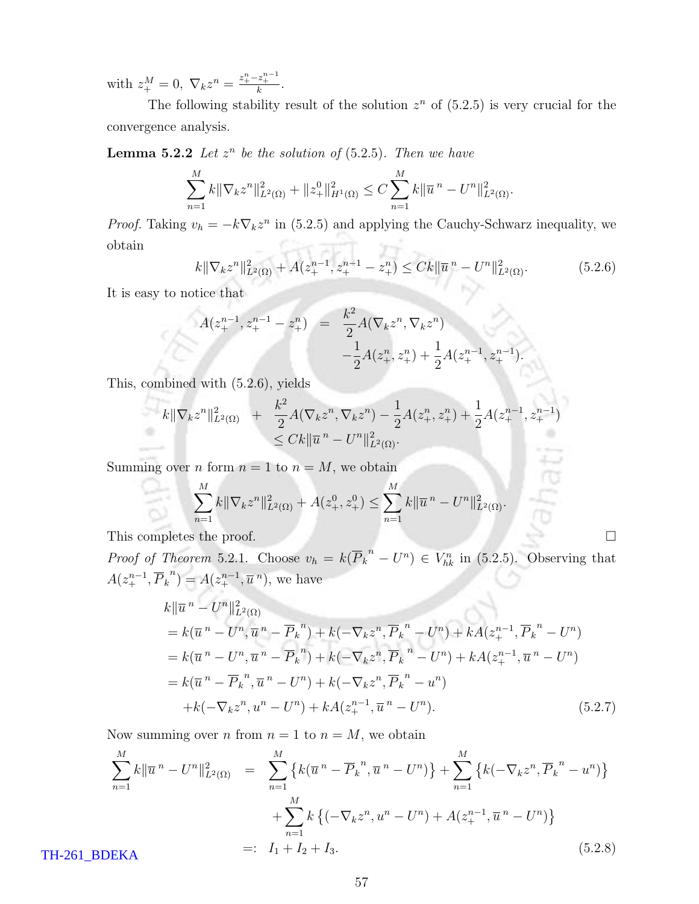with  $z_{+}^{M} = 0$ ,  $\nabla_{k} z^{n} = \frac{z_{+}^{n} - z_{+}^{n-1}}{k}$ .

The following stability result of the solution  $z^n$  of  $(5.2.5)$  is very crucial for the convergence analysis.

**Lemma 5.2.2** Let  $z^n$  be the solution of (5.2.5). Then we have

$$
\sum_{n=1}^M k \|\nabla_k z^n\|_{L^2(\Omega)}^2 + \|z_+^0\|_{H^1(\Omega)}^2 \le C \sum_{n=1}^M k \|\overline{u}^n - U^n\|_{L^2(\Omega)}^2.
$$

*Proof.* Taking  $v_h = -k \nabla_k z^n$  in (5.2.5) and applying the Cauchy-Schwarz inequality, we Car ach obtain

$$
k\|\nabla_k z^n\|_{L^2(\Omega)}^2 + A(z_+^{n-1}, z_+^{n-1} - z_+^n) \le Ck\|\overline{u}^n - U^n\|_{L^2(\Omega)}^2.
$$
 (5.2.6)

It is easy to notice that

$$
A(z_{+}^{n-1}, z_{+}^{n-1} - z_{+}^{n}) = \frac{k^{2}}{2} A(\nabla_{k} z^{n}, \nabla_{k} z^{n}) - \frac{1}{2} A(z_{+}^{n}, z_{+}^{n}) + \frac{1}{2} A(z_{+}^{n-1}, z_{+}^{n-1}).
$$

This, combined with (5.2.6), yields

$$
k \|\nabla_k z^n\|_{L^2(\Omega)}^2 + \frac{k^2}{2} A(\nabla_k z^n, \nabla_k z^n) - \frac{1}{2} A(z_+^n, z_+^n) + \frac{1}{2} A(z_+^{n-1}, z_+^{n-1})
$$
  

$$
\leq C k \|\overline{u}^n - U^n\|_{L^2(\Omega)}^2.
$$

Summing over *n* form  $n = 1$  to  $n = M$ , we obtain

$$
\sum_{n=1}^{M} k \|\nabla_k z^n\|_{L^2(\Omega)}^2 + A(z_+^0, z_+^0) \le \sum_{n=1}^{M} k \|\overline{u}^n - U^n\|_{L^2(\Omega)}^2.
$$

This completes the proof.  $\Box$ 

*Proof of Theorem* 5.2.1. Choose  $v_h = k(\overline{P}_k^{\ n} - U^n) \in V_{hk}^n$  in (5.2.5). Observing that  $A(z_+^{n-1}, \overline{P}_k^{\ n}) = A(z_+^{n-1}, \overline{u}^{\ n}),$  we have

$$
k\|\overline{u}^{n} - U^{n}\|_{L^{2}(\Omega)}^{2}
$$
  
=  $k(\overline{u}^{n} - U^{n}, \overline{u}^{n} - \overline{P}_{k}^{n}) + k(-\nabla_{k}z^{n}, \overline{P}_{k}^{n} - U^{n}) + kA(z_{+}^{n-1}, \overline{P}_{k}^{n} - U^{n})$   
=  $k(\overline{u}^{n} - U^{n}, \overline{u}^{n} - \overline{P}_{k}^{n}) + k(-\nabla_{k}z^{n}, \overline{P}_{k}^{n} - U^{n}) + kA(z_{+}^{n-1}, \overline{u}^{n} - U^{n})$   
=  $k(\overline{u}^{n} - \overline{P}_{k}^{n}, \overline{u}^{n} - U^{n}) + k(-\nabla_{k}z^{n}, \overline{P}_{k}^{n} - u^{n})$   
+  $k(-\nabla_{k}z^{n}, u^{n} - U^{n}) + kA(z_{+}^{n-1}, \overline{u}^{n} - U^{n}).$  (5.2.7)

Now summing over *n* from  $n = 1$  to  $n = M$ , we obtain

$$
\sum_{n=1}^{M} k \|\overline{u}^{n} - U^{n}\|_{L^{2}(\Omega)}^{2} = \sum_{n=1}^{M} \left\{ k(\overline{u}^{n} - \overline{P}_{k}^{n}, \overline{u}^{n} - U^{n}) \right\} + \sum_{n=1}^{M} \left\{ k(-\nabla_{k}z^{n}, \overline{P}_{k}^{n} - u^{n}) \right\} + \sum_{n=1}^{M} k \left\{ (-\nabla_{k}z^{n}, u^{n} - U^{n}) + A(z_{+}^{n-1}, \overline{u}^{n} - U^{n}) \right\}
$$
\n
$$
=: I_{1} + I_{2} + I_{3}.
$$
\n(5.2.8)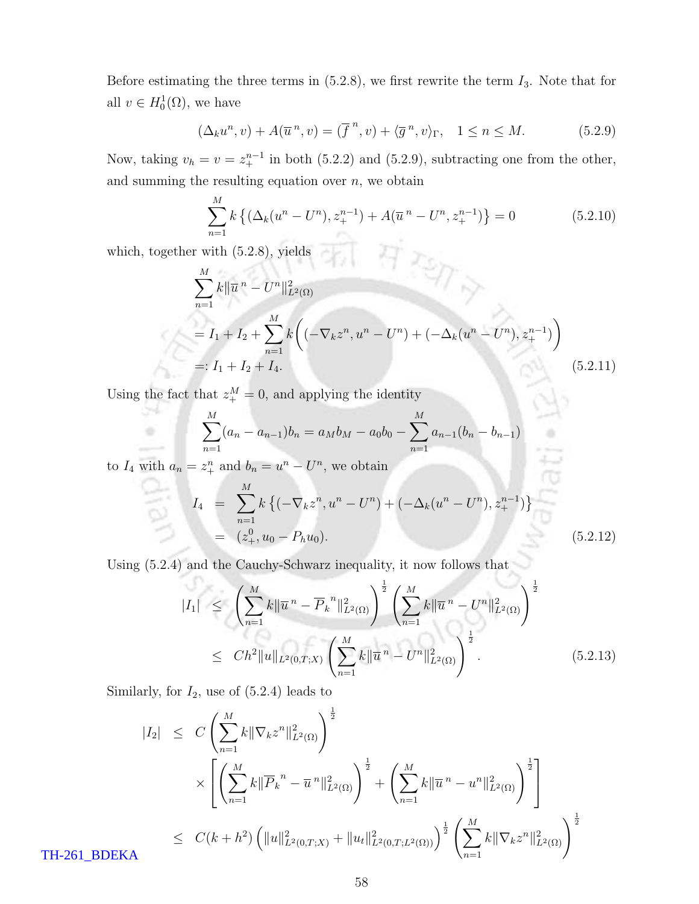Before estimating the three terms in  $(5.2.8)$ , we first rewrite the term  $I_3$ . Note that for all  $v \in H_0^1(\Omega)$ , we have

$$
(\Delta_k u^n, v) + A(\overline{u}^n, v) = (\overline{f}^n, v) + \langle \overline{g}^n, v \rangle_{\Gamma}, \quad 1 \le n \le M. \tag{5.2.9}
$$

Now, taking  $v_h = v = z_+^{n-1}$  in both (5.2.2) and (5.2.9), subtracting one from the other, and summing the resulting equation over  $n$ , we obtain

$$
\sum_{n=1}^{M} k \left\{ (\Delta_k(u^n - U^n), z_+^{n-1}) + A(\overline{u}^n - U^n, z_+^{n-1}) \right\} = 0 \tag{5.2.10}
$$

which, together with (5.2.8), yields

÷

$$
\sum_{n=1}^{M} k \|\overline{u}^{n} - U^{n}\|_{L^{2}(\Omega)}^{2}
$$
\n
$$
= I_{1} + I_{2} + \sum_{n=1}^{M} k \bigg( (-\nabla_{k} z^{n}, u^{n} - U^{n}) + (-\Delta_{k} (u^{n} - U^{n}), z_{+}^{n-1}) \bigg)
$$
\n
$$
=: I_{1} + I_{2} + I_{4}.
$$
\n(5.2.11)

Using the fact that  $z_{+}^{M} = 0$ , and applying the identity

$$
\sum_{n=1}^{M} (a_n - a_{n-1})b_n = a_M b_M - a_0 b_0 - \sum_{n=1}^{M} a_{n-1} (b_n - b_{n-1})
$$

to  $I_4$  with  $a_n = z_+^n$  and  $b_n = u^n - U^n$ , we obtain

$$
I_4 = \sum_{n=1}^{M} k \left\{ (-\nabla_k z^n, u^n - U^n) + (-\Delta_k (u^n - U^n), z_+^{n-1}) \right\}
$$
  
=  $(z_+^0, u_0 - P_h u_0).$  (5.2.12)

Using (5.2.4) and the Cauchy-Schwarz inequality, it now follows that

$$
|I_{1}| \leq \left(\sum_{n=1}^{M} k \|\overline{u}^{n} - \overline{P}_{k}^{n}\|_{L^{2}(\Omega)}^{2}\right)^{\frac{1}{2}} \left(\sum_{n=1}^{M} k \|\overline{u}^{n} - U^{n}\|_{L^{2}(\Omega)}^{2}\right)^{\frac{1}{2}}
$$
  

$$
\leq C h^{2} \|u\|_{L^{2}(0,T;X)} \left(\sum_{n=1}^{M} k \|\overline{u}^{n} - U^{n}\|_{L^{2}(\Omega)}^{2}\right)^{\frac{1}{2}}.
$$
 (5.2.13)

Similarly, for  $I_2$ , use of  $(5.2.4)$  leads to

$$
|I_2| \leq C \left( \sum_{n=1}^M k \|\nabla_k z^n\|_{L^2(\Omega)}^2 \right)^{\frac{1}{2}} \times \left[ \left( \sum_{n=1}^M k \|\overline{P}_k^n - \overline{u}^n\|_{L^2(\Omega)}^2 \right)^{\frac{1}{2}} + \left( \sum_{n=1}^M k \|\overline{u}^n - u^n\|_{L^2(\Omega)}^2 \right)^{\frac{1}{2}} \right] \leq C(k+h^2) \left( \|u\|_{L^2(0,T;X)}^2 + \|u_t\|_{L^2(0,T;L^2(\Omega))}^2 \right)^{\frac{1}{2}} \left( \sum_{n=1}^M k \|\nabla_k z^n\|_{L^2(\Omega)}^2 \right)^{\frac{1}{2}}
$$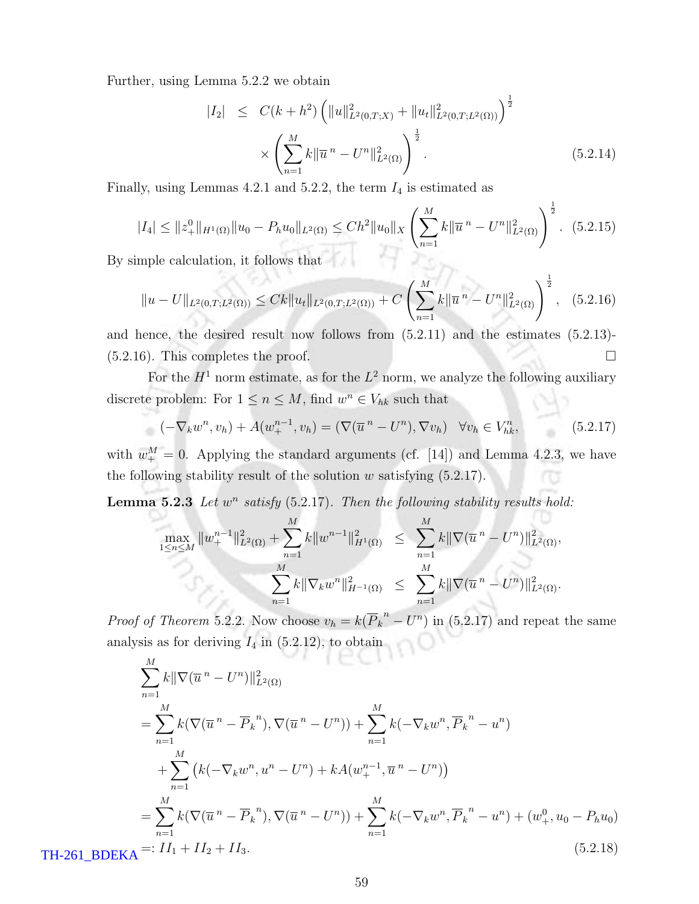Further, using Lemma 5.2.2 we obtain

$$
|I_2| \leq C(k+h^2) \left( \|u\|_{L^2(0,T;X)}^2 + \|u_t\|_{L^2(0,T;L^2(\Omega))}^2 \right)^{\frac{1}{2}} \times \left( \sum_{n=1}^M k \|\overline{u}^n - U^n\|_{L^2(\Omega)}^2 \right)^{\frac{1}{2}}.
$$
 (5.2.14)

Finally, using Lemmas 4.2.1 and 5.2.2, the term  $I_4$  is estimated as

$$
|I_4| \leq ||z_+^0||_{H^1(\Omega)} ||u_0 - P_h u_0||_{L^2(\Omega)} \leq Ch^2 ||u_0||_X \left( \sum_{n=1}^M k ||\overline{u}^n - U^n||^2_{L^2(\Omega)} \right)^{\frac{1}{2}}.
$$
 (5.2.15)

By simple calculation, it follows that

$$
||u - U||_{L^{2}(0,T;L^{2}(\Omega))} \leq Ck||u_{t}||_{L^{2}(0,T;L^{2}(\Omega))} + C\left(\sum_{n=1}^{M} k||\overline{u}^{n} - U^{n}||^{2}_{L^{2}(\Omega)}\right)^{\frac{1}{2}}, \quad (5.2.16)
$$

and hence, the desired result now follows from (5.2.11) and the estimates (5.2.13)-  $(5.2.16)$ . This completes the proof.

For the  $H^1$  norm estimate, as for the  $L^2$  norm, we analyze the following auxiliary discrete problem: For  $1 \le n \le M$ , find  $w^n \in V_{hk}$  such that

$$
(-\nabla_k w^n, v_h) + A(w_+^{n-1}, v_h) = (\nabla(\overline{u}^n - U^n), \nabla v_h) \quad \forall v_h \in V_h^n,
$$
\n(5.2.17)

with  $w_{+}^{M} = 0$ . Applying the standard arguments (cf. [14]) and Lemma 4.2.3, we have the following stability result of the solution  $w$  satisfying  $(5.2.17)$ .

**Lemma 5.2.3** Let  $w^n$  satisfy  $(5.2.17)$ . Then the following stability results hold:

$$
\max_{1 \le n \le M} \|w_+^{n-1}\|_{L^2(\Omega)}^2 + \sum_{n=1}^M k \|w^{n-1}\|_{H^1(\Omega)}^2 \le \sum_{n=1}^M k \|\nabla(\overline{u}^n - U^n)\|_{L^2(\Omega)}^2,
$$
  

$$
\sum_{n=1}^M k \|\nabla_k w^n\|_{H^{-1}(\Omega)}^2 \le \sum_{n=1}^M k \|\nabla(\overline{u}^n - U^n)\|_{L^2(\Omega)}^2.
$$

*Proof of Theorem* 5.2.2. Now choose  $v_h = k(\overline{P}_k^n - U^n)$  in (5.2.17) and repeat the same analysis as for deriving  $I_4$  in (5.2.12), to obtain

$$
\sum_{n=1}^{M} k \|\nabla(\overline{u}^{n} - U^{n})\|_{L^{2}(\Omega)}^{2}
$$
\n
$$
= \sum_{n=1}^{M} k(\nabla(\overline{u}^{n} - \overline{P}_{k}^{n}), \nabla(\overline{u}^{n} - U^{n})) + \sum_{n=1}^{M} k(-\nabla_{k}w^{n}, \overline{P}_{k}^{n} - u^{n})
$$
\n
$$
+ \sum_{n=1}^{M} (k(-\nabla_{k}w^{n}, u^{n} - U^{n}) + kA(w_{+}^{n-1}, \overline{u}^{n} - U^{n}))
$$
\n
$$
= \sum_{n=1}^{M} k(\nabla(\overline{u}^{n} - \overline{P}_{k}^{n}), \nabla(\overline{u}^{n} - U^{n})) + \sum_{n=1}^{M} k(-\nabla_{k}w^{n}, \overline{P}_{k}^{n} - u^{n}) + (w_{+}^{0}, u_{0} - P_{h}u_{0})
$$
\n
$$
TH-261\_\text{BDEKA} =: II_{1} + II_{2} + II_{3}.
$$
\n(5.2.18)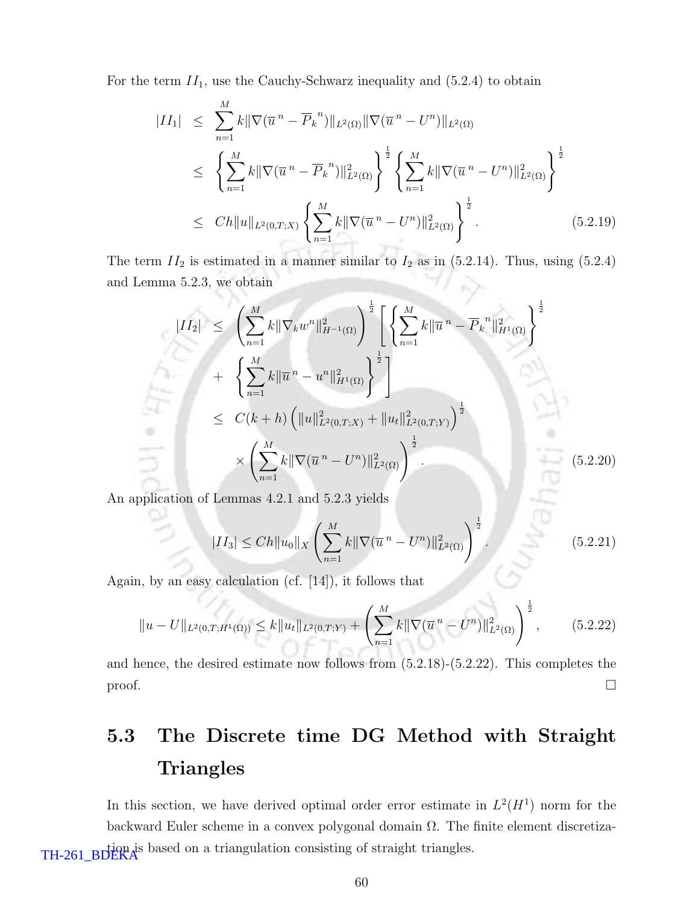For the term  $II_1$ , use the Cauchy-Schwarz inequality and  $(5.2.4)$  to obtain

$$
|II_{1}| \leq \sum_{n=1}^{M} k \|\nabla(\overline{u}^{n} - \overline{P}_{k}^{n})\|_{L^{2}(\Omega)} \|\nabla(\overline{u}^{n} - U^{n})\|_{L^{2}(\Omega)}
$$
  
\n
$$
\leq \left\{\sum_{n=1}^{M} k \|\nabla(\overline{u}^{n} - \overline{P}_{k}^{n})\|_{L^{2}(\Omega)}^{2}\right\}^{\frac{1}{2}} \left\{\sum_{n=1}^{M} k \|\nabla(\overline{u}^{n} - U^{n})\|_{L^{2}(\Omega)}^{2}\right\}^{\frac{1}{2}}
$$
  
\n
$$
\leq Ch \|u\|_{L^{2}(0,T;X)} \left\{\sum_{n=1}^{M} k \|\nabla(\overline{u}^{n} - U^{n})\|_{L^{2}(\Omega)}^{2}\right\}^{\frac{1}{2}}.
$$
 (5.2.19)

The term  $II_2$  is estimated in a manner similar to  $I_2$  as in (5.2.14). Thus, using (5.2.4) and Lemma 5.2.3, we obtain 19

$$
|II_2| \leq \left(\sum_{n=1}^M k \|\nabla_k w^n\|_{H^{-1}(\Omega)}^2\right)^{\frac{1}{2}} \left[\left\{\sum_{n=1}^M k \|\overline{u}^n - \overline{P}_k^n\|_{H^1(\Omega)}^2\right\}^{\frac{1}{2}}\right] + \left\{\sum_{n=1}^M k \|\overline{u}^n - u^n\|_{H^1(\Omega)}^2\right\}^{\frac{1}{2}}\right] \leq C(k+h) \left(\|u\|_{L^2(0,T;X)}^2 + \|u_t\|_{L^2(0,T;Y)}^2\right)^{\frac{1}{2}} \times \left(\sum_{n=1}^M k \|\nabla(\overline{u}^n - U^n)\|_{L^2(\Omega)}^2\right)^{\frac{1}{2}}.
$$
\n(5.2.20)

An application of Lemmas 4.2.1 and 5.2.3 yields

$$
|II_3| \le Ch \|u_0\|_X \left(\sum_{n=1}^M k \|\nabla(\overline{u}^n - U^n)\|_{L^2(\Omega)}^2\right)^{\frac{1}{2}}.
$$
\n(5.2.21)

Again, by an easy calculation (cf. [14]), it follows that

$$
||u - U||_{L^{2}(0,T;H^{1}(\Omega))} \leq k||u_{t}||_{L^{2}(0,T;Y)} + \left(\sum_{n=1}^{M} k||\nabla(\overline{u}^{n} - U^{n})||_{L^{2}(\Omega)}^{2}\right)^{\frac{1}{2}},
$$
(5.2.22)

and hence, the desired estimate now follows from (5.2.18)-(5.2.22). This completes the  $\Box$ 

# 5.3 The Discrete time DG Method with Straight **Triangles**

In this section, we have derived optimal order error estimate in  $L^2(H^1)$  norm for the backward Euler scheme in a convex polygonal domain  $\Omega$ . The finite element discretiza-TH-261\_BDEKA<sup>S</sup> based on a triangulation consisting of straight triangles.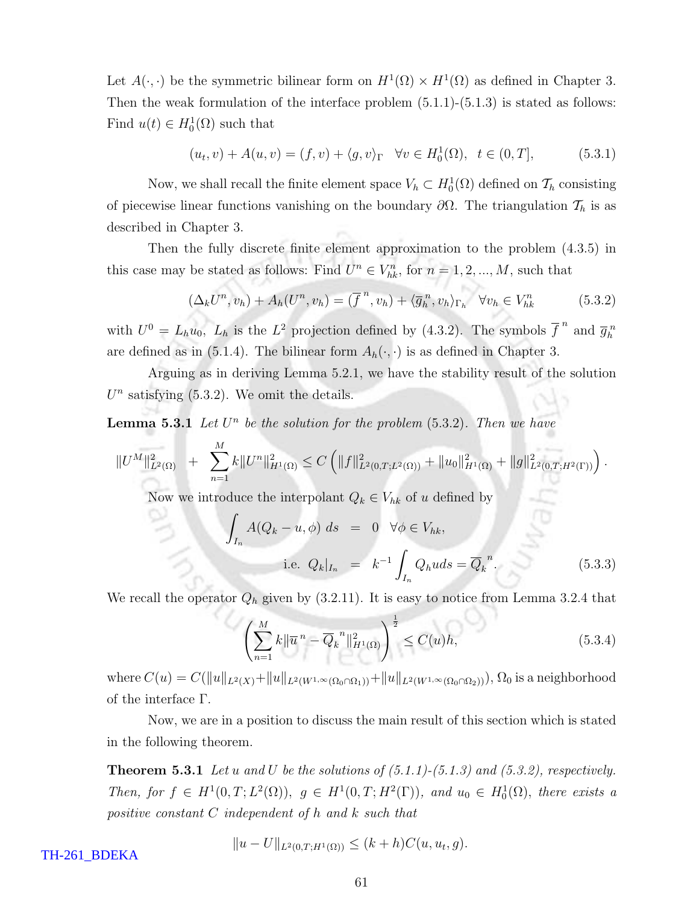Let  $A(\cdot, \cdot)$  be the symmetric bilinear form on  $H^1(\Omega) \times H^1(\Omega)$  as defined in Chapter 3. Then the weak formulation of the interface problem  $(5.1.1)-(5.1.3)$  is stated as follows: Find  $u(t) \in H_0^1(\Omega)$  such that

$$
(u_t, v) + A(u, v) = (f, v) + \langle g, v \rangle_{\Gamma} \quad \forall v \in H_0^1(\Omega), \ t \in (0, T], \tag{5.3.1}
$$

Now, we shall recall the finite element space  $V_h \subset H_0^1(\Omega)$  defined on  $\mathcal{T}_h$  consisting of piecewise linear functions vanishing on the boundary  $\partial\Omega$ . The triangulation  $\mathcal{T}_h$  is as described in Chapter 3.

Then the fully discrete finite element approximation to the problem (4.3.5) in this case may be stated as follows: Find  $U^n \in V_{hk}^n$ , for  $n = 1, 2, ..., M$ , such that

$$
(\Delta_k U^n, v_h) + A_h (U^n, v_h) = (\overline{f}^n, v_h) + \langle \overline{g}_h^n, v_h \rangle_{\Gamma_h} \quad \forall v_h \in V_h^n \tag{5.3.2}
$$

with  $U^0 = L_h u_0$ ,  $L_h$  is the  $L^2$  projection defined by (4.3.2). The symbols  $\overline{f}^n$  and  $\overline{g}_h^n$ are defined as in (5.1.4). The bilinear form  $A_h(\cdot, \cdot)$  is as defined in Chapter 3.

Arguing as in deriving Lemma 5.2.1, we have the stability result of the solution  $U<sup>n</sup>$  satisfying (5.3.2). We omit the details.

**Lemma 5.3.1** Let  $U^n$  be the solution for the problem  $(5.3.2)$ . Then we have

$$
||U^M||^2_{L^2(\Omega)} + \sum_{n=1}^M k||U^n||^2_{H^1(\Omega)} \leq C \left( ||f||^2_{L^2(0,T;L^2(\Omega))} + ||u_0||^2_{H^1(\Omega)} + ||g||^2_{L^2(0,T;H^2(\Gamma))} \right).
$$

Now we introduce the interpolant  $Q_k \in V_{hk}$  of  $u$  defined by

$$
\int_{I_n} A(Q_k - u, \phi) ds = 0 \quad \forall \phi \in V_{hk},
$$
  
i.e.  $Q_k|_{I_n} = k^{-1} \int_{I_n} Q_h u ds = \overline{Q}_k^n.$  (5.3.3)

We recall the operator  $Q_h$  given by (3.2.11). It is easy to notice from Lemma 3.2.4 that

$$
\left(\sum_{n=1}^{M} k \|\overline{u}^{n} - \overline{Q}_{k}^{n}\|_{H^{1}(\Omega)}^{2}\right)^{\frac{1}{2}} \le C(u)h,
$$
\n(5.3.4)

where  $C(u) = C(||u||_{L^2(X)} + ||u||_{L^2(W^{1,\infty}(\Omega_0 \cap \Omega_1))} + ||u||_{L^2(W^{1,\infty}(\Omega_0 \cap \Omega_2))}), \Omega_0$  is a neighborhood of the interface Γ.

Now, we are in a position to discuss the main result of this section which is stated in the following theorem.

**Theorem 5.3.1** Let u and U be the solutions of  $(5.1.1)$ - $(5.1.3)$  and  $(5.3.2)$ , respectively. Then, for  $f \in H^1(0,T; L^2(\Omega))$ ,  $g \in H^1(0,T; H^2(\Gamma))$ , and  $u_0 \in H_0^1(\Omega)$ , there exists a positive constant C independent of h and k such that

$$
||u - U||_{L^{2}(0,T;H^{1}(\Omega))} \leq (k+h)C(u,u_{t},g).
$$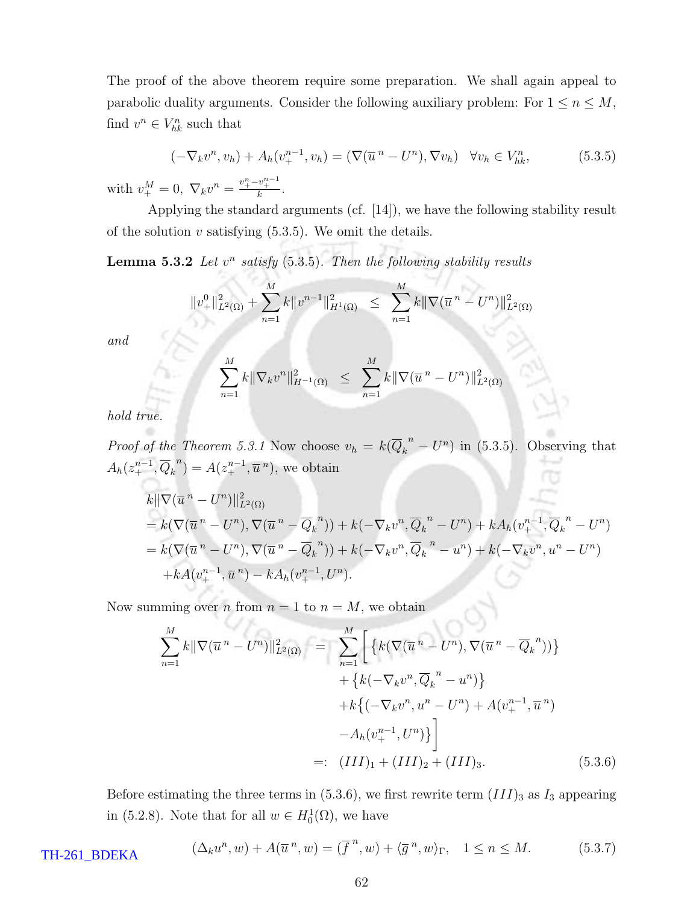The proof of the above theorem require some preparation. We shall again appeal to parabolic duality arguments. Consider the following auxiliary problem: For  $1 \le n \le M$ , find  $v^n \in V^n_{hk}$  such that

$$
(-\nabla_k v^n, v_h) + A_h(v_+^{n-1}, v_h) = (\nabla(\overline{u}^n - U^n), \nabla v_h) \quad \forall v_h \in V_h^n,
$$
 (5.3.5)

with  $v_{+}^{M} = 0$ ,  $\nabla_{k} v^{n} = \frac{v_{+}^{n} - v_{+}^{n-1}}{k}$ .

Applying the standard arguments (cf. [14]), we have the following stability result of the solution  $v$  satisfying  $(5.3.5)$ . We omit the details.

**Lemma 5.3.2** Let  $v^n$  satisfy (5.3.5). Then the following stability results

$$
||v^0_+||^2_{L^2(\Omega)} + \sum_{n=1}^M k||v^{n-1}||^2_{H^1(\Omega)} \le \sum_{n=1}^M k||\nabla(\overline{u}^n - U^n)||^2_{L^2(\Omega)}
$$

and

$$
\sum_{n=1}^{M} k \|\nabla_k v^n\|_{H^{-1}(\Omega)}^2 \leq \sum_{n=1}^{M} k \|\nabla(\overline{u}^n - U^n)\|_{L^2(\Omega)}^2
$$

hold true.

*Proof of the Theorem 5.3.1* Now choose  $v_h = k(\overline{Q_k}^n - U^n)$  in (5.3.5). Observing that  $A_h(z_+^{n-1}, \overline{Q}_k^{\ n}) = A(z_+^{n-1}, \overline{u}^{\ n}),$  we obtain

$$
k\|\nabla(\overline{u}^n - U^n)\|_{L^2(\Omega)}^2
$$
  
=  $k(\nabla(\overline{u}^n - U^n), \nabla(\overline{u}^n - \overline{Q}_k^n)) + k(-\nabla_k v^n, \overline{Q}_k^n - U^n) + kA_h(v_+^{n-1}, \overline{Q}_k^n - U^n)$   
=  $k(\nabla(\overline{u}^n - U^n), \nabla(\overline{u}^n - \overline{Q}_k^n)) + k(-\nabla_k v^n, \overline{Q}_k^n - u^n) + k(-\nabla_k v^n, u^n - U^n)$   
+  $kA(v_+^{n-1}, \overline{u}^n) - kA_h(v_+^{n-1}, U^n).$ 

Now summing over *n* from  $n = 1$  to  $n = M$ , we obtain

$$
\sum_{n=1}^{M} k \|\nabla(\overline{u}^{n} - U^{n})\|_{L^{2}(\Omega)}^{2} = \sum_{n=1}^{M} \left[ \left\{ k(\nabla(\overline{u}^{n} - U^{n}), \nabla(\overline{u}^{n} - \overline{Q}_{k}^{n})) \right\} \right. \\ \left. + \left\{ k(-\nabla_{k}v^{n}, \overline{Q}_{k}^{n} - u^{n}) \right\} \right. \\ \left. + k\left\{ (-\nabla_{k}v^{n}, u^{n} - U^{n}) + A(v_{+}^{n-1}, \overline{u}^{n}) \right. \\ \left. - A_{h}(v_{+}^{n-1}, U^{n}) \right\} \right] \right] \\ =: (III)_{1} + (III)_{2} + (III)_{3}. \tag{5.3.6}
$$

Before estimating the three terms in  $(5.3.6)$ , we first rewrite term  $(III)_3$  as  $I_3$  appearing in (5.2.8). Note that for all  $w \in H_0^1(\Omega)$ , we have

$$
(\Delta_k u^n, w) + A(\overline{u}^n, w) = (\overline{f}^n, w) + \langle \overline{g}^n, w \rangle_{\Gamma}, \quad 1 \le n \le M. \tag{5.3.7}
$$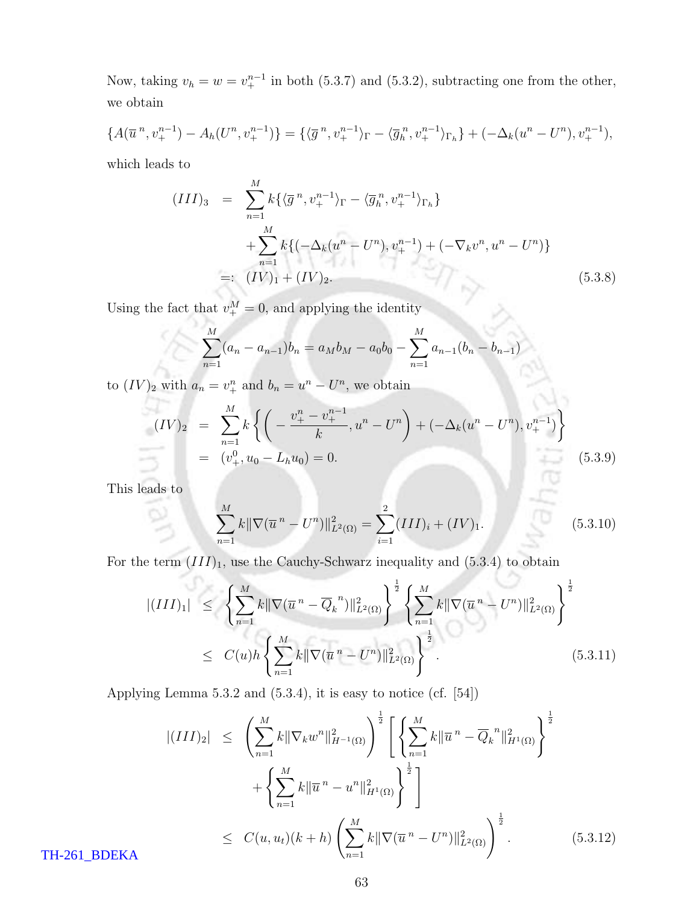Now, taking  $v_h = w = v_+^{n-1}$  in both (5.3.7) and (5.3.2), subtracting one from the other, we obtain

$$
\{A(\overline{u}^n, v_+^{n-1}) - A_h(U^n, v_+^{n-1})\} = \{\langle \overline{g}^n, v_+^{n-1} \rangle_{\Gamma} - \langle \overline{g}_h^n, v_+^{n-1} \rangle_{\Gamma_h}\} + (-\Delta_k(u^n - U^n), v_+^{n-1}),
$$

which leads to

$$
(III)_3 = \sum_{n=1}^{M} k \{ \langle \overline{g}^n, v_+^{n-1} \rangle_{\Gamma} - \langle \overline{g}_h^n, v_+^{n-1} \rangle_{\Gamma_h} \}
$$
  
+ 
$$
\sum_{n=1}^{M} k \{ (-\Delta_k (u^n - U^n), v_+^{n-1}) + (-\nabla_k v^n, u^n - U^n) \}
$$
  
=: 
$$
(IV)_1 + (IV)_2.
$$
 (5.3.8)

Using the fact that  $v_+^M = 0$ , and applying the identity

$$
\sum_{n=1}^{M} (a_n - a_{n-1})b_n = a_M b_M - a_0 b_0 - \sum_{n=1}^{M} a_{n-1} (b_n - b_{n-1})
$$

to  $(IV)_2$  with  $a_n = v_+^n$  and  $b_n = u_-^n - U_-^n$ , we obtain

$$
(IV)_2 = \sum_{n=1}^{M} k \left\{ \left( -\frac{v_+^n - v_+^{n-1}}{k}, u^n - U^n \right) + (-\Delta_k (u^n - U^n), v_+^{n-1}) \right\}
$$
  
=  $(v_+^0, u_0 - L_h u_0) = 0.$  (5.3.9)

This leads to

$$
\sum_{n=1}^{M} k \|\nabla(\overline{u}^{n} - U^{n})\|_{L^{2}(\Omega)}^{2} = \sum_{i=1}^{2} (III)_{i} + (IV)_{1}.
$$
\n(5.3.10)

For the term  $(III)_1$ , use the Cauchy-Schwarz inequality and  $(5.3.4)$  to obtain

$$
\begin{split} |(III)_{1}| &\leq \left\{ \sum_{n=1}^{M} k \|\nabla(\overline{u}^{n} - \overline{Q}_{k}^{n})\|_{L^{2}(\Omega)}^{2} \right\}^{\frac{1}{2}} \left\{ \sum_{n=1}^{M} k \|\nabla(\overline{u}^{n} - U^{n})\|_{L^{2}(\Omega)}^{2} \right\}^{\frac{1}{2}} \\ &\leq C(u) h \left\{ \sum_{n=1}^{M} k \|\nabla(\overline{u}^{n} - U^{n})\|_{L^{2}(\Omega)}^{2} \right\}^{\frac{1}{2}} . \end{split} \tag{5.3.11}
$$

Applying Lemma 5.3.2 and (5.3.4), it is easy to notice (cf. [54])

$$
\begin{split} |(III)_2| &\leq \left(\sum_{n=1}^M k \|\nabla_k w^n\|_{H^{-1}(\Omega)}^2\right)^{\frac{1}{2}} \left[ \left\{\sum_{n=1}^M k \|\overline{u}^n - \overline{Q}_k^n\|_{H^1(\Omega)}^2 \right\}^{\frac{1}{2}} \right] \\ &+ \left\{\sum_{n=1}^M k \|\overline{u}^n - u^n\|_{H^1(\Omega)}^2 \right\}^{\frac{1}{2}} \right] \\ &\leq \left.C(u, u_t)(k+h) \left(\sum_{n=1}^M k \|\nabla(\overline{u}^n - U^n)\|_{L^2(\Omega)}^2\right)^{\frac{1}{2}}. \end{split} \tag{5.3.12}
$$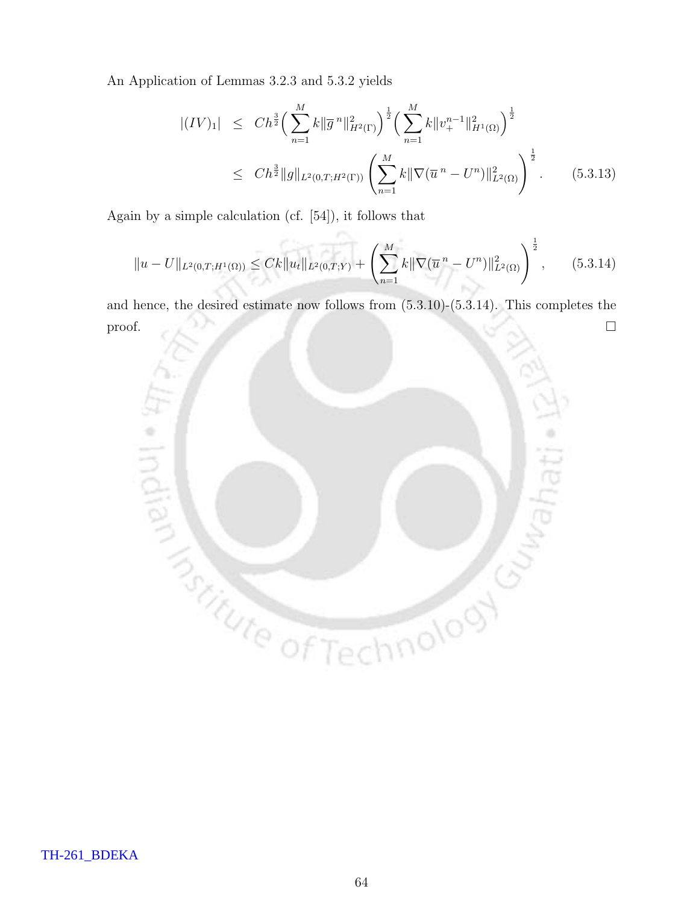An Application of Lemmas 3.2.3 and 5.3.2 yields

$$
\begin{split} |(IV)_{1}| &\leq C h^{\frac{3}{2}} \Big(\sum_{n=1}^{M} k \|\overline{g}^{n}\|_{H^{2}(\Gamma)}^{2}\Big)^{\frac{1}{2}} \Big(\sum_{n=1}^{M} k \|v_{+}^{n-1}\|_{H^{1}(\Omega)}^{2}\Big)^{\frac{1}{2}} \\ &\leq C h^{\frac{3}{2}} \|g\|_{L^{2}(0,T;H^{2}(\Gamma))} \left(\sum_{n=1}^{M} k \|\nabla(\overline{u}^{n} - U^{n})\|_{L^{2}(\Omega)}^{2}\right)^{\frac{1}{2}}. \end{split} \tag{5.3.13}
$$

Again by a simple calculation (cf. [54]), it follows that

$$
||u - U||_{L^{2}(0,T;H^{1}(\Omega))} \leq Ck||u_{t}||_{L^{2}(0,T;Y)} + \left(\sum_{n=1}^{M} k||\nabla(\overline{u}^{n} - U^{n})||_{L^{2}(\Omega)}^{2}\right)^{\frac{1}{2}}, \qquad (5.3.14)
$$

and hence, the desired estimate now follows from (5.3.10)-(5.3.14). This completes the proof.

m.

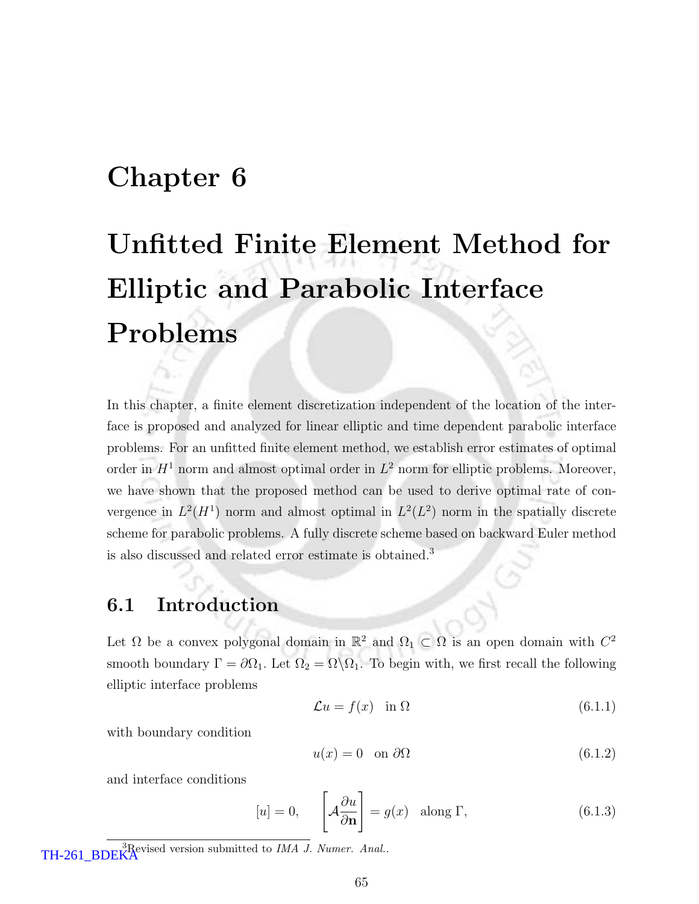### Chapter 6

# Unfitted Finite Element Method for Elliptic and Parabolic Interface Problems

In this chapter, a finite element discretization independent of the location of the interface is proposed and analyzed for linear elliptic and time dependent parabolic interface problems. For an unfitted finite element method, we establish error estimates of optimal order in  $H<sup>1</sup>$  norm and almost optimal order in  $L<sup>2</sup>$  norm for elliptic problems. Moreover, we have shown that the proposed method can be used to derive optimal rate of convergence in  $L^2(H^1)$  norm and almost optimal in  $L^2(L^2)$  norm in the spatially discrete scheme for parabolic problems. A fully discrete scheme based on backward Euler method is also discussed and related error estimate is obtained.<sup>3</sup>

### 6.1 Introduction

Let  $\Omega$  be a convex polygonal domain in  $\mathbb{R}^2$  and  $\Omega_1 \subset \Omega$  is an open domain with  $C^2$ smooth boundary  $\Gamma = \partial \Omega_1$ . Let  $\Omega_2 = \Omega \backslash \Omega_1$ . To begin with, we first recall the following elliptic interface problems

$$
\mathcal{L}u = f(x) \quad \text{in } \Omega \tag{6.1.1}
$$

with boundary condition

$$
u(x) = 0 \quad \text{on } \partial\Omega \tag{6.1.2}
$$

and interface conditions

$$
[u] = 0, \qquad \left[ \mathcal{A} \frac{\partial u}{\partial \mathbf{n}} \right] = g(x) \quad \text{along } \Gamma,
$$
\n(6.1.3)

TH-261\_BDEKA<sup>3</sup>Revised version submitted to IMA J. Numer. Anal..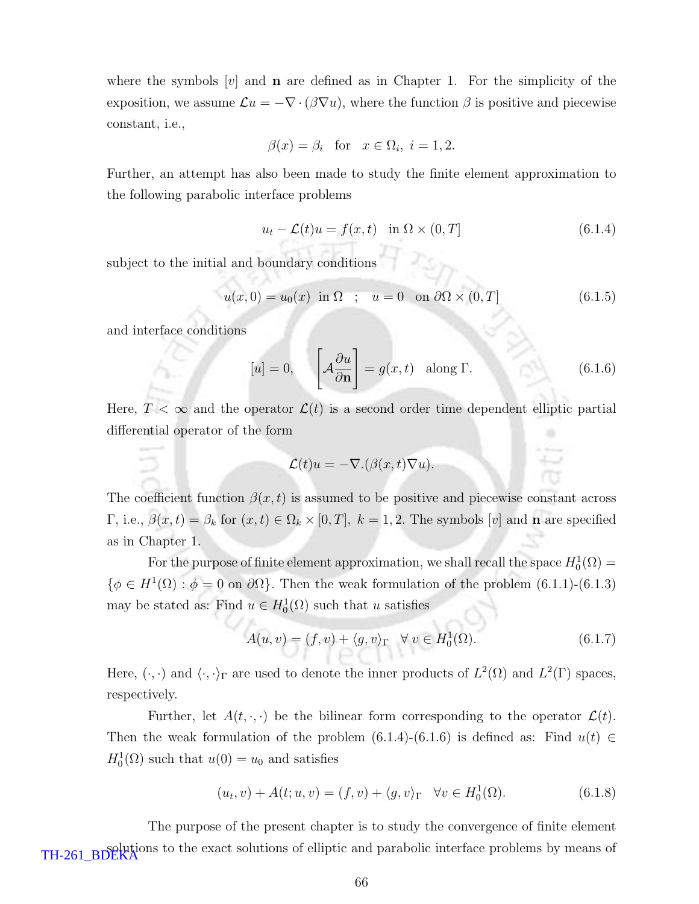where the symbols  $[v]$  and **n** are defined as in Chapter 1. For the simplicity of the exposition, we assume  $\mathcal{L}u = -\nabla \cdot (\beta \nabla u)$ , where the function  $\beta$  is positive and piecewise constant, i.e.,

$$
\beta(x) = \beta_i \quad \text{for} \quad x \in \Omega_i, \ i = 1, 2.
$$

Further, an attempt has also been made to study the finite element approximation to the following parabolic interface problems

$$
u_t - \mathcal{L}(t)u = f(x, t) \quad \text{in } \Omega \times (0, T] \tag{6.1.4}
$$

subject to the initial and boundary conditions

$$
u(x,0) = u_0(x) \text{ in } \Omega \quad ; \quad u = 0 \quad \text{on } \partial\Omega \times (0,T] \tag{6.1.5}
$$

and interface conditions

$$
[u] = 0, \qquad \left[ \mathcal{A} \frac{\partial u}{\partial \mathbf{n}} \right] = g(x, t) \quad \text{along } \Gamma. \tag{6.1.6}
$$

Here,  $T < \infty$  and the operator  $\mathcal{L}(t)$  is a second order time dependent elliptic partial differential operator of the form

$$
\mathcal{L}(t)u = -\nabla \cdot (\beta(x,t)\nabla u).
$$

The coefficient function  $\beta(x,t)$  is assumed to be positive and piecewise constant across Γ, i.e.,  $\beta(x,t) = \beta_k$  for  $(x,t) \in \Omega_k \times [0,T]$ ,  $k = 1,2$ . The symbols [v] and **n** are specified as in Chapter 1.

For the purpose of finite element approximation, we shall recall the space  $H_0^1(\Omega) =$  $\{\phi \in H^1(\Omega) : \phi = 0 \text{ on } \partial\Omega\}$ . Then the weak formulation of the problem  $(6.1.1)-(6.1.3)$ may be stated as: Find  $u \in H_0^1(\Omega)$  such that u satisfies

$$
A(u, v) = (f, v) + \langle g, v \rangle_{\Gamma} \quad \forall \ v \in H_0^1(\Omega). \tag{6.1.7}
$$

Here,  $(\cdot, \cdot)$  and  $\langle \cdot, \cdot \rangle_{\Gamma}$  are used to denote the inner products of  $L^2(\Omega)$  and  $L^2(\Gamma)$  spaces, respectively.

Further, let  $A(t, \cdot, \cdot)$  be the bilinear form corresponding to the operator  $\mathcal{L}(t)$ . Then the weak formulation of the problem  $(6.1.4)-(6.1.6)$  is defined as: Find  $u(t) \in$  $H_0^1(\Omega)$  such that  $u(0) = u_0$  and satisfies

$$
(u_t, v) + A(t; u, v) = (f, v) + \langle g, v \rangle_{\Gamma} \quad \forall v \in H_0^1(\Omega). \tag{6.1.8}
$$

The purpose of the present chapter is to study the convergence of finite element TH-261\_BDEKA<sup>ons</sup> to the exact solutions of elliptic and parabolic interface problems by means of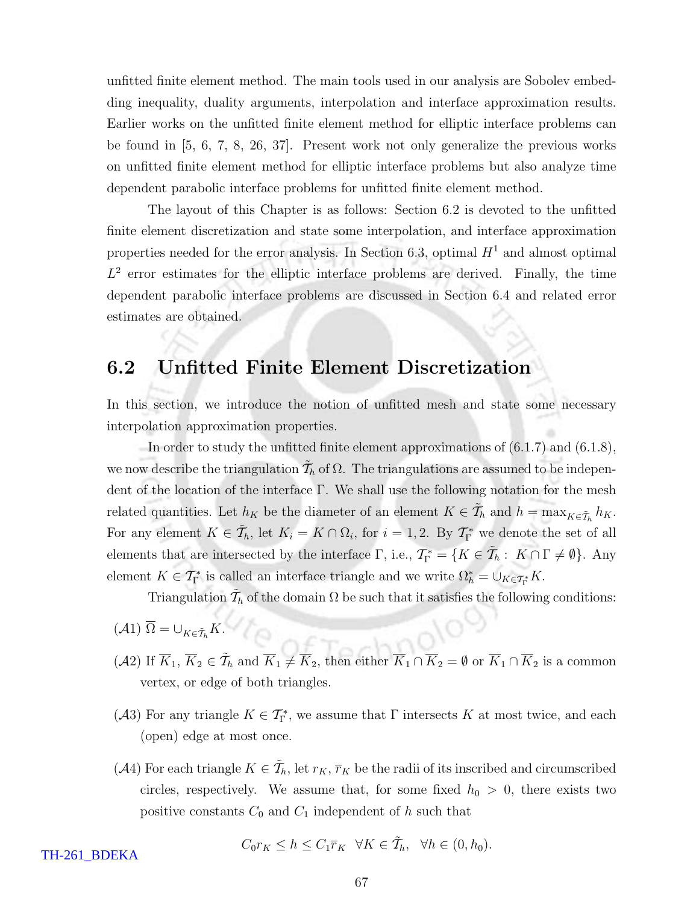unfitted finite element method. The main tools used in our analysis are Sobolev embedding inequality, duality arguments, interpolation and interface approximation results. Earlier works on the unfitted finite element method for elliptic interface problems can be found in [5, 6, 7, 8, 26, 37]. Present work not only generalize the previous works on unfitted finite element method for elliptic interface problems but also analyze time dependent parabolic interface problems for unfitted finite element method.

The layout of this Chapter is as follows: Section 6.2 is devoted to the unfitted finite element discretization and state some interpolation, and interface approximation properties needed for the error analysis. In Section 6.3, optimal  $H^1$  and almost optimal  $L^2$  error estimates for the elliptic interface problems are derived. Finally, the time dependent parabolic interface problems are discussed in Section 6.4 and related error estimates are obtained.

### 6.2 Unfitted Finite Element Discretization

In this section, we introduce the notion of unfitted mesh and state some necessary interpolation approximation properties.

In order to study the unfitted finite element approximations of (6.1.7) and (6.1.8), we now describe the triangulation  $\tilde{\mathcal{T}}_h$  of  $\Omega$ . The triangulations are assumed to be independent of the location of the interface Γ. We shall use the following notation for the mesh related quantities. Let  $h_K$  be the diameter of an element  $K \in \tilde{\mathcal{T}}_h$  and  $h = \max_{K \in \tilde{\mathcal{T}}_h} h_K$ . For any element  $K \in \tilde{\mathcal{T}}_h$ , let  $K_i = K \cap \Omega_i$ , for  $i = 1, 2$ . By  $\mathcal{T}_{\Gamma}^*$  we denote the set of all elements that are intersected by the interface  $\Gamma$ , i.e.,  $\mathcal{T}_{\Gamma}^* = \{K \in \tilde{\mathcal{T}}_h : K \cap \Gamma \neq \emptyset\}$ . Any element  $K \in \mathcal{T}_{\Gamma}^*$  is called an interface triangle and we write  $\Omega_h^* = \bigcup_{K \in \mathcal{T}_{\Gamma}^*} K$ .

Triangulation  $\tilde{\mathcal{T}}_h$  of the domain  $\Omega$  be such that it satisfies the following conditions:

- $(A1) \Omega = \bigcup_{K \in \tilde{\mathcal{T}}_h} K.$
- (A2) If  $\overline{K}_1$ ,  $\overline{K}_2 \in \tilde{\mathcal{T}}_h$  and  $\overline{K}_1 \neq \overline{K}_2$ , then either  $\overline{K}_1 \cap \overline{K}_2 = \emptyset$  or  $\overline{K}_1 \cap \overline{K}_2$  is a common vertex, or edge of both triangles.
- (A3) For any triangle  $K \in \mathcal{T}_{\Gamma}^*$ , we assume that  $\Gamma$  intersects K at most twice, and each (open) edge at most once.
- (A4) For each triangle  $K \in \tilde{\mathcal{T}}_h$ , let  $r_K$ ,  $\overline{r}_K$  be the radii of its inscribed and circumscribed circles, respectively. We assume that, for some fixed  $h_0 > 0$ , there exists two positive constants  $C_0$  and  $C_1$  independent of h such that

$$
C_0r_K \leq h \leq C_1\overline{r}_K \quad \forall K \in \tilde{T}_h, \quad \forall h \in (0, h_0).
$$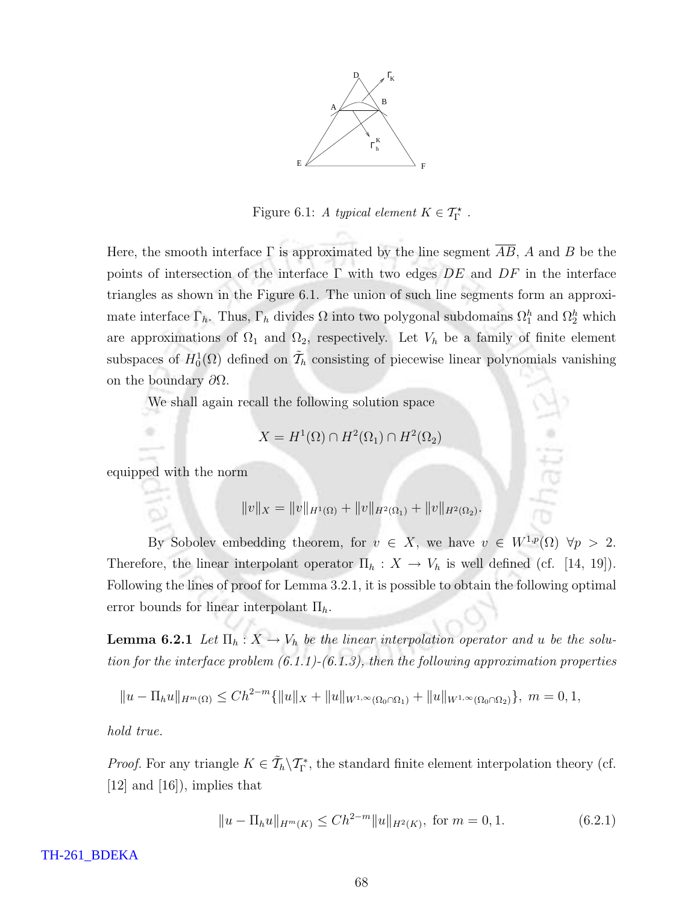

Figure 6.1: A typical element  $K \in \mathcal{T}_{\Gamma}^{\star}$ .

Here, the smooth interface  $\Gamma$  is approximated by the line segment  $\overline{AB}$ , A and B be the points of intersection of the interface  $\Gamma$  with two edges  $DE$  and  $DF$  in the interface triangles as shown in the Figure 6.1. The union of such line segments form an approximate interface  $\Gamma_h$ . Thus,  $\Gamma_h$  divides  $\Omega$  into two polygonal subdomains  $\Omega_1^h$  and  $\Omega_2^h$  which are approximations of  $\Omega_1$  and  $\Omega_2$ , respectively. Let  $V_h$  be a family of finite element subspaces of  $H_0^1(\Omega)$  defined on  $\widetilde{\mathcal{T}}_h$  consisting of piecewise linear polynomials vanishing on the boundary  $\partial\Omega$ .

We shall again recall the following solution space

$$
X = H^1(\Omega) \cap H^2(\Omega_1) \cap H^2(\Omega_2)
$$

equipped with the norm

$$
||v||_X = ||v||_{H^1(\Omega)} + ||v||_{H^2(\Omega_1)} + ||v||_{H^2(\Omega_2)}.
$$

By Sobolev embedding theorem, for  $v \in X$ , we have  $v \in W^{1,p}(\Omega)$   $\forall p > 2$ . Therefore, the linear interpolant operator  $\Pi_h : X \to V_h$  is well defined (cf. [14, 19]). Following the lines of proof for Lemma 3.2.1, it is possible to obtain the following optimal error bounds for linear interpolant  $\Pi_h$ .

**Lemma 6.2.1** Let  $\Pi_h: X \to V_h$  be the linear interpolation operator and u be the solution for the interface problem  $(6.1.1)-(6.1.3)$ , then the following approximation properties

$$
||u - \Pi_h u||_{H^m(\Omega)} \le Ch^{2-m}\{||u||_X + ||u||_{W^{1,\infty}(\Omega_0 \cap \Omega_1)} + ||u||_{W^{1,\infty}(\Omega_0 \cap \Omega_2)}\}, m = 0, 1,
$$

hold true.

*Proof.* For any triangle  $K \in \tilde{\mathcal{T}}_h \backslash \mathcal{T}_{\Gamma}^*$ , the standard finite element interpolation theory (cf. [12] and [16]), implies that

$$
||u - \Pi_h u||_{H^m(K)} \le Ch^{2-m} ||u||_{H^2(K)}, \text{ for } m = 0, 1.
$$
 (6.2.1)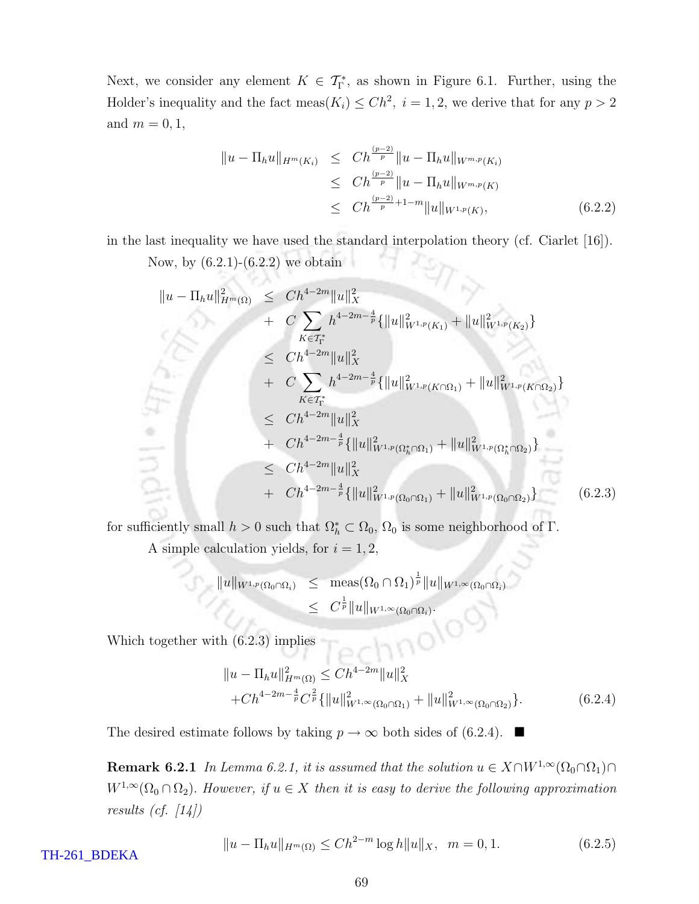Next, we consider any element  $K \in \mathcal{T}_{\Gamma}^*$ , as shown in Figure 6.1. Further, using the Holder's inequality and the fact meas $(K_i) \leq Ch^2$ ,  $i = 1, 2$ , we derive that for any  $p > 2$ and  $m = 0, 1$ ,

$$
\|u - \Pi_h u\|_{H^m(K_i)} \le Ch^{\frac{(p-2)}{p}} \|u - \Pi_h u\|_{W^{m,p}(K_i)}
$$
  
\n
$$
\le Ch^{\frac{(p-2)}{p}} \|u - \Pi_h u\|_{W^{m,p}(K)}
$$
  
\n
$$
\le Ch^{\frac{(p-2)}{p}+1-m} \|u\|_{W^{1,p}(K)},
$$
\n(6.2.2)

 $\epsilon$ 

in the last inequality we have used the standard interpolation theory (cf. Ciarlet [16]).

Now, by  $(6.2.1)-(6.2.2)$  we obtain

$$
\|u - \Pi_h u\|_{H^m(\Omega)}^2 \le Ch^{4-2m} \|u\|_X^2
$$
  
+  $C \sum_{K \in \mathcal{T}_1^*} h^{4-2m-\frac{4}{p}} \{ \|u\|_{W^{1,p}(K_1)}^2 + \|u\|_{W^{1,p}(K_2)}^2 \}$   
 $\le Ch^{4-2m} \|u\|_X^2$   
+  $C \sum_{K \in \mathcal{T}_1^*} h^{4-2m-\frac{4}{p}} \{ \|u\|_{W^{1,p}(K \cap \Omega_1)}^2 + \|u\|_{W^{1,p}(K \cap \Omega_2)}^2 \}$   
 $\le Ch^{4-2m} \|u\|_X^2$   
+  $Ch^{4-2m-\frac{4}{p}} \{ \|u\|_{W^{1,p}(\Omega_h^* \cap \Omega_1)}^2 + \|u\|_{W^{1,p}(\Omega_h^* \cap \Omega_2)}^2 \}$   
 $\le Ch^{4-2m} \|u\|_X^2$   
+  $Ch^{4-2m-\frac{4}{p}} \{ \|u\|_{W^{1,p}(\Omega_0 \cap \Omega_1)}^2 + \|u\|_{W^{1,p}(\Omega_0 \cap \Omega_2)}^2 \}$  (6.2.3)

for sufficiently small  $h > 0$  such that  $\Omega_h^* \subset \Omega_0$ ,  $\Omega_0$  is some neighborhood of  $\Gamma$ .

A simple calculation yields, for  $i = 1, 2$ ,

$$
||u||_{W^{1,p}(\Omega_0 \cap \Omega_i)} \leq \operatorname{meas}(\Omega_0 \cap \Omega_1)^{\frac{1}{p}} ||u||_{W^{1,\infty}(\Omega_0 \cap \Omega_i)}
$$
  

$$
\leq C^{\frac{1}{p}} ||u||_{W^{1,\infty}(\Omega_0 \cap \Omega_i)}.
$$

Which together with  $(6.2.3)$  implies

$$
||u - \Pi_h u||_{H^m(\Omega)}^2 \le C h^{4-2m} ||u||_X^2
$$
  
+ $Ch^{4-2m-\frac{4}{p}} C^{\frac{2}{p}} {\{\|u\|_{W^{1,\infty}(\Omega_0 \cap \Omega_1)}^2 + \|u\|_{W^{1,\infty}(\Omega_0 \cap \Omega_2)}^2\}}.$  (6.2.4)

The desired estimate follows by taking  $p \to \infty$  both sides of (6.2.4).

**Remark 6.2.1** In Lemma 6.2.1, it is assumed that the solution  $u \in X \cap W^{1,\infty}(\Omega_0 \cap \Omega_1) \cap$  $W^{1,\infty}(\Omega_0 \cap \Omega_2)$ . However, if  $u \in X$  then it is easy to derive the following approximation results (cf.  $\lceil 14 \rceil$ )

 $||u - \Pi_h u||_{H^m(\Omega)} \le Ch^{2-m} \log h ||u||_X, \quad m = 0, 1.$  (6.2.5)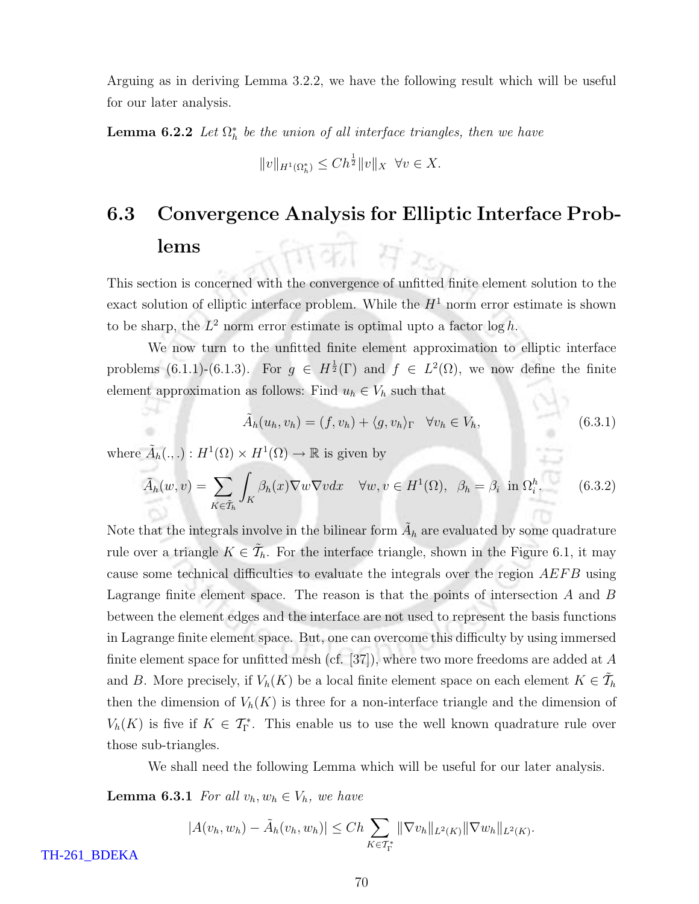Arguing as in deriving Lemma 3.2.2, we have the following result which will be useful for our later analysis.

**Lemma 6.2.2** Let  $\Omega_h^*$  be the union of all interface triangles, then we have

$$
||v||_{H^1(\Omega_h^*)} \le Ch^{\frac{1}{2}} ||v||_X \ \forall v \in X.
$$

## 6.3 Convergence Analysis for Elliptic Interface Problems ताका संग

This section is concerned with the convergence of unfitted finite element solution to the exact solution of elliptic interface problem. While the  $H<sup>1</sup>$  norm error estimate is shown to be sharp, the  $L^2$  norm error estimate is optimal upto a factor  $\log h$ .

We now turn to the unfitted finite element approximation to elliptic interface problems (6.1.1)-(6.1.3). For  $g \in H^{\frac{1}{2}}(\Gamma)$  and  $f \in L^2(\Omega)$ , we now define the finite element approximation as follows: Find  $u_h \in V_h$  such that

$$
\tilde{A}_h(u_h, v_h) = (f, v_h) + \langle g, v_h \rangle_{\Gamma} \quad \forall v_h \in V_h,
$$
\n(6.3.1)

where  $\tilde{A}_h(.,.): H^1(\Omega) \times H^1(\Omega) \to \mathbb{R}$  is given by

$$
\tilde{A}_h(w,v) = \sum_{K \in \tilde{\mathcal{T}}_h} \int_K \beta_h(x) \nabla w \nabla v dx \quad \forall w, v \in H^1(\Omega), \ \beta_h = \beta_i \text{ in } \Omega_i^h. \tag{6.3.2}
$$

Note that the integrals involve in the bilinear form  $\tilde{A}_h$  are evaluated by some quadrature rule over a triangle  $K \in \tilde{\mathcal{T}}_h$ . For the interface triangle, shown in the Figure 6.1, it may cause some technical difficulties to evaluate the integrals over the region AEFB using Lagrange finite element space. The reason is that the points of intersection  $A$  and  $B$ between the element edges and the interface are not used to represent the basis functions in Lagrange finite element space. But, one can overcome this difficulty by using immersed finite element space for unfitted mesh (cf. [37]), where two more freedoms are added at  $A$ and B. More precisely, if  $V_h(K)$  be a local finite element space on each element  $K \in \tilde{\mathcal{T}}_h$ then the dimension of  $V_h(K)$  is three for a non-interface triangle and the dimension of  $V_h(K)$  is five if  $K \in \mathcal{T}_{\Gamma}^*$ . This enable us to use the well known quadrature rule over those sub-triangles.

We shall need the following Lemma which will be useful for our later analysis.

**Lemma 6.3.1** For all  $v_h, w_h \in V_h$ , we have

$$
|A(v_h, w_h) - \tilde{A}_h(v_h, w_h)| \le Ch \sum_{K \in \mathcal{T}_{\Gamma}^*} ||\nabla v_h||_{L^2(K)} ||\nabla w_h||_{L^2(K)}.
$$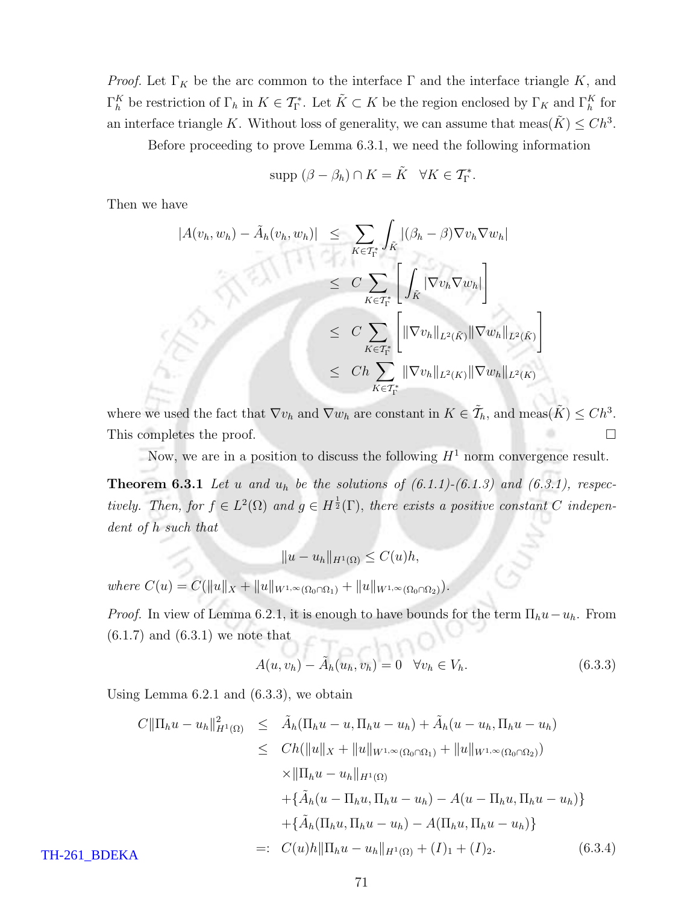*Proof.* Let  $\Gamma_K$  be the arc common to the interface  $\Gamma$  and the interface triangle K, and  $\Gamma_h^K$  be restriction of  $\Gamma_h$  in  $K \in \mathcal{T}_{\Gamma}^*$ . Let  $\tilde{K} \subset K$  be the region enclosed by  $\Gamma_K$  and  $\Gamma_h^K$  for an interface triangle K. Without loss of generality, we can assume that meas $(\tilde{K}) \leq C h^3$ .

Before proceeding to prove Lemma 6.3.1, we need the following information

$$
\text{supp } (\beta - \beta_h) \cap K = \tilde{K} \quad \forall K \in \mathcal{T}_{\Gamma}^*.
$$

Then we have

$$
|A(v_h, w_h) - \tilde{A}_h(v_h, w_h)| \leq \sum_{K \in \mathcal{T}_{\Gamma}^*} \int_{\tilde{K}} |(\beta_h - \beta) \nabla v_h \nabla w_h|
$$
  
\n
$$
\leq C \sum_{K \in \mathcal{T}_{\Gamma}^*} \left[ \int_{\tilde{K}} |\nabla v_h \nabla w_h| \right]
$$
  
\n
$$
\leq C \sum_{K \in \mathcal{T}_{\Gamma}^*} \left[ \|\nabla v_h\|_{L^2(\tilde{K})} \|\nabla w_h\|_{L^2(\tilde{K})} \right]
$$
  
\n
$$
\leq Ch \sum_{K \in \mathcal{T}_{\Gamma}^*} \|\nabla v_h\|_{L^2(K)} \|\nabla w_h\|_{L^2(K)}
$$

where we used the fact that  $\nabla v_h$  and  $\nabla w_h$  are constant in  $K \in \tilde{\mathcal{T}}_h$ , and meas $(\tilde{K}) \leq C h^3$ . This completes the proof.

Now, we are in a position to discuss the following  $H<sup>1</sup>$  norm convergence result.

**Theorem 6.3.1** Let u and  $u_h$  be the solutions of  $(6.1.1)-(6.1.3)$  and  $(6.3.1)$ , respectively. Then, for  $f \in L^2(\Omega)$  and  $g \in H^{\frac{1}{2}}(\Gamma)$ , there exists a positive constant C independent of h such that

$$
||u - u_h||_{H^1(\Omega)} \le C(u)h,
$$

where  $C(u) = C(||u||_X + ||u||_{W^{1,\infty}(\Omega_0 \cap \Omega_1)} + ||u||_{W^{1,\infty}(\Omega_0 \cap \Omega_2)}).$ 

*Proof.* In view of Lemma 6.2.1, it is enough to have bounds for the term  $\Pi_h u - u_h$ . From  $\left( 6.1.7\right)$  and  $\left( 6.3.1\right)$  we note that  $T - A_0$ 

$$
A(u, v_h) - \tilde{A}_h(u_h, v_h) = 0 \quad \forall v_h \in V_h.
$$
\n
$$
(6.3.3)
$$

Using Lemma 6.2.1 and (6.3.3), we obtain

$$
C \|\Pi_h u - u_h\|_{H^1(\Omega)}^2 \leq \tilde{A}_h(\Pi_h u - u, \Pi_h u - u_h) + \tilde{A}_h(u - u_h, \Pi_h u - u_h)
$$
  
\n
$$
\leq Ch(\|u\|_X + \|u\|_{W^{1,\infty}(\Omega_0 \cap \Omega_1)} + \|u\|_{W^{1,\infty}(\Omega_0 \cap \Omega_2)})
$$
  
\n
$$
\times \|\Pi_h u - u_h\|_{H^1(\Omega)}
$$
  
\n
$$
+ \{\tilde{A}_h(u - \Pi_h u, \Pi_h u - u_h) - A(u - \Pi_h u, \Pi_h u - u_h)\}
$$
  
\n
$$
+ \{\tilde{A}_h(\Pi_h u, \Pi_h u - u_h) - A(\Pi_h u, \Pi_h u - u_h)\}
$$
  
\n
$$
=: C(u)h \|\Pi_h u - u_h\|_{H^1(\Omega)} + (I)_1 + (I)_2.
$$
 (6.3.4)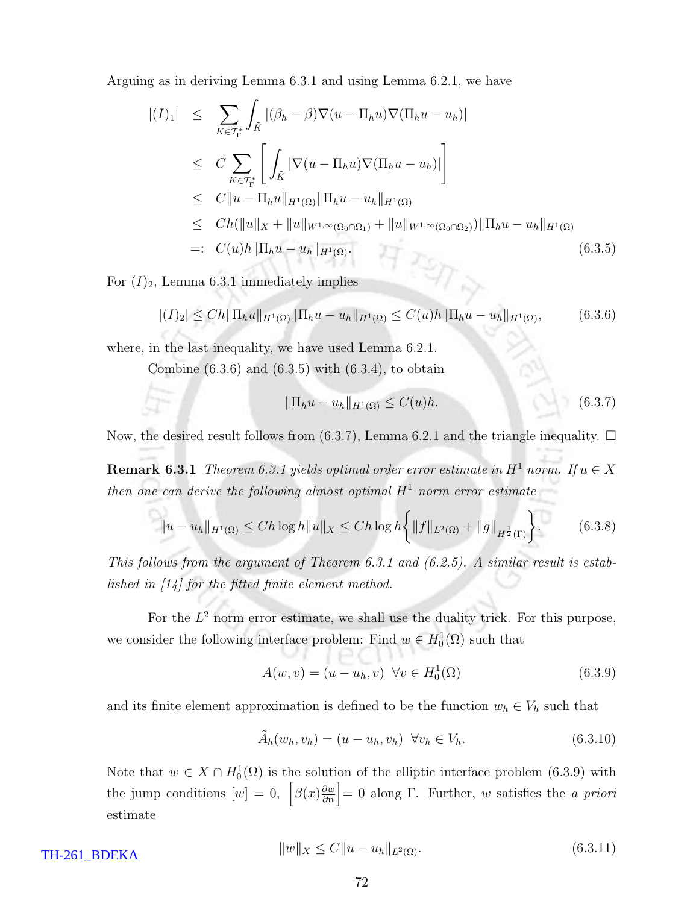Arguing as in deriving Lemma 6.3.1 and using Lemma 6.2.1, we have

$$
|(I)_1| \leq \sum_{K \in T_{\Gamma}^*} \int_{\tilde{K}} |(\beta_h - \beta) \nabla (u - \Pi_h u) \nabla (\Pi_h u - u_h)|
$$
  
\n
$$
\leq C \sum_{K \in T_{\Gamma}^*} \left[ \int_{\tilde{K}} |\nabla (u - \Pi_h u) \nabla (\Pi_h u - u_h)| \right]
$$
  
\n
$$
\leq C ||u - \Pi_h u||_{H^1(\Omega)} ||\Pi_h u - u_h||_{H^1(\Omega)}
$$
  
\n
$$
\leq Ch (||u||_X + ||u||_{W^{1,\infty}(\Omega_0 \cap \Omega_1)} + ||u||_{W^{1,\infty}(\Omega_0 \cap \Omega_2)}) ||\Pi_h u - u_h||_{H^1(\Omega)}
$$
  
\n
$$
=: C(u)h ||\Pi_h u - u_h||_{H^1(\Omega)}.
$$
\n(6.3.5)

For  $(I)_2$ , Lemma 6.3.1 immediately implies

$$
|(I)_2| \leq Ch \| \Pi_h u \|_{H^1(\Omega)} \| \Pi_h u - u_h \|_{H^1(\Omega)} \leq C(u) h \| \Pi_h u - u_h \|_{H^1(\Omega)}, \tag{6.3.6}
$$

where, in the last inequality, we have used Lemma 6.2.1.

Combine  $(6.3.6)$  and  $(6.3.5)$  with  $(6.3.4)$ , to obtain

$$
\|\Pi_h u - u_h\|_{H^1(\Omega)} \le C(u)h. \tag{6.3.7}
$$

Now, the desired result follows from (6.3.7), Lemma 6.2.1 and the triangle inequality.  $\Box$ 

**Remark 6.3.1** Theorem 6.3.1 yields optimal order error estimate in  $H^1$  norm. If  $u \in X$ then one can derive the following almost optimal  $H^1$  norm error estimate

$$
||u - u_h||_{H^1(\Omega)} \le Ch \log h ||u||_X \le Ch \log h \left\{ ||f||_{L^2(\Omega)} + ||g||_{H^{\frac{1}{2}}(\Gamma)} \right\}.
$$
 (6.3.8)

This follows from the argument of Theorem 6.3.1 and (6.2.5). A similar result is established in [14] for the fitted finite element method.

For the  $L^2$  norm error estimate, we shall use the duality trick. For this purpose, we consider the following interface problem: Find  $w \in H_0^1(\Omega)$  such that

$$
A(w, v) = (u - u_h, v) \quad \forall v \in H_0^1(\Omega)
$$
\n(6.3.9)

and its finite element approximation is defined to be the function  $w_h \in V_h$  such that

$$
\tilde{A}_h(w_h, v_h) = (u - u_h, v_h) \ \forall v_h \in V_h.
$$
\n(6.3.10)

Note that  $w \in X \cap H_0^1(\Omega)$  is the solution of the elliptic interface problem (6.3.9) with the jump conditions  $[w] = 0$ ,  $\left[\beta(x)\frac{\partial w}{\partial n}\right] = 0$  along Γ. Further, w satisfies the *a priori* estimate

TH-261\_BDEKA

$$
||w||_X \le C||u - u_h||_{L^2(\Omega)}.\tag{6.3.11}
$$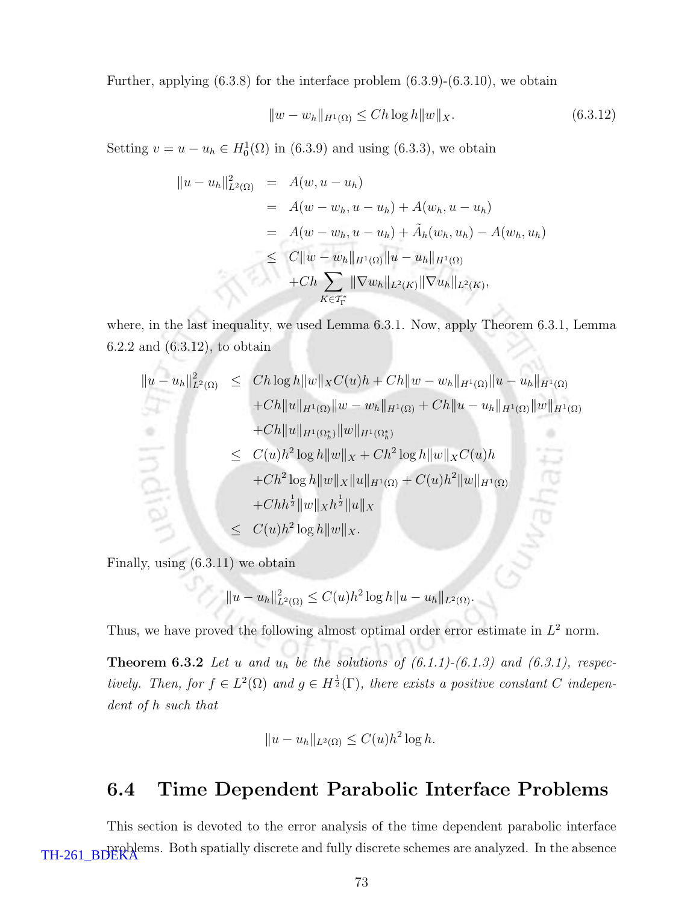Further, applying  $(6.3.8)$  for the interface problem  $(6.3.9)-(6.3.10)$ , we obtain

$$
||w - w_h||_{H^1(\Omega)} \le Ch \log h ||w||_X. \tag{6.3.12}
$$

Setting  $v = u - u_h \in H_0^1(\Omega)$  in (6.3.9) and using (6.3.3), we obtain

$$
\|u - u_h\|_{L^2(\Omega)}^2 = A(w, u - u_h)
$$
  
=  $A(w - w_h, u - u_h) + A(w_h, u - u_h)$   
=  $A(w - w_h, u - u_h) + \tilde{A}_h(w_h, u_h) - A(w_h, u_h)$   
 $\leq C \|w - w_h\|_{H^1(\Omega)} \|u - u_h\|_{H^1(\Omega)}$   
+  $Ch \sum_{K \in \mathcal{T}_\Gamma^*} \|\nabla w_h\|_{L^2(K)} \|\nabla u_h\|_{L^2(K)},$ 

where, in the last inequality, we used Lemma 6.3.1. Now, apply Theorem 6.3.1, Lemma 6.2.2 and (6.3.12), to obtain

$$
||u - u_h||_{L^2(\Omega)}^2 \le Ch \log h ||w||_X C(u)h + Ch ||w - w_h||_{H^1(\Omega)} ||u - u_h||_{H^1(\Omega)}
$$
  
+ Ch ||u||\_{H^1(\Omega)} ||w - w\_h||\_{H^1(\Omega)} + Ch ||u - u\_h||\_{H^1(\Omega)} ||w||\_{H^1(\Omega)}  
+ Ch ||u||\_{H^1(\Omega\_h^\*)} ||w||\_{H^1(\Omega\_h^\*)}  

$$
\le C(u)h^2 \log h ||w||_X + Ch^2 \log h ||w||_X C(u)h
$$
  
+ Ch<sup>1</sup>2 log h ||w||\_X ||u||\_{H^1(\Omega)} + C(u)h^2 ||w||\_{H^1(\Omega)}  
+ Ch<sup>1</sup>2 ||w||\_Xh<sup>1</sup>2 ||u||\_X  

$$
\le C(u)h^2 \log h ||w||_X.
$$

Finally, using (6.3.11) we obtain

$$
||u - u_h||_{L^2(\Omega)}^2 \le C(u)h^2 \log h ||u - u_h||_{L^2(\Omega)}.
$$

Thus, we have proved the following almost optimal order error estimate in  $L^2$  norm.

**Theorem 6.3.2** Let u and  $u_h$  be the solutions of  $(6.1.1)-(6.1.3)$  and  $(6.3.1)$ , respectively. Then, for  $f \in L^2(\Omega)$  and  $g \in H^{\frac{1}{2}}(\Gamma)$ , there exists a positive constant C independent of h such that

$$
||u - u_h||_{L^2(\Omega)} \le C(u)h^2 \log h.
$$

### 6.4 Time Dependent Parabolic Interface Problems

This section is devoted to the error analysis of the time dependent parabolic interface TH-261\_BDERA EDGE South spatially discrete and fully discrete schemes are analyzed. In the absence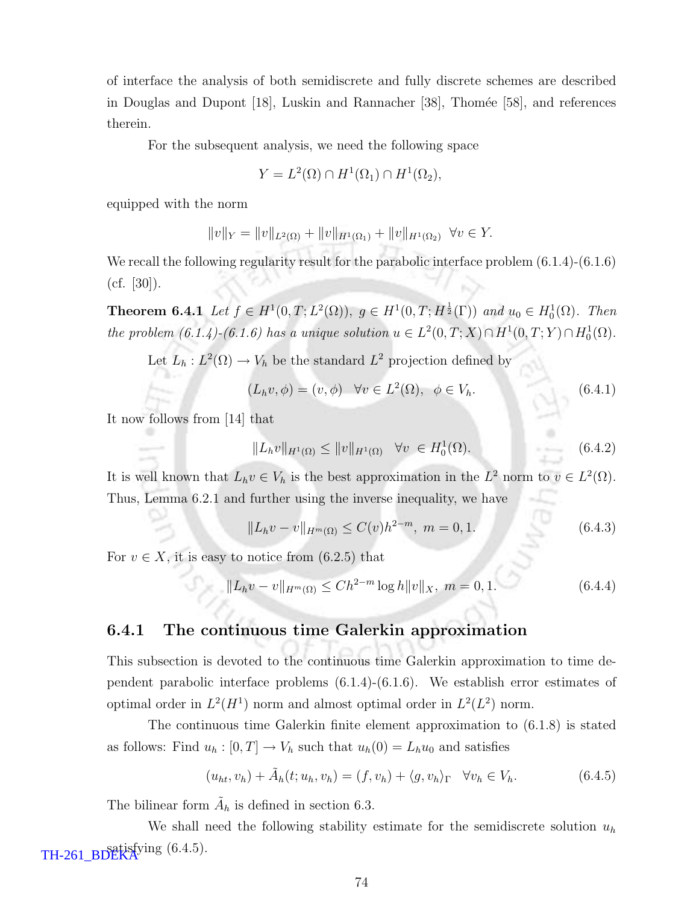of interface the analysis of both semidiscrete and fully discrete schemes are described in Douglas and Dupont [18], Luskin and Rannacher [38], Thomée [58], and references therein.

For the subsequent analysis, we need the following space

$$
Y = L^2(\Omega) \cap H^1(\Omega_1) \cap H^1(\Omega_2),
$$

equipped with the norm

$$
||v||_Y = ||v||_{L^2(\Omega)} + ||v||_{H^1(\Omega_1)} + ||v||_{H^1(\Omega_2)} \quad \forall v \in Y.
$$

We recall the following regularity result for the parabolic interface problem  $(6.1.4)-(6.1.6)$  $(cf. [30]).$ 

**Theorem 6.4.1** Let  $f \in H^1(0,T; L^2(\Omega))$ ,  $g \in H^1(0,T; H^{\frac{1}{2}}(\Gamma))$  and  $u_0 \in H_0^1(\Omega)$ . Then the problem  $(6.1.4)$ - $(6.1.6)$  has a unique solution  $u \in L^2(0,T;X) \cap H^1(0,T;Y) \cap H_0^1(\Omega)$ .

Let  $L_h: L^2(\Omega) \to V_h$  be the standard  $L^2$  projection defined by

$$
(L_h v, \phi) = (v, \phi) \quad \forall v \in L^2(\Omega), \ \phi \in V_h.
$$
\n
$$
(6.4.1)
$$

It now follows from [14] that

$$
||L_h v||_{H^1(\Omega)} \le ||v||_{H^1(\Omega)} \quad \forall v \in H_0^1(\Omega). \tag{6.4.2}
$$

It is well known that  $L_h v \in V_h$  is the best approximation in the  $L^2$  norm to  $v \in L^2(\Omega)$ . Thus, Lemma 6.2.1 and further using the inverse inequality, we have

$$
||L_h v - v||_{H^m(\Omega)} \le C(v)h^{2-m}, \ m = 0, 1.
$$
\n(6.4.3)

For  $v \in X$ , it is easy to notice from  $(6.2.5)$  that

$$
||L_h v - v||_{H^m(\Omega)} \le Ch^{2-m} \log h ||v||_X, \ m = 0, 1. \tag{6.4.4}
$$

#### 6.4.1 The continuous time Galerkin approximation

This subsection is devoted to the continuous time Galerkin approximation to time dependent parabolic interface problems (6.1.4)-(6.1.6). We establish error estimates of optimal order in  $L^2(H^1)$  norm and almost optimal order in  $L^2(L^2)$  norm.

The continuous time Galerkin finite element approximation to (6.1.8) is stated as follows: Find  $u_h : [0, T] \to V_h$  such that  $u_h(0) = L_h u_0$  and satisfies

$$
(u_{ht}, v_h) + \tilde{A}_h(t; u_h, v_h) = (f, v_h) + \langle g, v_h \rangle_{\Gamma} \quad \forall v_h \in V_h.
$$
 (6.4.5)

The bilinear form  $\tilde{A}_h$  is defined in section 6.3.

We shall need the following stability estimate for the semidiscrete solution  $u<sub>h</sub>$ satisfying (6.4.5). TH-261\_BDEKA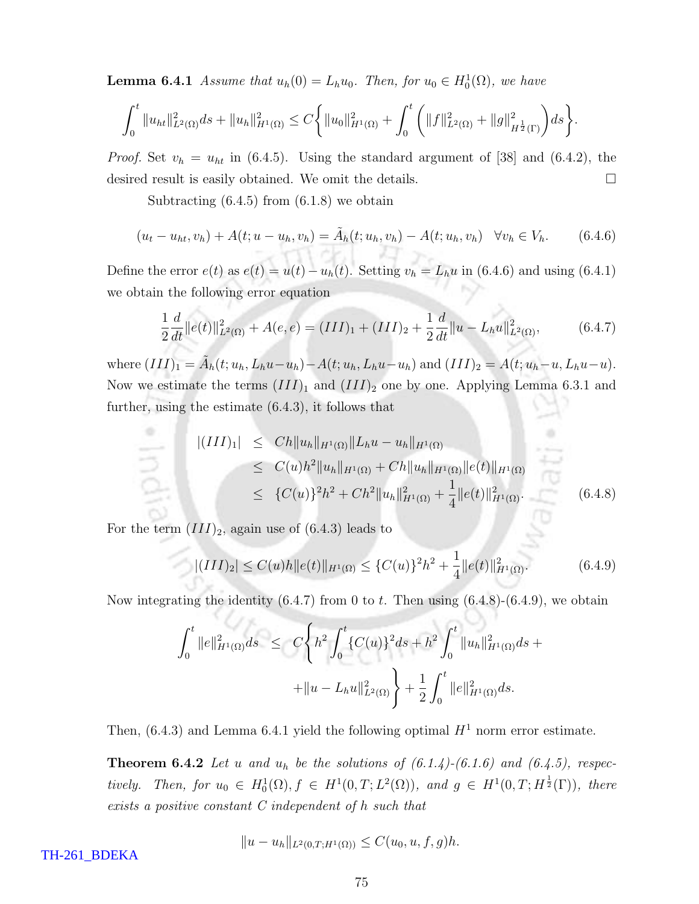**Lemma 6.4.1** Assume that  $u_h(0) = L_h u_0$ . Then, for  $u_0 \in H_0^1(\Omega)$ , we have

$$
\int_0^t \|u_{ht}\|_{L^2(\Omega)}^2 ds + \|u_h\|_{H^1(\Omega)}^2 \leq C \bigg\{ \|u_0\|_{H^1(\Omega)}^2 + \int_0^t \bigg( \|f\|_{L^2(\Omega)}^2 + \|g\|_{H^{\frac{1}{2}}(\Gamma)}^2 \bigg) ds \bigg\}.
$$

*Proof.* Set  $v_h = u_{ht}$  in (6.4.5). Using the standard argument of [38] and (6.4.2), the desired result is easily obtained. We omit the details.

Subtracting  $(6.4.5)$  from  $(6.1.8)$  we obtain

$$
(u_t - u_{ht}, v_h) + A(t; u - u_h, v_h) = \tilde{A}_h(t; u_h, v_h) - A(t; u_h, v_h) \quad \forall v_h \in V_h.
$$
 (6.4.6)

Define the error  $e(t)$  as  $e(t) = u(t) - u_h(t)$ . Setting  $v_h = L_h u$  in (6.4.6) and using (6.4.1) we obtain the following error equation

$$
\frac{1}{2}\frac{d}{dt}\|e(t)\|_{L^{2}(\Omega)}^{2} + A(e,e) = (III)_{1} + (III)_{2} + \frac{1}{2}\frac{d}{dt}\|u - L_{h}u\|_{L^{2}(\Omega)}^{2},
$$
\n(6.4.7)

where  $(III)_1 = \tilde{A}_h(t; u_h, L_hu - u_h) - A(t; u_h, L_hu - u_h)$  and  $(III)_2 = A(t; u_h - u, L_hu - u)$ . Now we estimate the terms  $(III)_1$  and  $(III)_2$  one by one. Applying Lemma 6.3.1 and further, using the estimate (6.4.3), it follows that

$$
\begin{aligned} |(III)_1| &\leq C h \|u_h\|_{H^1(\Omega)} \|L_h u - u_h\|_{H^1(\Omega)} \\ &\leq C(u) h^2 \|u_h\|_{H^1(\Omega)} + C h \|u_h\|_{H^1(\Omega)} \|e(t)\|_{H^1(\Omega)} \\ &\leq \{C(u)\}^2 h^2 + C h^2 \|u_h\|_{H^1(\Omega)}^2 + \frac{1}{4} \|e(t)\|_{H^1(\Omega)}^2. \end{aligned} \tag{6.4.8}
$$

For the term  $(III)_2$ , again use of  $(6.4.3)$  leads to

V 7. su

$$
|(III)_2| \le C(u)h ||e(t)||_{H^1(\Omega)} \le \{C(u)\}^2 h^2 + \frac{1}{4} ||e(t)||_{H^1(\Omega)}^2.
$$
 (6.4.9)

Now integrating the identity  $(6.4.7)$  from 0 to t. Then using  $(6.4.8)-(6.4.9)$ , we obtain

$$
\int_0^t \|e\|_{H^1(\Omega)}^2 ds \le C \left\{ h^2 \int_0^t \{C(u)\}^2 ds + h^2 \int_0^t \|u_h\|_{H^1(\Omega)}^2 ds + \right.
$$
  
 
$$
+ \|u - L_h u\|_{L^2(\Omega)}^2 \right\} + \frac{1}{2} \int_0^t \|e\|_{H^1(\Omega)}^2 ds.
$$

Then, (6.4.3) and Lemma 6.4.1 yield the following optimal  $H^1$  norm error estimate.

**Theorem 6.4.2** Let u and  $u_h$  be the solutions of  $(6.1.4)-(6.1.6)$  and  $(6.4.5)$ , respectively. Then, for  $u_0 \in H_0^1(\Omega)$ ,  $f \in H^1(0,T; L^2(\Omega))$ , and  $g \in H^1(0,T; H^{\frac{1}{2}}(\Gamma))$ , there exists a positive constant C independent of h such that

$$
||u - u_h||_{L^2(0,T;H^1(\Omega))} \leq C(u_0, u, f, g)h.
$$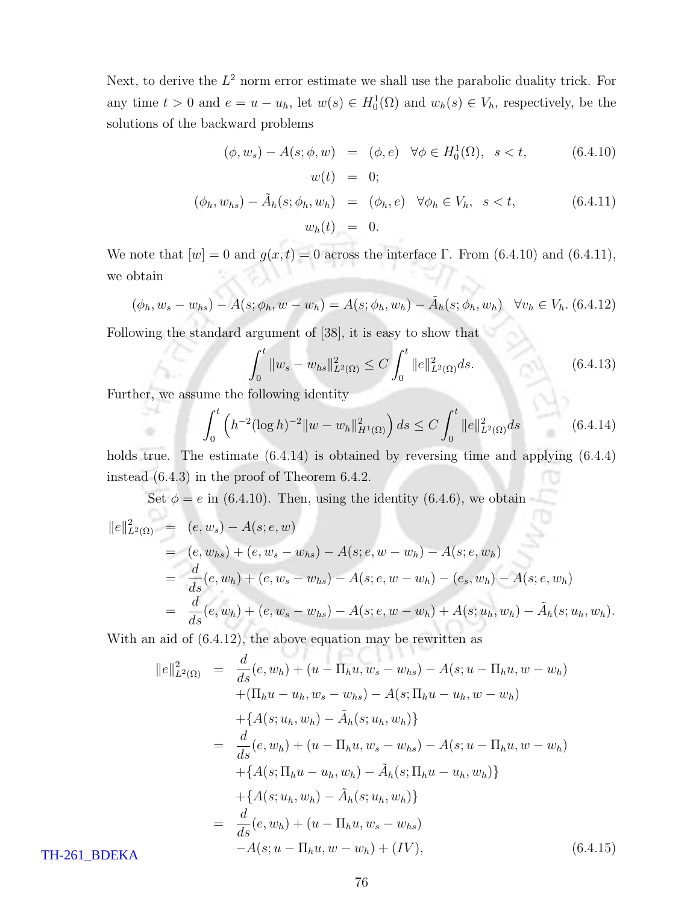Next, to derive the  $L^2$  norm error estimate we shall use the parabolic duality trick. For any time  $t > 0$  and  $e = u - u_h$ , let  $w(s) \in H_0^1(\Omega)$  and  $w_h(s) \in V_h$ , respectively, be the solutions of the backward problems

$$
(\phi, w_s) - A(s; \phi, w) = (\phi, e) \quad \forall \phi \in H_0^1(\Omega), \quad s < t,\tag{6.4.10}
$$
\n
$$
w(t) = 0;
$$

$$
(\phi_h, w_{hs}) - \tilde{A}_h(s; \phi_h, w_h) = (\phi_h, e) \quad \forall \phi_h \in V_h, \quad s < t,\tag{6.4.11}
$$
\n
$$
w_h(t) = 0.
$$

We note that  $[w] = 0$  and  $g(x,t) = 0$  across the interface Γ. From (6.4.10) and (6.4.11), we obtain

$$
(\phi_h, w_s - w_{hs}) - A(s; \phi_h, w - w_h) = A(s; \phi_h, w_h) - \tilde{A}_h(s; \phi_h, w_h) \quad \forall v_h \in V_h. \ (6.4.12)
$$

Following the standard argument of [38], it is easy to show that

$$
\int_0^t \|w_s - w_{hs}\|_{L^2(\Omega)}^2 \le C \int_0^t \|e\|_{L^2(\Omega)}^2 ds.
$$
\n(6.4.13)

Further, we assume the following identity

$$
\int_0^t \left( h^{-2} (\log h)^{-2} \|w - w_h\|_{H^1(\Omega)}^2 \right) ds \le C \int_0^t \|e\|_{L^2(\Omega)}^2 ds \tag{6.4.14}
$$

holds true. The estimate  $(6.4.14)$  is obtained by reversing time and applying  $(6.4.4)$ instead (6.4.3) in the proof of Theorem 6.4.2.

Set  $\phi = e$  in (6.4.10). Then, using the identity (6.4.6), we obtain

$$
||e||_{L^{2}(\Omega)}^{2} = (e, w_{s}) - A(s; e, w)
$$
  
= (e, w\_{hs}) + (e, w\_{s} - w\_{hs}) - A(s; e, w - w\_{h}) - A(s; e, w\_{h})  
= 
$$
\frac{d}{ds}(e, w_{h}) + (e, w_{s} - w_{hs}) - A(s; e, w - w_{h}) - (e_{s}, w_{h}) - A(s; e, w_{h})
$$
  
= 
$$
\frac{d}{ds}(e, w_{h}) + (e, w_{s} - w_{hs}) - A(s; e, w - w_{h}) + A(s; u_{h}, w_{h}) - \tilde{A}_{h}(s; u_{h}, w_{h}).
$$

With an aid of (6.4.12), the above equation may be rewritten as

$$
||e||_{L^{2}(\Omega)}^{2} = \frac{d}{ds}(e, w_{h}) + (u - \Pi_{h}u, w_{s} - w_{hs}) - A(s; u - \Pi_{h}u, w - w_{h})
$$
  
+ (\Pi\_{h}u - u\_{h}, w\_{s} - w\_{hs}) - A(s; \Pi\_{h}u - u\_{h}, w - w\_{h})  
+ {A(s; u\_{h}, w\_{h}) - \tilde{A}\_{h}(s; u\_{h}, w\_{h})}  
= \frac{d}{ds}(e, w\_{h}) + (u - \Pi\_{h}u, w\_{s} - w\_{hs}) - A(s; u - \Pi\_{h}u, w - w\_{h})  
+ {A(s; \Pi\_{h}u - u\_{h}, w\_{h}) - \tilde{A}\_{h}(s; \Pi\_{h}u - u\_{h}, w\_{h})}  
+ {A(s; u\_{h}, w\_{h}) - \tilde{A}\_{h}(s; u\_{h}, w\_{h})}  
= \frac{d}{ds}(e, w\_{h}) + (u - \Pi\_{h}u, w\_{s} - w\_{hs})  
- A(s; u - \Pi\_{h}u, w - w\_{h}) + (IV), \qquad (6.4.15)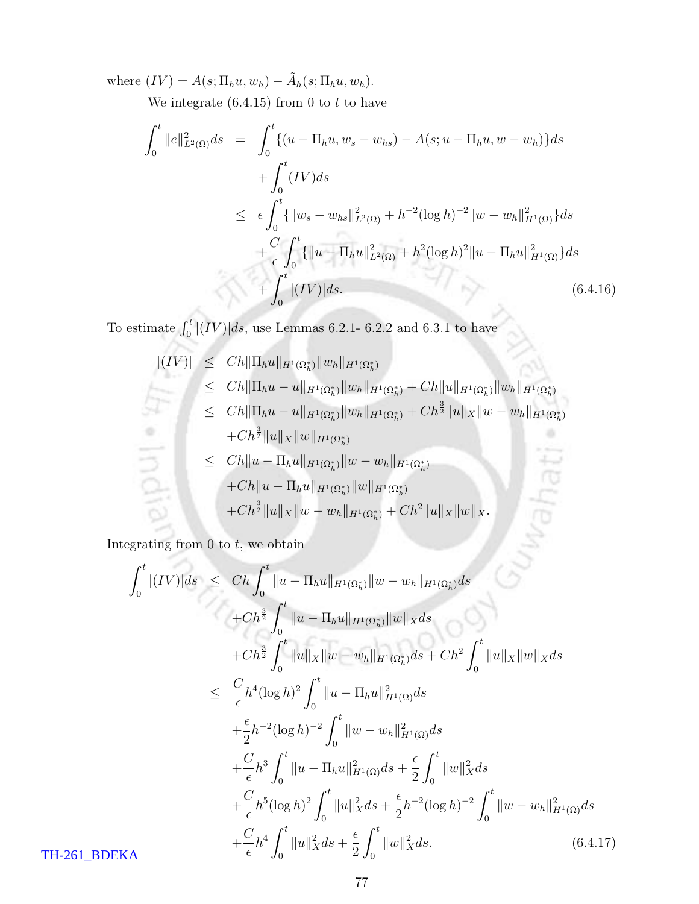where  $(IV) = A(s; \Pi_h u, w_h) - \tilde{A}_h(s; \Pi_h u, w_h)$ .

We integrate  $(6.4.15)$  from 0 to t to have

$$
\int_{0}^{t} ||e||_{L^{2}(\Omega)}^{2} ds = \int_{0}^{t} \{(u - \Pi_{h} u, w_{s} - w_{hs}) - A(s; u - \Pi_{h} u, w - w_{h})\} ds
$$
  
+ 
$$
\int_{0}^{t} (IV) ds
$$
  

$$
\leq \epsilon \int_{0}^{t} {\{||w_{s} - w_{hs}||_{L^{2}(\Omega)}^{2} + h^{-2}(\log h)^{-2}||w - w_{h}||_{H^{1}(\Omega)}^{2}\} ds}
$$
  
+ 
$$
\frac{C}{\epsilon} \int_{0}^{t} {\{||u - \Pi_{h} u||_{L^{2}(\Omega)}^{2} + h^{2}(\log h)^{2}||u - \Pi_{h} u||_{H^{1}(\Omega)}^{2}\} ds}
$$
  
+ 
$$
\int_{0}^{t} |(IV)| ds.
$$
 (6.4.16)

To estimate  $\int_0^t |(IV)|ds$ , use Lemmas 6.2.1- 6.2.2 and 6.3.1 to have

$$
|(IV)| \leq Ch \| \Pi_h u \|_{H^1(\Omega_h^*)} \| w_h \|_{H^1(\Omega_h^*)}
$$
  
\n
$$
\leq Ch \| \Pi_h u - u \|_{H^1(\Omega_h^*)} \| w_h \|_{H^1(\Omega_h^*)} + Ch \| u \|_{H^1(\Omega_h^*)} \| w_h \|_{H^1(\Omega_h^*)}
$$
  
\n
$$
\leq Ch \| \Pi_h u - u \|_{H^1(\Omega_h^*)} \| w_h \|_{H^1(\Omega_h^*)} + Ch^{\frac{3}{2}} \| u \|_{X} \| w - w_h \|_{H^1(\Omega_h^*)}
$$
  
\n
$$
+ Ch^{\frac{3}{2}} \| u \|_{X} \| w \|_{H^1(\Omega_h^*)}
$$
  
\n
$$
\leq Ch \| u - \Pi_h u \|_{H^1(\Omega_h^*)} \| w - w_h \|_{H^1(\Omega_h^*)}
$$
  
\n
$$
+ Ch^{\frac{3}{2}} \| u \|_{X} \| w - w_h \|_{H^1(\Omega_h^*)} + Ch^2 \| u \|_{X} \| w \|_{X}.
$$

Integrating from  $0$  to  $t$ , we obtain

$$
\int_{0}^{t} |(IV)|ds \leq Ch \int_{0}^{t} \|u - \Pi_{h}u\|_{H^{1}(\Omega_{h}^{*})} \|w - w_{h}\|_{H^{1}(\Omega_{h}^{*})} ds
$$
  
+  $Ch^{\frac{3}{2}} \int_{0}^{t} \|u - \Pi_{h}u\|_{H^{1}(\Omega_{h}^{*})} \|w\|_{X} ds$   
+  $Ch^{\frac{3}{2}} \int_{0}^{t} \|u\|_{X} \|w - w_{h}\|_{H^{1}(\Omega_{h}^{*})} ds + Ch^{2} \int_{0}^{t} \|u\|_{X} \|w\|_{X} ds$   

$$
\leq \frac{C}{\epsilon} h^{4} (\log h)^{2} \int_{0}^{t} \|u - \Pi_{h}u\|_{H^{1}(\Omega)}^{2} ds
$$
  
+  $\frac{\epsilon}{2} h^{-2} (\log h)^{-2} \int_{0}^{t} \|w - w_{h}\|_{H^{1}(\Omega)}^{2} ds$   
+  $\frac{C}{\epsilon} h^{3} \int_{0}^{t} \|u - \Pi_{h}u\|_{H^{1}(\Omega)}^{2} ds + \frac{\epsilon}{2} \int_{0}^{t} \|w\|_{X}^{2} ds$   
+  $\frac{C}{\epsilon} h^{5} (\log h)^{2} \int_{0}^{t} \|u\|_{X}^{2} ds + \frac{\epsilon}{2} h^{-2} (\log h)^{-2} \int_{0}^{t} \|w - w_{h}\|_{H^{1}(\Omega)}^{2} ds$   
+  $\frac{C}{\epsilon} h^{4} \int_{0}^{t} \|u\|_{X}^{2} ds + \frac{\epsilon}{2} \int_{0}^{t} \|w\|_{X}^{2} ds.$  (6.4.17)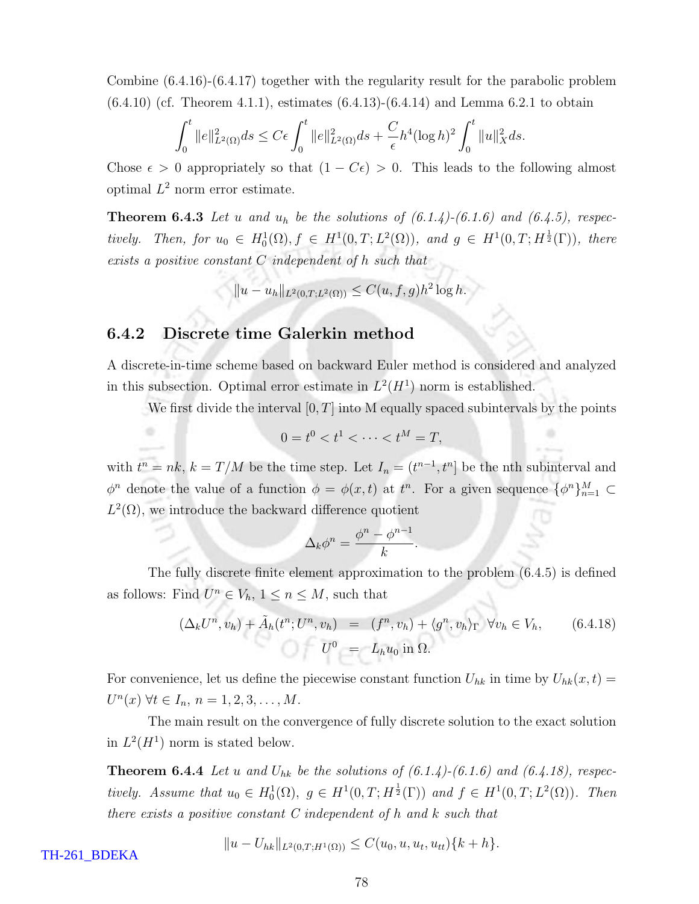Combine (6.4.16)-(6.4.17) together with the regularity result for the parabolic problem  $(6.4.10)$  (cf. Theorem 4.1.1), estimates  $(6.4.13)-(6.4.14)$  and Lemma 6.2.1 to obtain

$$
\int_0^t \|e\|_{L^2(\Omega)}^2 ds \le C\epsilon \int_0^t \|e\|_{L^2(\Omega)}^2 ds + \frac{C}{\epsilon} h^4 (\log h)^2 \int_0^t \|u\|_X^2 ds.
$$

Chose  $\epsilon > 0$  appropriately so that  $(1 - C\epsilon) > 0$ . This leads to the following almost optimal  $L^2$  norm error estimate.

**Theorem 6.4.3** Let u and  $u_h$  be the solutions of  $(6.1.4)-(6.1.6)$  and  $(6.4.5)$ , respectively. Then, for  $u_0 \in H_0^1(\Omega)$ ,  $f \in H^1(0,T; L^2(\Omega))$ , and  $g \in H^1(0,T; H^{\frac{1}{2}}(\Gamma))$ , there exists a positive constant C independent of h such that

 $||u - u_h||_{L^2(0,T;L^2(\Omega))} \leq C(u,f,g)h^2 \log h.$ 

#### 6.4.2 Discrete time Galerkin method

A discrete-in-time scheme based on backward Euler method is considered and analyzed in this subsection. Optimal error estimate in  $L^2(H^1)$  norm is established.

We first divide the interval  $[0, T]$  into M equally spaced subintervals by the points

$$
0 = t^0 < t^1 < \cdots < t^M = T,
$$

with  $t^n = nk$ ,  $k = T/M$  be the time step. Let  $I_n = (t^{n-1}, t^n]$  be the nth subinterval and  $\phi^n$  denote the value of a function  $\phi = \phi(x, t)$  at  $t^n$ . For a given sequence  $\{\phi^n\}_{n=1}^M \subset$  $L^2(\Omega)$ , we introduce the backward difference quotient

$$
\Delta_k \phi^n = \frac{\phi^n - \phi^{n-1}}{k}
$$

The fully discrete finite element approximation to the problem (6.4.5) is defined as follows: Find  $U^n \in V_h$ ,  $1 \leq n \leq M$ , such that

$$
(\Delta_k U^n, v_h) + \tilde{A}_h(t^n; U^n, v_h) = (f^n, v_h) + \langle g^n, v_h \rangle_{\Gamma} \ \forall v_h \in V_h, \qquad (6.4.18)
$$

$$
U^0 = L_h u_0 \text{ in } \Omega.
$$

.

For convenience, let us define the piecewise constant function  $U_{hk}$  in time by  $U_{hk}(x,t)$  $U^{n}(x)$   $\forall t \in I_{n}, n = 1, 2, 3, ..., M$ .

The main result on the convergence of fully discrete solution to the exact solution in  $L^2(H^1)$  norm is stated below.

**Theorem 6.4.4** Let u and  $U_{hk}$  be the solutions of  $(6.1.4)-(6.1.6)$  and  $(6.4.18)$ , respectively. Assume that  $u_0 \in H_0^1(\Omega)$ ,  $g \in H^1(0,T;H^{\frac{1}{2}}(\Gamma))$  and  $f \in H^1(0,T;L^2(\Omega))$ . Then there exists a positive constant  $C$  independent of h and k such that

$$
||u - U_{hk}||_{L^2(0,T;H^1(\Omega))} \le C(u_0, u, u_t, u_{tt})\{k+h\}.
$$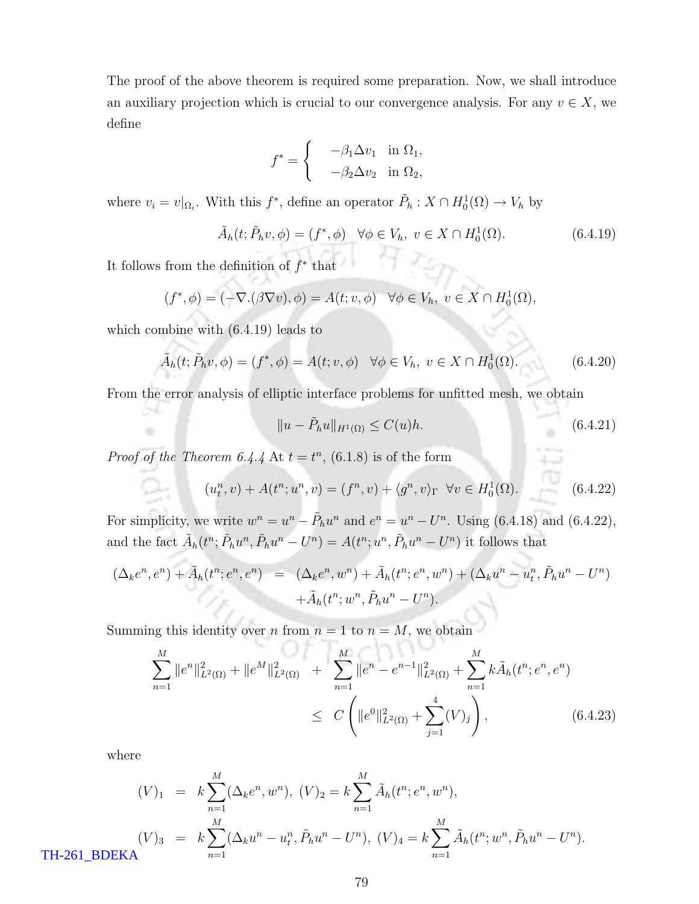The proof of the above theorem is required some preparation. Now, we shall introduce an auxiliary projection which is crucial to our convergence analysis. For any  $v \in X$ , we define

$$
f^* = \begin{cases} -\beta_1 \Delta v_1 & \text{in } \Omega_1, \\ -\beta_2 \Delta v_2 & \text{in } \Omega_2, \end{cases}
$$

where  $v_i = v|_{\Omega_i}$ . With this  $f^*$ , define an operator  $\tilde{P}_h : X \cap H_0^1(\Omega) \to V_h$  by

$$
\tilde{A}_h(t; \tilde{P}_h v, \phi) = (f^*, \phi) \quad \forall \phi \in V_h, \ v \in X \cap H_0^1(\Omega). \tag{6.4.19}
$$

It follows from the definition of  $f^*$  that

$$
(f^*, \phi) = (-\nabla \cdot (\beta \nabla v), \phi) = A(t; v, \phi) \quad \forall \phi \in V_h, \ v \in X \cap H_0^1(\Omega),
$$

which combine with (6.4.19) leads to

39

$$
\tilde{A}_h(t; \tilde{P}_h v, \phi) = (f^*, \phi) = A(t; v, \phi) \quad \forall \phi \in V_h, \ v \in X \cap H_0^1(\Omega). \tag{6.4.20}
$$

From the error analysis of elliptic interface problems for unfitted mesh, we obtain

$$
||u - \tilde{P}_h u||_{H^1(\Omega)} \le C(u)h. \tag{6.4.21}
$$

*Proof of the Theorem 6.4.4* At  $t = t^n$ , (6.1.8) is of the form

$$
(u_t^n, v) + A(t^n; u^n, v) = (f^n, v) + \langle g^n, v \rangle_{\Gamma} \quad \forall v \in H_0^1(\Omega).
$$
 (6.4.22)

For simplicity, we write  $w^n = u^n - \tilde{P}_h u^n$  and  $e^n = u^n - U^n$ . Using (6.4.18) and (6.4.22), and the fact  $\tilde{A}_h(t^n; \tilde{P}_h u^n, \tilde{P}_h u^n - U^n) = A(t^n; u^n, \tilde{P}_h u^n - U^n)$  it follows that

$$
(\Delta_k e^n, e^n) + \tilde{A}_h(t^n; e^n, e^n) = (\Delta_k e^n, w^n) + \tilde{A}_h(t^n; e^n, w^n) + (\Delta_k u^n - u_t^n, \tilde{P}_h u^n - U^n) + \tilde{A}_h(t^n; w^n, \tilde{P}_h u^n - U^n).
$$

Summing this identity over *n* from  $n = 1$  to  $n = M$ , we obtain

$$
\sum_{n=1}^{M} ||e^n||_{L^2(\Omega)}^2 + ||e^M||_{L^2(\Omega)}^2 + \sum_{n=1}^{M} ||e^n - e^{n-1}||_{L^2(\Omega)}^2 + \sum_{n=1}^{M} k \tilde{A}_h(t^n; e^n, e^n)
$$
  
\n
$$
\leq C \left( ||e^0||_{L^2(\Omega)}^2 + \sum_{j=1}^{4} (V)_j \right), \qquad (6.4.23)
$$

where

$$
(V)_1 = k \sum_{n=1}^{M} (\Delta_k e^n, w^n), (V)_2 = k \sum_{n=1}^{M} \tilde{A}_h(t^n; e^n, w^n),
$$
  

$$
(V)_3 = k \sum_{n=1}^{M} (\Delta_k u^n - u_t^n, \tilde{P}_h u^n - U^n), (V)_4 = k \sum_{n=1}^{M} \tilde{A}_h(t^n; w^n, \tilde{P}_h u^n - U^n).
$$
TH-261\_BDEKA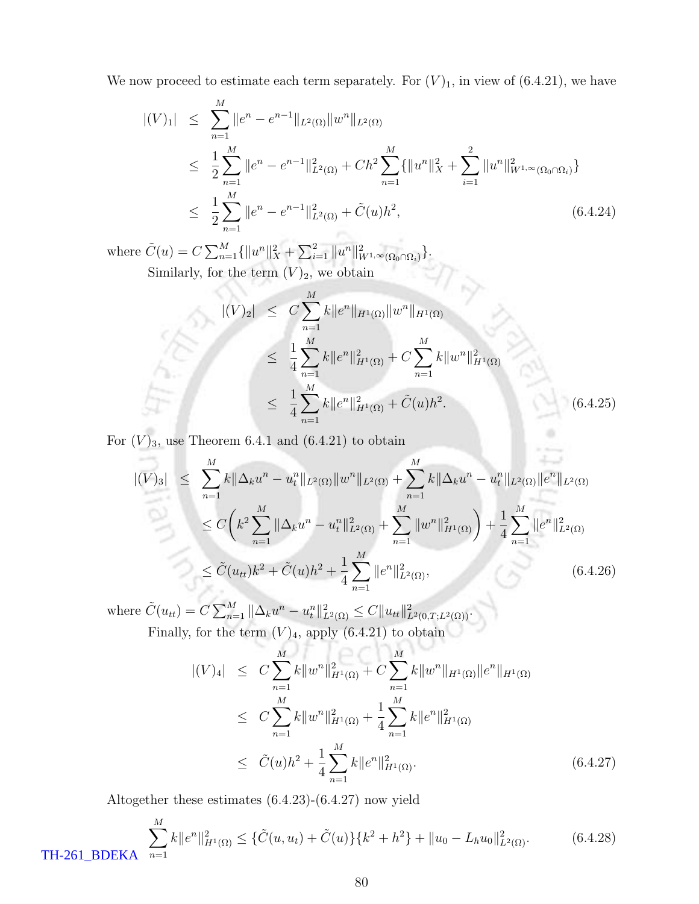We now proceed to estimate each term separately. For  $(V)_1$ , in view of  $(6.4.21)$ , we have

$$
\begin{split} |(V)_1| &\leq \sum_{n=1}^M \|e^n - e^{n-1}\|_{L^2(\Omega)} \|w^n\|_{L^2(\Omega)} \\ &\leq \frac{1}{2} \sum_{n=1}^M \|e^n - e^{n-1}\|_{L^2(\Omega)}^2 + Ch^2 \sum_{n=1}^M \{\|u^n\|_X^2 + \sum_{i=1}^2 \|u^n\|_{W^{1,\infty}(\Omega_0 \cap \Omega_i)}^2\} \\ &\leq \frac{1}{2} \sum_{n=1}^M \|e^n - e^{n-1}\|_{L^2(\Omega)}^2 + \tilde{C}(u)h^2, \end{split} \tag{6.4.24}
$$

where  $\tilde{C}(u) = C \sum_{n=1}^{M} {\{\|u^n\|_X^2 + \sum_{i=1}^{2} \|u^n\|_{W^{1,\infty}(\Omega_0 \cap \Omega_i)}^2\}}.$ Similarly, for the term  $(V)_2$ , we obtain

$$
|(V)_2| \leq C \sum_{n=1}^{M} k \|e^n\|_{H^1(\Omega)} \|w^n\|_{H^1(\Omega)}
$$
  
\n
$$
\leq \frac{1}{4} \sum_{n=1}^{M} k \|e^n\|_{H^1(\Omega)}^2 + C \sum_{n=1}^{M} k \|w^n\|_{H^1(\Omega)}^2
$$
  
\n
$$
\leq \frac{1}{4} \sum_{n=1}^{M} k \|e^n\|_{H^1(\Omega)}^2 + \tilde{C}(u)h^2.
$$
\n(6.4.25)

For  $(V)_3$ , use Theorem 6.4.1 and (6.4.21) to obtain

$$
|(V)_3| \leq \sum_{n=1}^M k \|\Delta_k u^n - u_t^n\|_{L^2(\Omega)} \|w^n\|_{L^2(\Omega)} + \sum_{n=1}^M k \|\Delta_k u^n - u_t^n\|_{L^2(\Omega)} \|e^n\|_{L^2(\Omega)}
$$
  

$$
\leq C \left(k^2 \sum_{n=1}^M \|\Delta_k u^n - u_t^n\|_{L^2(\Omega)}^2 + \sum_{n=1}^M \|w^n\|_{H^1(\Omega)}^2\right) + \frac{1}{4} \sum_{n=1}^M \|e^n\|_{L^2(\Omega)}^2
$$
  

$$
\leq \tilde{C}(u_{tt}) k^2 + \tilde{C}(u) h^2 + \frac{1}{4} \sum_{n=1}^M \|e^n\|_{L^2(\Omega)}^2,
$$
 (6.4.26)

where  $\tilde{C}(u_{tt}) = C \sum_{n=1}^{M} ||\Delta_k u^n - u_t^n||_{L^2(\Omega)}^2 \leq C ||u_{tt}||_{L^2(0,T;L^2(\Omega))}^2$ . Finally, for the term  $(V)_4$ , apply  $(6.4.21)$  to obtain

$$
|(V)_4| \leq C \sum_{n=1}^M k ||w^n||_{H^1(\Omega)}^2 + C \sum_{n=1}^M k ||w^n||_{H^1(\Omega)} ||e^n||_{H^1(\Omega)}
$$
  
\n
$$
\leq C \sum_{n=1}^M k ||w^n||_{H^1(\Omega)}^2 + \frac{1}{4} \sum_{n=1}^M k ||e^n||_{H^1(\Omega)}^2
$$
  
\n
$$
\leq \tilde{C}(u)h^2 + \frac{1}{4} \sum_{n=1}^M k ||e^n||_{H^1(\Omega)}^2.
$$
 (6.4.27)

Altogether these estimates (6.4.23)-(6.4.27) now yield

$$
\sum_{n=1}^{M} k \|e^n\|_{H^1(\Omega)}^2 \leq \{\tilde{C}(u, u_t) + \tilde{C}(u)\}\{k^2 + h^2\} + \|u_0 - L_h u_0\|_{L^2(\Omega)}^2.
$$
\n(6.4.28)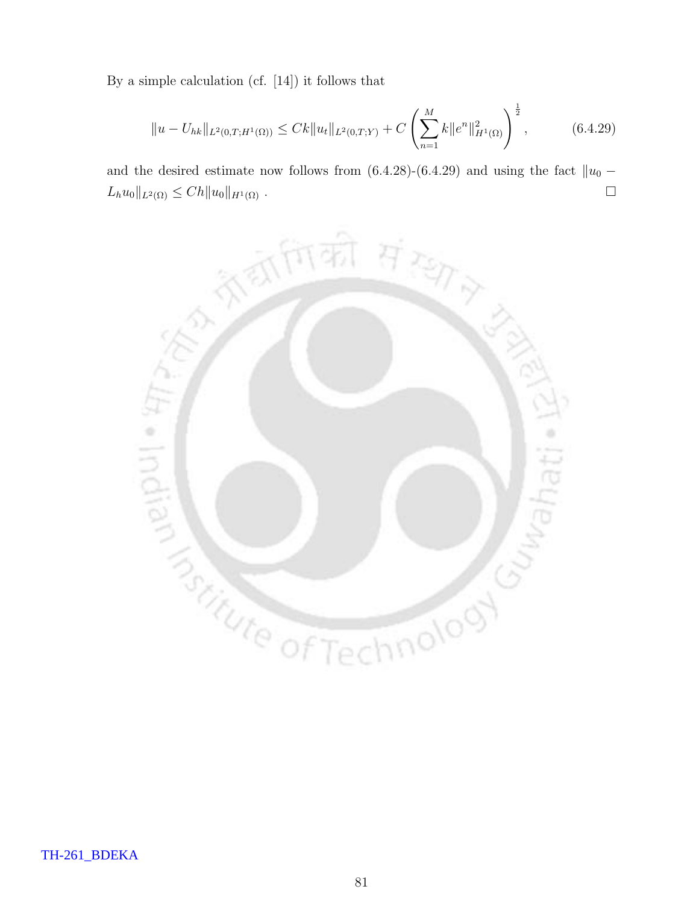By a simple calculation (cf. [14]) it follows that

$$
||u - U_{hk}||_{L^2(0,T;H^1(\Omega))} \le Ck||u_t||_{L^2(0,T;Y)} + C\left(\sum_{n=1}^M k||e^n||_{H^1(\Omega)}^2\right)^{\frac{1}{2}},\tag{6.4.29}
$$

and the desired estimate now follows from (6.4.28)-(6.4.29) and using the fact  $||u_0 L_h u_0 \|_{L^2(\Omega)} \leq C h \| u_0 \|_{H^1(\Omega)}$ .

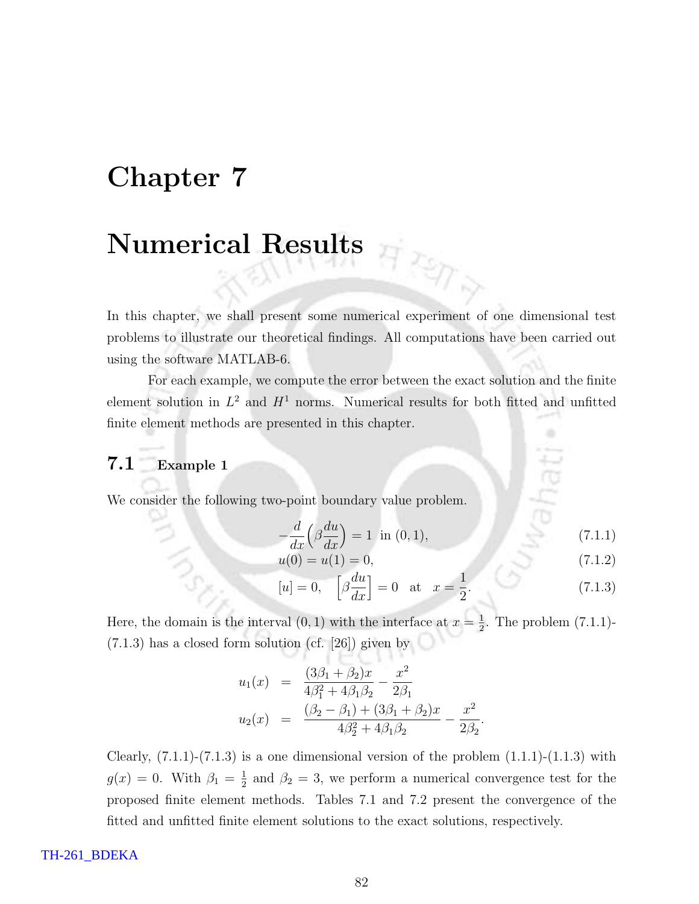## Chapter 7

# Numerical Results

In this chapter, we shall present some numerical experiment of one dimensional test problems to illustrate our theoretical findings. All computations have been carried out using the software MATLAB-6.

For each example, we compute the error between the exact solution and the finite element solution in  $L^2$  and  $H^1$  norms. Numerical results for both fitted and unfitted finite element methods are presented in this chapter.

### 7.1 Example 1

We consider the following two-point boundary value problem.

$$
-\frac{d}{dx}\left(\beta \frac{du}{dx}\right) = 1 \quad \text{in (0,1)},\tag{7.1.1}
$$

 $\frac{\pi}{4}$ 

$$
u(0) = u(1) = 0,\t\t(7.1.2)
$$

$$
[u] = 0, \quad \left[\beta \frac{du}{dx}\right] = 0 \quad \text{at} \quad x = \frac{1}{2}.\tag{7.1.3}
$$

Here, the domain is the interval  $(0, 1)$  with the interface at  $x = \frac{1}{2}$  $\frac{1}{2}$ . The problem  $(7.1.1)$ -(7.1.3) has a closed form solution (cf. [26]) given by

$$
u_1(x) = \frac{(3\beta_1 + \beta_2)x}{4\beta_1^2 + 4\beta_1\beta_2} - \frac{x^2}{2\beta_1}
$$
  

$$
u_2(x) = \frac{(\beta_2 - \beta_1) + (3\beta_1 + \beta_2)x}{4\beta_2^2 + 4\beta_1\beta_2} - \frac{x^2}{2\beta_2}.
$$

Clearly,  $(7.1.1)-(7.1.3)$  is a one dimensional version of the problem  $(1.1.1)-(1.1.3)$  with  $g(x) = 0$ . With  $\beta_1 = \frac{1}{2}$  $\frac{1}{2}$  and  $\beta_2 = 3$ , we perform a numerical convergence test for the proposed finite element methods. Tables 7.1 and 7.2 present the convergence of the fitted and unfitted finite element solutions to the exact solutions, respectively.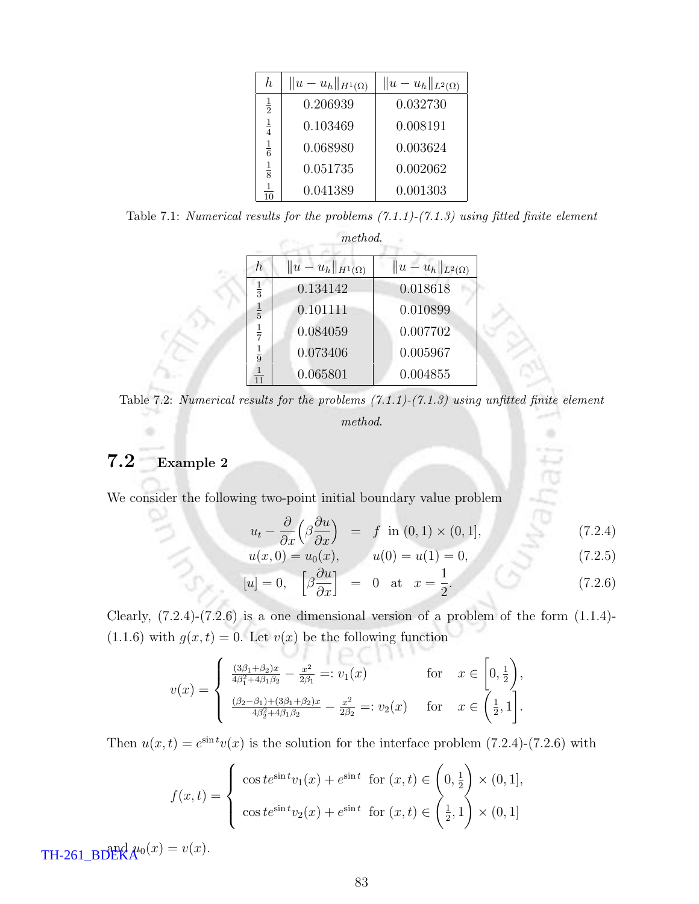| h             | $  u-u_h  _{H^1(\Omega)}$ | $  u-u_h  _{L^2(\Omega)}$ |
|---------------|---------------------------|---------------------------|
| $\frac{1}{2}$ | 0.206939                  | 0.032730                  |
| $\frac{1}{4}$ | 0.103469                  | 0.008191                  |
| $\frac{1}{6}$ | 0.068980                  | 0.003624                  |
| $\frac{1}{8}$ | 0.051735                  | 0.002062                  |
| 10            | 0.041389                  | 0.001303                  |

Table 7.1: Numerical results for the problems  $(7.1.1)-(7.1.3)$  using fitted finite element

|                | method.                   |                           |  |  |  |  |  |
|----------------|---------------------------|---------------------------|--|--|--|--|--|
| h,             | $  u-u_h  _{H^1(\Omega)}$ | $  u-u_h  _{L^2(\Omega)}$ |  |  |  |  |  |
| $\frac{1}{3}$  | 0.134142                  | 0.018618                  |  |  |  |  |  |
| $\frac{1}{5}$  | 0.101111                  | 0.010899                  |  |  |  |  |  |
| $\frac{1}{7}$  | 0.084059                  | 0.007702                  |  |  |  |  |  |
| $\frac{1}{9}$  | 0.073406                  | 0.005967                  |  |  |  |  |  |
| $\frac{1}{11}$ | 0.065801                  | 0.004855                  |  |  |  |  |  |

Table 7.2: Numerical results for the problems  $(7.1.1)-(7.1.3)$  using unfitted finite element method.

### 7.2 Example 2

We consider the following two-point initial boundary value problem

$$
u_t - \frac{\partial}{\partial x} \left( \beta \frac{\partial u}{\partial x} \right) = f \text{ in } (0,1) \times (0,1], \tag{7.2.4}
$$

$$
u(x,0) = u_0(x), \qquad u(0) = u(1) = 0,\tag{7.2.5}
$$

$$
[u] = 0, \quad \left[\beta \frac{\partial u}{\partial x}\right] = 0 \quad \text{at} \quad x = \frac{1}{2}.
$$
 (7.2.6)

Clearly,  $(7.2.4)-(7.2.6)$  is a one dimensional version of a problem of the form  $(1.1.4)$ -(1.1.6) with  $g(x,t) = 0$ . Let  $v(x)$  be the following function

$$
v(x) = \begin{cases} \frac{(3\beta_1 + \beta_2)x}{4\beta_1^2 + 4\beta_1\beta_2} - \frac{x^2}{2\beta_1} =: v_1(x) & \text{for } x \in \left[0, \frac{1}{2}\right),\\ \frac{(\beta_2 - \beta_1) + (3\beta_1 + \beta_2)x}{4\beta_2^2 + 4\beta_1\beta_2} - \frac{x^2}{2\beta_2} =: v_2(x) & \text{for } x \in \left(\frac{1}{2}, 1\right]. \end{cases}
$$

 $OI$ 

Then  $u(x,t) = e^{\sin t}v(x)$  is the solution for the interface problem (7.2.4)-(7.2.6) with

$$
f(x,t) = \begin{cases} \cos t e^{\sin t} v_1(x) + e^{\sin t} & \text{for } (x,t) \in \left(0, \frac{1}{2}\right) \times (0,1], \\ \cos t e^{\sin t} v_2(x) + e^{\sin t} & \text{for } (x,t) \in \left(\frac{1}{2}, 1\right) \times (0,1] \end{cases}
$$

TH-261\_BDEK $A^{u_0}(x) = v(x)$ .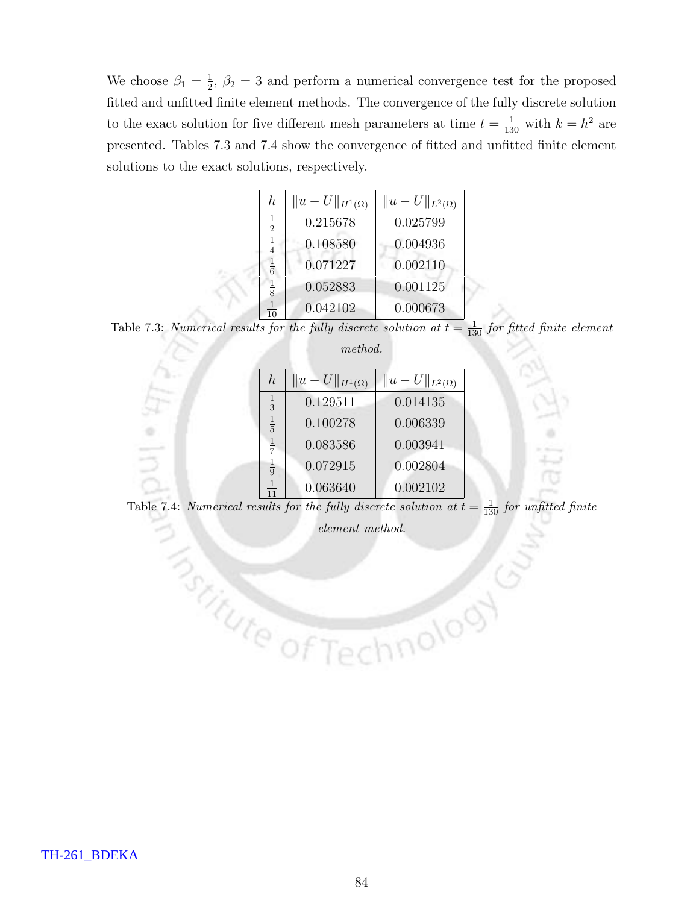We choose  $\beta_1 = \frac{1}{2}$  $\frac{1}{2}$ ,  $\beta_2 = 3$  and perform a numerical convergence test for the proposed fitted and unfitted finite element methods. The convergence of the fully discrete solution to the exact solution for five different mesh parameters at time  $t = \frac{1}{130}$  with  $k = h^2$  are presented. Tables 7.3 and 7.4 show the convergence of fitted and unfitted finite element solutions to the exact solutions, respectively.

| h,             | $  u-U  _{H^1(\Omega)}$ | $  u-U  _{L^2(\Omega)}$ |
|----------------|-------------------------|-------------------------|
| $\frac{1}{2}$  | 0.215678                | 0.025799                |
| $\frac{1}{4}$  | 0.108580                | 0.004936                |
| $\frac{1}{6}$  | 0.071227                | 0.002110                |
| $\frac{1}{8}$  | 0.052883                | 0.001125                |
| $\frac{1}{10}$ | 0.042102                | 0.000673                |

Table 7.3: Numerical results for the fully discrete solution at  $t = \frac{1}{130}$  for fitted finite element method.

| $\hbar$       | $  u-U  _{H^1(\Omega)}$ | $  u-U  _{L^2(\Omega)}$ |  |
|---------------|-------------------------|-------------------------|--|
| $\frac{1}{3}$ | 0.129511                | 0.014135                |  |
| $\frac{1}{5}$ | 0.100278                | 0.006339                |  |
| $\frac{1}{7}$ | 0.083586                | 0.003941                |  |
| $\frac{1}{9}$ | 0.072915                | 0.002804                |  |
| 11            | 0.063640                | 0.002102                |  |

Table 7.4: Numerical results for the fully discrete solution at  $t = \frac{1}{130}$  for unfitted finite

 $\begin{minipage}{0.5\textwidth} \centering \begin{tabular}{|c|c|} \hline \textbf{element method.} \end{tabular} \end{minipage} \vspace{0.5cm} \begin{minipage}{0.5\textwidth} \centering \begin{tabular}{|c|c|c|} \hline \textbf{even} & \textbf{method.} \end{tabular} \end{minipage} \vspace{0.5cm} \begin{minipage}{0.5\textwidth} \centering \begin{tabular}{|c|c|c|c|} \hline \textbf{even} & \textbf{method.} \end{tabular} \end{minipage} \vspace{0.5cm} \begin{minipage}{0.5\textwidth} \center$ 

hnolooy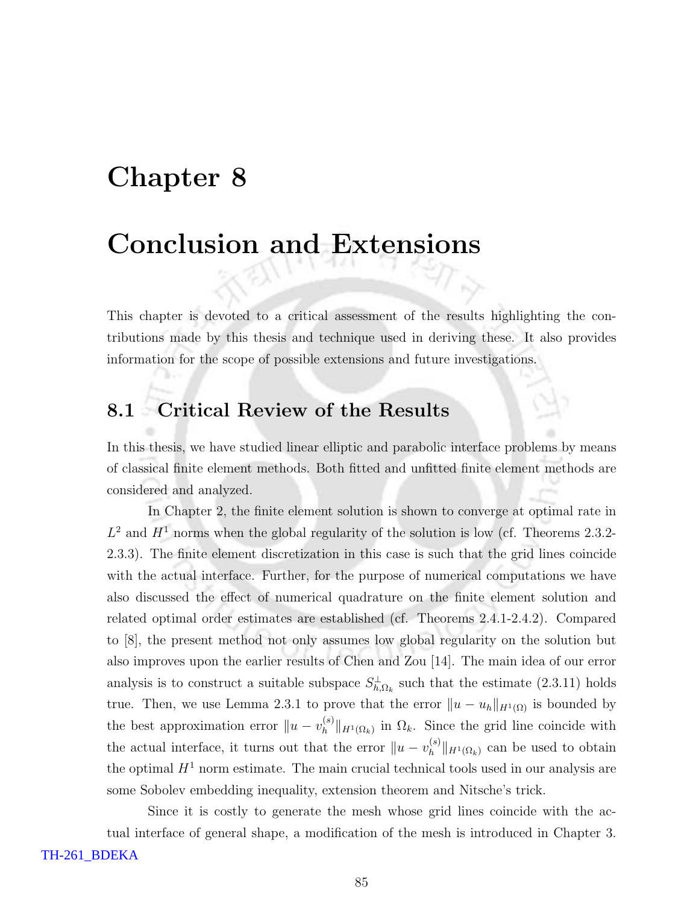## Chapter 8

# Conclusion and Extensions

This chapter is devoted to a critical assessment of the results highlighting the contributions made by this thesis and technique used in deriving these. It also provides information for the scope of possible extensions and future investigations.

## 8.1 Critical Review of the Results

In this thesis, we have studied linear elliptic and parabolic interface problems by means of classical finite element methods. Both fitted and unfitted finite element methods are considered and analyzed.

In Chapter 2, the finite element solution is shown to converge at optimal rate in  $L^2$  and  $H^1$  norms when the global regularity of the solution is low (cf. Theorems 2.3.2-2.3.3). The finite element discretization in this case is such that the grid lines coincide with the actual interface. Further, for the purpose of numerical computations we have also discussed the effect of numerical quadrature on the finite element solution and related optimal order estimates are established (cf. Theorems 2.4.1-2.4.2). Compared to [8], the present method not only assumes low global regularity on the solution but also improves upon the earlier results of Chen and Zou [14]. The main idea of our error analysis is to construct a suitable subspace  $S^{\perp}_{h,\Omega_k}$  such that the estimate (2.3.11) holds true. Then, we use Lemma 2.3.1 to prove that the error  $||u - u_h||_{H^1(\Omega)}$  is bounded by the best approximation error  $||u - v_h^{(s)}||$  $\|h^{(s)}\|_{H^1(\Omega_k)}$  in  $\Omega_k$ . Since the grid line coincide with the actual interface, it turns out that the error  $||u - v_h^{(s)}||$  $\binom{s}{h}$ || $H^1(\Omega_k)$  can be used to obtain the optimal  $H<sup>1</sup>$  norm estimate. The main crucial technical tools used in our analysis are some Sobolev embedding inequality, extension theorem and Nitsche's trick.

Since it is costly to generate the mesh whose grid lines coincide with the actual interface of general shape, a modification of the mesh is introduced in Chapter 3.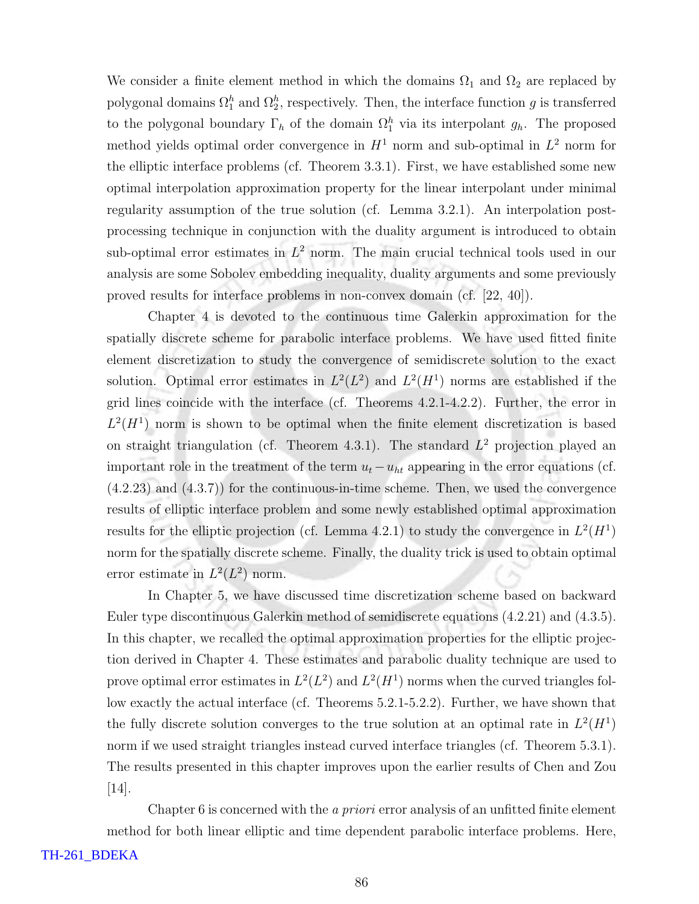We consider a finite element method in which the domains  $\Omega_1$  and  $\Omega_2$  are replaced by polygonal domains  $\Omega_1^h$  and  $\Omega_2^h$ , respectively. Then, the interface function g is transferred to the polygonal boundary  $\Gamma_h$  of the domain  $\Omega_1^h$  via its interpolant  $g_h$ . The proposed method yields optimal order convergence in  $H<sup>1</sup>$  norm and sub-optimal in  $L<sup>2</sup>$  norm for the elliptic interface problems (cf. Theorem 3.3.1). First, we have established some new optimal interpolation approximation property for the linear interpolant under minimal regularity assumption of the true solution (cf. Lemma 3.2.1). An interpolation postprocessing technique in conjunction with the duality argument is introduced to obtain sub-optimal error estimates in  $L^2$  norm. The main crucial technical tools used in our analysis are some Sobolev embedding inequality, duality arguments and some previously proved results for interface problems in non-convex domain (cf. [22, 40]).

Chapter 4 is devoted to the continuous time Galerkin approximation for the spatially discrete scheme for parabolic interface problems. We have used fitted finite element discretization to study the convergence of semidiscrete solution to the exact solution. Optimal error estimates in  $L^2(L^2)$  and  $L^2(H^1)$  norms are established if the grid lines coincide with the interface (cf. Theorems 4.2.1-4.2.2). Further, the error in  $L^2(H^1)$  norm is shown to be optimal when the finite element discretization is based on straight triangulation (cf. Theorem 4.3.1). The standard  $L^2$  projection played an important role in the treatment of the term  $u_t - u_{ht}$  appearing in the error equations (cf. (4.2.23) and (4.3.7)) for the continuous-in-time scheme. Then, we used the convergence results of elliptic interface problem and some newly established optimal approximation results for the elliptic projection (cf. Lemma 4.2.1) to study the convergence in  $L^2(H^1)$ norm for the spatially discrete scheme. Finally, the duality trick is used to obtain optimal error estimate in  $L^2(L^2)$  norm.

In Chapter 5, we have discussed time discretization scheme based on backward Euler type discontinuous Galerkin method of semidiscrete equations (4.2.21) and (4.3.5). In this chapter, we recalled the optimal approximation properties for the elliptic projection derived in Chapter 4. These estimates and parabolic duality technique are used to prove optimal error estimates in  $L^2(L^2)$  and  $L^2(H^1)$  norms when the curved triangles follow exactly the actual interface (cf. Theorems 5.2.1-5.2.2). Further, we have shown that the fully discrete solution converges to the true solution at an optimal rate in  $L^2(H^1)$ norm if we used straight triangles instead curved interface triangles (cf. Theorem 5.3.1). The results presented in this chapter improves upon the earlier results of Chen and Zou  $|14|$ .

Chapter 6 is concerned with the *a priori* error analysis of an unfitted finite element method for both linear elliptic and time dependent parabolic interface problems. Here,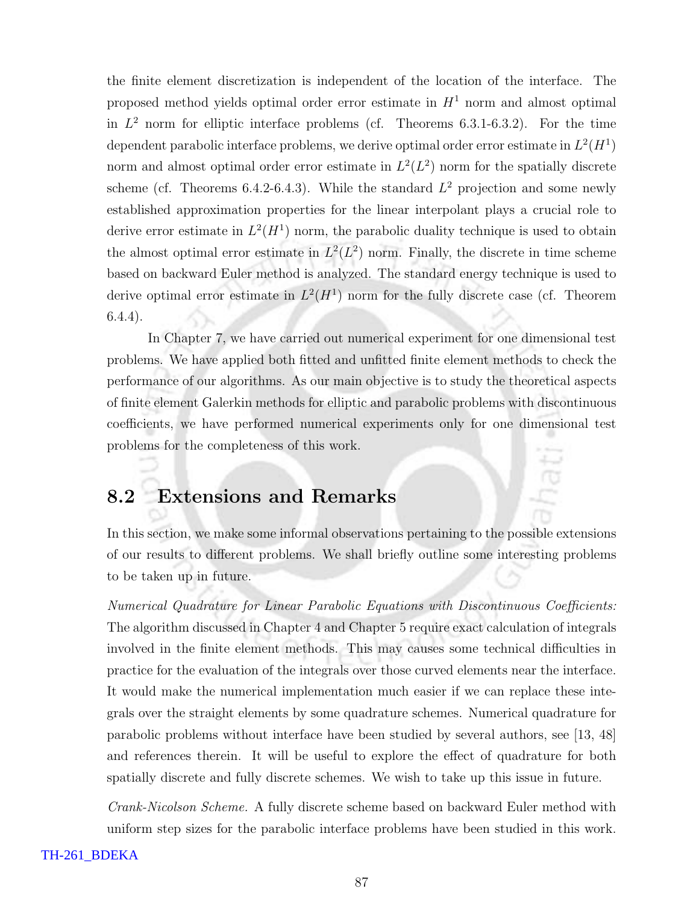the finite element discretization is independent of the location of the interface. The proposed method yields optimal order error estimate in  $H<sup>1</sup>$  norm and almost optimal in  $L^2$  norm for elliptic interface problems (cf. Theorems 6.3.1-6.3.2). For the time dependent parabolic interface problems, we derive optimal order error estimate in  $L^2(H^1)$ norm and almost optimal order error estimate in  $L^2(L^2)$  norm for the spatially discrete scheme (cf. Theorems 6.4.2-6.4.3). While the standard  $L^2$  projection and some newly established approximation properties for the linear interpolant plays a crucial role to derive error estimate in  $L^2(H^1)$  norm, the parabolic duality technique is used to obtain the almost optimal error estimate in  $L^2(L^2)$  norm. Finally, the discrete in time scheme based on backward Euler method is analyzed. The standard energy technique is used to derive optimal error estimate in  $L^2(H^1)$  norm for the fully discrete case (cf. Theorem 6.4.4).

In Chapter 7, we have carried out numerical experiment for one dimensional test problems. We have applied both fitted and unfitted finite element methods to check the performance of our algorithms. As our main objective is to study the theoretical aspects of finite element Galerkin methods for elliptic and parabolic problems with discontinuous coefficients, we have performed numerical experiments only for one dimensional test problems for the completeness of this work.

### 8.2 Extensions and Remarks

In this section, we make some informal observations pertaining to the possible extensions of our results to different problems. We shall briefly outline some interesting problems to be taken up in future.

Numerical Quadrature for Linear Parabolic Equations with Discontinuous Coefficients: The algorithm discussed in Chapter 4 and Chapter 5 require exact calculation of integrals involved in the finite element methods. This may causes some technical difficulties in practice for the evaluation of the integrals over those curved elements near the interface. It would make the numerical implementation much easier if we can replace these integrals over the straight elements by some quadrature schemes. Numerical quadrature for parabolic problems without interface have been studied by several authors, see [13, 48] and references therein. It will be useful to explore the effect of quadrature for both spatially discrete and fully discrete schemes. We wish to take up this issue in future.

Crank-Nicolson Scheme. A fully discrete scheme based on backward Euler method with uniform step sizes for the parabolic interface problems have been studied in this work.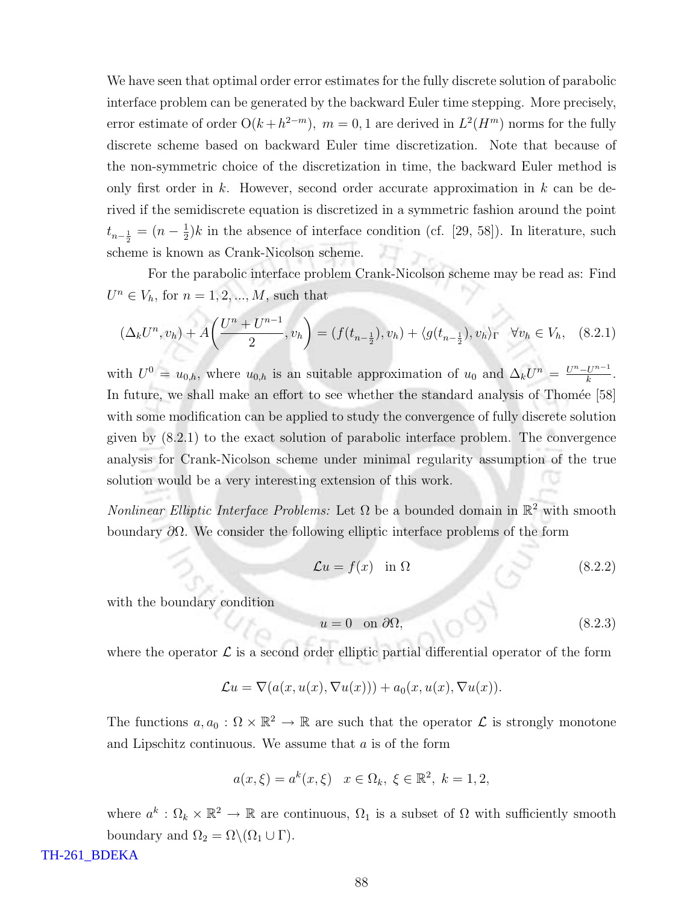We have seen that optimal order error estimates for the fully discrete solution of parabolic interface problem can be generated by the backward Euler time stepping. More precisely, error estimate of order  $O(k + h^{2-m})$ ,  $m = 0, 1$  are derived in  $L^2(H^m)$  norms for the fully discrete scheme based on backward Euler time discretization. Note that because of the non-symmetric choice of the discretization in time, the backward Euler method is only first order in k. However, second order accurate approximation in  $k$  can be derived if the semidiscrete equation is discretized in a symmetric fashion around the point  $t_{n-\frac{1}{2}} = (n-\frac{1}{2})$  $\frac{1}{2}$ )k in the absence of interface condition (cf. [29, 58]). In literature, such scheme is known as Crank-Nicolson scheme.

For the parabolic interface problem Crank-Nicolson scheme may be read as: Find  $U^n \in V_h$ , for  $n = 1, 2, ..., M$ , such that

$$
(\Delta_k U^n, v_h) + A\left(\frac{U^n + U^{n-1}}{2}, v_h\right) = (f(t_{n-\frac{1}{2}}), v_h) + \langle g(t_{n-\frac{1}{2}}), v_h \rangle_{\Gamma} \quad \forall v_h \in V_h, \quad (8.2.1)
$$

with  $U^0 = u_{0,h}$ , where  $u_{0,h}$  is an suitable approximation of  $u_0$  and  $\Delta_k U^n = \frac{U^n - U^{n-1}}{k}$  $\frac{U^{n-1}}{k}$ . In future, we shall make an effort to see whether the standard analysis of Thomée [58] with some modification can be applied to study the convergence of fully discrete solution given by (8.2.1) to the exact solution of parabolic interface problem. The convergence analysis for Crank-Nicolson scheme under minimal regularity assumption of the true solution would be a very interesting extension of this work.

*Nonlinear Elliptic Interface Problems:* Let  $\Omega$  be a bounded domain in  $\mathbb{R}^2$  with smooth boundary  $\partial\Omega$ . We consider the following elliptic interface problems of the form

$$
\mathcal{L}u = f(x) \quad \text{in } \Omega \tag{8.2.2}
$$

with the boundary condition

$$
u = 0 \quad \text{on } \partial\Omega,\tag{8.2.3}
$$

where the operator  $\mathcal L$  is a second order elliptic partial differential operator of the form

$$
\mathcal{L}u = \nabla(a(x, u(x), \nabla u(x))) + a_0(x, u(x), \nabla u(x)).
$$

The functions  $a, a_0 : \Omega \times \mathbb{R}^2 \to \mathbb{R}$  are such that the operator  $\mathcal L$  is strongly monotone and Lipschitz continuous. We assume that a is of the form

$$
a(x,\xi) = a^k(x,\xi) \quad x \in \Omega_k, \ \xi \in \mathbb{R}^2, \ k = 1,2,
$$

where  $a^k$ :  $\Omega_k \times \mathbb{R}^2 \to \mathbb{R}$  are continuous,  $\Omega_1$  is a subset of  $\Omega$  with sufficiently smooth boundary and  $\Omega_2 = \Omega \backslash (\Omega_1 \cup \Gamma)$ .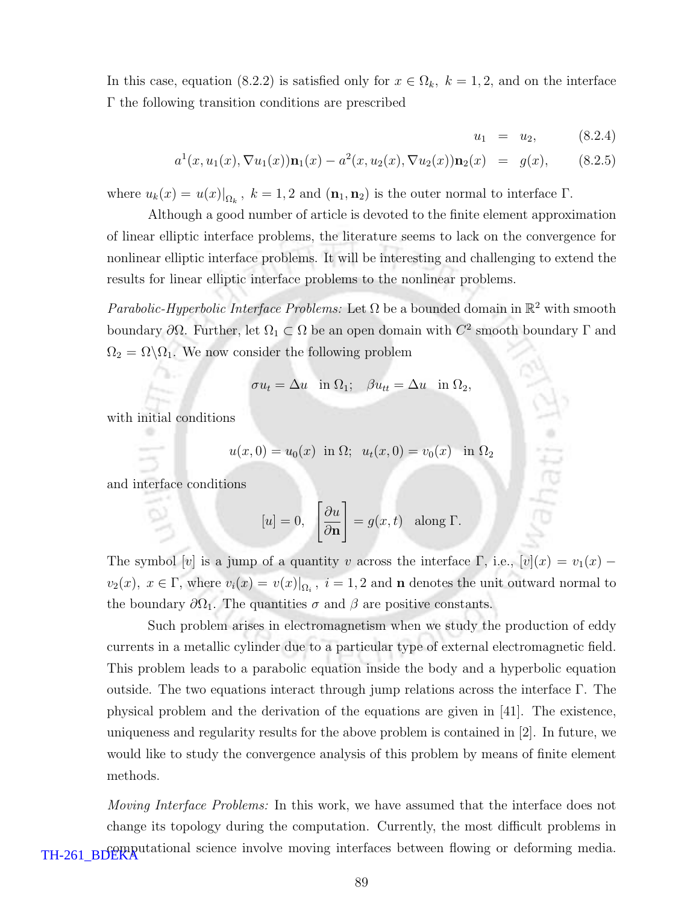In this case, equation (8.2.2) is satisfied only for  $x \in \Omega_k$ ,  $k = 1, 2$ , and on the interface Γ the following transition conditions are prescribed

$$
u_1 = u_2, \t(8.2.4)
$$

$$
a^{1}(x, u_{1}(x), \nabla u_{1}(x))\mathbf{n}_{1}(x) - a^{2}(x, u_{2}(x), \nabla u_{2}(x))\mathbf{n}_{2}(x) = g(x), \qquad (8.2.5)
$$

where  $u_k(x) = u(x)|_{\Omega_k}$ ,  $k = 1, 2$  and  $(\mathbf{n}_1, \mathbf{n}_2)$  is the outer normal to interface  $\Gamma$ .

Although a good number of article is devoted to the finite element approximation of linear elliptic interface problems, the literature seems to lack on the convergence for nonlinear elliptic interface problems. It will be interesting and challenging to extend the results for linear elliptic interface problems to the nonlinear problems.

Parabolic-Hyperbolic Interface Problems: Let  $\Omega$  be a bounded domain in  $\mathbb{R}^2$  with smooth boundary  $\partial\Omega$ . Further, let  $\Omega_1 \subset \Omega$  be an open domain with  $C^2$  smooth boundary  $\Gamma$  and  $\Omega_2 = \Omega \backslash \Omega_1$ . We now consider the following problem

$$
\sigma u_t = \Delta u \quad \text{in } \Omega_1; \quad \beta u_{tt} = \Delta u \quad \text{in } \Omega_2,
$$

with initial conditions

$$
u(x, 0) = u_0(x)
$$
 in  $\Omega$ ;  $u_t(x, 0) = v_0(x)$  in  $\Omega_2$ 

and interface conditions

$$
[u] = 0, \quad \left[\frac{\partial u}{\partial \mathbf{n}}\right] = g(x, t) \quad \text{along } \Gamma.
$$

The symbol [v] is a jump of a quantity v across the interface  $\Gamma$ , i.e.,  $[v](x) = v_1(x)$  $v_2(x)$ ,  $x \in \Gamma$ , where  $v_i(x) = v(x)|_{\Omega_i}$ ,  $i = 1, 2$  and **n** denotes the unit outward normal to the boundary  $\partial\Omega_1$ . The quantities  $\sigma$  and  $\beta$  are positive constants.

Such problem arises in electromagnetism when we study the production of eddy currents in a metallic cylinder due to a particular type of external electromagnetic field. This problem leads to a parabolic equation inside the body and a hyperbolic equation outside. The two equations interact through jump relations across the interface  $\Gamma$ . The physical problem and the derivation of the equations are given in [41]. The existence, uniqueness and regularity results for the above problem is contained in [2]. In future, we would like to study the convergence analysis of this problem by means of finite element methods.

*Moving Interface Problems:* In this work, we have assumed that the interface does not change its topology during the computation. Currently, the most difficult problems in TH-261\_BDEKA<sup>T</sup> between flowing interfaces between flowing or deforming media.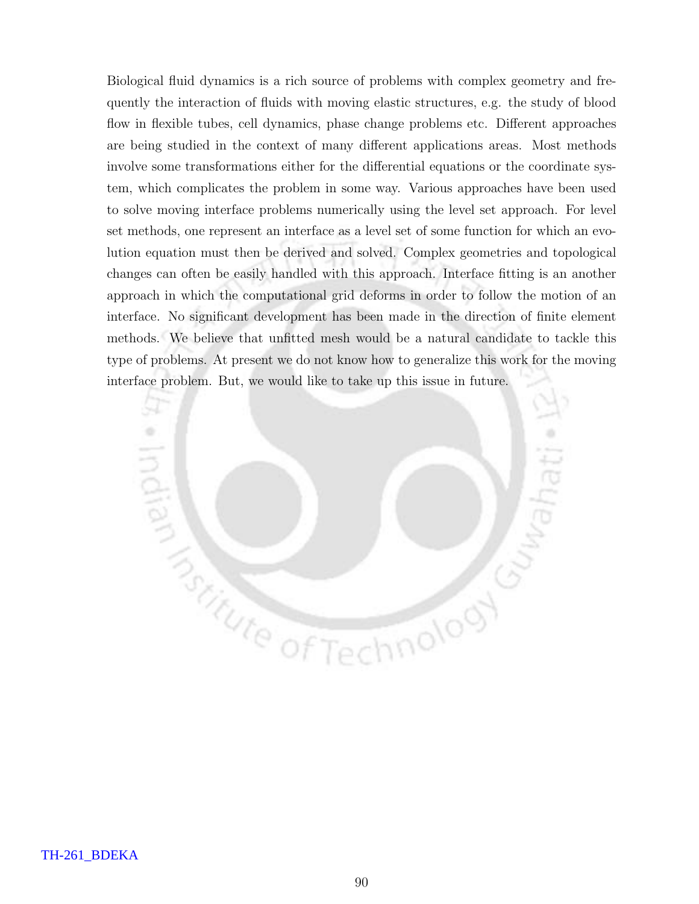Biological fluid dynamics is a rich source of problems with complex geometry and frequently the interaction of fluids with moving elastic structures, e.g. the study of blood flow in flexible tubes, cell dynamics, phase change problems etc. Different approaches are being studied in the context of many different applications areas. Most methods involve some transformations either for the differential equations or the coordinate system, which complicates the problem in some way. Various approaches have been used to solve moving interface problems numerically using the level set approach. For level set methods, one represent an interface as a level set of some function for which an evolution equation must then be derived and solved. Complex geometries and topological changes can often be easily handled with this approach. Interface fitting is an another approach in which the computational grid deforms in order to follow the motion of an interface. No significant development has been made in the direction of finite element methods. We believe that unfitted mesh would be a natural candidate to tackle this type of problems. At present we do not know how to generalize this work for the moving interface problem. But, we would like to take up this issue in future.

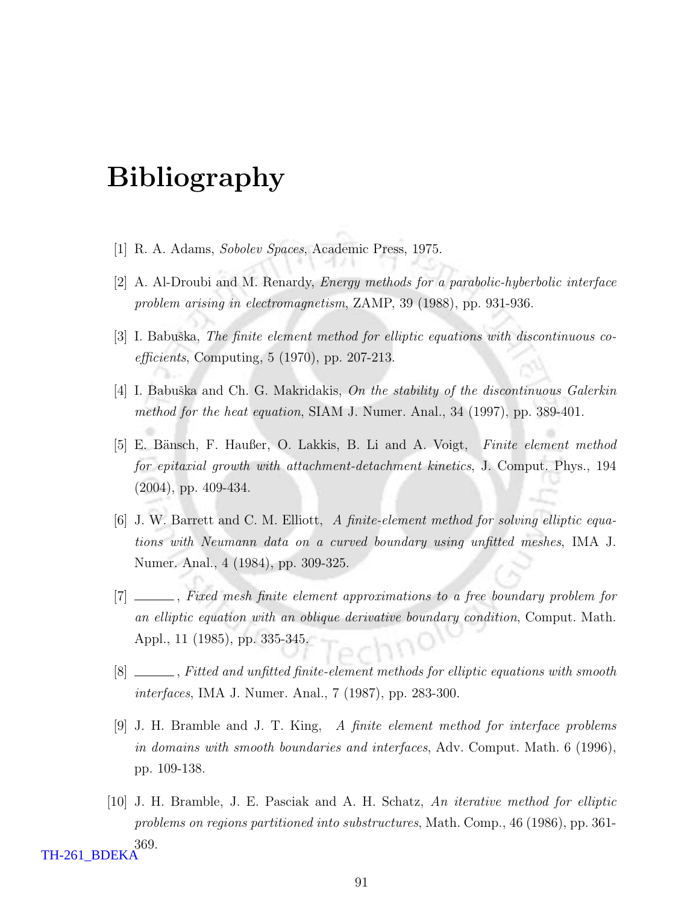# Bibliography

- [1] R. A. Adams, Sobolev Spaces, Academic Press, 1975.
- [2] A. Al-Droubi and M. Renardy, Energy methods for a parabolic-hyberbolic interface problem arising in electromagnetism, ZAMP, 39 (1988), pp. 931-936.
- [3] I. Babuška, The finite element method for elliptic equations with discontinuous coefficients, Computing, 5 (1970), pp. 207-213.
- [4] I. Babuška and Ch. G. Makridakis, On the stability of the discontinuous Galerkin method for the heat equation, SIAM J. Numer. Anal., 34 (1997), pp. 389-401.
- [5] E. Bänsch, F. Haußer, O. Lakkis, B. Li and A. Voigt, Finite element method for epitaxial growth with attachment-detachment kinetics, J. Comput. Phys., 194 (2004), pp. 409-434.
- [6] J. W. Barrett and C. M. Elliott, A finite-element method for solving elliptic equations with Neumann data on a curved boundary using unfitted meshes, IMA J. Numer. Anal., 4 (1984), pp. 309-325.
- [7] \_\_\_\_\_, Fixed mesh finite element approximations to a free boundary problem for an elliptic equation with an oblique derivative boundary condition, Comput. Math. Appl., 11 (1985), pp. 335-345.
- [8]  $\Box$ , Fitted and unfitted finite-element methods for elliptic equations with smooth interfaces, IMA J. Numer. Anal., 7 (1987), pp. 283-300.
- [9] J. H. Bramble and J. T. King, A finite element method for interface problems in domains with smooth boundaries and interfaces, Adv. Comput. Math. 6 (1996), pp. 109-138.
- [10] J. H. Bramble, J. E. Pasciak and A. H. Schatz, An iterative method for elliptic problems on regions partitioned into substructures, Math. Comp., 46 (1986), pp. 361- 369. TH-261\_BDEKA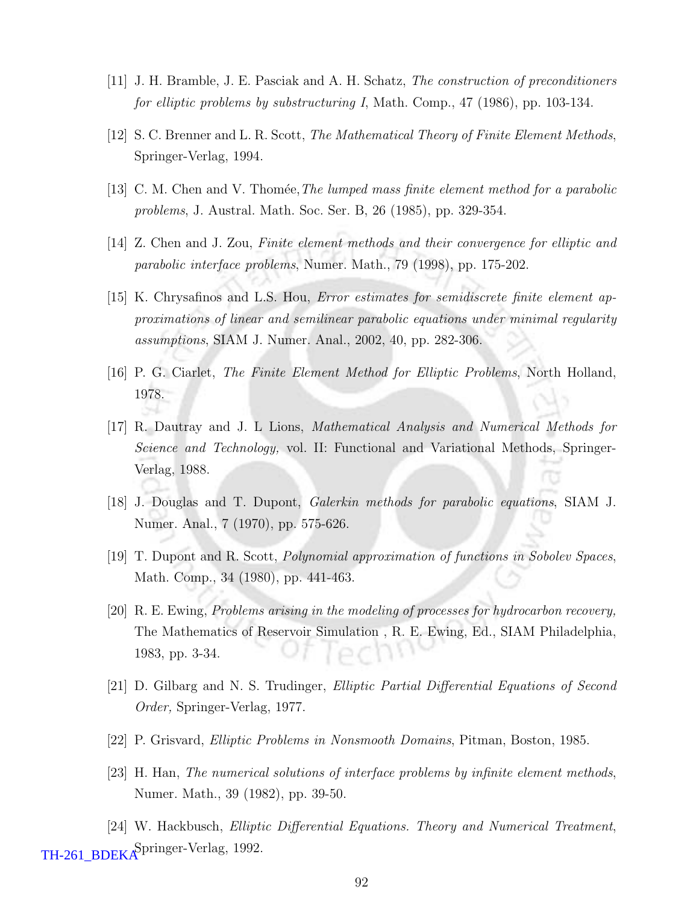- [11] J. H. Bramble, J. E. Pasciak and A. H. Schatz, The construction of preconditioners for elliptic problems by substructuring I, Math. Comp., 47 (1986), pp. 103-134.
- $[12]$  S. C. Brenner and L. R. Scott, *The Mathematical Theory of Finite Element Methods*, Springer-Verlag, 1994.
- [13] C. M. Chen and V. Thomée, The lumped mass finite element method for a parabolic problems, J. Austral. Math. Soc. Ser. B, 26 (1985), pp. 329-354.
- [14] Z. Chen and J. Zou, Finite element methods and their convergence for elliptic and parabolic interface problems, Numer. Math., 79 (1998), pp. 175-202.
- [15] K. Chrysafinos and L.S. Hou, Error estimates for semidiscrete finite element approximations of linear and semilinear parabolic equations under minimal regularity assumptions, SIAM J. Numer. Anal., 2002, 40, pp. 282-306.
- [16] P. G. Ciarlet, The Finite Element Method for Elliptic Problems, North Holland, 1978.
- [17] R. Dautray and J. L Lions, Mathematical Analysis and Numerical Methods for Science and Technology, vol. II: Functional and Variational Methods, Springer-Verlag, 1988.
- [18] J. Douglas and T. Dupont, Galerkin methods for parabolic equations, SIAM J. Numer. Anal., 7 (1970), pp. 575-626.
- [19] T. Dupont and R. Scott, Polynomial approximation of functions in Sobolev Spaces, Math. Comp., 34 (1980), pp. 441-463.
- [20] R. E. Ewing, Problems arising in the modeling of processes for hydrocarbon recovery, The Mathematics of Reservoir Simulation , R. E. Ewing, Ed., SIAM Philadelphia, 1983, pp. 3-34.
- [21] D. Gilbarg and N. S. Trudinger, Elliptic Partial Differential Equations of Second Order, Springer-Verlag, 1977.
- [22] P. Grisvard, Elliptic Problems in Nonsmooth Domains, Pitman, Boston, 1985.
- [23] H. Han, The numerical solutions of interface problems by infinite element methods, Numer. Math., 39 (1982), pp. 39-50.

[24] W. Hackbusch, Elliptic Differential Equations. Theory and Numerical Treatment, TH-261\_BDEKA<sup>Springer-Verlag, 1992.</sup>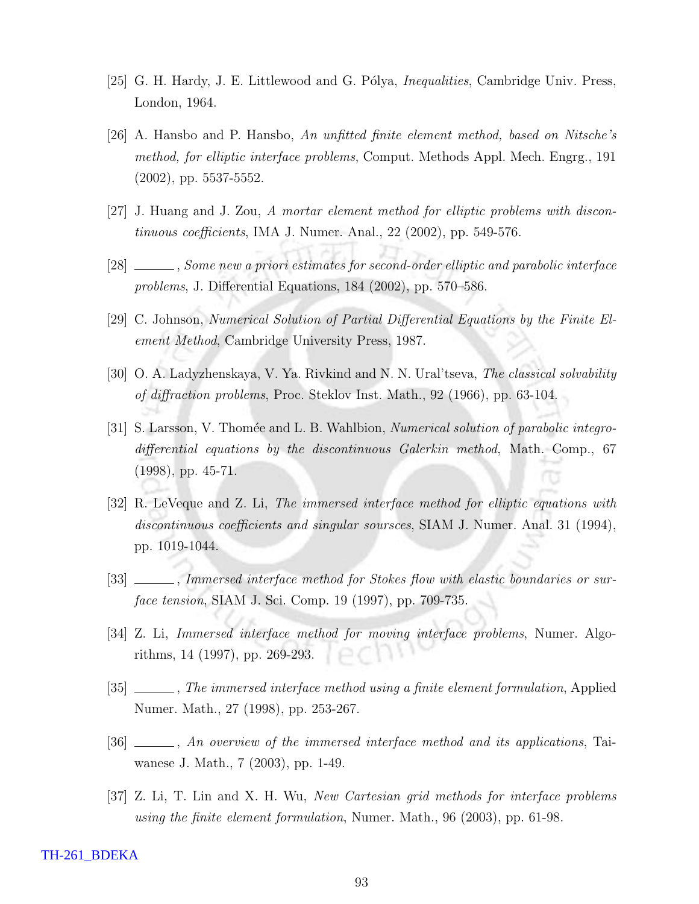- [25] G. H. Hardy, J. E. Littlewood and G. Pólya, *Inequalities*, Cambridge Univ. Press, London, 1964.
- [26] A. Hansbo and P. Hansbo, An unfitted finite element method, based on Nitsche's method, for elliptic interface problems, Comput. Methods Appl. Mech. Engrg., 191 (2002), pp. 5537-5552.
- [27] J. Huang and J. Zou, A mortar element method for elliptic problems with discontinuous coefficients, IMA J. Numer. Anal., 22 (2002), pp. 549-576.
- [28] Some new a priori estimates for second-order elliptic and parabolic interface problems, J. Differential Equations, 184 (2002), pp. 570–586.
- [29] C. Johnson, Numerical Solution of Partial Differential Equations by the Finite Element Method, Cambridge University Press, 1987.
- [30] O. A. Ladyzhenskaya, V. Ya. Rivkind and N. N. Ural'tseva, The classical solvability of diffraction problems, Proc. Steklov Inst. Math., 92 (1966), pp. 63-104.
- [31] S. Larsson, V. Thomée and L. B. Wahlbion, *Numerical solution of parabolic integro*differential equations by the discontinuous Galerkin method, Math. Comp., 67 (1998), pp. 45-71.
- [32] R. LeVeque and Z. Li, The immersed interface method for elliptic equations with discontinuous coefficients and singular soursces, SIAM J. Numer. Anal. 31 (1994), pp. 1019-1044.
- [33] \_\_\_\_\_, Immersed interface method for Stokes flow with elastic boundaries or surface tension, SIAM J. Sci. Comp. 19 (1997), pp. 709-735.
- [34] Z. Li, Immersed interface method for moving interface problems, Numer. Algorithms, 14 (1997), pp. 269-293.
- [35]  $\_\_\_\_\_\$  The immersed interface method using a finite element formulation, Applied Numer. Math., 27 (1998), pp. 253-267.
- [36] , An overview of the immersed interface method and its applications, Taiwanese J. Math., 7 (2003), pp. 1-49.
- [37] Z. Li, T. Lin and X. H. Wu, New Cartesian grid methods for interface problems using the finite element formulation, Numer. Math., 96 (2003), pp. 61-98.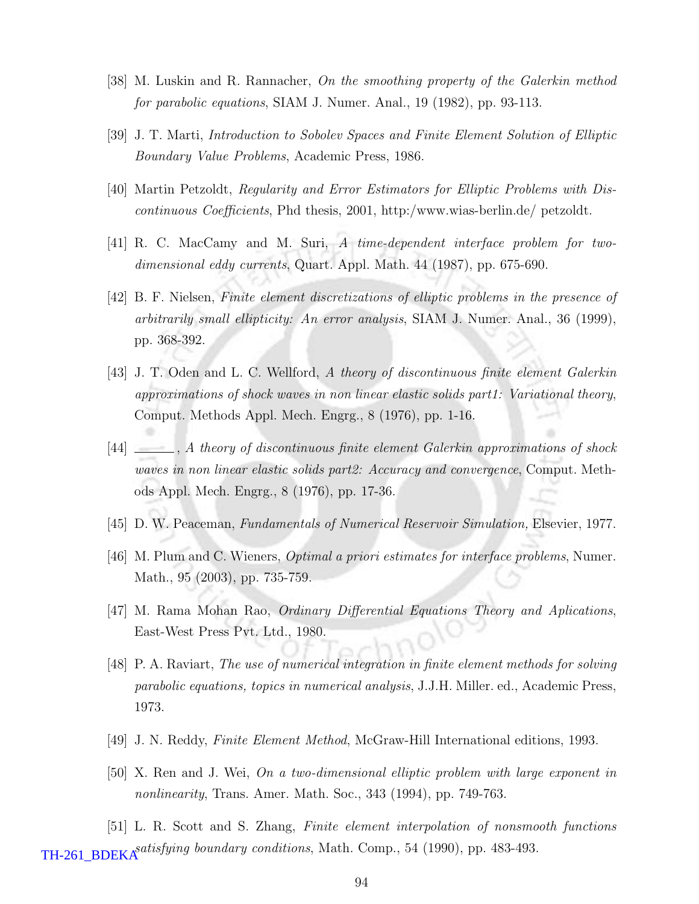- [38] M. Luskin and R. Rannacher, On the smoothing property of the Galerkin method for parabolic equations, SIAM J. Numer. Anal., 19 (1982), pp. 93-113.
- [39] J. T. Marti, Introduction to Sobolev Spaces and Finite Element Solution of Elliptic Boundary Value Problems, Academic Press, 1986.
- [40] Martin Petzoldt, Regularity and Error Estimators for Elliptic Problems with Discontinuous Coefficients, Phd thesis, 2001, http:/www.wias-berlin.de/ petzoldt.
- [41] R. C. MacCamy and M. Suri, A time-dependent interface problem for twodimensional eddy currents, Quart. Appl. Math. 44 (1987), pp. 675-690.
- [42] B. F. Nielsen, Finite element discretizations of elliptic problems in the presence of arbitrarily small ellipticity: An error analysis, SIAM J. Numer. Anal., 36 (1999), pp. 368-392.
- [43] J. T. Oden and L. C. Wellford, A theory of discontinuous finite element Galerkin approximations of shock waves in non linear elastic solids part1: Variational theory, Comput. Methods Appl. Mech. Engrg., 8 (1976), pp. 1-16.
- [44] , A theory of discontinuous finite element Galerkin approximations of shock waves in non linear elastic solids part2: Accuracy and convergence, Comput. Methods Appl. Mech. Engrg., 8 (1976), pp. 17-36.
- [45] D. W. Peaceman, Fundamentals of Numerical Reservoir Simulation, Elsevier, 1977.
- $[46]$  M. Plum and C. Wieners, *Optimal a priori estimates for interface problems*, Numer. Math., 95 (2003), pp. 735-759.
- [47] M. Rama Mohan Rao, Ordinary Differential Equations Theory and Aplications, East-West Press Pvt. Ltd., 1980.
- [48] P. A. Raviart, The use of numerical integration in finite element methods for solving parabolic equations, topics in numerical analysis, J.J.H. Miller. ed., Academic Press, 1973.
- [49] J. N. Reddy, Finite Element Method, McGraw-Hill International editions, 1993.
- [50] X. Ren and J. Wei, On a two-dimensional elliptic problem with large exponent in nonlinearity, Trans. Amer. Math. Soc., 343 (1994), pp. 749-763.

[51] L. R. Scott and S. Zhang, Finite element interpolation of nonsmooth functions **TH-261\_BDEKA**<sup>satisfying boundary conditions, Math. Comp., 54 (1990), pp. 483-493.</sup>